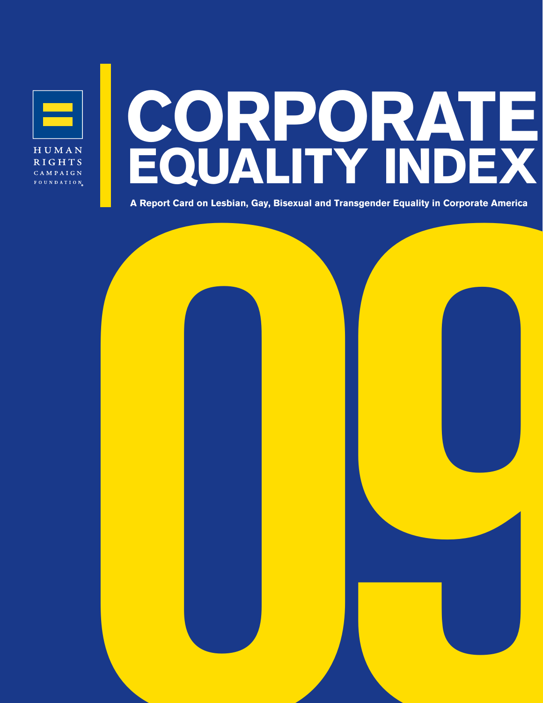

# **CORPORATE EQUALITY INDEX** EQUALITY INDEX

**A Report Card on Lesbian, Gay, Bisexual and Transgender Equality in Corporate America**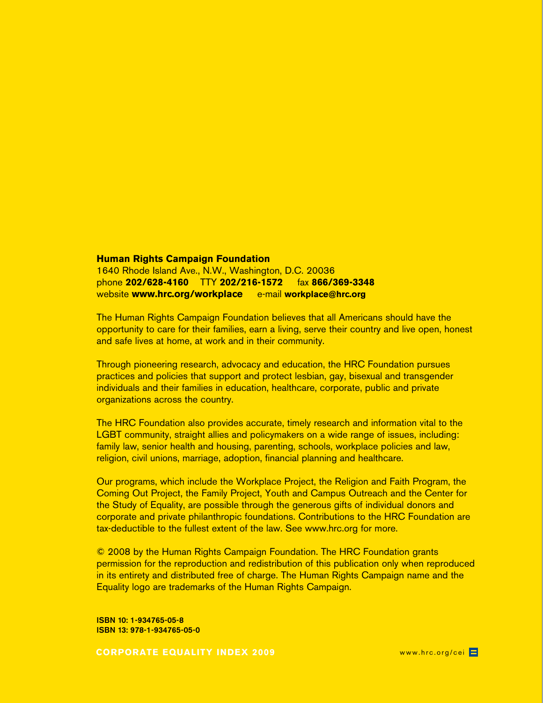### **Human Rights Campaign Foundation**

1640 Rhode Island Ave., N.W., Washington, D.C. 20036 phone **202/628-4160** TTY **202/216-1572** fax **866/369-3348** website **www.hrc.org/workplace** e-mail **workplace@hrc.org**

The Human Rights Campaign Foundation believes that all Americans should have the opportunity to care for their families, earn a living, serve their country and live open, honest and safe lives at home, at work and in their community.

Through pioneering research, advocacy and education, the HRC Foundation pursues practices and policies that support and protect lesbian, gay, bisexual and transgender individuals and their families in education, healthcare, corporate, public and private organizations across the country.

The HRC Foundation also provides accurate, timely research and information vital to the LGBT community, straight allies and policymakers on a wide range of issues, including: family law, senior health and housing, parenting, schools, workplace policies and law, religion, civil unions, marriage, adoption, financial planning and healthcare.

Our programs, which include the Workplace Project, the Religion and Faith Program, the Coming Out Project, the Family Project, Youth and Campus Outreach and the Center for the Study of Equality, are possible through the generous gifts of individual donors and corporate and private philanthropic foundations. Contributions to the HRC Foundation are tax-deductible to the fullest extent of the law. See www.hrc.org for more.

© 2008 by the Human Rights Campaign Foundation. The HRC Foundation grants permission for the reproduction and redistribution of this publication only when reproduced in its entirety and distributed free of charge. The Human Rights Campaign name and the Equality logo are trademarks of the Human Rights Campaign.

ISBN 10: 1-934765-05-8 ISBN 13: 978-1-934765-05-0

**CORPORATE EQUALITY INDEX 2009** WWW.hrc.org/cei =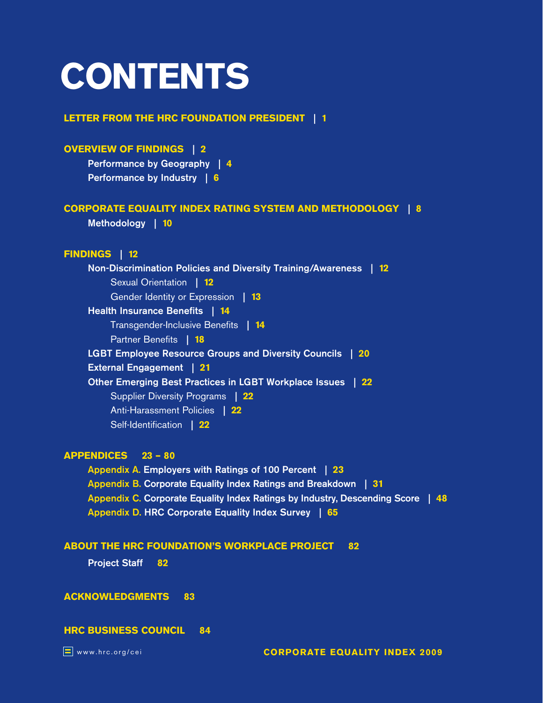# **Contents**

### **Letter from the HRC Foundation President** | **1**

### **Overview of Findings** | **2**

Performance by Geography| **4** Performance by Industry| **6**

### **Corporate Equality Index Rating System and Methodology** | **8**

Methodology| **10**

### **Findings** | **12**

Non-Discrimination Policies and Diversity Training/Awareness| **12** Sexual Orientation| **12** Gender Identity or Expression| **13** Health Insurance Benefits| **14** Transgender-Inclusive Benefits| **14** Partner Benefits| **18** LGBT Employee Resource Groups and Diversity Councils| **20** External Engagement| **21** Other Emerging Best Practices in LGBT Workplace Issues| **22** Supplier Diversity Programs| **22** Anti-Harassment Policies| **22** Self-Identification| **22**

### **Appendices 23 – 80**

Appendix A. Employers with Ratings of 100 Percent| **23** Appendix B. Corporate Equality Index Ratings and Breakdown| **31** Appendix C. Corporate Equality Index Ratings by Industry, Descending Score| **48** Appendix D. HRC Corporate Equality Index Survey| **65**

### **About the HRC foundation's Workplace Project 82**

Project Staff **82**

### **Acknowledgments 83**

### **HRC Business Council 84**

**E** www.hrc.org/cei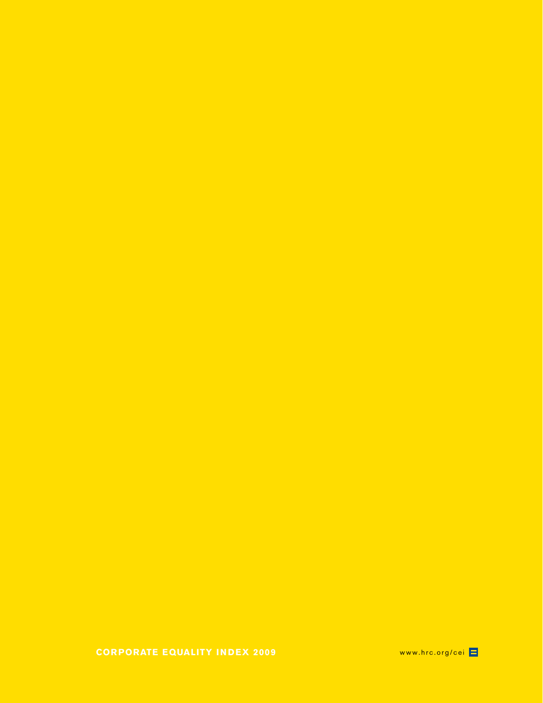CORPORATE EQUALITY INDEX 2009 **Index 1000** www.hrc.org/cei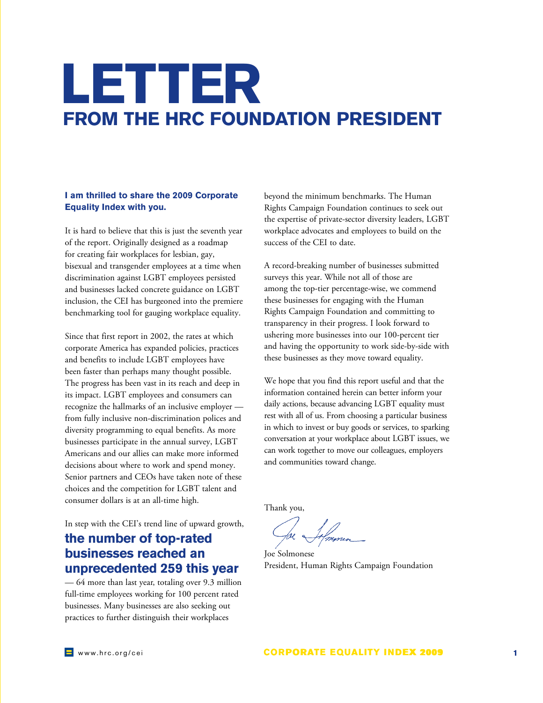# **LETTER FROM the HRC foundation PRESIDENT**

### **I am thrilled to share the 2009 Corporate Equality Index with you.**

It is hard to believe that this is just the seventh year of the report. Originally designed as a roadmap for creating fair workplaces for lesbian, gay, bisexual and transgender employees at a time when discrimination against LGBT employees persisted and businesses lacked concrete guidance on LGBT inclusion, the CEI has burgeoned into the premiere benchmarking tool for gauging workplace equality.

Since that first report in 2002, the rates at which corporate America has expanded policies, practices and benefits to include LGBT employees have been faster than perhaps many thought possible. The progress has been vast in its reach and deep in its impact. LGBT employees and consumers can recognize the hallmarks of an inclusive employer from fully inclusive non-discrimination polices and diversity programming to equal benefits. As more businesses participate in the annual survey, LGBT Americans and our allies can make more informed decisions about where to work and spend money. Senior partners and CEOs have taken note of these choices and the competition for LGBT talent and consumer dollars is at an all-time high.

In step with the CEI's trend line of upward growth,

### **the number of top-rated businesses reached an unprecedented 259 this year**

— 64 more than last year, totaling over 9.3 million full-time employees working for 100 percent rated businesses. Many businesses are also seeking out practices to further distinguish their workplaces

beyond the minimum benchmarks. The Human Rights Campaign Foundation continues to seek out the expertise of private-sector diversity leaders, LGBT workplace advocates and employees to build on the success of the CEI to date.

A record-breaking number of businesses submitted surveys this year. While not all of those are among the top-tier percentage-wise, we commend these businesses for engaging with the Human Rights Campaign Foundation and committing to transparency in their progress. I look forward to ushering more businesses into our 100-percent tier and having the opportunity to work side-by-side with these businesses as they move toward equality.

We hope that you find this report useful and that the information contained herein can better inform your daily actions, because advancing LGBT equality must rest with all of us. From choosing a particular business in which to invest or buy goods or services, to sparking conversation at your workplace about LGBT issues, we can work together to move our colleagues, employers and communities toward change.

Thank you,

Che Sofmmen

Joe Solmonese President, Human Rights Campaign Foundation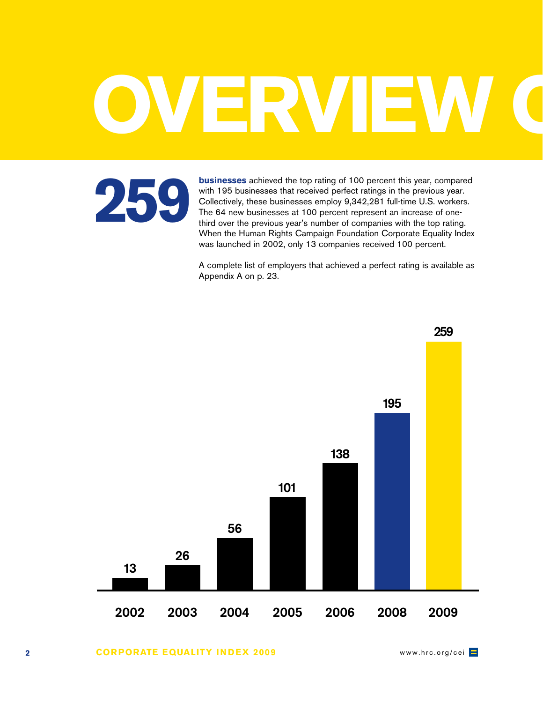# **overview of findings**



**businesses** achieved the top rating of 100 percent this year, compared with 195 businesses that received perfect ratings in the previous year. Collectively, these businesses employ 9,342,281 full-time U.S. workers. The 64 new businesses at 100 percent represent an increase of onethird over the previous year's number of companies with the top rating. When the Human Rights Campaign Foundation Corporate Equality Index was launched in 2002, only 13 companies received 100 percent.

A complete list of employers that achieved a perfect rating is available as Appendix A on p. 23.

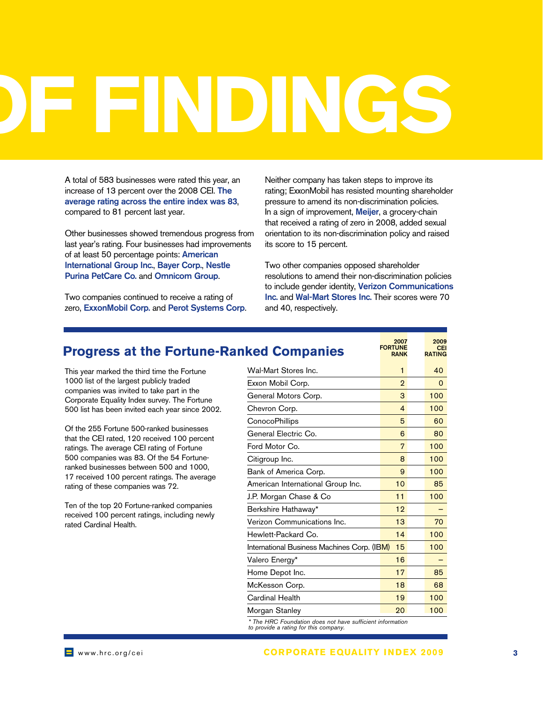# **overview of findings**

A total of 583 businesses were rated this year, an increase of 13 percent over the 2008 CEI. The average rating across the entire index was 83, compared to 81 percent last year.

Other businesses showed tremendous progress from last year's rating. Four businesses had improvements of at least 50 percentage points: American International Group Inc., Bayer Corp., Nestle Purina PetCare Co. and Omnicom Group.

Two companies continued to receive a rating of zero, ExxonMobil Corp. and Perot Systems Corp.

Neither company has taken steps to improve its rating; ExxonMobil has resisted mounting shareholder pressure to amend its non-discrimination policies. In a sign of improvement, Meijer, a grocery-chain that received a rating of zero in 2008, added sexual orientation to its non-discrimination policy and raised its score to 15 percent.

Two other companies opposed shareholder resolutions to amend their non-discrimination policies to include gender identity, Verizon Communications Inc. and Wal-Mart Stores Inc. Their scores were 70 and 40, respectively.

| <b>Progress at the Fortune-Ranked Companies</b>                                                                                                                          |                                             | 2007<br><b>FORTUNE</b><br><b>RANK</b> | 2009<br><b>CEI</b><br><b>RATING</b> |
|--------------------------------------------------------------------------------------------------------------------------------------------------------------------------|---------------------------------------------|---------------------------------------|-------------------------------------|
| This year marked the third time the Fortune                                                                                                                              | Wal-Mart Stores Inc.                        | $\mathbf{1}$                          | 40                                  |
| 1000 list of the largest publicly traded                                                                                                                                 | Exxon Mobil Corp.                           | $\overline{2}$                        | $\mathbf{0}$                        |
| companies was invited to take part in the<br>Corporate Equality Index survey. The Fortune                                                                                | General Motors Corp.                        | 3                                     | 100                                 |
| 500 list has been invited each year since 2002.                                                                                                                          | Chevron Corp.                               | $\overline{4}$                        | 100                                 |
|                                                                                                                                                                          | <b>ConocoPhillips</b>                       | 5                                     | 60                                  |
| Of the 255 Fortune 500-ranked businesses<br>that the CEI rated, 120 received 100 percent                                                                                 | General Electric Co.                        | 6                                     | 80                                  |
| ratings. The average CEI rating of Fortune                                                                                                                               | Ford Motor Co.                              | $\overline{7}$                        | 100                                 |
| 500 companies was 83. Of the 54 Fortune-<br>ranked businesses between 500 and 1000,<br>17 received 100 percent ratings. The average<br>rating of these companies was 72. | Citigroup Inc.                              | 8                                     | 100                                 |
|                                                                                                                                                                          | Bank of America Corp.                       | 9                                     | 100                                 |
|                                                                                                                                                                          | American International Group Inc.           | 10                                    | 85                                  |
|                                                                                                                                                                          | J.P. Morgan Chase & Co                      | 11                                    | 100                                 |
| Ten of the top 20 Fortune-ranked companies                                                                                                                               | Berkshire Hathaway*                         | 12                                    |                                     |
| received 100 percent ratings, including newly<br>rated Cardinal Health.                                                                                                  | Verizon Communications Inc.                 | 13                                    | 70                                  |
|                                                                                                                                                                          | Hewlett-Packard Co.                         | 14                                    | 100                                 |
|                                                                                                                                                                          | International Business Machines Corp. (IBM) | 15                                    | 100                                 |
|                                                                                                                                                                          | Valero Energy*                              | 16                                    |                                     |
|                                                                                                                                                                          | Home Depot Inc.                             | 17                                    | 85                                  |
|                                                                                                                                                                          | McKesson Corp.                              | 18                                    | 68                                  |
|                                                                                                                                                                          | <b>Cardinal Health</b>                      | 19                                    | 100                                 |
|                                                                                                                                                                          | Morgan Stanley                              | 20                                    | 100                                 |

*\* The HRC Foundation does not have sufficient information to provide a rating for this company.*

### www.hrc.org/cei **CORPORATE EQUALITY INDEX 2009 3**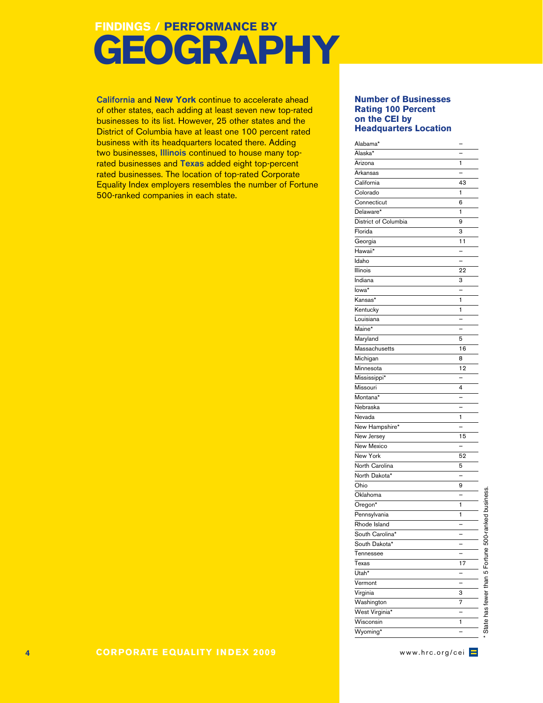# **geography findings / performance by**

California and **New York** continue to accelerate ahead of other states, each adding at least seven new top-rated businesses to its list. However, 25 other states and the District of Columbia have at least one 100 percent rated business with its headquarters located there. Adding two businesses, Illinois continued to house many toprated businesses and Texas added eight top-percent rated businesses. The location of top-rated Corporate Equality Index employers resembles the number of Fortune 500-ranked companies in each state.

### **Number of Businesses Rating 100 Percent on the CEI by Headquarters Location**

| Alabama*             |                                   |
|----------------------|-----------------------------------|
| Alaska*              |                                   |
| Arizona              | 1                                 |
| Arkansas             |                                   |
| California           | 43                                |
| Colorado             | 1                                 |
| Connecticut          | 6                                 |
| Delaware*            | 1                                 |
| District of Columbia | 9                                 |
| Florida              | 3                                 |
| Georgia              | 11                                |
| Hawaii*              |                                   |
| Idaho                |                                   |
| Illinois             | 22                                |
| Indiana              | 3                                 |
| lowa*                |                                   |
| Kansas*              | 1                                 |
| Kentucky             | 1                                 |
| Louisiana            |                                   |
| Maine*               |                                   |
| Maryland             | 5                                 |
| Massachusetts        | 16                                |
| Michigan             | 8                                 |
| Minnesota            | 12                                |
| Mississippi*         |                                   |
| Missouri             | 4                                 |
| Montana*             |                                   |
| Nebraska             |                                   |
| Nevada               | 1                                 |
| New Hampshire*       |                                   |
| New Jersey           | 15                                |
| New Mexico           |                                   |
| New York             | 52                                |
| North Carolina       | 5                                 |
| North Dakota*        |                                   |
| Ohio                 | 9                                 |
| Oklahoma             | $\overline{a}$                    |
| Oregon*              | 1                                 |
| Pennsylvania         | 1                                 |
| Rhode Island         | -ranked business.                 |
| South Carolina*      |                                   |
| South Dakota*        |                                   |
| Tennessee            |                                   |
| Texas                | 17                                |
| Utah*                | State has fewer than 5 Fortune 50 |
| Vermont              |                                   |
| Virginia             | 3                                 |
| Washington           | 7                                 |
| West Virginia*       |                                   |
| Nisconsin            | 1                                 |
| Wyoming*             |                                   |
|                      |                                   |

**4 CORPORATE EQUALITY INDEX 2009 WWW.hrc.org/cei**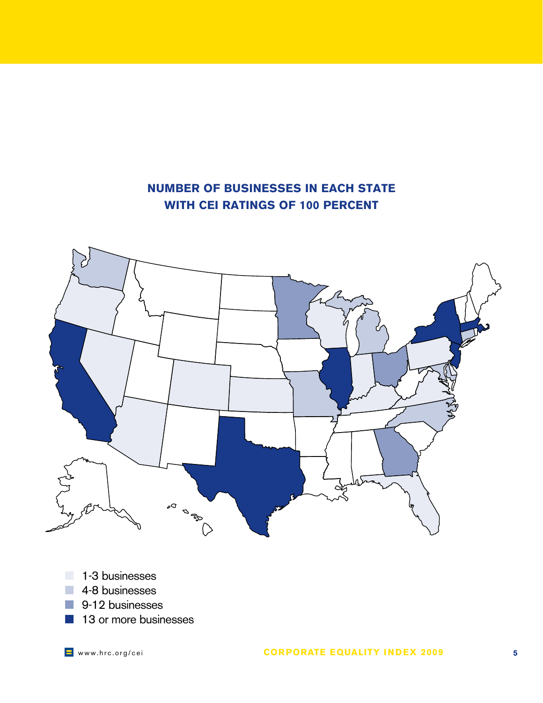### **Number of Businesses in each state with CEI Ratings of 100 Percent**



- 1-3 businesses
- $\blacksquare$  4-8 businesses
- $\blacksquare$  9-12 businesses
- **n** 13 or more businesses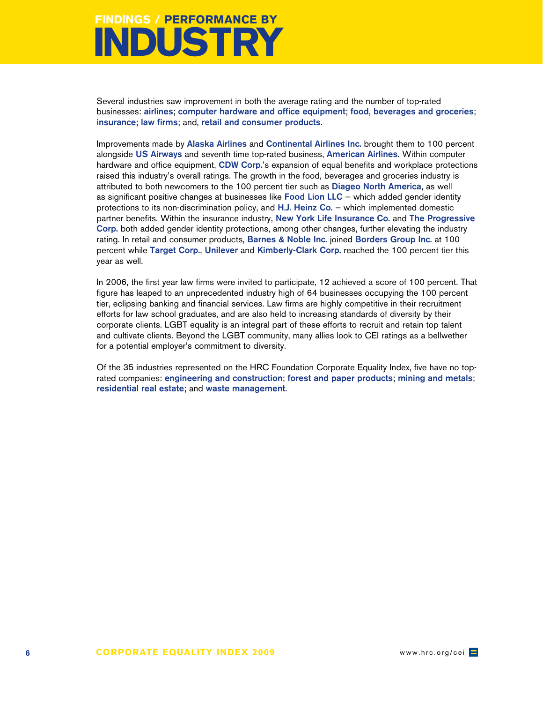# **industry findings / performance by**

Several industries saw improvement in both the average rating and the number of top-rated businesses: airlines; computer hardware and office equipment; food, beverages and groceries; insurance; law firms; and, retail and consumer products.

Improvements made by Alaska Airlines and Continental Airlines Inc. brought them to 100 percent alongside US Airways and seventh time top-rated business, American Airlines. Within computer hardware and office equipment, CDW Corp.'s expansion of equal benefits and workplace protections raised this industry's overall ratings. The growth in the food, beverages and groceries industry is attributed to both newcomers to the 100 percent tier such as Diageo North America, as well as significant positive changes at businesses like Food Lion LLC - which added gender identity protections to its non-discrimination policy, and H.J. Heinz Co. — which implemented domestic partner benefits. Within the insurance industry, New York Life Insurance Co. and The Progressive Corp. both added gender identity protections, among other changes, further elevating the industry rating. In retail and consumer products, Barnes & Noble Inc. joined Borders Group Inc. at 100 percent while Target Corp., Unilever and Kimberly-Clark Corp. reached the 100 percent tier this year as well.

In 2006, the first year law firms were invited to participate, 12 achieved a score of 100 percent. That figure has leaped to an unprecedented industry high of 64 businesses occupying the 100 percent tier, eclipsing banking and financial services. Law firms are highly competitive in their recruitment efforts for law school graduates, and are also held to increasing standards of diversity by their corporate clients. LGBT equality is an integral part of these efforts to recruit and retain top talent and cultivate clients. Beyond the LGBT community, many allies look to CEI ratings as a bellwether for a potential employer's commitment to diversity.

Of the 35 industries represented on the HRC Foundation Corporate Equality Index, five have no toprated companies: engineering and construction; forest and paper products; mining and metals; residential real estate; and waste management.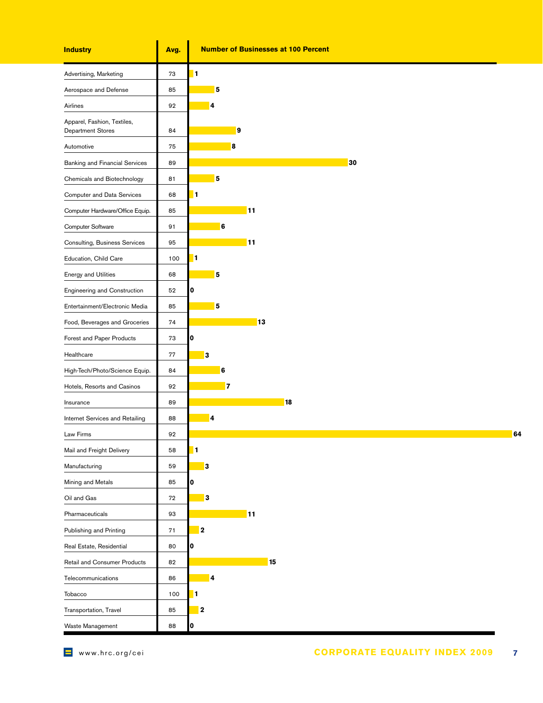| <b>Industry</b>                                  | Avg. | <b>Number of Businesses at 100 Percent</b> |
|--------------------------------------------------|------|--------------------------------------------|
| Advertising, Marketing                           | 73   | $\blacksquare$                             |
| Aerospace and Defense                            | 85   | 5                                          |
| Airlines                                         | 92   | 4                                          |
| Apparel, Fashion, Textiles,<br>Department Stores | 84   | 9                                          |
| Automotive                                       | 75   | 8                                          |
| <b>Banking and Financial Services</b>            | 89   | 30                                         |
| Chemicals and Biotechnology                      | 81   | 5                                          |
| Computer and Data Services                       | 68   | $\blacksquare$                             |
| Computer Hardware/Office Equip.                  | 85   | 11                                         |
| Computer Software                                | 91   | 6                                          |
| Consulting, Business Services                    | 95   | 11                                         |
| Education, Child Care                            | 100  | $\blacksquare$                             |
| <b>Energy and Utilities</b>                      | 68   | 5                                          |
| <b>Engineering and Construction</b>              | 52   | 0                                          |
| Entertainment/Electronic Media                   | 85   | 5                                          |
| Food, Beverages and Groceries                    | 74   | 13                                         |
| Forest and Paper Products                        | 73   | 0                                          |
| Healthcare                                       | 77   | 3                                          |
| High-Tech/Photo/Science Equip.                   | 84   | 6                                          |
| Hotels, Resorts and Casinos                      | 92   | $\overline{\phantom{a}}$                   |
| Insurance                                        | 89   | <b>18</b>                                  |
| Internet Services and Retailing                  | 88   | 4                                          |
| Law Firms                                        | 92   | 64                                         |
| Mail and Freight Delivery                        | 58   | $\blacksquare$                             |
| Manufacturing                                    | 59   | 3                                          |
| Mining and Metals                                | 85   | 0                                          |
| Oil and Gas                                      | 72   | 3                                          |
| Pharmaceuticals                                  | 93   | 11                                         |
| Publishing and Printing                          | 71   | $\overline{\mathbf{2}}$                    |
| Real Estate, Residential                         | 80   | 0                                          |
| Retail and Consumer Products                     | 82   | <b>15</b>                                  |
| Telecommunications                               | 86   | 4                                          |
| Tobacco                                          | 100  | $\blacksquare$                             |
| Transportation, Travel                           | 85   | $\overline{\mathbf{2}}$                    |
| Waste Management                                 | 88   | 0                                          |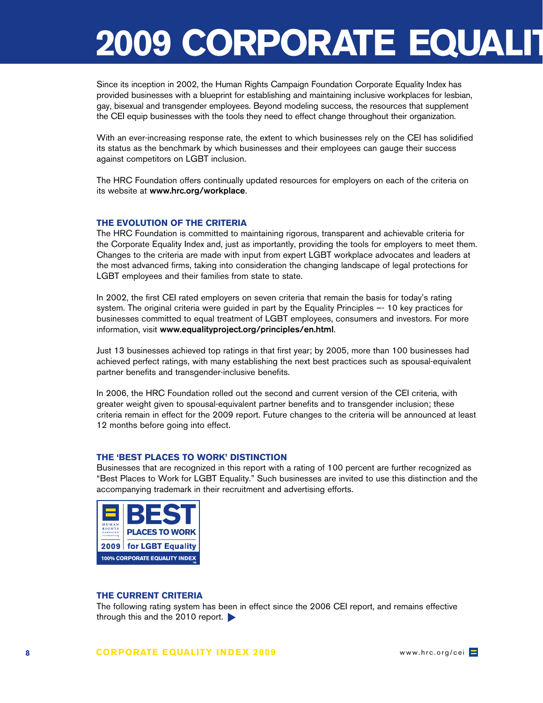# **2009 CORPORATE EQUAL**

Since its inception in 2002, the Human Rights Campaign Foundation Corporate Equality Index has provided businesses with a blueprint for establishing and maintaining inclusive workplaces for lesbian, gay, bisexual and transgender employees. Beyond modeling success, the resources that supplement the CEI equip businesses with the tools they need to effect change throughout their organization.

With an ever-increasing response rate, the extent to which businesses rely on the CEI has solidified its status as the benchmark by which businesses and their employees can gauge their success against competitors on LGBT inclusion.

The HRC Foundation offers continually updated resources for employers on each of the criteria on its website at www.hrc.org/workplace.

### **The Evolution of the Criteria**

The HRC Foundation is committed to maintaining rigorous, transparent and achievable criteria for the Corporate Equality Index and, just as importantly, providing the tools for employers to meet them. Changes to the criteria are made with input from expert LGBT workplace advocates and leaders at the most advanced firms, taking into consideration the changing landscape of legal protections for LGBT employees and their families from state to state.

In 2002, the first CEI rated employers on seven criteria that remain the basis for today's rating system. The original criteria were guided in part by the Equality Principles —- 10 key practices for businesses committed to equal treatment of LGBT employees, consumers and investors. For more information, visit www.equalityproject.org/principles/en.html.

Just 13 businesses achieved top ratings in that first year; by 2005, more than 100 businesses had achieved perfect ratings, with many establishing the next best practices such as spousal-equivalent partner benefits and transgender-inclusive benefits.

In 2006, the HRC Foundation rolled out the second and current version of the CEI criteria, with greater weight given to spousal-equivalent partner benefits and to transgender inclusion; these criteria remain in effect for the 2009 report. Future changes to the criteria will be announced at least 12 months before going into effect.

### **The 'Best Places to Work' Distinction**

Businesses that are recognized in this report with a rating of 100 percent are further recognized as "Best Places to Work for LGBT Equality." Such businesses are invited to use this distinction and the accompanying trademark in their recruitment and advertising efforts.



### **The Current Criteria**

The following rating system has been in effect since the 2006 CEI report, and remains effective through this and the 2010 report.  $\blacktriangleright$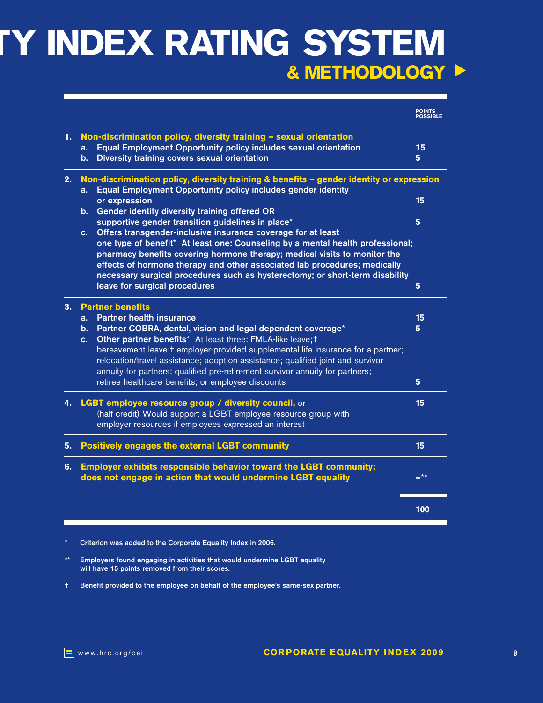# **2009 TY INDEX RATING SYSTEM** & METHODOLOGY  $\triangleright$

|    |                                                                                                                                                                                                                                                                                                                                      | <b>POINTS</b>           |  |
|----|--------------------------------------------------------------------------------------------------------------------------------------------------------------------------------------------------------------------------------------------------------------------------------------------------------------------------------------|-------------------------|--|
| 1. | Non-discrimination policy, diversity training - sexual orientation                                                                                                                                                                                                                                                                   |                         |  |
|    | Equal Employment Opportunity policy includes sexual orientation<br>a.                                                                                                                                                                                                                                                                | 15                      |  |
|    | Diversity training covers sexual orientation<br>$\mathbf b$ .                                                                                                                                                                                                                                                                        | 5                       |  |
| 2. | Non-discrimination policy, diversity training & benefits - gender identity or expression<br>Equal Employment Opportunity policy includes gender identity<br>a.                                                                                                                                                                       |                         |  |
|    | or expression                                                                                                                                                                                                                                                                                                                        | 15                      |  |
|    | <b>Gender identity diversity training offered OR</b><br>b.                                                                                                                                                                                                                                                                           |                         |  |
|    | supportive gender transition guidelines in place*                                                                                                                                                                                                                                                                                    | 5                       |  |
|    | Offers transgender-inclusive insurance coverage for at least<br>$C_{\star}$                                                                                                                                                                                                                                                          |                         |  |
|    | one type of benefit <sup>*</sup> At least one: Counseling by a mental health professional;<br>pharmacy benefits covering hormone therapy; medical visits to monitor the<br>effects of hormone therapy and other associated lab procedures; medically<br>necessary surgical procedures such as hysterectomy; or short-term disability |                         |  |
|    | leave for surgical procedures                                                                                                                                                                                                                                                                                                        | $5\phantom{.0}$         |  |
| 3. | <b>Partner benefits</b>                                                                                                                                                                                                                                                                                                              |                         |  |
|    | <b>Partner health insurance</b><br>a.                                                                                                                                                                                                                                                                                                | 15                      |  |
|    | Partner COBRA, dental, vision and legal dependent coverage*<br>b.                                                                                                                                                                                                                                                                    | 5.                      |  |
|    | Other partner benefits* At least three: FMLA-like leave; t<br>$C_{\star}$                                                                                                                                                                                                                                                            |                         |  |
|    | bereavement leave; <sup>†</sup> employer-provided supplemental life insurance for a partner;<br>relocation/travel assistance; adoption assistance; qualified joint and survivor                                                                                                                                                      |                         |  |
|    | annuity for partners; qualified pre-retirement survivor annuity for partners;                                                                                                                                                                                                                                                        |                         |  |
|    | retiree healthcare benefits; or employee discounts                                                                                                                                                                                                                                                                                   | $\overline{\mathbf{5}}$ |  |
| 4. | LGBT employee resource group / diversity council, or                                                                                                                                                                                                                                                                                 | 15                      |  |
|    | (half credit) Would support a LGBT employee resource group with                                                                                                                                                                                                                                                                      |                         |  |
|    | employer resources if employees expressed an interest                                                                                                                                                                                                                                                                                |                         |  |
| 5. | <b>Positively engages the external LGBT community</b>                                                                                                                                                                                                                                                                                | 15                      |  |
| 6. | <b>Employer exhibits responsible behavior toward the LGBT community;</b><br>does not engage in action that would undermine LGBT equality                                                                                                                                                                                             |                         |  |
|    |                                                                                                                                                                                                                                                                                                                                      | 100                     |  |

Criterion was added to the Corporate Equality Index in 2006.

- \*\* Employers found engaging in activities that would undermine LGBT equality will have 15 points removed from their scores.
- † Benefit provided to the employee on behalf of the employee's same-sex partner.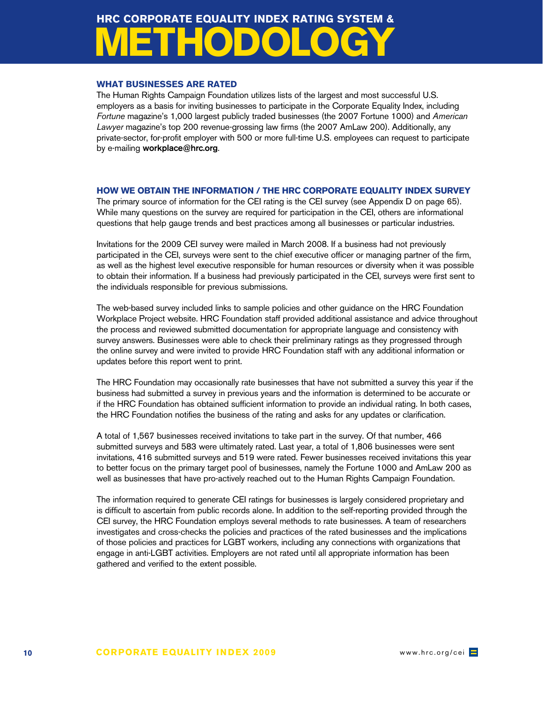# **ME HRC CORPORATE EQUALITY INDEX RATING SYSTEM &**

### **What Businesses Are Rated**

The Human Rights Campaign Foundation utilizes lists of the largest and most successful U.S. employers as a basis for inviting businesses to participate in the Corporate Equality Index, including *Fortune* magazine's 1,000 largest publicly traded businesses (the 2007 Fortune 1000) and *American Lawyer* magazine's top 200 revenue-grossing law firms (the 2007 AmLaw 200). Additionally, any private-sector, for-profit employer with 500 or more full-time U.S. employees can request to participate by e-mailing workplace@hrc.org.

### **How We Obtain the Information / The HRC Corporate Equality Index Survey**

The primary source of information for the CEI rating is the CEI survey (see Appendix D on page 65). While many questions on the survey are required for participation in the CEI, others are informational questions that help gauge trends and best practices among all businesses or particular industries.

Invitations for the 2009 CEI survey were mailed in March 2008. If a business had not previously participated in the CEI, surveys were sent to the chief executive officer or managing partner of the firm, as well as the highest level executive responsible for human resources or diversity when it was possible to obtain their information. If a business had previously participated in the CEI, surveys were first sent to the individuals responsible for previous submissions.

The web-based survey included links to sample policies and other guidance on the HRC Foundation Workplace Project website. HRC Foundation staff provided additional assistance and advice throughout the process and reviewed submitted documentation for appropriate language and consistency with survey answers. Businesses were able to check their preliminary ratings as they progressed through the online survey and were invited to provide HRC Foundation staff with any additional information or updates before this report went to print.

The HRC Foundation may occasionally rate businesses that have not submitted a survey this year if the business had submitted a survey in previous years and the information is determined to be accurate or if the HRC Foundation has obtained sufficient information to provide an individual rating. In both cases, the HRC Foundation notifies the business of the rating and asks for any updates or clarification.

A total of 1,567 businesses received invitations to take part in the survey. Of that number, 466 submitted surveys and 583 were ultimately rated. Last year, a total of 1,806 businesses were sent invitations, 416 submitted surveys and 519 were rated. Fewer businesses received invitations this year to better focus on the primary target pool of businesses, namely the Fortune 1000 and AmLaw 200 as well as businesses that have pro-actively reached out to the Human Rights Campaign Foundation.

The information required to generate CEI ratings for businesses is largely considered proprietary and is difficult to ascertain from public records alone. In addition to the self-reporting provided through the CEI survey, the HRC Foundation employs several methods to rate businesses. A team of researchers investigates and cross-checks the policies and practices of the rated businesses and the implications of those policies and practices for LGBT workers, including any connections with organizations that engage in anti-LGBT activities. Employers are not rated until all appropriate information has been gathered and verified to the extent possible.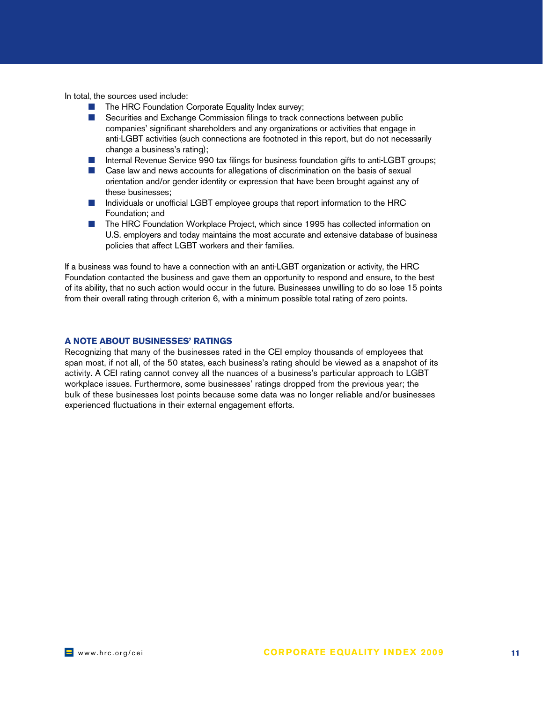In total, the sources used include:

- **n** The HRC Foundation Corporate Equality Index survey;
- **n** Securities and Exchange Commission filings to track connections between public companies' significant shareholders and any organizations or activities that engage in anti-LGBT activities (such connections are footnoted in this report, but do not necessarily change a business's rating);
- Internal Revenue Service 990 tax filings for business foundation gifts to anti-LGBT groups;
- Case law and news accounts for allegations of discrimination on the basis of sexual orientation and/or gender identity or expression that have been brought against any of these businesses;
- **n** Individuals or unofficial LGBT employee groups that report information to the HRC Foundation; and
- **n** The HRC Foundation Workplace Project, which since 1995 has collected information on U.S. employers and today maintains the most accurate and extensive database of business policies that affect LGBT workers and their families.

If a business was found to have a connection with an anti-LGBT organization or activity, the HRC Foundation contacted the business and gave them an opportunity to respond and ensure, to the best of its ability, that no such action would occur in the future. Businesses unwilling to do so lose 15 points from their overall rating through criterion 6, with a minimum possible total rating of zero points.

### **A Note about Businesses' Ratings**

Recognizing that many of the businesses rated in the CEI employ thousands of employees that span most, if not all, of the 50 states, each business's rating should be viewed as a snapshot of its activity. A CEI rating cannot convey all the nuances of a business's particular approach to LGBT workplace issues. Furthermore, some businesses' ratings dropped from the previous year; the bulk of these businesses lost points because some data was no longer reliable and/or businesses experienced fluctuations in their external engagement efforts.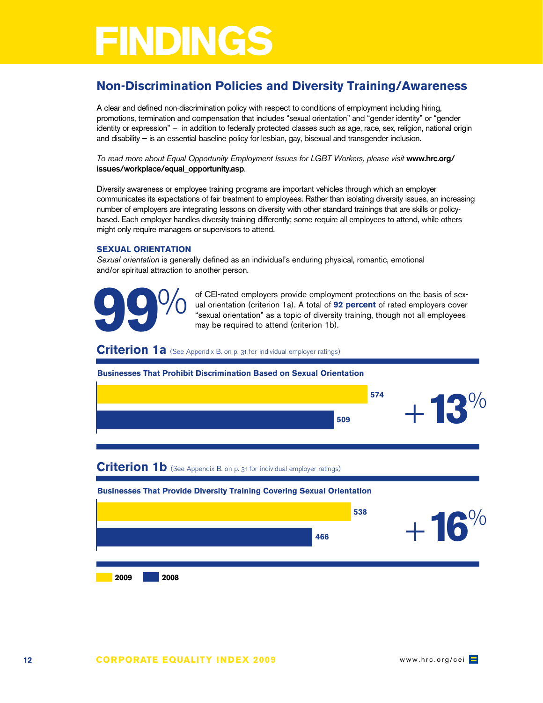# **findings**

### **Non-Discrimination Policies and Diversity Training/Awareness**

A clear and defined non-discrimination policy with respect to conditions of employment including hiring, promotions, termination and compensation that includes "sexual orientation" and "gender identity" or "gender identity or expression" — in addition to federally protected classes such as age, race, sex, religion, national origin and disability — is an essential baseline policy for lesbian, gay, bisexual and transgender inclusion.

To read more about Equal Opportunity Employment Issues for LGBT Workers, please visit www.hrc.org/ issues/workplace/equal\_opportunity.asp.

Diversity awareness or employee training programs are important vehicles through which an employer communicates its expectations of fair treatment to employees. Rather than isolating diversity issues, an increasing number of employers are integrating lessons on diversity with other standard trainings that are skills or policybased. Each employer handles diversity training differently; some require all employees to attend, while others might only require managers or supervisors to attend.

### **Sexual Orientation**

*Sexual orientation* is generally defined as an individual's enduring physical, romantic, emotional and/or spiritual attraction to another person.



of CEI-rated employers provide employment protections on the basis of sex-<br>ual orientation (criterion 1a). A total of **92 percent** of rated employers cover<br>"sexual orientation" as a topic of diversity training, though not ual orientation (criterion 1a). A total of **92 percent** of rated employers cover O of CEI-rated employers provide employment protections on the basis of sexual orientation (criterion 1a). A total of **92 percent** of rated employers cover "sexual orientation" as a topic of diversity training, though not may be required to attend (criterion 1b).

### Criterion 1a (See Appendix B. on p. 31 for individual employer ratings)

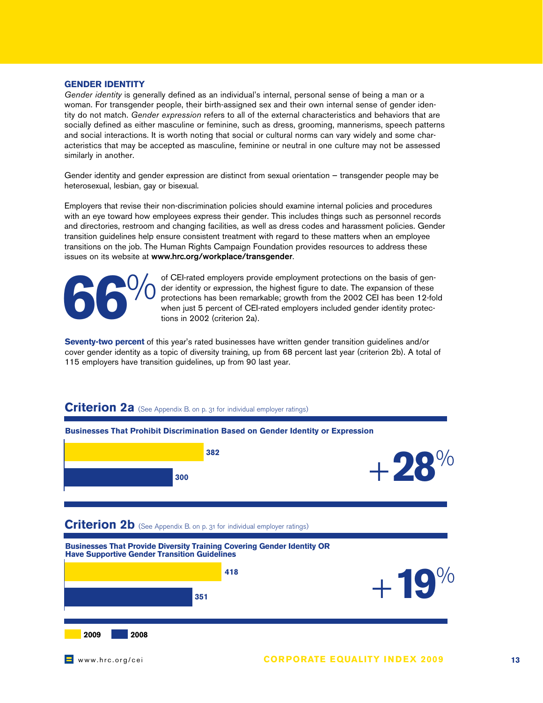### **Gender Identity**

*Gender identity* is generally defined as an individual's internal, personal sense of being a man or a woman. For transgender people, their birth-assigned sex and their own internal sense of gender identity do not match. *Gender expression* refers to all of the external characteristics and behaviors that are socially defined as either masculine or feminine, such as dress, grooming, mannerisms, speech patterns and social interactions. It is worth noting that social or cultural norms can vary widely and some characteristics that may be accepted as masculine, feminine or neutral in one culture may not be assessed similarly in another.

Gender identity and gender expression are distinct from sexual orientation — transgender people may be heterosexual, lesbian, gay or bisexual.

Employers that revise their non-discrimination policies should examine internal policies and procedures with an eye toward how employees express their gender. This includes things such as personnel records and directories, restroom and changing facilities, as well as dress codes and harassment policies. Gender transition guidelines help ensure consistent treatment with regard to these matters when an employee transitions on the job. The Human Rights Campaign Foundation provides resources to address these issues on its website at www.hrc.org/workplace/transgender.



of CEI-rated employers provide employment protections on the basis of gender identity or expression, the highest figure to date. The expansion of these protections has been remarkable; growth from the 2002 CEI has been 12-fold when just 5 percent of CEI-rated employers included gender identity protections in 2002 (criterion 2a).

**Seventy-two percent** of this year's rated businesses have written gender transition guidelines and/or cover gender identity as a topic of diversity training, up from 68 percent last year (criterion 2b). A total of 115 employers have transition guidelines, up from 90 last year.



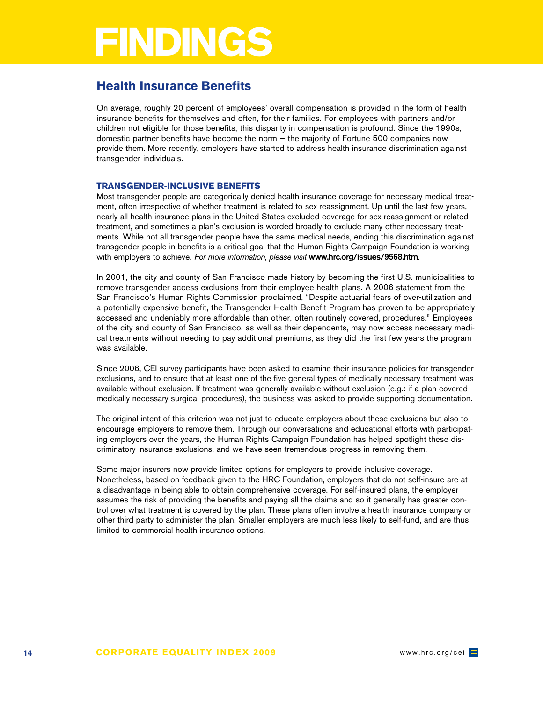# **findings**

### **Health Insurance Benefits**

On average, roughly 20 percent of employees' overall compensation is provided in the form of health insurance benefits for themselves and often, for their families. For employees with partners and/or children not eligible for those benefits, this disparity in compensation is profound. Since the 1990s, domestic partner benefits have become the norm — the majority of Fortune 500 companies now provide them. More recently, employers have started to address health insurance discrimination against transgender individuals.

### **TRANSGENDER-INCLUSIVE BENEFITS**

Most transgender people are categorically denied health insurance coverage for necessary medical treatment, often irrespective of whether treatment is related to sex reassignment. Up until the last few years, nearly all health insurance plans in the United States excluded coverage for sex reassignment or related treatment, and sometimes a plan's exclusion is worded broadly to exclude many other necessary treatments. While not all transgender people have the same medical needs, ending this discrimination against transgender people in benefits is a critical goal that the Human Rights Campaign Foundation is working with employers to achieve. *For more information, please visit* www.hrc.org/issues/9568.htm.

In 2001, the city and county of San Francisco made history by becoming the first U.S. municipalities to remove transgender access exclusions from their employee health plans. A 2006 statement from the San Francisco's Human Rights Commission proclaimed, "Despite actuarial fears of over-utilization and a potentially expensive benefit, the Transgender Health Benefit Program has proven to be appropriately accessed and undeniably more affordable than other, often routinely covered, procedures." Employees of the city and county of San Francisco, as well as their dependents, may now access necessary medical treatments without needing to pay additional premiums, as they did the first few years the program was available.

Since 2006, CEI survey participants have been asked to examine their insurance policies for transgender exclusions, and to ensure that at least one of the five general types of medically necessary treatment was available without exclusion. If treatment was generally available without exclusion (e.g.: if a plan covered medically necessary surgical procedures), the business was asked to provide supporting documentation.

The original intent of this criterion was not just to educate employers about these exclusions but also to encourage employers to remove them. Through our conversations and educational efforts with participating employers over the years, the Human Rights Campaign Foundation has helped spotlight these discriminatory insurance exclusions, and we have seen tremendous progress in removing them.

Some major insurers now provide limited options for employers to provide inclusive coverage. Nonetheless, based on feedback given to the HRC Foundation, employers that do not self-insure are at a disadvantage in being able to obtain comprehensive coverage. For self-insured plans, the employer assumes the risk of providing the benefits and paying all the claims and so it generally has greater control over what treatment is covered by the plan. These plans often involve a health insurance company or other third party to administer the plan. Smaller employers are much less likely to self-fund, and are thus limited to commercial health insurance options.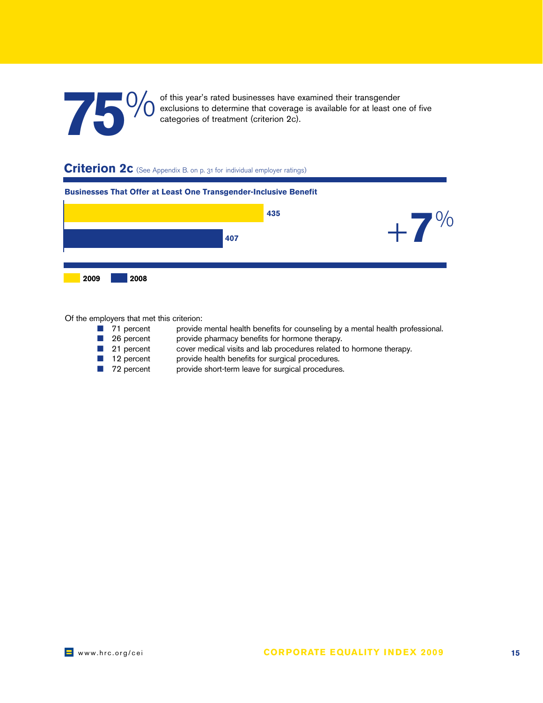

of this year's rated businesses have examined their transgender exclusions to determine that coverage is available for at least one of five categories of treatment (criterion 2c).

### Criterion 2c (See Appendix B. on p. 31 for individual employer ratings)



Of the employers that met this criterion:

| $\blacksquare$ 71 percent | provide mental health benefits for counseling by a mental health professional. |
|---------------------------|--------------------------------------------------------------------------------|
| $\blacksquare$ 26 percent | provide pharmacy benefits for hormone therapy.                                 |
| $\blacksquare$ 21 percent | cover medical visits and lab procedures related to hormone therapy.            |
| $\blacksquare$ 12 percent | provide health benefits for surgical procedures.                               |
| $\blacksquare$ 72 percent | provide short-term leave for surgical procedures.                              |
|                           |                                                                                |

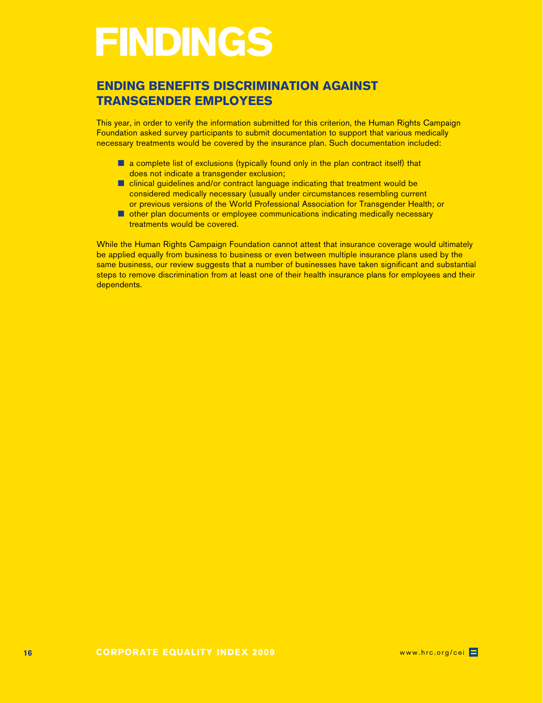# **findings**

### **ENDING BENEFITS DISCRIMINATION AGAINST TRANSGENDER EMPLOYEES**

This year, in order to verify the information submitted for this criterion, the Human Rights Campaign Foundation asked survey participants to submit documentation to support that various medically necessary treatments would be covered by the insurance plan. Such documentation included:

- $\blacksquare$  a complete list of exclusions (typically found only in the plan contract itself) that does not indicate a transgender exclusion:
- **n** clinical guidelines and/or contract language indicating that treatment would be considered medically necessary (usually under circumstances resembling current or previous versions of the World Professional Association for Transgender Health; or
- **n** other plan documents or employee communications indicating medically necessary treatments would be covered.

While the Human Rights Campaign Foundation cannot attest that insurance coverage would ultimately be applied equally from business to business or even between multiple insurance plans used by the same business, our review suggests that a number of businesses have taken significant and substantial steps to remove discrimination from at least one of their health insurance plans for employees and their dependents.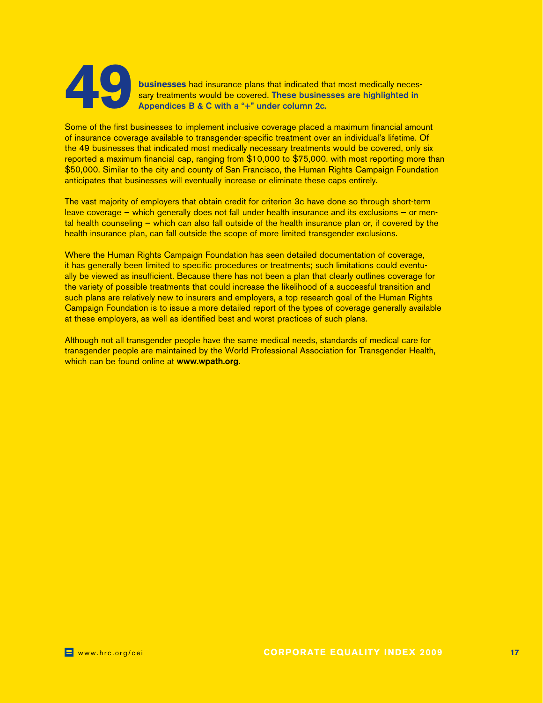

**businesses** had insurance plans that indicated that most medically necessary treatments would be covered. These businesses are highlighted in Appendices B & C with a "+" under column 2c.

Some of the first businesses to implement inclusive coverage placed a maximum financial amount of insurance coverage available to transgender-specific treatment over an individual's lifetime. Of the 49 businesses that indicated most medically necessary treatments would be covered, only six reported a maximum financial cap, ranging from \$10,000 to \$75,000, with most reporting more than \$50,000. Similar to the city and county of San Francisco, the Human Rights Campaign Foundation anticipates that businesses will eventually increase or eliminate these caps entirely.

The vast majority of employers that obtain credit for criterion 3c have done so through short-term<br>leave coverage – which generally does not fall under health insurance and its exclusions – or mer<br>tal health counseling – w leave coverage — which generally does not fall under health insurance and its exclusions — or mental health counseling — which can also fall outside of the health insurance plan or, if covered by the health insurance plan, can fall outside the scope of more limited transgender exclusions.

Where the Human Rights Campaign Foundation has seen detailed documentation of coverage, it has generally been limited to specific procedures or treatments; such limitations could eventually be viewed as insufficient. Because there has not been a plan that clearly outlines coverage for the variety of possible treatments that could increase the likelihood of a successful transition and such plans are relatively new to insurers and employers, a top research goal of the Human Rights Campaign Foundation is to issue a more detailed report of the types of coverage generally available at these employers, as well as identified best and worst practices of such plans.

Although not all transgender people have the same medical needs, standards of medical care for transgender people are maintained by the World Professional Association for Transgender Health, which can be found online at www.wpath.org.

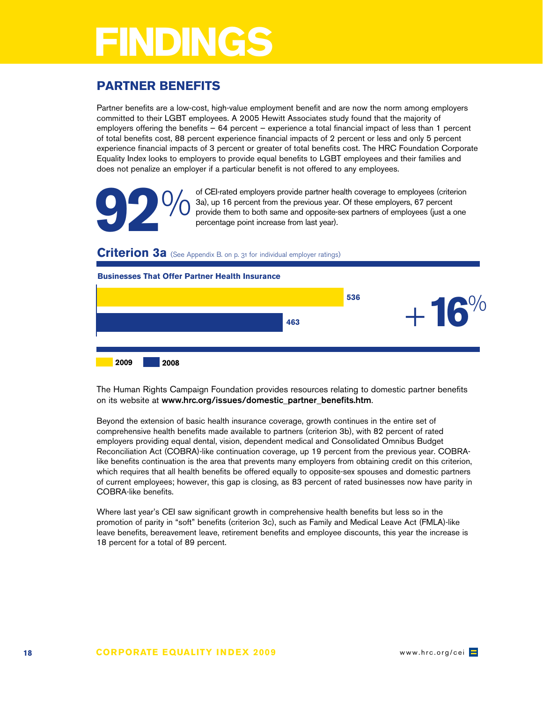# **findings**

### **Partner Benefits**

Partner benefits are a low-cost, high-value employment benefit and are now the norm among employers committed to their LGBT employees. A 2005 Hewitt Associates study found that the majority of employers offering the benefits — 64 percent — experience a total financial impact of less than 1 percent of total benefits cost, 88 percent experience financial impacts of 2 percent or less and only 5 percent experience financial impacts of 3 percent or greater of total benefits cost. The HRC Foundation Corporate Equality Index looks to employers to provide equal benefits to LGBT employees and their families and does not penalize an employer if a particular benefit is not offered to any employees.



**92** O of CEI-rated employers provide partner health coverage to employees (criterion pax), up 16 percent from the previous year. Of these employers, 67 percent provide them to both same and opposite-sex partners of employ 3a), up 16 percent from the previous year. Of these employers, 67 percent provide them to both same and opposite-sex partners of employees (just a one percentage point increase from last year).

### **Criterion 3a** (See Appendix B. on p. 31 for individual employer ratings)



The Human Rights Campaign Foundation provides resources relating to domestic partner benefits on its website at www.hrc.org/issues/domestic\_partner\_benefits.htm.

Beyond the extension of basic health insurance coverage, growth continues in the entire set of comprehensive health benefits made available to partners (criterion 3b), with 82 percent of rated employers providing equal dental, vision, dependent medical and Consolidated Omnibus Budget Reconciliation Act (COBRA)-like continuation coverage, up 19 percent from the previous year. COBRAlike benefits continuation is the area that prevents many employers from obtaining credit on this criterion, which requires that all health benefits be offered equally to opposite-sex spouses and domestic partners of current employees; however, this gap is closing, as 83 percent of rated businesses now have parity in COBRA-like benefits.

Where last year's CEI saw significant growth in comprehensive health benefits but less so in the promotion of parity in "soft" benefits (criterion 3c), such as Family and Medical Leave Act (FMLA)-like leave benefits, bereavement leave, retirement benefits and employee discounts, this year the increase is 18 percent for a total of 89 percent.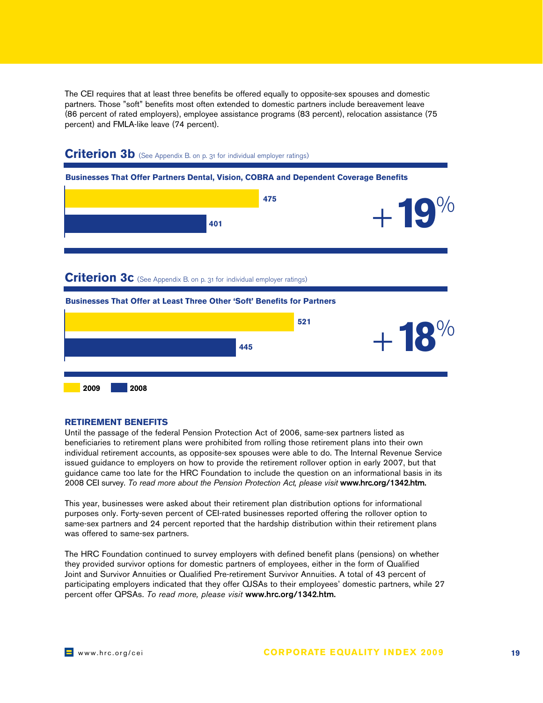The CEI requires that at least three benefits be offered equally to opposite-sex spouses and domestic partners. Those "soft" benefits most often extended to domestic partners include bereavement leave (86 percent of rated employers), employee assistance programs (83 percent), relocation assistance (75 percent) and FMLA-like leave (74 percent).



**2009 2008**

### **retirement Benefits**

Until the passage of the federal Pension Protection Act of 2006, same-sex partners listed as beneficiaries to retirement plans were prohibited from rolling those retirement plans into their own individual retirement accounts, as opposite-sex spouses were able to do. The Internal Revenue Service issued guidance to employers on how to provide the retirement rollover option in early 2007, but that guidance came too late for the HRC Foundation to include the question on an informational basis in its 2008 CEI survey. *To read more about the Pension Protection Act, please visit* www.hrc.org/1342.htm.

This year, businesses were asked about their retirement plan distribution options for informational purposes only. Forty-seven percent of CEI-rated businesses reported offering the rollover option to same-sex partners and 24 percent reported that the hardship distribution within their retirement plans was offered to same-sex partners.

The HRC Foundation continued to survey employers with defined benefit plans (pensions) on whether they provided survivor options for domestic partners of employees, either in the form of Qualified Joint and Survivor Annuities or Qualified Pre-retirement Survivor Annuities. A total of 43 percent of participating employers indicated that they offer QJSAs to their employees' domestic partners, while 27 percent offer QPSAs. *To read more, please visit* www.hrc.org/1342.htm.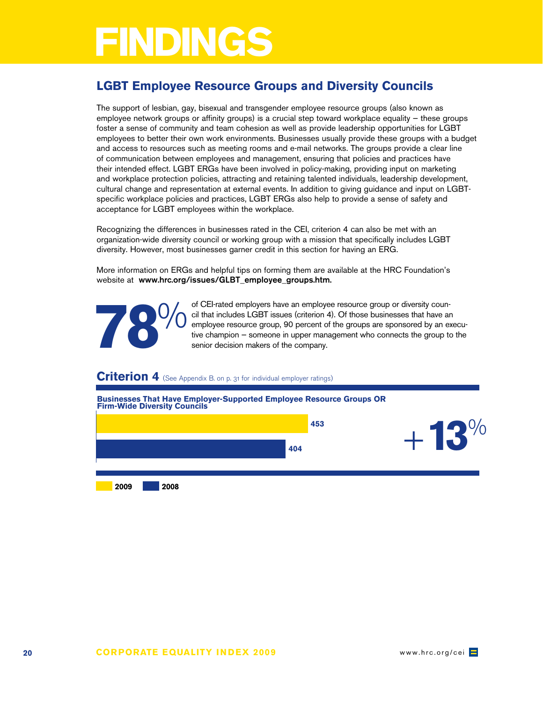# **findings**

### **LGBT Employee Resource Groups and Diversity Councils**

The support of lesbian, gay, bisexual and transgender employee resource groups (also known as employee network groups or affinity groups) is a crucial step toward workplace equality — these groups foster a sense of community and team cohesion as well as provide leadership opportunities for LGBT employees to better their own work environments. Businesses usually provide these groups with a budget and access to resources such as meeting rooms and e-mail networks. The groups provide a clear line of communication between employees and management, ensuring that policies and practices have their intended effect. LGBT ERGs have been involved in policy-making, providing input on marketing and workplace protection policies, attracting and retaining talented individuals, leadership development, cultural change and representation at external events. In addition to giving guidance and input on LGBTspecific workplace policies and practices, LGBT ERGs also help to provide a sense of safety and acceptance for LGBT employees within the workplace.

Recognizing the differences in businesses rated in the CEI, criterion 4 can also be met with an organization-wide diversity council or working group with a mission that specifically includes LGBT diversity. However, most businesses garner credit in this section for having an ERG.

More information on ERGs and helpful tips on forming them are available at the HRC Foundation's website at www.hrc.org/issues/GLBT\_employee\_groups.htm.



of CEI-rated employers have an employee resource group or diversity council that includes LGBT issues (criterion 4). Of those businesses that have an employee resource group, 90 percent of the groups are sponsored by an ex cil that includes LGBT issues (criterion 4). Of those businesses that have an employee resource group, 90 percent of the groups are sponsored by an executive champion — someone in upper management who connects the group to the senior decision makers of the company.

### Criterion 4 (See Appendix B. on p. 31 for individual employer ratings)

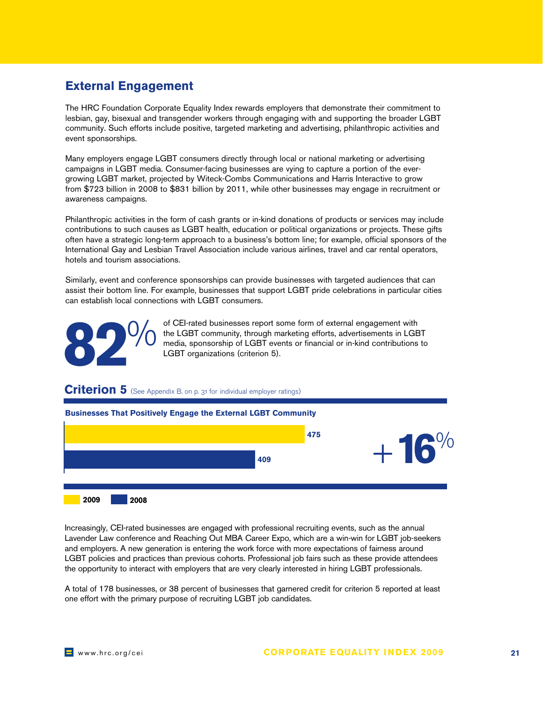### **External Engagement**

The HRC Foundation Corporate Equality Index rewards employers that demonstrate their commitment to lesbian, gay, bisexual and transgender workers through engaging with and supporting the broader LGBT community. Such efforts include positive, targeted marketing and advertising, philanthropic activities and event sponsorships.

Many employers engage LGBT consumers directly through local or national marketing or advertising campaigns in LGBT media. Consumer-facing businesses are vying to capture a portion of the evergrowing LGBT market, projected by Witeck-Combs Communications and Harris Interactive to grow from \$723 billion in 2008 to \$831 billion by 2011, while other businesses may engage in recruitment or awareness campaigns.

Philanthropic activities in the form of cash grants or in-kind donations of products or services may include contributions to such causes as LGBT health, education or political organizations or projects. These gifts often have a strategic long-term approach to a business's bottom line; for example, official sponsors of the International Gay and Lesbian Travel Association include various airlines, travel and car rental operators, hotels and tourism associations.

Similarly, event and conference sponsorships can provide businesses with targeted audiences that can assist their bottom line. For example, businesses that support LGBT pride celebrations in particular cities can establish local connections with LGBT consumers.



OC of CEI-rated businesses report some form of external engagement with<br>the LGBT community, through marketing efforts, advertisements in LGB<br>media, sponsorship of LGBT events or financial or in-kind contributions<br>LGBT orga the LGBT community, through marketing efforts, advertisements in LGBT of CEI-rated businesses report some form of external engagement with<br>the LGBT community, through marketing efforts, advertisements in LGBT<br>media, sponsorship of LGBT events or financial or in-kind contributions to LGBT organizations (criterion 5).

### Criterion 5 (See Appendix B. on p. 31 for individual employer ratings)



Increasingly, CEI-rated businesses are engaged with professional recruiting events, such as the annual Lavender Law conference and Reaching Out MBA Career Expo, which are a win-win for LGBT job-seekers and employers. A new generation is entering the work force with more expectations of fairness around LGBT policies and practices than previous cohorts. Professional job fairs such as these provide attendees the opportunity to interact with employers that are very clearly interested in hiring LGBT professionals.

A total of 178 businesses, or 38 percent of businesses that garnered credit for criterion 5 reported at least one effort with the primary purpose of recruiting LGBT job candidates.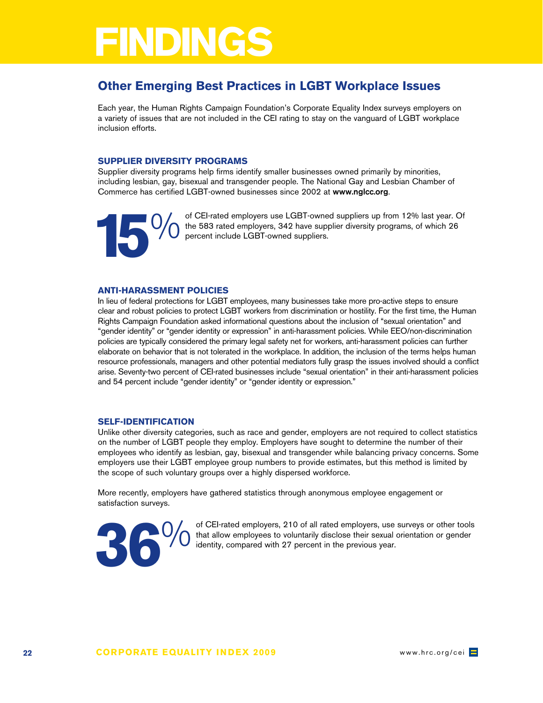# **findings**

### **Other Emerging Best Practices in LGBT Workplace Issues**

Each year, the Human Rights Campaign Foundation's Corporate Equality Index surveys employers on a variety of issues that are not included in the CEI rating to stay on the vanguard of LGBT workplace inclusion efforts.

### **Supplier Diversity Programs**

Supplier diversity programs help firms identify smaller businesses owned primarily by minorities, including lesbian, gay, bisexual and transgender people. The National Gay and Lesbian Chamber of Commerce has certified LGBT-owned businesses since 2002 at www.nglcc.org.



of CEI-rated employers use LGBT-owned suppliers up from 12% last year. Of the 583 rated employers, 342 have supplier diversity programs, of which 26 percent include LGBT-owned suppliers. the 583 rated employers, 342 have supplier diversity programs, of which 26 percent include LGBT-owned suppliers.

### **ANTI-HARASSMENT POLICIES**

In lieu of federal protections for LGBT employees, many businesses take more pro-active steps to ensure clear and robust policies to protect LGBT workers from discrimination or hostility. For the first time, the Human Rights Campaign Foundation asked informational questions about the inclusion of "sexual orientation" and "gender identity" or "gender identity or expression" in anti-harassment policies. While EEO/non-discrimination policies are typically considered the primary legal safety net for workers, anti-harassment policies can further elaborate on behavior that is not tolerated in the workplace. In addition, the inclusion of the terms helps human resource professionals, managers and other potential mediators fully grasp the issues involved should a conflict arise. Seventy-two percent of CEI-rated businesses include "sexual orientation" in their anti-harassment policies and 54 percent include "gender identity" or "gender identity or expression."

### **SELF-IDENTIFICATION**

Unlike other diversity categories, such as race and gender, employers are not required to collect statistics on the number of LGBT people they employ. Employers have sought to determine the number of their employees who identify as lesbian, gay, bisexual and transgender while balancing privacy concerns. Some employers use their LGBT employee group numbers to provide estimates, but this method is limited by the scope of such voluntary groups over a highly dispersed workforce.

More recently, employers have gathered statistics through anonymous employee engagement or satisfaction surveys.



Of CEI-rated employers, 210 of all rated employers, use surveys or other tools that allow employees to voluntarily disclose their sexual orientation or gender identity, compared with 27 percent in the previous year.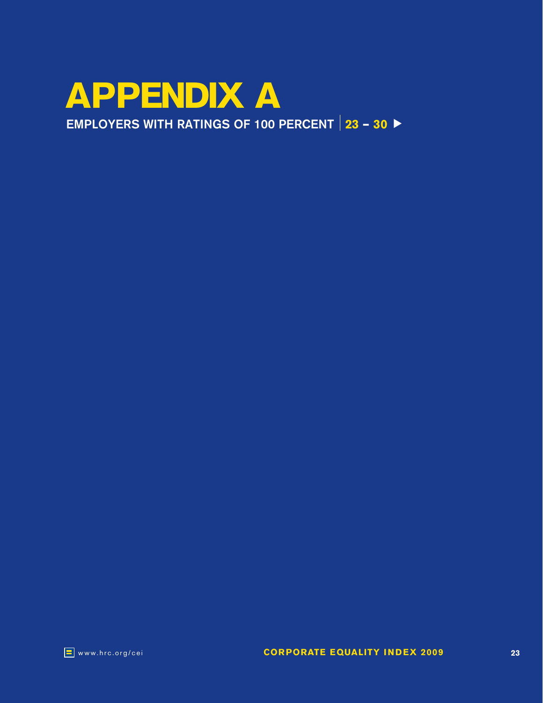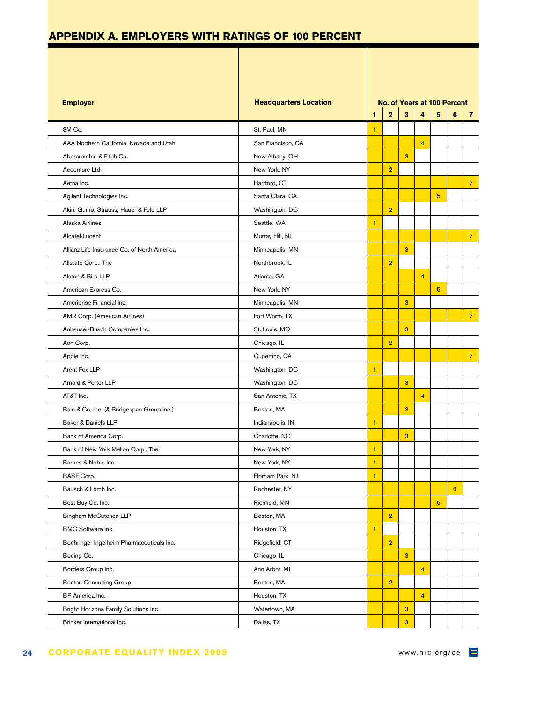| <b>Employer</b>                             | <b>Headquarters Location</b> |              | No. of Years at 100 Percent |   |                |                         |                |                         |  |
|---------------------------------------------|------------------------------|--------------|-----------------------------|---|----------------|-------------------------|----------------|-------------------------|--|
|                                             |                              | 1            | $\overline{2}$              | 3 | 4              | $\overline{\mathbf{5}}$ | 6              | $\overline{\mathbf{z}}$ |  |
| 3M Co.                                      | St. Paul, MN                 | 1            |                             |   |                |                         |                |                         |  |
| AAA Northern California, Nevada and Utah    | San Francisco, CA            |              |                             |   | $\overline{4}$ |                         |                |                         |  |
| Abercrombie & Fitch Co.                     | New Albany, OH               |              |                             | 3 |                |                         |                |                         |  |
| Accenture Ltd.                              | New York, NY                 |              | $\overline{2}$              |   |                |                         |                |                         |  |
| Aetna Inc.                                  | Hartford, CT                 |              |                             |   |                |                         |                | 7 <sup>2</sup>          |  |
| Agilent Technologies Inc.                   | Santa Clara, CA              |              |                             |   |                | $\overline{5}$          |                |                         |  |
| Akin, Gump, Strauss, Hauer & Feld LLP       | Washington, DC               |              | $\overline{2}$              |   |                |                         |                |                         |  |
| Alaska Airlines                             | Seattle, WA                  | 1            |                             |   |                |                         |                |                         |  |
| Alcatel-Lucent                              | Murray Hill, NJ              |              |                             |   |                |                         |                | 7 <sup>7</sup>          |  |
| Allianz Life Insurance Co. of North America | Minneapolis, MN              |              |                             | 3 |                |                         |                |                         |  |
| Allstate Corp., The                         | Northbrook, IL               |              | $\overline{2}$              |   |                |                         |                |                         |  |
| Alston & Bird LLP                           | Atlanta, GA                  |              |                             |   | 4              |                         |                |                         |  |
| American Express Co.                        | New York, NY                 |              |                             |   |                | 5                       |                |                         |  |
| Ameriprise Financial Inc.                   | Minneapolis, MN              |              |                             | 3 |                |                         |                |                         |  |
| AMR Corp. (American Airlines)               | Fort Worth, TX               |              |                             |   |                |                         |                | 7 <sup>7</sup>          |  |
| Anheuser-Busch Companies Inc.               | St. Louis, MO                |              |                             | 3 |                |                         |                |                         |  |
| Aon Corp.                                   | Chicago, IL                  |              | $\overline{2}$              |   |                |                         |                |                         |  |
| Apple Inc.                                  | Cupertino, CA                |              |                             |   |                |                         |                | 7 <sup>7</sup>          |  |
| Arent Fox LLP                               | Washington, DC               | 1            |                             |   |                |                         |                |                         |  |
| Arnold & Porter LLP                         | Washington, DC               |              |                             | 3 |                |                         |                |                         |  |
| AT&T Inc.                                   | San Antonio, TX              |              |                             |   | $\overline{4}$ |                         |                |                         |  |
| Bain & Co. Inc. (& Bridgespan Group Inc.)   | Boston, MA                   |              |                             | 3 |                |                         |                |                         |  |
| Baker & Daniels LLP                         | Indianapolis, IN             | 1            |                             |   |                |                         |                |                         |  |
| Bank of America Corp.                       | Charlotte, NC                |              |                             | 3 |                |                         |                |                         |  |
| Bank of New York Mellon Corp., The          | New York, NY                 | 1            |                             |   |                |                         |                |                         |  |
| Barnes & Noble Inc.                         | New York, NY                 | 1            |                             |   |                |                         |                |                         |  |
| <b>BASF Corp.</b>                           | Florham Park, NJ             | $\mathbf{1}$ |                             |   |                |                         |                |                         |  |
| Bausch & Lomb Inc.                          | Rochester, NY                |              |                             |   |                |                         | $6\phantom{1}$ |                         |  |
| Best Buy Co. Inc.                           | Richfield, MN                |              |                             |   |                | $\overline{5}$          |                |                         |  |
| Bingham McCutchen LLP                       | Boston, MA                   |              | $\overline{2}$              |   |                |                         |                |                         |  |
| BMC Software Inc.                           | Houston, TX                  | 1            |                             |   |                |                         |                |                         |  |
| Boehringer Ingelheim Pharmaceuticals Inc.   | Ridgefield, CT               |              | $\overline{2}$              |   |                |                         |                |                         |  |
| Boeing Co.                                  | Chicago, IL                  |              |                             | 3 |                |                         |                |                         |  |
| Borders Group Inc.                          | Ann Arbor, MI                |              |                             |   | $\overline{4}$ |                         |                |                         |  |
| <b>Boston Consulting Group</b>              | Boston, MA                   |              | $\overline{2}$              |   |                |                         |                |                         |  |
| BP America Inc.                             | Houston, TX                  |              |                             |   | $\overline{4}$ |                         |                |                         |  |
| Bright Horizons Family Solutions Inc.       | Watertown, MA                |              |                             | 3 |                |                         |                |                         |  |
| Brinker International Inc.                  | Dallas, TX                   |              |                             | 3 |                |                         |                |                         |  |

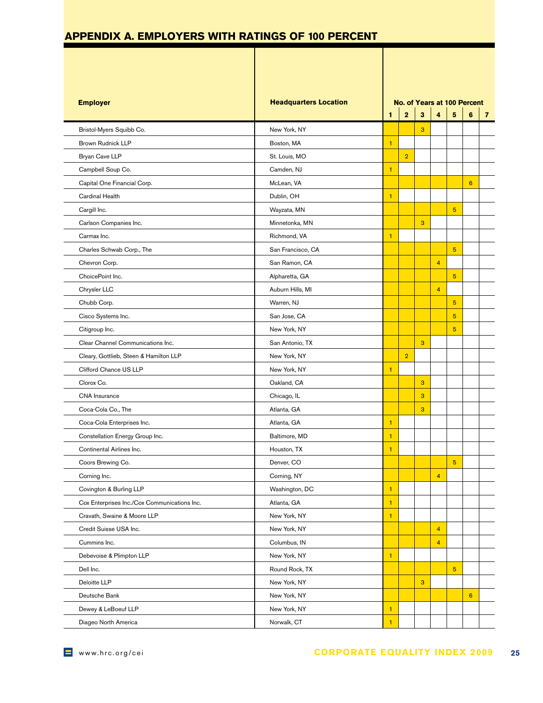| <b>Employer</b>                              | <b>Headquarters Location</b> |              |                |   |                | <b>No. of Years at 100 Percent</b> |                 |                |
|----------------------------------------------|------------------------------|--------------|----------------|---|----------------|------------------------------------|-----------------|----------------|
|                                              |                              | 1            | $\overline{2}$ | 3 | 4              | 5                                  | 6               | $\overline{ }$ |
| Bristol-Myers Squibb Co.                     | New York, NY                 |              |                | 3 |                |                                    |                 |                |
| <b>Brown Rudnick LLP</b>                     | Boston, MA                   | 1            |                |   |                |                                    |                 |                |
| <b>Bryan Cave LLP</b>                        | St. Louis, MO                |              | $\overline{2}$ |   |                |                                    |                 |                |
| Campbell Soup Co.                            | Camden, NJ                   | 1            |                |   |                |                                    |                 |                |
| Capital One Financial Corp.                  | McLean, VA                   |              |                |   |                |                                    | $6\phantom{1}6$ |                |
| Cardinal Health                              | Dublin, OH                   | 1            |                |   |                |                                    |                 |                |
| Cargill Inc.                                 | Wayzata, MN                  |              |                |   |                | $5\phantom{1}$                     |                 |                |
| Carlson Companies Inc.                       | Minnetonka, MN               |              |                | 3 |                |                                    |                 |                |
| Carmax Inc.                                  | Richmond, VA                 | 1            |                |   |                |                                    |                 |                |
| Charles Schwab Corp., The                    | San Francisco, CA            |              |                |   |                | $5\overline{5}$                    |                 |                |
| Chevron Corp.                                | San Ramon, CA                |              |                |   | $\overline{4}$ |                                    |                 |                |
| ChoicePoint Inc.                             | Alpharetta, GA               |              |                |   |                | $\overline{5}$                     |                 |                |
| Chrysler LLC                                 | Auburn Hills, MI             |              |                |   | $\overline{4}$ |                                    |                 |                |
| Chubb Corp.                                  | Warren, NJ                   |              |                |   |                | $\overline{5}$                     |                 |                |
| Cisco Systems Inc.                           | San Jose, CA                 |              |                |   |                | $5\phantom{1}$                     |                 |                |
| Citigroup Inc.                               | New York, NY                 |              |                |   |                | $5\phantom{1}$                     |                 |                |
| Clear Channel Communications Inc.            | San Antonio, TX              |              |                | 3 |                |                                    |                 |                |
| Cleary, Gottlieb, Steen & Hamilton LLP       | New York, NY                 |              | $\overline{2}$ |   |                |                                    |                 |                |
| Clifford Chance US LLP                       | New York, NY                 | $\mathbf{1}$ |                |   |                |                                    |                 |                |
| Clorox Co.                                   | Oakland, CA                  |              |                | 3 |                |                                    |                 |                |
| <b>CNA</b> Insurance                         | Chicago, IL                  |              |                | 3 |                |                                    |                 |                |
| Coca-Cola Co., The                           | Atlanta, GA                  |              |                | 3 |                |                                    |                 |                |
| Coca-Cola Enterprises Inc.                   | Atlanta, GA                  | 1            |                |   |                |                                    |                 |                |
| Constellation Energy Group Inc.              | Baltimore, MD                | 1            |                |   |                |                                    |                 |                |
| Continental Airlines Inc.                    | Houston, TX                  | 1            |                |   |                |                                    |                 |                |
| Coors Brewing Co.                            | Denver, CO                   |              |                |   |                | $\overline{5}$                     |                 |                |
| Corning Inc.                                 | Corning, NY                  |              |                |   | $\overline{4}$ |                                    |                 |                |
| Covington & Burling LLP                      | Washington, DC               | 1            |                |   |                |                                    |                 |                |
| Cox Enterprises Inc./Cox Communications Inc. | Atlanta, GA                  | 1            |                |   |                |                                    |                 |                |
| Cravath, Swaine & Moore LLP                  | New York, NY                 | 1            |                |   |                |                                    |                 |                |
| Credit Suisse USA Inc.                       | New York, NY                 |              |                |   | $\overline{4}$ |                                    |                 |                |
| Cummins Inc.                                 | Columbus, IN                 |              |                |   | $\overline{4}$ |                                    |                 |                |
| Debevoise & Plimpton LLP                     | New York, NY                 | 1            |                |   |                |                                    |                 |                |
| Dell Inc.                                    | Round Rock, TX               |              |                |   |                | $5\phantom{.0}$                    |                 |                |
| Deloitte LLP                                 | New York, NY                 |              |                | 3 |                |                                    |                 |                |
| Deutsche Bank                                | New York, NY                 |              |                |   |                |                                    | $6\phantom{1}$  |                |
| Dewey & LeBoeuf LLP                          | New York, NY                 | $\mathbf{1}$ |                |   |                |                                    |                 |                |
| Diageo North America                         | Norwalk, CT                  | 1            |                |   |                |                                    |                 |                |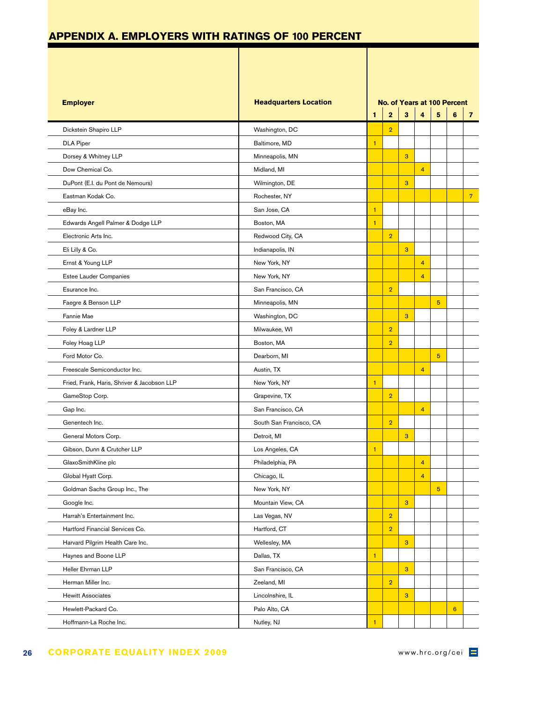| <b>Employer</b>                             | <b>Headquarters Location</b> |                |                |                         |                | No. of Years at 100 Percent |                |                |
|---------------------------------------------|------------------------------|----------------|----------------|-------------------------|----------------|-----------------------------|----------------|----------------|
|                                             |                              | $\mathbf{1}$   | $\mathbf{2}$   | $\mathbf{3}$            | 4              | 5                           | 6              | $\overline{7}$ |
| Dickstein Shapiro LLP                       | Washington, DC               |                | $\overline{2}$ |                         |                |                             |                |                |
| <b>DLA Piper</b>                            | Baltimore, MD                | 1              |                |                         |                |                             |                |                |
| Dorsey & Whitney LLP                        | Minneapolis, MN              |                |                | 3                       |                |                             |                |                |
| Dow Chemical Co.                            | Midland, MI                  |                |                |                         | 4              |                             |                |                |
| DuPont (E.I. du Pont de Nemours)            | Wilmington, DE               |                |                | 3                       |                |                             |                |                |
| Eastman Kodak Co.                           | Rochester, NY                |                |                |                         |                |                             |                | 7 <sup>7</sup> |
| eBay Inc.                                   | San Jose, CA                 | 1              |                |                         |                |                             |                |                |
| Edwards Angell Palmer & Dodge LLP           | Boston, MA                   | $\overline{1}$ |                |                         |                |                             |                |                |
| Electronic Arts Inc.                        | Redwood City, CA             |                | $\overline{2}$ |                         |                |                             |                |                |
| Eli Lilly & Co.                             | Indianapolis, IN             |                |                | 3                       |                |                             |                |                |
| Ernst & Young LLP                           | New York, NY                 |                |                |                         | 4              |                             |                |                |
| Estee Lauder Companies                      | New York, NY                 |                |                |                         | $\overline{4}$ |                             |                |                |
| Esurance Inc.                               | San Francisco, CA            |                | $\overline{2}$ |                         |                |                             |                |                |
| Faegre & Benson LLP                         | Minneapolis, MN              |                |                |                         |                | $5\phantom{1}$              |                |                |
| Fannie Mae                                  | Washington, DC               |                |                | 3                       |                |                             |                |                |
| Foley & Lardner LLP                         | Milwaukee, WI                |                | $\overline{2}$ |                         |                |                             |                |                |
| Foley Hoag LLP                              | Boston, MA                   |                | $\overline{2}$ |                         |                |                             |                |                |
| Ford Motor Co.                              | Dearborn, MI                 |                |                |                         |                | $5\overline{5}$             |                |                |
| Freescale Semiconductor Inc.                | Austin, TX                   |                |                |                         | 4              |                             |                |                |
| Fried, Frank, Haris, Shriver & Jacobson LLP | New York, NY                 | $\mathbf{1}$   |                |                         |                |                             |                |                |
| GameStop Corp.                              | Grapevine, TX                |                | $\overline{2}$ |                         |                |                             |                |                |
| Gap Inc.                                    | San Francisco, CA            |                |                |                         | $\overline{4}$ |                             |                |                |
| Genentech Inc.                              | South San Francisco, CA      |                | $\overline{2}$ |                         |                |                             |                |                |
| General Motors Corp.                        | Detroit, MI                  |                |                | 3                       |                |                             |                |                |
| Gibson, Dunn & Crutcher LLP                 | Los Angeles, CA              | 1              |                |                         |                |                             |                |                |
| GlaxoSmithKline plc                         | Philadelphia, PA             |                |                |                         | 4              |                             |                |                |
| Global Hyatt Corp.                          | Chicago, IL                  |                |                |                         | $\overline{4}$ |                             |                |                |
| Goldman Sachs Group Inc., The               | New York, NY                 |                |                |                         |                | $5\phantom{.0}$             |                |                |
| Google Inc.                                 | Mountain View, CA            |                |                | 3                       |                |                             |                |                |
| Harrah's Entertainment Inc.                 | Las Vegas, NV                |                | $\overline{2}$ |                         |                |                             |                |                |
| Hartford Financial Services Co.             | Hartford, CT                 |                | $\overline{2}$ |                         |                |                             |                |                |
| Harvard Pilgrim Health Care Inc.            | Wellesley, MA                |                |                | 3                       |                |                             |                |                |
| Haynes and Boone LLP                        | Dallas, TX                   | $\mathbf{1}$   |                |                         |                |                             |                |                |
| Heller Ehrman LLP                           | San Francisco, CA            |                |                | $\overline{\mathbf{3}}$ |                |                             |                |                |
| Herman Miller Inc.                          | Zeeland, MI                  |                | $\overline{2}$ |                         |                |                             |                |                |
| <b>Hewitt Associates</b>                    | Lincolnshire, IL             |                |                | 3                       |                |                             |                |                |
| Hewlett-Packard Co.                         | Palo Alto, CA                |                |                |                         |                |                             | $6\phantom{1}$ |                |
| Hoffmann-La Roche Inc.                      | Nutley, NJ                   |                |                |                         |                |                             |                |                |

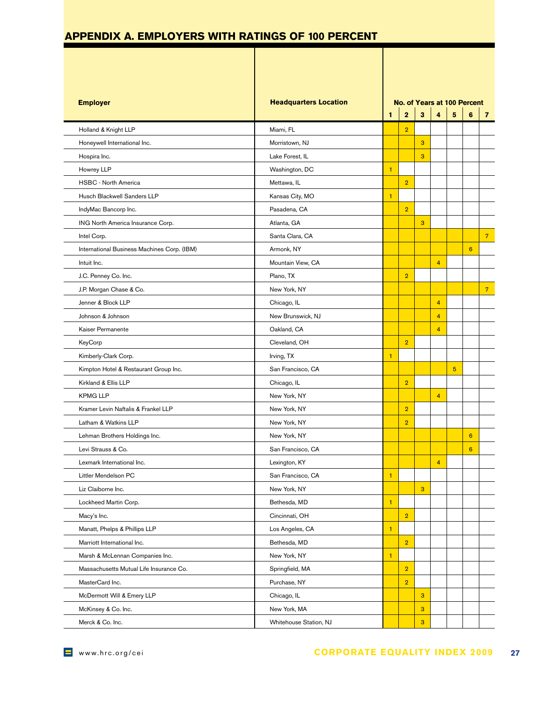| <b>Employer</b>                             | <b>Headquarters Location</b> | 1            | $\overline{2}$ | $\mathbf{3}$ | $\overline{\mathbf{4}}$ | 5 | <b>No. of Years at 100 Percent</b><br>$6\phantom{1}6$ | $\overline{7}$ |
|---------------------------------------------|------------------------------|--------------|----------------|--------------|-------------------------|---|-------------------------------------------------------|----------------|
| Holland & Knight LLP                        | Miami, FL                    |              | $\overline{2}$ |              |                         |   |                                                       |                |
| Honeywell International Inc.                | Morristown, NJ               |              |                | 3            |                         |   |                                                       |                |
| Hospira Inc.                                | Lake Forest, IL              |              |                | 3            |                         |   |                                                       |                |
| Howrey LLP                                  | Washington, DC               | $\mathbf{1}$ |                |              |                         |   |                                                       |                |
| HSBC - North America                        | Mettawa, IL                  |              | $\overline{2}$ |              |                         |   |                                                       |                |
| Husch Blackwell Sanders LLP                 | Kansas City, MO              | $\mathbf{1}$ |                |              |                         |   |                                                       |                |
| IndyMac Bancorp Inc.                        | Pasadena, CA                 |              | $\overline{2}$ |              |                         |   |                                                       |                |
| ING North America Insurance Corp.           | Atlanta, GA                  |              |                | 3            |                         |   |                                                       |                |
| Intel Corp.                                 | Santa Clara, CA              |              |                |              |                         |   |                                                       | $\overline{7}$ |
| International Business Machines Corp. (IBM) | Armonk, NY                   |              |                |              |                         |   | 6                                                     |                |
| Intuit Inc.                                 | Mountain View, CA            |              |                |              | $\overline{4}$          |   |                                                       |                |
| J.C. Penney Co. Inc.                        | Plano, TX                    |              | $\overline{2}$ |              |                         |   |                                                       |                |
| J.P. Morgan Chase & Co.                     | New York, NY                 |              |                |              |                         |   |                                                       | $\overline{7}$ |
| Jenner & Block LLP                          | Chicago, IL                  |              |                |              | $\overline{4}$          |   |                                                       |                |
| Johnson & Johnson                           | New Brunswick, NJ            |              |                |              | $\overline{4}$          |   |                                                       |                |
| Kaiser Permanente                           | Oakland, CA                  |              |                |              | $\overline{4}$          |   |                                                       |                |
| KeyCorp                                     | Cleveland, OH                |              | $\overline{2}$ |              |                         |   |                                                       |                |
| Kimberly-Clark Corp.                        | Irving, TX                   | $\mathbf{1}$ |                |              |                         |   |                                                       |                |
| Kimpton Hotel & Restaurant Group Inc.       | San Francisco, CA            |              |                |              |                         | 5 |                                                       |                |
| Kirkland & Ellis LLP                        | Chicago, IL                  |              | $\overline{2}$ |              |                         |   |                                                       |                |
| <b>KPMG LLP</b>                             | New York, NY                 |              |                |              | $\overline{4}$          |   |                                                       |                |
| Kramer Levin Naftalis & Frankel LLP         | New York, NY                 |              | $\overline{2}$ |              |                         |   |                                                       |                |
| Latham & Watkins LLP                        | New York, NY                 |              | $\overline{2}$ |              |                         |   |                                                       |                |
| Lehman Brothers Holdings Inc.               | New York, NY                 |              |                |              |                         |   | 6                                                     |                |
| Levi Strauss & Co.                          | San Francisco, CA            |              |                |              |                         |   | $6\phantom{1}6$                                       |                |
| Lexmark International Inc.                  | Lexington, KY                |              |                |              | 4                       |   |                                                       |                |
| Littler Mendelson PC                        | San Francisco, CA            | $\mathbf{1}$ |                |              |                         |   |                                                       |                |
| Liz Claiborne Inc.                          | New York, NY                 |              |                | 3            |                         |   |                                                       |                |
| Lockheed Martin Corp.                       | Bethesda, MD                 | $\mathbf{1}$ |                |              |                         |   |                                                       |                |
| Macy's Inc.                                 | Cincinnati, OH               |              | $\overline{2}$ |              |                         |   |                                                       |                |
| Manatt, Phelps & Phillips LLP               | Los Angeles, CA              | $\mathbf{1}$ |                |              |                         |   |                                                       |                |
| Marriott International Inc.                 | Bethesda, MD                 |              | $\overline{2}$ |              |                         |   |                                                       |                |
| Marsh & McLennan Companies Inc.             | New York, NY                 | $\mathbf{1}$ |                |              |                         |   |                                                       |                |
| Massachusetts Mutual Life Insurance Co.     | Springfield, MA              |              | $\overline{2}$ |              |                         |   |                                                       |                |
| MasterCard Inc.                             | Purchase, NY                 |              | $\overline{2}$ |              |                         |   |                                                       |                |
| McDermott Will & Emery LLP                  | Chicago, IL                  |              |                | 3            |                         |   |                                                       |                |
| McKinsey & Co. Inc.                         | New York, MA                 |              |                | 3            |                         |   |                                                       |                |
| Merck & Co. Inc.                            | Whitehouse Station, NJ       |              |                | 3            |                         |   |                                                       |                |

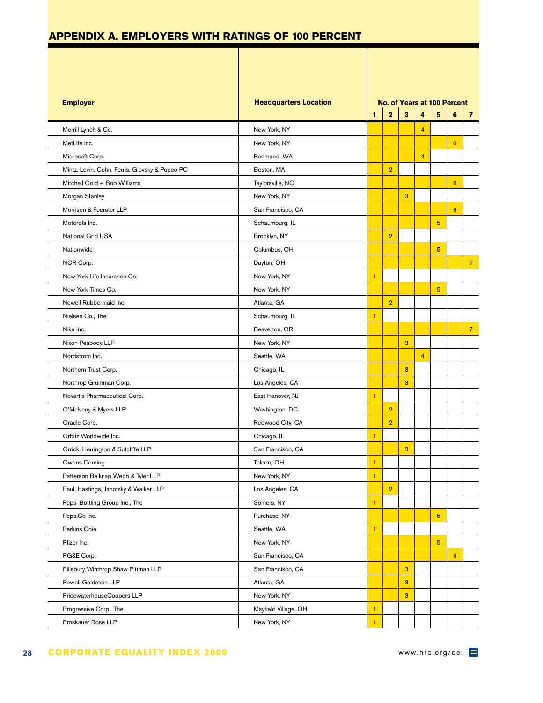|                                                |                              |              |                |   |                |                 | No. of Years at 100 Percent |                |
|------------------------------------------------|------------------------------|--------------|----------------|---|----------------|-----------------|-----------------------------|----------------|
| <b>Employer</b>                                | <b>Headquarters Location</b> | 1            | $\mathbf{2}$   | 3 | 4              | 5               | 6                           | $\overline{7}$ |
| Merrill Lynch & Co.                            | New York, NY                 |              |                |   | $\overline{4}$ |                 |                             |                |
| MetLife Inc.                                   | New York, NY                 |              |                |   |                |                 | 6                           |                |
| Microsoft Corp.                                | Redmond, WA                  |              |                |   | $\overline{4}$ |                 |                             |                |
| Mintz, Levin, Cohn, Ferris, Glovsky & Popeo PC | Boston, MA                   |              | $\overline{2}$ |   |                |                 |                             |                |
| Mitchell Gold + Bob Williams                   | Taylorsville, NC             |              |                |   |                |                 | 6                           |                |
| Morgan Stanley                                 | New York, NY                 |              |                | 3 |                |                 |                             |                |
| Morrison & Foerster LLP                        | San Francisco, CA            |              |                |   |                |                 | $6\phantom{1}$              |                |
| Motorola Inc.                                  | Schaumburg, IL               |              |                |   |                | $5\phantom{1}$  |                             |                |
| National Grid USA                              | Brooklyn, NY                 |              | $\overline{2}$ |   |                |                 |                             |                |
| Nationwide                                     | Columbus, OH                 |              |                |   |                | $5\phantom{1}$  |                             |                |
| NCR Corp.                                      | Dayton, OH                   |              |                |   |                |                 |                             | 7 <sup>7</sup> |
| New York Life Insurance Co.                    | New York, NY                 | 1            |                |   |                |                 |                             |                |
| New York Times Co.                             | New York, NY                 |              |                |   |                | $5\phantom{.0}$ |                             |                |
| Newell Rubbermaid Inc.                         | Atlanta, GA                  |              | $\overline{2}$ |   |                |                 |                             |                |
| Nielsen Co., The                               | Schaumburg, IL               | 1            |                |   |                |                 |                             |                |
| Nike Inc.                                      | Beaverton, OR                |              |                |   |                |                 |                             | 7 <sup>7</sup> |
| Nixon Peabody LLP                              | New York, NY                 |              |                | 3 |                |                 |                             |                |
| Nordstrom Inc.                                 | Seattle, WA                  |              |                |   | $\overline{4}$ |                 |                             |                |
| Northern Trust Corp.                           | Chicago, IL                  |              |                | 3 |                |                 |                             |                |
| Northrop Grumman Corp.                         | Los Angeles, CA              |              |                | 3 |                |                 |                             |                |
| Novartis Pharmaceutical Corp.                  | East Hanover, NJ             | 1            |                |   |                |                 |                             |                |
| O'Melveny & Myers LLP                          | Washington, DC               |              | $\overline{2}$ |   |                |                 |                             |                |
| Oracle Corp.                                   | Redwood City, CA             |              | $\overline{2}$ |   |                |                 |                             |                |
| Orbitz Worldwide Inc.                          | Chicago, IL                  | 1            |                |   |                |                 |                             |                |
| Orrick, Herrington & Sutcliffe LLP             | San Francisco, CA            |              |                | 3 |                |                 |                             |                |
| Owens Corning                                  | Toledo, OH                   | $\mathbf{1}$ |                |   |                |                 |                             |                |
| Patterson Belknap Webb & Tyler LLP             | New York, NY                 | $\mathbf{1}$ |                |   |                |                 |                             |                |
| Paul, Hastings, Janofsky & Walker LLP          | Los Angeles, CA              |              | $\overline{2}$ |   |                |                 |                             |                |
| Pepsi Bottling Group Inc., The                 | Somers, NY                   | 1            |                |   |                |                 |                             |                |
| PepsiCo Inc.                                   | Purchase, NY                 |              |                |   |                | $5\phantom{.0}$ |                             |                |
| Perkins Coie                                   | Seattle, WA                  | $\mathbf{1}$ |                |   |                |                 |                             |                |
| Pfizer Inc.                                    | New York, NY                 |              |                |   |                | $5\phantom{.0}$ |                             |                |
| PG&E Corp.                                     | San Francisco, CA            |              |                |   |                |                 | $6\phantom{1}$              |                |
| Pillsbury Winthrop Shaw Pittman LLP            | San Francisco, CA            |              |                | 3 |                |                 |                             |                |
| Powell Goldstein LLP                           | Atlanta, GA                  |              |                | 3 |                |                 |                             |                |
| PricewaterhouseCoopers LLP                     | New York, NY                 |              |                | 3 |                |                 |                             |                |
| Progressive Corp., The                         | Mayfield Village, OH         | 1            |                |   |                |                 |                             |                |
| Proskauer Rose LLP                             | New York, NY                 | 1            |                |   |                |                 |                             |                |

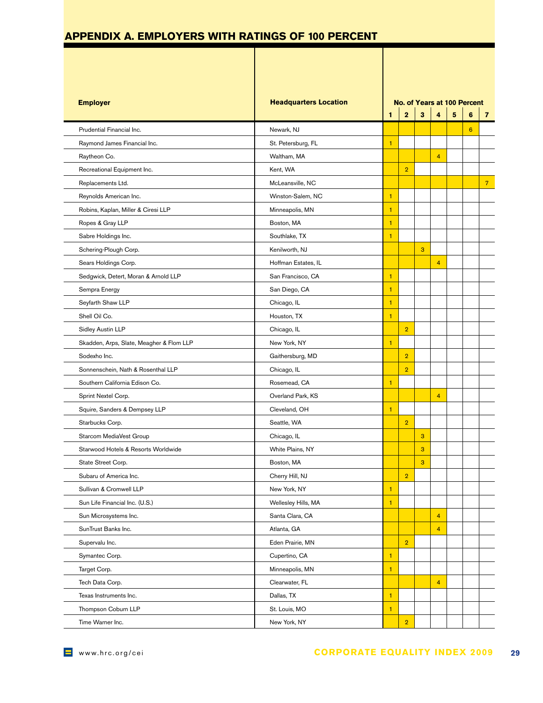|                                          |                              |              | No. of Years at 100 Percent |                         |                         |   |   |                |
|------------------------------------------|------------------------------|--------------|-----------------------------|-------------------------|-------------------------|---|---|----------------|
| <b>Employer</b>                          | <b>Headquarters Location</b> | 1            | $\overline{2}$              | $\overline{\mathbf{3}}$ | $\overline{\mathbf{4}}$ | 5 | 6 | 7              |
| Prudential Financial Inc.                | Newark, NJ                   |              |                             |                         |                         |   | 6 |                |
| Raymond James Financial Inc.             | St. Petersburg, FL           | $\mathbf{1}$ |                             |                         |                         |   |   |                |
| Raytheon Co.                             | Waltham, MA                  |              |                             |                         | $\overline{4}$          |   |   |                |
| Recreational Equipment Inc.              | Kent, WA                     |              | $\overline{2}$              |                         |                         |   |   |                |
| Replacements Ltd.                        | McLeansville, NC             |              |                             |                         |                         |   |   | 7 <sup>1</sup> |
| Reynolds American Inc.                   | Winston-Salem, NC            | 1            |                             |                         |                         |   |   |                |
| Robins, Kaplan, Miller & Ciresi LLP      | Minneapolis, MN              | 1            |                             |                         |                         |   |   |                |
| Ropes & Gray LLP                         | Boston, MA                   | 1            |                             |                         |                         |   |   |                |
| Sabre Holdings Inc.                      | Southlake, TX                | 1            |                             |                         |                         |   |   |                |
| Schering-Plough Corp.                    | Kenilworth, NJ               |              |                             | 3                       |                         |   |   |                |
| Sears Holdings Corp.                     | Hoffman Estates, IL          |              |                             |                         | $\overline{4}$          |   |   |                |
| Sedgwick, Detert, Moran & Arnold LLP     | San Francisco, CA            | 1            |                             |                         |                         |   |   |                |
| Sempra Energy                            | San Diego, CA                | 1            |                             |                         |                         |   |   |                |
| Seyfarth Shaw LLP                        | Chicago, IL                  | 1            |                             |                         |                         |   |   |                |
| Shell Oil Co.                            | Houston, TX                  | $\mathbf{1}$ |                             |                         |                         |   |   |                |
| Sidley Austin LLP                        | Chicago, IL                  |              | $\overline{2}$              |                         |                         |   |   |                |
| Skadden, Arps, Slate, Meagher & Flom LLP | New York, NY                 | $\mathbf{1}$ |                             |                         |                         |   |   |                |
| Sodexho Inc.                             | Gaithersburg, MD             |              | $\overline{2}$              |                         |                         |   |   |                |
| Sonnenschein, Nath & Rosenthal LLP       | Chicago, IL                  |              | $\overline{2}$              |                         |                         |   |   |                |
| Southern California Edison Co.           | Rosemead, CA                 | 1            |                             |                         |                         |   |   |                |
| Sprint Nextel Corp.                      | Overland Park, KS            |              |                             |                         | $\overline{4}$          |   |   |                |
| Squire, Sanders & Dempsey LLP            | Cleveland, OH                | $\mathbf{1}$ |                             |                         |                         |   |   |                |
| Starbucks Corp.                          | Seattle, WA                  |              | $\overline{2}$              |                         |                         |   |   |                |
| Starcom MediaVest Group                  | Chicago, IL                  |              |                             | 3                       |                         |   |   |                |
| Starwood Hotels & Resorts Worldwide      | White Plains, NY             |              |                             | 3                       |                         |   |   |                |
| State Street Corp.                       | Boston, MA                   |              |                             | 3                       |                         |   |   |                |
| Subaru of America Inc.                   | Cherry Hill, NJ              |              | $\overline{2}$              |                         |                         |   |   |                |
| Sullivan & Cromwell LLP                  | New York, NY                 | $\mathbf{1}$ |                             |                         |                         |   |   |                |
| Sun Life Financial Inc. (U.S.)           | Wellesley Hills, MA          | $\mathbf{1}$ |                             |                         |                         |   |   |                |
| Sun Microsystems Inc.                    | Santa Clara, CA              |              |                             |                         | $\overline{4}$          |   |   |                |
| SunTrust Banks Inc.                      | Atlanta, GA                  |              |                             |                         | $\overline{4}$          |   |   |                |
| Supervalu Inc.                           | Eden Prairie, MN             |              | $\overline{2}$              |                         |                         |   |   |                |
| Symantec Corp.                           | Cupertino, CA                | $\mathbf{1}$ |                             |                         |                         |   |   |                |
| Target Corp.                             | Minneapolis, MN              | 1            |                             |                         |                         |   |   |                |
| Tech Data Corp.                          | Clearwater, FL               |              |                             |                         | $\overline{4}$          |   |   |                |
| Texas Instruments Inc.                   | Dallas, TX                   | 1            |                             |                         |                         |   |   |                |
| Thompson Coburn LLP                      | St. Louis, MO                | $\mathbf{1}$ |                             |                         |                         |   |   |                |
| Time Warner Inc.                         | New York, NY                 |              | $\overline{\mathbf{2}}$     |                         |                         |   |   |                |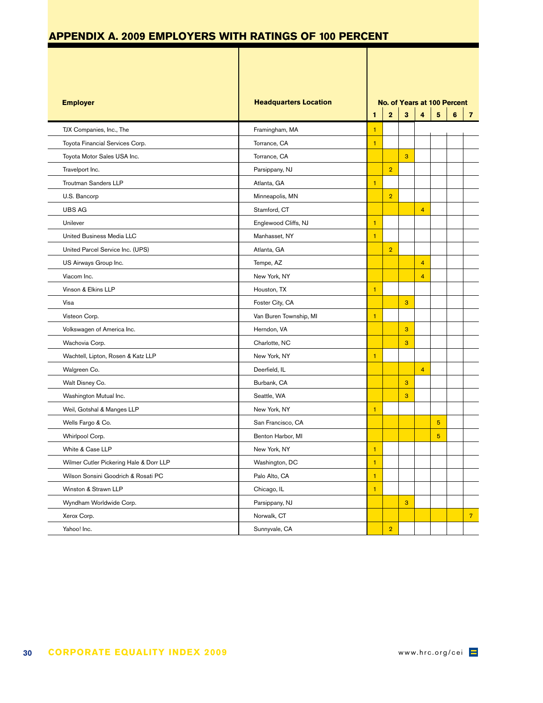|                                         |                              | No. of Years at 100 Percent |                |                         |                         |                |                 |                |
|-----------------------------------------|------------------------------|-----------------------------|----------------|-------------------------|-------------------------|----------------|-----------------|----------------|
| <b>Employer</b>                         | <b>Headquarters Location</b> | 1                           | $\overline{2}$ | $\overline{\mathbf{3}}$ | $\overline{\mathbf{4}}$ | 5              | $6\phantom{1}6$ | $\overline{7}$ |
| TJX Companies, Inc., The                | Framingham, MA               | 1                           |                |                         |                         |                |                 |                |
| Toyota Financial Services Corp.         | Torrance, CA                 | 1                           |                |                         |                         |                |                 |                |
| Toyota Motor Sales USA Inc.             | Torrance, CA                 |                             |                | 3                       |                         |                |                 |                |
| Travelport Inc.                         | Parsippany, NJ               |                             | $\overline{2}$ |                         |                         |                |                 |                |
| <b>Troutman Sanders LLP</b>             | Atlanta, GA                  | $\overline{1}$              |                |                         |                         |                |                 |                |
| U.S. Bancorp                            | Minneapolis, MN              |                             | $\overline{2}$ |                         |                         |                |                 |                |
| <b>UBS AG</b>                           | Stamford, CT                 |                             |                |                         | $\overline{4}$          |                |                 |                |
| Unilever                                | Englewood Cliffs, NJ         | 1                           |                |                         |                         |                |                 |                |
| United Business Media LLC               | Manhasset, NY                | $\overline{1}$              |                |                         |                         |                |                 |                |
| United Parcel Service Inc. (UPS)        | Atlanta, GA                  |                             | $\overline{2}$ |                         |                         |                |                 |                |
| US Airways Group Inc.                   | Tempe, AZ                    |                             |                |                         | $\overline{4}$          |                |                 |                |
| Viacom Inc.                             | New York, NY                 |                             |                |                         | $\overline{4}$          |                |                 |                |
| Vinson & Elkins LLP                     | Houston, TX                  | $\mathbf{1}$                |                |                         |                         |                |                 |                |
| Visa                                    | Foster City, CA              |                             |                | $\overline{\mathbf{3}}$ |                         |                |                 |                |
| Visteon Corp.                           | Van Buren Township, MI       | $\mathbf{1}$                |                |                         |                         |                |                 |                |
| Volkswagen of America Inc.              | Herndon, VA                  |                             |                | $\overline{\mathbf{3}}$ |                         |                |                 |                |
| Wachovia Corp.                          | Charlotte, NC                |                             |                | 3                       |                         |                |                 |                |
| Wachtell, Lipton, Rosen & Katz LLP      | New York, NY                 | 1                           |                |                         |                         |                |                 |                |
| Walgreen Co.                            | Deerfield, IL                |                             |                |                         | $\overline{4}$          |                |                 |                |
| Walt Disney Co.                         | Burbank, CA                  |                             |                | $\overline{\mathbf{3}}$ |                         |                |                 |                |
| Washington Mutual Inc.                  | Seattle, WA                  |                             |                | 3                       |                         |                |                 |                |
| Weil, Gotshal & Manges LLP              | New York, NY                 | 1                           |                |                         |                         |                |                 |                |
| Wells Fargo & Co.                       | San Francisco, CA            |                             |                |                         |                         | $5\phantom{1}$ |                 |                |
| Whirlpool Corp.                         | Benton Harbor, MI            |                             |                |                         |                         | $\overline{5}$ |                 |                |
| White & Case LLP                        | New York, NY                 | $\mathbf{1}$                |                |                         |                         |                |                 |                |
| Wilmer Cutler Pickering Hale & Dorr LLP | Washington, DC               | $\mathbf{1}$                |                |                         |                         |                |                 |                |
| Wilson Sonsini Goodrich & Rosati PC     | Palo Alto, CA                | $\mathbf{1}$                |                |                         |                         |                |                 |                |
| Winston & Strawn LLP                    | Chicago, IL                  | 1                           |                |                         |                         |                |                 |                |
| Wyndham Worldwide Corp.                 | Parsippany, NJ               |                             |                | $\overline{\mathbf{3}}$ |                         |                |                 |                |
| Xerox Corp.                             | Norwalk, CT                  |                             |                |                         |                         |                |                 | $\bf 7$        |
| Yahoo! Inc.                             | Sunnyvale, CA                |                             | $\overline{2}$ |                         |                         |                |                 |                |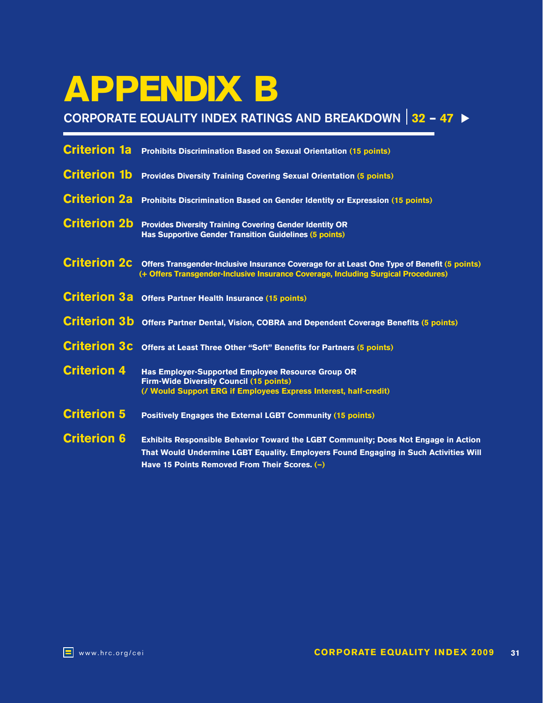# **Appendix B**

Corporate Equality Index Ratings and Breakdown **32 – 47** t

|                    | <b>Criterion 1a</b> Prohibits Discrimination Based on Sexual Orientation (15 points)                                                                                                                                               |
|--------------------|------------------------------------------------------------------------------------------------------------------------------------------------------------------------------------------------------------------------------------|
|                    | <b>Criterion 1b</b> Provides Diversity Training Covering Sexual Orientation (5 points)                                                                                                                                             |
|                    | <b>Criterion 2a</b> Prohibits Discrimination Based on Gender Identity or Expression (15 points)                                                                                                                                    |
|                    | <b>Criterion 2b</b> Provides Diversity Training Covering Gender Identity OR<br>Has Supportive Gender Transition Guidelines (5 points)                                                                                              |
|                    | Criterion 2c Offers Transgender-Inclusive Insurance Coverage for at Least One Type of Benefit (5 points)<br>(+ Offers Transgender-Inclusive Insurance Coverage, Including Surgical Procedures)                                     |
|                    | <b>Criterion 3a</b> Offers Partner Health Insurance (15 points)                                                                                                                                                                    |
|                    | Criterion 3b Offers Partner Dental, Vision, COBRA and Dependent Coverage Benefits (5 points)                                                                                                                                       |
|                    | <b>Criterion 3c</b> Offers at Least Three Other "Soft" Benefits for Partners (5 points)                                                                                                                                            |
| <b>Criterion 4</b> | Has Employer-Supported Employee Resource Group OR<br><b>Firm-Wide Diversity Council (15 points)</b><br>(/ Would Support ERG if Employees Express Interest, half-credit)                                                            |
| <b>Criterion 5</b> | Positively Engages the External LGBT Community (15 points)                                                                                                                                                                         |
| <b>Criterion 6</b> | <b>Exhibits Responsible Behavior Toward the LGBT Community; Does Not Engage in Action</b><br>That Would Undermine LGBT Equality. Employers Found Engaging in Such Activities Will<br>Have 15 Points Removed From Their Scores. (-) |

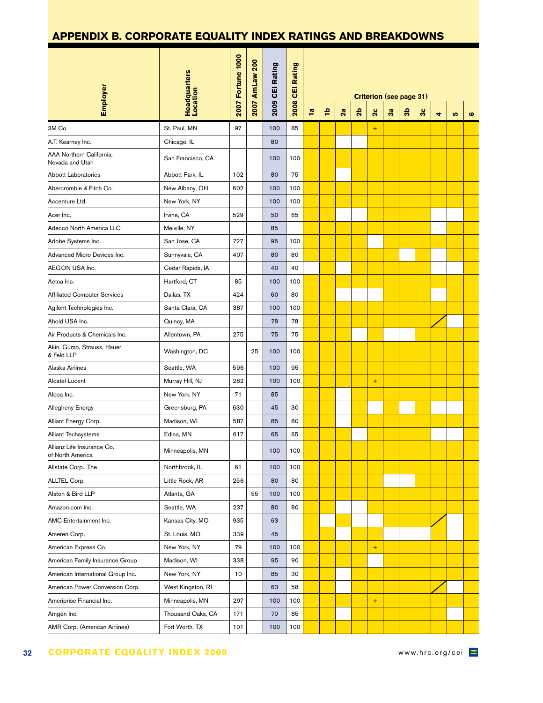### **Appendix B. Corporate Equality Index Ratings and Breakdowns**

| Employer                                       | Headquarters<br>Location | 2007 Fortune 1000 | 2007 AmLaw 200 | 2009 CEI Rating | <b>Rating</b><br>ē<br>2008 | Criterion (see page 31) |               |    |    |                |    |    |    |   |           |           |
|------------------------------------------------|--------------------------|-------------------|----------------|-----------------|----------------------------|-------------------------|---------------|----|----|----------------|----|----|----|---|-----------|-----------|
|                                                |                          |                   |                |                 |                            | $\overline{a}$          | $\frac{a}{b}$ | 2a | 2b | 2c             | 3a | 9p | 3c | 4 | <b>In</b> | $\bullet$ |
| 3M Co.                                         | St. Paul, MN             | 97                |                | 100             | 85                         |                         |               |    |    | $\pm$          |    |    |    |   |           |           |
| A.T. Kearney Inc.                              | Chicago, IL              |                   |                | 80              |                            |                         |               |    |    |                |    |    |    |   |           |           |
| AAA Northern California,<br>Nevada and Utah    | San Francisco, CA        |                   |                | 100             | 100                        |                         |               |    |    |                |    |    |    |   |           |           |
| <b>Abbott Laboratories</b>                     | Abbott Park, IL          | 102               |                | 80              | 75                         |                         |               |    |    |                |    |    |    |   |           |           |
| Abercrombie & Fitch Co.                        | New Albany, OH           | 602               |                | 100             | 100                        |                         |               |    |    |                |    |    |    |   |           |           |
| Accenture Ltd.                                 | New York, NY             |                   |                | 100             | 100                        |                         |               |    |    |                |    |    |    |   |           |           |
| Acer Inc.                                      | Irvine, CA               | 529               |                | 50              | 65                         |                         |               |    |    |                |    |    |    |   |           |           |
| Adecco North America LLC                       | Melville, NY             |                   |                | 85              |                            |                         |               |    |    |                |    |    |    |   |           |           |
| Adobe Systems Inc.                             | San Jose, CA             | 727               |                | 95              | 100                        |                         |               |    |    |                |    |    |    |   |           |           |
| Advanced Micro Devices Inc.                    | Sunnyvale, CA            | 407               |                | 80              | 80                         |                         |               |    |    |                |    |    |    |   |           |           |
| AEGON USA Inc.                                 | Cedar Rapids, IA         |                   |                | 40              | 40                         |                         |               |    |    |                |    |    |    |   |           |           |
| Aetna Inc.                                     | Hartford, CT             | 85                |                | 100             | 100                        |                         |               |    |    |                |    |    |    |   |           |           |
| <b>Affiliated Computer Services</b>            | Dallas, TX               | 424               |                | 60              | 80                         |                         |               |    |    |                |    |    |    |   |           |           |
| Agilent Technologies Inc.                      | Santa Clara, CA          | 387               |                | 100             | 100                        |                         |               |    |    |                |    |    |    |   |           |           |
| Ahold USA Inc.                                 | Quincy, MA               |                   |                | 78              | 78                         |                         |               |    |    |                |    |    |    |   |           |           |
| Air Products & Chemicals Inc.                  | Allentown, PA            | 275               |                | 75              | 75                         |                         |               |    |    |                |    |    |    |   |           |           |
| Akin, Gump, Strauss, Hauer<br>& Feld LLP       | Washington, DC           |                   | 25             | 100             | 100                        |                         |               |    |    |                |    |    |    |   |           |           |
| Alaska Airlines                                | Seattle, WA              | 596               |                | 100             | 95                         |                         |               |    |    |                |    |    |    |   |           |           |
| Alcatel-Lucent                                 | Murray Hill, NJ          | 282               |                | 100             | 100                        |                         |               |    |    | $+$            |    |    |    |   |           |           |
| Alcoa Inc.                                     | New York, NY             | 71                |                | 85              |                            |                         |               |    |    |                |    |    |    |   |           |           |
| Allegheny Energy                               | Greensburg, PA           | 630               |                | 45              | 30                         |                         |               |    |    |                |    |    |    |   |           |           |
| Alliant Energy Corp.                           | Madison, WI              | 587               |                | 85              | 80                         |                         |               |    |    |                |    |    |    |   |           |           |
| <b>Alliant Techsystems</b>                     | Edina, MN                | 617               |                | 65              | 65                         |                         |               |    |    |                |    |    |    |   |           |           |
| Allianz Life Insurance Co.<br>of North America | Minneapolis, MN          |                   |                | 100             | 100                        |                         |               |    |    |                |    |    |    |   |           |           |
| Allstate Corp., The                            | Northbrook, IL           | 61                |                | 100             | 100                        |                         |               |    |    |                |    |    |    |   |           |           |
| ALLTEL Corp.                                   | Little Rock, AR          | 256               |                | 80              | 80                         |                         |               |    |    |                |    |    |    |   |           |           |
| Alston & Bird LLP                              | Atlanta, GA              |                   | 55             | 100             | 100                        |                         |               |    |    |                |    |    |    |   |           |           |
| Amazon.com Inc.                                | Seattle, WA              | 237               |                | 80              | 80                         |                         |               |    |    |                |    |    |    |   |           |           |
| AMC Entertainment Inc.                         | Kansas City, MO          | 935               |                | 63              |                            |                         |               |    |    |                |    |    |    |   |           |           |
| Ameren Corp.                                   | St. Louis, MO            | 339               |                | 45              |                            |                         |               |    |    |                |    |    |    |   |           |           |
| American Express Co.                           | New York, NY             | 79                |                | 100             | 100                        |                         |               |    |    | $\color{red}+$ |    |    |    |   |           |           |
| American Family Insurance Group                | Madison, WI              | 338               |                | 95              | 90                         |                         |               |    |    |                |    |    |    |   |           |           |
| American International Group Inc.              | New York, NY             | 10                |                | 85              | 30                         |                         |               |    |    |                |    |    |    |   |           |           |
| American Power Conversion Corp.                | West Kingston, RI        |                   |                | 63              | 58                         |                         |               |    |    |                |    |    |    |   |           |           |
| Ameriprise Financial Inc.                      | Minneapolis, MN          | 297               |                | 100             | 100                        |                         |               |    |    | $+$            |    |    |    |   |           |           |
| Amgen Inc.                                     | Thousand Oaks, CA        | 171               |                | 70              | 85                         |                         |               |    |    |                |    |    |    |   |           |           |
| AMR Corp. (American Airlines)                  | Fort Worth, TX           | 101               |                | 100             | 100                        |                         |               |    |    |                |    |    |    |   |           |           |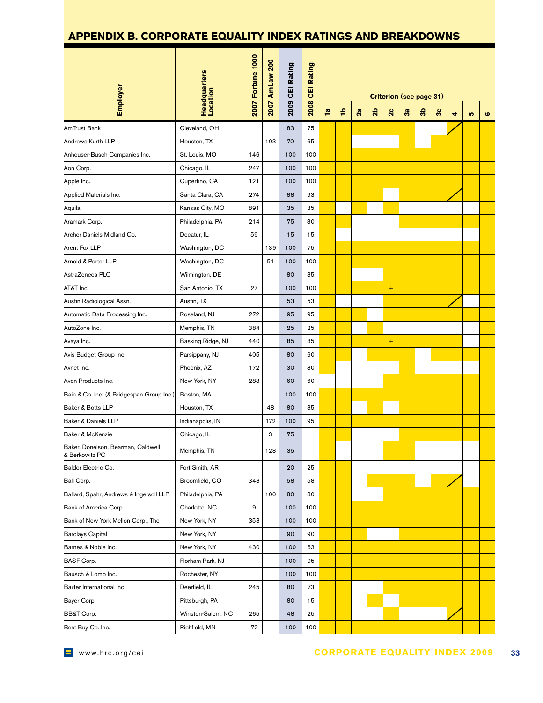|                                                      | Headquarters<br>Location | 2007 Fortune 1000 | 2007 AmLaw 200 | 2009 CEI Rating | <b>Rating</b><br>El |                         |               |    |    |                  | Criterion (see page 31) |    |    |                      |           |   |
|------------------------------------------------------|--------------------------|-------------------|----------------|-----------------|---------------------|-------------------------|---------------|----|----|------------------|-------------------------|----|----|----------------------|-----------|---|
| Employer                                             |                          |                   |                |                 | 2008                | $\overline{\mathbf{a}}$ | $\frac{a}{r}$ | 2a | 2b | 2c               | 3a                      | 9p | 3c | $\blacktriangleleft$ | <b>LO</b> | ဖ |
| AmTrust Bank                                         | Cleveland, OH            |                   |                | 83              | 75                  |                         |               |    |    |                  |                         |    |    |                      |           |   |
| Andrews Kurth LLP                                    | Houston, TX              |                   | 103            | 70              | 65                  |                         |               |    |    |                  |                         |    |    |                      |           |   |
| Anheuser-Busch Companies Inc.                        | St. Louis, MO            | 146               |                | 100             | 100                 |                         |               |    |    |                  |                         |    |    |                      |           |   |
| Aon Corp.                                            | Chicago, IL              | 247               |                | 100             | 100                 |                         |               |    |    |                  |                         |    |    |                      |           |   |
| Apple Inc.                                           | Cupertino, CA            | 121               |                | 100             | 100                 |                         |               |    |    |                  |                         |    |    |                      |           |   |
| Applied Materials Inc.                               | Santa Clara, CA          | 274               |                | 88              | 93                  |                         |               |    |    |                  |                         |    |    |                      |           |   |
| Aquila                                               | Kansas City, MO          | 891               |                | 35              | 35                  |                         |               |    |    |                  |                         |    |    |                      |           |   |
| Aramark Corp.                                        | Philadelphia, PA         | 214               |                | 75              | 80                  |                         |               |    |    |                  |                         |    |    |                      |           |   |
| Archer Daniels Midland Co.                           | Decatur, IL              | 59                |                | 15              | 15                  |                         |               |    |    |                  |                         |    |    |                      |           |   |
| Arent Fox LLP                                        | Washington, DC           |                   | 139            | 100             | 75                  |                         |               |    |    |                  |                         |    |    |                      |           |   |
| Arnold & Porter LLP                                  | Washington, DC           |                   | 51             | 100             | 100                 |                         |               |    |    |                  |                         |    |    |                      |           |   |
| AstraZeneca PLC                                      | Wilmington, DE           |                   |                | 80              | 85                  |                         |               |    |    |                  |                         |    |    |                      |           |   |
| AT&T Inc.                                            | San Antonio, TX          | 27                |                | 100             | 100                 |                         |               |    |    | $\boldsymbol{+}$ |                         |    |    |                      |           |   |
| Austin Radiological Assn.                            | Austin, TX               |                   |                | 53              | 53                  |                         |               |    |    |                  |                         |    |    |                      |           |   |
| Automatic Data Processing Inc.                       | Roseland, NJ             | 272               |                | 95              | 95                  |                         |               |    |    |                  |                         |    |    |                      |           |   |
| AutoZone Inc.                                        | Memphis, TN              | 384               |                | 25              | 25                  |                         |               |    |    |                  |                         |    |    |                      |           |   |
| Avaya Inc.                                           | Basking Ridge, NJ        | 440               |                | 85              | 85                  |                         |               |    |    | $\ddot{}$        |                         |    |    |                      |           |   |
| Avis Budget Group Inc.                               | Parsippany, NJ           | 405               |                | 80              | 60                  |                         |               |    |    |                  |                         |    |    |                      |           |   |
| Avnet Inc.                                           | Phoenix, AZ              | 172               |                | 30              | 30                  |                         |               |    |    |                  |                         |    |    |                      |           |   |
| Avon Products Inc.                                   | New York, NY             | 283               |                | 60              | 60                  |                         |               |    |    |                  |                         |    |    |                      |           |   |
| Bain & Co. Inc. (& Bridgespan Group Inc.)            | Boston, MA               |                   |                | 100             | 100                 |                         |               |    |    |                  |                         |    |    |                      |           |   |
| Baker & Botts LLP                                    | Houston, TX              |                   | 48             | 80              | 85                  |                         |               |    |    |                  |                         |    |    |                      |           |   |
| Baker & Daniels LLP                                  | Indianapolis, IN         |                   | 172            | 100             | 95                  |                         |               |    |    |                  |                         |    |    |                      |           |   |
| Baker & McKenzie                                     | Chicago, IL              |                   | 3              | 75              |                     |                         |               |    |    |                  |                         |    |    |                      |           |   |
| Baker, Donelson, Bearman, Caldwell<br>& Berkowitz PC | Memphis, TN              |                   | 128            | 35              |                     |                         |               |    |    |                  |                         |    |    |                      |           |   |
| Baldor Electric Co.                                  | Fort Smith, AR           |                   |                | 20              | 25                  |                         |               |    |    |                  |                         |    |    |                      |           |   |
| Ball Corp.                                           | Broomfield, CO           | 348               |                | 58              | 58                  |                         |               |    |    |                  |                         |    |    |                      |           |   |
| Ballard, Spahr, Andrews & Ingersoll LLP              | Philadelphia, PA         |                   | 100            | 80              | 80                  |                         |               |    |    |                  |                         |    |    |                      |           |   |
| Bank of America Corp.                                | Charlotte, NC            | 9                 |                | 100             | 100                 |                         |               |    |    |                  |                         |    |    |                      |           |   |
| Bank of New York Mellon Corp., The                   | New York, NY             | 358               |                | 100             | 100                 |                         |               |    |    |                  |                         |    |    |                      |           |   |
| <b>Barclays Capital</b>                              | New York, NY             |                   |                | 90              | 90                  |                         |               |    |    |                  |                         |    |    |                      |           |   |
| Barnes & Noble Inc.                                  | New York, NY             | 430               |                | 100             | 63                  |                         |               |    |    |                  |                         |    |    |                      |           |   |
| <b>BASF Corp.</b>                                    | Florham Park, NJ         |                   |                | 100             | 95                  |                         |               |    |    |                  |                         |    |    |                      |           |   |
| Bausch & Lomb Inc.                                   | Rochester, NY            |                   |                | 100             | 100                 |                         |               |    |    |                  |                         |    |    |                      |           |   |
| Baxter International Inc.                            | Deerfield, IL            | 245               |                | 80              | 73                  |                         |               |    |    |                  |                         |    |    |                      |           |   |
| Bayer Corp.                                          | Pittsburgh, PA           |                   |                | 80              | 15                  |                         |               |    |    |                  |                         |    |    |                      |           |   |
| BB&T Corp.                                           | Winston-Salem, NC        | 265               |                | 48              | 25                  |                         |               |    |    |                  |                         |    |    |                      |           |   |
| Best Buy Co. Inc.                                    | Richfield, MN            | 72                |                | 100             | 100                 |                         |               |    |    |                  |                         |    |    |                      |           |   |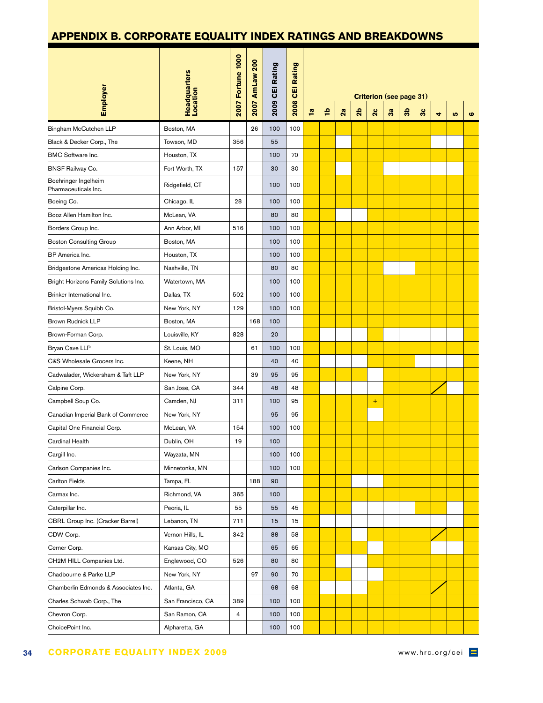|                                              | Headquarters<br>Location | Fortune 1000   | 2007 AmLaw 200 | <b>CEI Rating</b> | <b>Rating</b><br>$\overline{a}$ |                |               |    |    |     |    |                                         |    |   |     |
|----------------------------------------------|--------------------------|----------------|----------------|-------------------|---------------------------------|----------------|---------------|----|----|-----|----|-----------------------------------------|----|---|-----|
| Employer                                     |                          | 2007           |                | 2009              | 2008                            | $\overline{a}$ | $\frac{a}{b}$ | 2a | 2b | 2c  | 3a | Criterion (see page 31)<br>$35^{\circ}$ | 3c | 4 | LO. |
| Bingham McCutchen LLP                        | Boston, MA               |                | 26             | 100               | 100                             |                |               |    |    |     |    |                                         |    |   |     |
| Black & Decker Corp., The                    | Towson, MD               | 356            |                | 55                |                                 |                |               |    |    |     |    |                                         |    |   |     |
| BMC Software Inc.                            | Houston, TX              |                |                | 100               | 70                              |                |               |    |    |     |    |                                         |    |   |     |
| <b>BNSF Railway Co.</b>                      | Fort Worth, TX           | 157            |                | 30                | 30                              |                |               |    |    |     |    |                                         |    |   |     |
| Boehringer Ingelheim<br>Pharmaceuticals Inc. | Ridgefield, CT           |                |                | 100               | 100                             |                |               |    |    |     |    |                                         |    |   |     |
| Boeing Co.                                   | Chicago, IL              | 28             |                | 100               | 100                             |                |               |    |    |     |    |                                         |    |   |     |
| Booz Allen Hamilton Inc.                     | McLean, VA               |                |                | 80                | 80                              |                |               |    |    |     |    |                                         |    |   |     |
| Borders Group Inc.                           | Ann Arbor, MI            | 516            |                | 100               | 100                             |                |               |    |    |     |    |                                         |    |   |     |
| <b>Boston Consulting Group</b>               | Boston, MA               |                |                | 100               | 100                             |                |               |    |    |     |    |                                         |    |   |     |
| BP America Inc.                              | Houston, TX              |                |                | 100               | 100                             |                |               |    |    |     |    |                                         |    |   |     |
| Bridgestone Americas Holding Inc.            | Nashville, TN            |                |                | 80                | 80                              |                |               |    |    |     |    |                                         |    |   |     |
| Bright Horizons Family Solutions Inc.        | Watertown, MA            |                |                | 100               | 100                             |                |               |    |    |     |    |                                         |    |   |     |
| Brinker International Inc.                   | Dallas, TX               | 502            |                | 100               | 100                             |                |               |    |    |     |    |                                         |    |   |     |
| Bristol-Myers Squibb Co.                     | New York, NY             | 129            |                | 100               | 100                             |                |               |    |    |     |    |                                         |    |   |     |
| <b>Brown Rudnick LLP</b>                     | Boston, MA               |                | 168            | 100               |                                 |                |               |    |    |     |    |                                         |    |   |     |
| Brown-Forman Corp.                           | Louisville, KY           | 828            |                | 20                |                                 |                |               |    |    |     |    |                                         |    |   |     |
| Bryan Cave LLP                               | St. Louis, MO            |                | 61             | 100               | 100                             |                |               |    |    |     |    |                                         |    |   |     |
| C&S Wholesale Grocers Inc.                   | Keene, NH                |                |                | 40                | 40                              |                |               |    |    |     |    |                                         |    |   |     |
| Cadwalader, Wickersham & Taft LLP            | New York, NY             |                | 39             | 95                | 95                              |                |               |    |    |     |    |                                         |    |   |     |
| Calpine Corp.                                | San Jose, CA             | 344            |                | 48                | 48                              |                |               |    |    |     |    |                                         |    |   |     |
| Campbell Soup Co.                            | Camden, NJ               | 311            |                | 100               | 95                              |                |               |    |    | $+$ |    |                                         |    |   |     |
| Canadian Imperial Bank of Commerce           | New York, NY             |                |                | 95                | 95                              |                |               |    |    |     |    |                                         |    |   |     |
| Capital One Financial Corp.                  | McLean, VA               | 154            |                | 100               | 100                             |                |               |    |    |     |    |                                         |    |   |     |
| Cardinal Health                              | Dublin, OH               | 19             |                | 100               |                                 |                |               |    |    |     |    |                                         |    |   |     |
| Cargill Inc.                                 | Wayzata, MN              |                |                | 100               | 100                             |                |               |    |    |     |    |                                         |    |   |     |
| Carlson Companies Inc.                       | Minnetonka, MN           |                |                | 100               | 100                             |                |               |    |    |     |    |                                         |    |   |     |
| Carlton Fields                               | Tampa, FL                |                | 188            | 90                |                                 |                |               |    |    |     |    |                                         |    |   |     |
| Carmax Inc.                                  | Richmond, VA             | 365            |                | 100               |                                 |                |               |    |    |     |    |                                         |    |   |     |
| Caterpillar Inc.                             | Peoria, IL               | 55             |                | 55                | 45                              |                |               |    |    |     |    |                                         |    |   |     |
| CBRL Group Inc. (Cracker Barrel)             | Lebanon, TN              | 711            |                | 15                | 15                              |                |               |    |    |     |    |                                         |    |   |     |
| CDW Corp.                                    | Vernon Hills, IL         | 342            |                | 88                | 58                              |                |               |    |    |     |    |                                         |    |   |     |
| Cerner Corp.                                 | Kansas City, MO          |                |                | 65                | 65                              |                |               |    |    |     |    |                                         |    |   |     |
| CH2M HILL Companies Ltd.                     | Englewood, CO            | 526            |                | 80                | 80                              |                |               |    |    |     |    |                                         |    |   |     |
| Chadbourne & Parke LLP                       | New York, NY             |                | 97             | 90                | 70                              |                |               |    |    |     |    |                                         |    |   |     |
| Chamberlin Edmonds & Associates Inc.         | Atlanta, GA              |                |                | 68                | 68                              |                |               |    |    |     |    |                                         |    |   |     |
| Charles Schwab Corp., The                    | San Francisco, CA        | 389            |                | 100               | 100                             |                |               |    |    |     |    |                                         |    |   |     |
| Chevron Corp.                                | San Ramon, CA            | $\overline{4}$ |                | 100               | 100                             |                |               |    |    |     |    |                                         |    |   |     |
| ChoicePoint Inc.                             | Alpharetta, GA           |                |                | 100               | 100                             |                |               |    |    |     |    |                                         |    |   |     |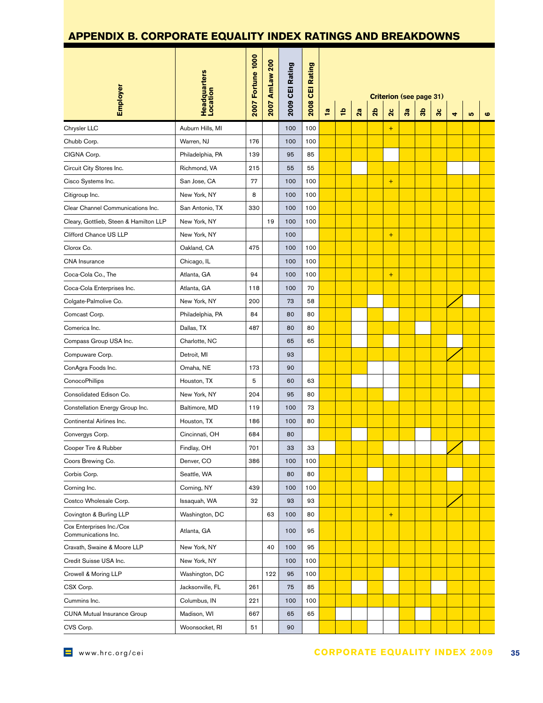|                                                 | Headquarters<br>Location | 2007 Fortune 1000 | 2007 AmLaw 200 | <b>CEI Rating</b> | <b>Rating</b><br>ē |                         |               |    |    |           |    | Criterion (see page 31) |    |   |           |   |
|-------------------------------------------------|--------------------------|-------------------|----------------|-------------------|--------------------|-------------------------|---------------|----|----|-----------|----|-------------------------|----|---|-----------|---|
| Employer                                        |                          |                   |                | 2009              | 2008               | $\overline{\mathbf{a}}$ | $\frac{a}{r}$ | 2a | 2b | 2c        | 3a | 3 <sub>0</sub>          | 3c | 4 | <b>LO</b> | ဖ |
| Chrysler LLC                                    | Auburn Hills, MI         |                   |                | 100               | 100                |                         |               |    |    | $\ddot{}$ |    |                         |    |   |           |   |
| Chubb Corp.                                     | Warren, NJ               | 176               |                | 100               | 100                |                         |               |    |    |           |    |                         |    |   |           |   |
| CIGNA Corp.                                     | Philadelphia, PA         | 139               |                | 95                | 85                 |                         |               |    |    |           |    |                         |    |   |           |   |
| Circuit City Stores Inc.                        | Richmond, VA             | 215               |                | 55                | 55                 |                         |               |    |    |           |    |                         |    |   |           |   |
| Cisco Systems Inc.                              | San Jose, CA             | 77                |                | 100               | 100                |                         |               |    |    | $\ddot{}$ |    |                         |    |   |           |   |
| Citigroup Inc.                                  | New York, NY             | 8                 |                | 100               | 100                |                         |               |    |    |           |    |                         |    |   |           |   |
| Clear Channel Communications Inc.               | San Antonio, TX          | 330               |                | 100               | 100                |                         |               |    |    |           |    |                         |    |   |           |   |
| Cleary, Gottlieb, Steen & Hamilton LLP          | New York, NY             |                   | 19             | 100               | 100                |                         |               |    |    |           |    |                         |    |   |           |   |
| Clifford Chance US LLP                          | New York, NY             |                   |                | 100               |                    |                         |               |    |    | $\ddot{}$ |    |                         |    |   |           |   |
| Clorox Co.                                      | Oakland, CA              | 475               |                | 100               | 100                |                         |               |    |    |           |    |                         |    |   |           |   |
| <b>CNA</b> Insurance                            | Chicago, IL              |                   |                | 100               | 100                |                         |               |    |    |           |    |                         |    |   |           |   |
| Coca-Cola Co., The                              | Atlanta, GA              | 94                |                | 100               | 100                |                         |               |    |    | $\ddot{}$ |    |                         |    |   |           |   |
| Coca-Cola Enterprises Inc.                      | Atlanta, GA              | 118               |                | 100               | 70                 |                         |               |    |    |           |    |                         |    |   |           |   |
| Colgate-Palmolive Co.                           | New York, NY             | 200               |                | 73                | 58                 |                         |               |    |    |           |    |                         |    |   |           |   |
| Comcast Corp.                                   | Philadelphia, PA         | 84                |                | 80                | 80                 |                         |               |    |    |           |    |                         |    |   |           |   |
| Comerica Inc.                                   | Dallas, TX               | 487               |                | 80                | 80                 |                         |               |    |    |           |    |                         |    |   |           |   |
| Compass Group USA Inc.                          | Charlotte, NC            |                   |                | 65                | 65                 |                         |               |    |    |           |    |                         |    |   |           |   |
| Compuware Corp.                                 | Detroit, MI              |                   |                | 93                |                    |                         |               |    |    |           |    |                         |    |   |           |   |
| ConAgra Foods Inc.                              | Omaha, NE                | 173               |                | 90                |                    |                         |               |    |    |           |    |                         |    |   |           |   |
| ConocoPhillips                                  | Houston, TX              | 5                 |                | 60                | 63                 |                         |               |    |    |           |    |                         |    |   |           |   |
| Consolidated Edison Co.                         | New York, NY             | 204               |                | 95                | 80                 |                         |               |    |    |           |    |                         |    |   |           |   |
| Constellation Energy Group Inc.                 | Baltimore, MD            | 119               |                | 100               | 73                 |                         |               |    |    |           |    |                         |    |   |           |   |
| Continental Airlines Inc.                       | Houston, TX              | 186               |                | 100               | 80                 |                         |               |    |    |           |    |                         |    |   |           |   |
| Convergys Corp.                                 | Cincinnati, OH           | 684               |                | 80                |                    |                         |               |    |    |           |    |                         |    |   |           |   |
| Cooper Tire & Rubber                            | Findlay, OH              | 701               |                | 33                | 33                 |                         |               |    |    |           |    |                         |    |   |           |   |
| Coors Brewing Co.                               | Denver, CO               | 386               |                | 100               | 100                |                         |               |    |    |           |    |                         |    |   |           |   |
| Corbis Corp.                                    | Seattle, WA              |                   |                | 80                | 80                 |                         |               |    |    |           |    |                         |    |   |           |   |
| Corning Inc.                                    | Corning, NY              | 439               |                | 100               | 100                |                         |               |    |    |           |    |                         |    |   |           |   |
| Costco Wholesale Corp.                          | Issaquah, WA             | 32                |                | 93                | 93                 |                         |               |    |    |           |    |                         |    |   |           |   |
| Covington & Burling LLP                         | Washington, DC           |                   | 63             | 100               | 80                 |                         |               |    |    | $\ddot{}$ |    |                         |    |   |           |   |
| Cox Enterprises Inc./Cox<br>Communications Inc. | Atlanta, GA              |                   |                | 100               | 95                 |                         |               |    |    |           |    |                         |    |   |           |   |
| Cravath, Swaine & Moore LLP                     | New York, NY             |                   | 40             | 100               | 95                 |                         |               |    |    |           |    |                         |    |   |           |   |
| Credit Suisse USA Inc.                          | New York, NY             |                   |                | 100               | 100                |                         |               |    |    |           |    |                         |    |   |           |   |
| Crowell & Moring LLP                            | Washington, DC           |                   | 122            | 95                | 100                |                         |               |    |    |           |    |                         |    |   |           |   |
| CSX Corp.                                       | Jacksonville, FL         | 261               |                | 75                | 85                 |                         |               |    |    |           |    |                         |    |   |           |   |
| Cummins Inc.                                    | Columbus, IN             | 221               |                | 100               | 100                |                         |               |    |    |           |    |                         |    |   |           |   |
| <b>CUNA Mutual Insurance Group</b>              | Madison, WI              | 667               |                | 65                | 65                 |                         |               |    |    |           |    |                         |    |   |           |   |
| CVS Corp.                                       | Woonsocket, RI           | 51                |                | 90                |                    |                         |               |    |    |           |    |                         |    |   |           |   |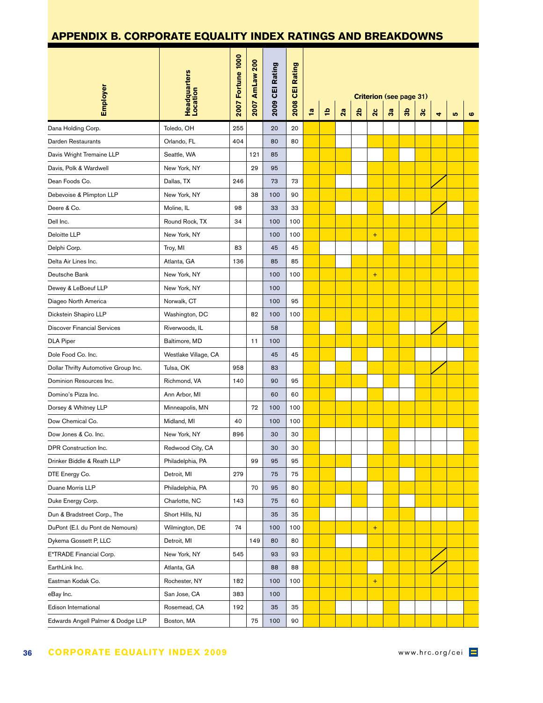|                                      |                          | 2007 Fortune 1000 | 2007 AmLaw 200 | 2009 CEI Rating | <b>CEI Rating</b> |               |   |    |    |           |    |                                         |    |   |           |
|--------------------------------------|--------------------------|-------------------|----------------|-----------------|-------------------|---------------|---|----|----|-----------|----|-----------------------------------------|----|---|-----------|
| Employer                             | Headquarters<br>Location |                   |                |                 | 2008              | $\frac{1}{2}$ | 읔 | 2a | 2b | 2c        | 3a | Criterion (see page 31)<br>$35^{\circ}$ | 3c | 4 | <b>LO</b> |
| Dana Holding Corp.                   | Toledo, OH               | 255               |                | 20              | 20                |               |   |    |    |           |    |                                         |    |   |           |
| <b>Darden Restaurants</b>            | Orlando, FL              | 404               |                | 80              | 80                |               |   |    |    |           |    |                                         |    |   |           |
| Davis Wright Tremaine LLP            | Seattle, WA              |                   | 121            | 85              |                   |               |   |    |    |           |    |                                         |    |   |           |
| Davis, Polk & Wardwell               | New York, NY             |                   | 29             | 95              |                   |               |   |    |    |           |    |                                         |    |   |           |
| Dean Foods Co.                       | Dallas, TX               | 246               |                | 73              | 73                |               |   |    |    |           |    |                                         |    |   |           |
| Debevoise & Plimpton LLP             | New York, NY             |                   | 38             | 100             | 90                |               |   |    |    |           |    |                                         |    |   |           |
| Deere & Co.                          | Moline, IL               | 98                |                | 33              | 33                |               |   |    |    |           |    |                                         |    |   |           |
| Dell Inc.                            | Round Rock, TX           | 34                |                | 100             | 100               |               |   |    |    |           |    |                                         |    |   |           |
| Deloitte LLP                         | New York, NY             |                   |                | 100             | 100               |               |   |    |    | $+$       |    |                                         |    |   |           |
| Delphi Corp.                         | Troy, MI                 | 83                |                | 45              | 45                |               |   |    |    |           |    |                                         |    |   |           |
| Delta Air Lines Inc.                 | Atlanta, GA              | 136               |                | 85              | 85                |               |   |    |    |           |    |                                         |    |   |           |
| Deutsche Bank                        | New York, NY             |                   |                | 100             | 100               |               |   |    |    | $+$       |    |                                         |    |   |           |
| Dewey & LeBoeuf LLP                  | New York, NY             |                   |                | 100             |                   |               |   |    |    |           |    |                                         |    |   |           |
| Diageo North America                 | Norwalk, CT              |                   |                | 100             | 95                |               |   |    |    |           |    |                                         |    |   |           |
| Dickstein Shapiro LLP                | Washington, DC           |                   | 82             | 100             | 100               |               |   |    |    |           |    |                                         |    |   |           |
| <b>Discover Financial Services</b>   | Riverwoods, IL           |                   |                | 58              |                   |               |   |    |    |           |    |                                         |    |   |           |
| <b>DLA Piper</b>                     | Baltimore, MD            |                   | 11             | 100             |                   |               |   |    |    |           |    |                                         |    |   |           |
| Dole Food Co. Inc.                   | Westlake Village, CA     |                   |                | 45              | 45                |               |   |    |    |           |    |                                         |    |   |           |
| Dollar Thrifty Automotive Group Inc. | Tulsa, OK                | 958               |                | 83              |                   |               |   |    |    |           |    |                                         |    |   |           |
| Dominion Resources Inc.              | Richmond, VA             | 140               |                | 90              | 95                |               |   |    |    |           |    |                                         |    |   |           |
| Domino's Pizza Inc.                  | Ann Arbor, MI            |                   |                | 60              | 60                |               |   |    |    |           |    |                                         |    |   |           |
| Dorsey & Whitney LLP                 | Minneapolis, MN          |                   | 72             | 100             | 100               |               |   |    |    |           |    |                                         |    |   |           |
| Dow Chemical Co.                     | Midland, MI              | 40                |                | 100             | 100               |               |   |    |    |           |    |                                         |    |   |           |
| Dow Jones & Co. Inc.                 | New York, NY             | 896               |                | 30              | 30                |               |   |    |    |           |    |                                         |    |   |           |
| DPR Construction Inc.                | Redwood City, CA         |                   |                | 30              | 30                |               |   |    |    |           |    |                                         |    |   |           |
| Drinker Biddle & Reath LLP           | Philadelphia, PA         |                   | 99             | 95              | 95                |               |   |    |    |           |    |                                         |    |   |           |
| DTE Energy Co.                       | Detroit, MI              | 279               |                | 75              | 75                |               |   |    |    |           |    |                                         |    |   |           |
| Duane Morris LLP                     | Philadelphia, PA         |                   | 70             | 95              | 80                |               |   |    |    |           |    |                                         |    |   |           |
| Duke Energy Corp.                    | Charlotte, NC            | 143               |                | 75              | 60                |               |   |    |    |           |    |                                         |    |   |           |
| Dun & Bradstreet Corp., The          | Short Hills, NJ          |                   |                | 35              | 35                |               |   |    |    |           |    |                                         |    |   |           |
| DuPont (E.I. du Pont de Nemours)     | Wilmington, DE           | 74                |                | 100             | 100               |               |   |    |    | $\ddot{}$ |    |                                         |    |   |           |
| Dykema Gossett P, LLC                | Detroit, MI              |                   | 149            | 80              | 80                |               |   |    |    |           |    |                                         |    |   |           |
| E*TRADE Financial Corp.              | New York, NY             | 545               |                | 93              | 93                |               |   |    |    |           |    |                                         |    |   |           |
| EarthLink Inc.                       | Atlanta, GA              |                   |                | 88              | 88                |               |   |    |    |           |    |                                         |    |   |           |
| Eastman Kodak Co.                    | Rochester, NY            | 182               |                | 100             | 100               |               |   |    |    | $+$       |    |                                         |    |   |           |
| eBay Inc.                            | San Jose, CA             | 383               |                | 100             |                   |               |   |    |    |           |    |                                         |    |   |           |
| Edison International                 | Rosemead, CA             | 192               |                | 35              | 35                |               |   |    |    |           |    |                                         |    |   |           |
| Edwards Angell Palmer & Dodge LLP    | Boston, MA               |                   | 75             | 100             | 90                |               |   |    |    |           |    |                                         |    |   |           |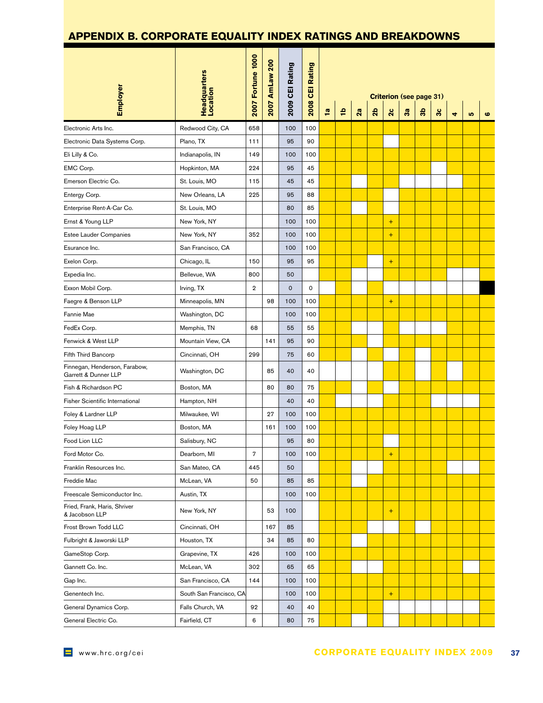|                                                       | Headquarters<br>Location | <b>2007 Fortune 1000</b> | 2007 AmLaw 200 | <b>CEI Rating</b> | <b>Rating</b><br>ē |                         |               |    |    | Criterion (see page 31) |    |               |    |   |           |   |
|-------------------------------------------------------|--------------------------|--------------------------|----------------|-------------------|--------------------|-------------------------|---------------|----|----|-------------------------|----|---------------|----|---|-----------|---|
| Employer                                              |                          |                          |                | 2009              | 2008               | $\overline{\mathbf{a}}$ | $\frac{a}{r}$ | 2a | 2b | 2c                      | 3a | $\frac{a}{3}$ | 3c | 4 | <b>LO</b> | ဖ |
| Electronic Arts Inc.                                  | Redwood City, CA         | 658                      |                | 100               | 100                |                         |               |    |    |                         |    |               |    |   |           |   |
| Electronic Data Systems Corp.                         | Plano, TX                | 111                      |                | 95                | 90                 |                         |               |    |    |                         |    |               |    |   |           |   |
| Eli Lilly & Co.                                       | Indianapolis, IN         | 149                      |                | 100               | 100                |                         |               |    |    |                         |    |               |    |   |           |   |
| EMC Corp.                                             | Hopkinton, MA            | 224                      |                | 95                | 45                 |                         |               |    |    |                         |    |               |    |   |           |   |
| Emerson Electric Co.                                  | St. Louis, MO            | 115                      |                | 45                | 45                 |                         |               |    |    |                         |    |               |    |   |           |   |
| Entergy Corp.                                         | New Orleans, LA          | 225                      |                | 95                | 88                 |                         |               |    |    |                         |    |               |    |   |           |   |
| Enterprise Rent-A-Car Co.                             | St. Louis, MO            |                          |                | 80                | 85                 |                         |               |    |    |                         |    |               |    |   |           |   |
| Ernst & Young LLP                                     | New York, NY             |                          |                | 100               | 100                |                         |               |    |    | $\ddot{}$               |    |               |    |   |           |   |
| <b>Estee Lauder Companies</b>                         | New York, NY             | 352                      |                | 100               | 100                |                         |               |    |    | $\ddot{}$               |    |               |    |   |           |   |
| Esurance Inc.                                         | San Francisco, CA        |                          |                | 100               | 100                |                         |               |    |    |                         |    |               |    |   |           |   |
| Exelon Corp.                                          | Chicago, IL              | 150                      |                | 95                | 95                 |                         |               |    |    | $\boldsymbol{+}$        |    |               |    |   |           |   |
| Expedia Inc.                                          | Bellevue, WA             | 800                      |                | 50                |                    |                         |               |    |    |                         |    |               |    |   |           |   |
| Exxon Mobil Corp.                                     | Irving, TX               | $\overline{2}$           |                | $\mathbf 0$       | 0                  |                         |               |    |    |                         |    |               |    |   |           |   |
| Faegre & Benson LLP                                   | Minneapolis, MN          |                          | 98             | 100               | 100                |                         |               |    |    | $\ddot{}$               |    |               |    |   |           |   |
| Fannie Mae                                            | Washington, DC           |                          |                | 100               | 100                |                         |               |    |    |                         |    |               |    |   |           |   |
| FedEx Corp.                                           | Memphis, TN              | 68                       |                | 55                | 55                 |                         |               |    |    |                         |    |               |    |   |           |   |
| Fenwick & West LLP                                    | Mountain View, CA        |                          | 141            | 95                | 90                 |                         |               |    |    |                         |    |               |    |   |           |   |
| Fifth Third Bancorp                                   | Cincinnati, OH           | 299                      |                | 75                | 60                 |                         |               |    |    |                         |    |               |    |   |           |   |
| Finnegan, Henderson, Farabow,<br>Garrett & Dunner LLP | Washington, DC           |                          | 85             | 40                | 40                 |                         |               |    |    |                         |    |               |    |   |           |   |
| Fish & Richardson PC                                  | Boston, MA               |                          | 80             | 80                | 75                 |                         |               |    |    |                         |    |               |    |   |           |   |
| Fisher Scientific International                       | Hampton, NH              |                          |                | 40                | 40                 |                         |               |    |    |                         |    |               |    |   |           |   |
| Foley & Lardner LLP                                   | Milwaukee, WI            |                          | 27             | 100               | 100                |                         |               |    |    |                         |    |               |    |   |           |   |
| Foley Hoag LLP                                        | Boston, MA               |                          | 161            | 100               | 100                |                         |               |    |    |                         |    |               |    |   |           |   |
| Food Lion LLC                                         | Salisbury, NC            |                          |                | 95                | 80                 |                         |               |    |    |                         |    |               |    |   |           |   |
| Ford Motor Co.                                        | Dearborn, MI             | $\overline{7}$           |                | 100               | 100                |                         |               |    |    | $\ddot{}$               |    |               |    |   |           |   |
| Franklin Resources Inc.                               | San Mateo, CA            | 445                      |                | 50                |                    |                         |               |    |    |                         |    |               |    |   |           |   |
| Freddie Mac                                           | McLean, VA               | 50                       |                | 85                | 85                 |                         |               |    |    |                         |    |               |    |   |           |   |
| Freescale Semiconductor Inc.                          | Austin, TX               |                          |                | 100               | 100                |                         |               |    |    |                         |    |               |    |   |           |   |
| Fried, Frank, Haris, Shriver<br>& Jacobson LLP        | New York, NY             |                          | 53             | 100               |                    |                         |               |    |    | $\ddot{}$               |    |               |    |   |           |   |
| Frost Brown Todd LLC                                  | Cincinnati, OH           |                          | 167            | 85                |                    |                         |               |    |    |                         |    |               |    |   |           |   |
| Fulbright & Jaworski LLP                              | Houston, TX              |                          | 34             | 85                | 80                 |                         |               |    |    |                         |    |               |    |   |           |   |
| GameStop Corp.                                        | Grapevine, TX            | 426                      |                | 100               | 100                |                         |               |    |    |                         |    |               |    |   |           |   |
| Gannett Co. Inc.                                      | McLean, VA               | 302                      |                | 65                | 65                 |                         |               |    |    |                         |    |               |    |   |           |   |
| Gap Inc.                                              | San Francisco, CA        | 144                      |                | 100               | 100                |                         |               |    |    |                         |    |               |    |   |           |   |
| Genentech Inc.                                        | South San Francisco, CA  |                          |                | 100               | 100                |                         |               |    |    | $\ddot{}$               |    |               |    |   |           |   |
| General Dynamics Corp.                                | Falls Church, VA         | 92                       |                | 40                | 40                 |                         |               |    |    |                         |    |               |    |   |           |   |
| General Electric Co.                                  | Fairfield, CT            | 6                        |                | 80                | 75                 |                         |               |    |    |                         |    |               |    |   |           |   |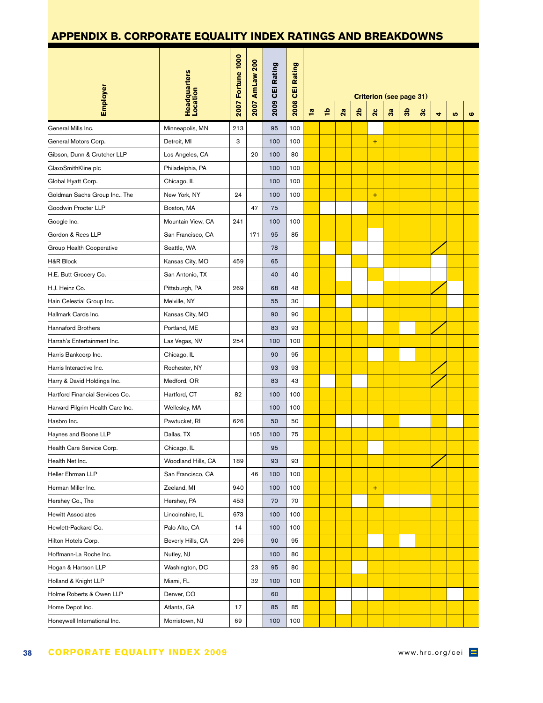|                                  | Headquarters<br>Location | 2007 Fortune 1000 | 2007 AmLaw 200 | 2009 CEI Rating | <b>CEI Rating</b> |               |   |    |    |           |    |                                |    |   |           |
|----------------------------------|--------------------------|-------------------|----------------|-----------------|-------------------|---------------|---|----|----|-----------|----|--------------------------------|----|---|-----------|
| Employer                         |                          |                   |                |                 | 2008              |               |   |    |    |           |    | <b>Criterion (see page 31)</b> |    |   |           |
|                                  |                          |                   |                |                 |                   | $\frac{1}{2}$ | 윽 | 2a | 2b | 2c        | 3a | $35^{\circ}$                   | 3c | 4 | <b>LO</b> |
| General Mills Inc.               | Minneapolis, MN          | 213               |                | 95              | 100               |               |   |    |    |           |    |                                |    |   |           |
| General Motors Corp.             | Detroit, MI              | 3                 |                | 100             | 100               |               |   |    |    | $\ddot{}$ |    |                                |    |   |           |
| Gibson, Dunn & Crutcher LLP      | Los Angeles, CA          |                   | 20             | 100             | 80                |               |   |    |    |           |    |                                |    |   |           |
| GlaxoSmithKline plc              | Philadelphia, PA         |                   |                | 100             | 100               |               |   |    |    |           |    |                                |    |   |           |
| Global Hyatt Corp.               | Chicago, IL              |                   |                | 100             | 100               |               |   |    |    |           |    |                                |    |   |           |
| Goldman Sachs Group Inc., The    | New York, NY             | 24                |                | 100             | 100               |               |   |    |    | $+$       |    |                                |    |   |           |
| Goodwin Procter LLP              | Boston, MA               |                   | 47             | 75              |                   |               |   |    |    |           |    |                                |    |   |           |
| Google Inc.                      | Mountain View, CA        | 241               |                | 100             | 100               |               |   |    |    |           |    |                                |    |   |           |
| Gordon & Rees LLP                | San Francisco, CA        |                   | 171            | 95              | 85                |               |   |    |    |           |    |                                |    |   |           |
| Group Health Cooperative         | Seattle, WA              |                   |                | 78              |                   |               |   |    |    |           |    |                                |    |   |           |
| H&R Block                        | Kansas City, MO          | 459               |                | 65              |                   |               |   |    |    |           |    |                                |    |   |           |
| H.E. Butt Grocery Co.            | San Antonio, TX          |                   |                | 40              | 40                |               |   |    |    |           |    |                                |    |   |           |
| H.J. Heinz Co.                   | Pittsburgh, PA           | 269               |                | 68              | 48                |               |   |    |    |           |    |                                |    |   |           |
| Hain Celestial Group Inc.        | Melville, NY             |                   |                | 55              | 30                |               |   |    |    |           |    |                                |    |   |           |
| Hallmark Cards Inc.              | Kansas City, MO          |                   |                | 90              | 90                |               |   |    |    |           |    |                                |    |   |           |
| <b>Hannaford Brothers</b>        | Portland, ME             |                   |                | 83              | 93                |               |   |    |    |           |    |                                |    |   |           |
| Harrah's Entertainment Inc.      | Las Vegas, NV            | 254               |                | 100             | 100               |               |   |    |    |           |    |                                |    |   |           |
| Harris Bankcorp Inc.             | Chicago, IL              |                   |                | 90              | 95                |               |   |    |    |           |    |                                |    |   |           |
| Harris Interactive Inc.          | Rochester, NY            |                   |                | 93              | 93                |               |   |    |    |           |    |                                |    |   |           |
| Harry & David Holdings Inc.      | Medford, OR              |                   |                | 83              | 43                |               |   |    |    |           |    |                                |    |   |           |
| Hartford Financial Services Co.  | Hartford, CT             | 82                |                | 100             | 100               |               |   |    |    |           |    |                                |    |   |           |
| Harvard Pilgrim Health Care Inc. | Wellesley, MA            |                   |                | 100             | 100               |               |   |    |    |           |    |                                |    |   |           |
| Hasbro Inc.                      | Pawtucket, RI            | 626               |                | 50              | 50                |               |   |    |    |           |    |                                |    |   |           |
| Haynes and Boone LLP             | Dallas, TX               |                   | 105            | 100             | 75                |               |   |    |    |           |    |                                |    |   |           |
| Health Care Service Corp.        | Chicago, IL              |                   |                | 95              |                   |               |   |    |    |           |    |                                |    |   |           |
| Health Net Inc.                  | Woodland Hills, CA       | 189               |                | 93              | 93                |               |   |    |    |           |    |                                |    |   |           |
| Heller Ehrman LLP                | San Francisco, CA        |                   | 46             | 100             | 100               |               |   |    |    |           |    |                                |    |   |           |
| Herman Miller Inc.               | Zeeland, MI              | 940               |                | 100             | 100               |               |   |    |    | $\ddot{}$ |    |                                |    |   |           |
| Hershey Co., The                 | Hershey, PA              | 453               |                | 70              | 70                |               |   |    |    |           |    |                                |    |   |           |
| <b>Hewitt Associates</b>         | Lincolnshire, IL         | 673               |                | 100             | 100               |               |   |    |    |           |    |                                |    |   |           |
| Hewlett-Packard Co.              | Palo Alto, CA            | 14                |                | 100             | 100               |               |   |    |    |           |    |                                |    |   |           |
| Hilton Hotels Corp.              | Beverly Hills, CA        | 296               |                | 90              | 95                |               |   |    |    |           |    |                                |    |   |           |
| Hoffmann-La Roche Inc.           | Nutley, NJ               |                   |                | 100             | 80                |               |   |    |    |           |    |                                |    |   |           |
| Hogan & Hartson LLP              | Washington, DC           |                   | 23             | 95              | 80                |               |   |    |    |           |    |                                |    |   |           |
| Holland & Knight LLP             | Miami, FL                |                   | 32             | 100             | 100               |               |   |    |    |           |    |                                |    |   |           |
| Holme Roberts & Owen LLP         | Denver, CO               |                   |                | 60              |                   |               |   |    |    |           |    |                                |    |   |           |
| Home Depot Inc.                  | Atlanta, GA              | 17                |                | 85              | 85                |               |   |    |    |           |    |                                |    |   |           |
| Honeywell International Inc.     | Morristown, NJ           | 69                |                | 100             | 100               |               |   |    |    |           |    |                                |    |   |           |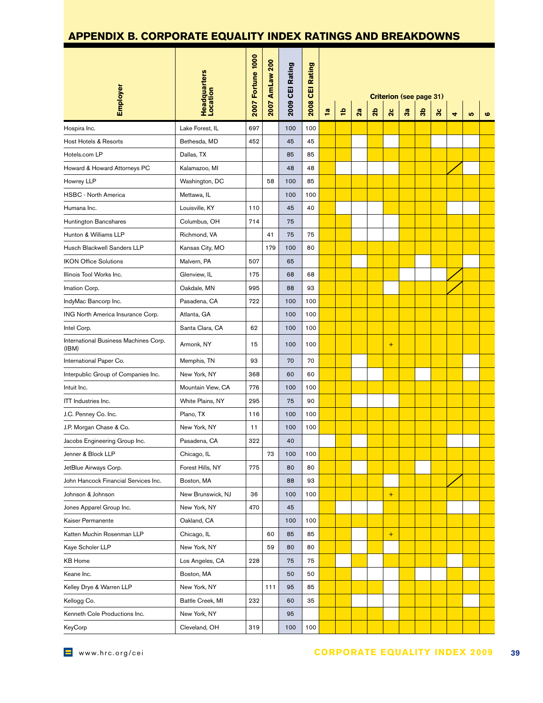|                                                | Headquarters<br>Location | 2007 Fortune 1000 | 2007 AmLaw 200 | <b>CEI Rating</b> | <b>Rating</b><br>ē |                         |               |    |    | <b>Criterion (see page 31)</b> |    |    |    |   |           |   |
|------------------------------------------------|--------------------------|-------------------|----------------|-------------------|--------------------|-------------------------|---------------|----|----|--------------------------------|----|----|----|---|-----------|---|
| Employer                                       |                          |                   |                | 2009              | 2008               | $\overline{\mathbf{a}}$ | $\frac{a}{r}$ | 2a | 2b | 2c                             | 3a | 9p | 3c | 4 | <b>LO</b> | ဖ |
| Hospira Inc.                                   | Lake Forest, IL          | 697               |                | 100               | 100                |                         |               |    |    |                                |    |    |    |   |           |   |
| Host Hotels & Resorts                          | Bethesda, MD             | 452               |                | 45                | 45                 |                         |               |    |    |                                |    |    |    |   |           |   |
| Hotels.com LP                                  | Dallas, TX               |                   |                | 85                | 85                 |                         |               |    |    |                                |    |    |    |   |           |   |
| Howard & Howard Attorneys PC                   | Kalamazoo, MI            |                   |                | 48                | 48                 |                         |               |    |    |                                |    |    |    |   |           |   |
| Howrey LLP                                     | Washington, DC           |                   | 58             | 100               | 85                 |                         |               |    |    |                                |    |    |    |   |           |   |
| HSBC - North America                           | Mettawa, IL              |                   |                | 100               | 100                |                         |               |    |    |                                |    |    |    |   |           |   |
| Humana Inc.                                    | Louisville, KY           | 110               |                | 45                | 40                 |                         |               |    |    |                                |    |    |    |   |           |   |
| Huntington Bancshares                          | Columbus, OH             | 714               |                | 75                |                    |                         |               |    |    |                                |    |    |    |   |           |   |
| Hunton & Williams LLP                          | Richmond, VA             |                   | 41             | 75                | 75                 |                         |               |    |    |                                |    |    |    |   |           |   |
| Husch Blackwell Sanders LLP                    | Kansas City, MO          |                   | 179            | 100               | 80                 |                         |               |    |    |                                |    |    |    |   |           |   |
| <b>IKON Office Solutions</b>                   | Malvern, PA              | 507               |                | 65                |                    |                         |               |    |    |                                |    |    |    |   |           |   |
| Illinois Tool Works Inc.                       | Glenview, IL             | 175               |                | 68                | 68                 |                         |               |    |    |                                |    |    |    |   |           |   |
| Imation Corp.                                  | Oakdale, MN              | 995               |                | 88                | 93                 |                         |               |    |    |                                |    |    |    |   |           |   |
| IndyMac Bancorp Inc.                           | Pasadena, CA             | 722               |                | 100               | 100                |                         |               |    |    |                                |    |    |    |   |           |   |
| ING North America Insurance Corp.              | Atlanta, GA              |                   |                | 100               | 100                |                         |               |    |    |                                |    |    |    |   |           |   |
| Intel Corp.                                    | Santa Clara, CA          | 62                |                | 100               | 100                |                         |               |    |    |                                |    |    |    |   |           |   |
| International Business Machines Corp.<br>(IBM) | Armonk, NY               | 15                |                | 100               | 100                |                         |               |    |    | $\ddot{}$                      |    |    |    |   |           |   |
| International Paper Co.                        | Memphis, TN              | 93                |                | 70                | 70                 |                         |               |    |    |                                |    |    |    |   |           |   |
| Interpublic Group of Companies Inc.            | New York, NY             | 368               |                | 60                | 60                 |                         |               |    |    |                                |    |    |    |   |           |   |
| Intuit Inc.                                    | Mountain View, CA        | 776               |                | 100               | 100                |                         |               |    |    |                                |    |    |    |   |           |   |
| <b>ITT</b> Industries Inc.                     | White Plains, NY         | 295               |                | 75                | 90                 |                         |               |    |    |                                |    |    |    |   |           |   |
| J.C. Penney Co. Inc.                           | Plano, TX                | 116               |                | 100               | 100                |                         |               |    |    |                                |    |    |    |   |           |   |
| J.P. Morgan Chase & Co.                        | New York, NY             | 11                |                | 100               | 100                |                         |               |    |    |                                |    |    |    |   |           |   |
| Jacobs Engineering Group Inc.                  | Pasadena, CA             | 322               |                | 40                |                    |                         |               |    |    |                                |    |    |    |   |           |   |
| Jenner & Block LLP                             | Chicago, IL              |                   | 73             | 100               | 100                |                         |               |    |    |                                |    |    |    |   |           |   |
| JetBlue Airways Corp.                          | Forest Hills, NY         | 775               |                | 80                | 80                 |                         |               |    |    |                                |    |    |    |   |           |   |
| John Hancock Financial Services Inc.           | Boston, MA               |                   |                | 88                | 93                 |                         |               |    |    |                                |    |    |    |   |           |   |
| Johnson & Johnson                              | New Brunswick, NJ        | 36                |                | 100               | 100                |                         |               |    |    | $\ddot{}$                      |    |    |    |   |           |   |
| Jones Apparel Group Inc.                       | New York, NY             | 470               |                | 45                |                    |                         |               |    |    |                                |    |    |    |   |           |   |
| Kaiser Permanente                              | Oakland, CA              |                   |                | 100               | 100                |                         |               |    |    |                                |    |    |    |   |           |   |
| Katten Muchin Rosenman LLP                     | Chicago, IL              |                   | 60             | 85                | 85                 |                         |               |    |    | $\ddot{}$                      |    |    |    |   |           |   |
| Kaye Scholer LLP                               | New York, NY             |                   | 59             | 80                | 80                 |                         |               |    |    |                                |    |    |    |   |           |   |
| <b>KB Home</b>                                 | Los Angeles, CA          | 228               |                | 75                | 75                 |                         |               |    |    |                                |    |    |    |   |           |   |
| Keane Inc.                                     | Boston, MA               |                   |                | 50                | 50                 |                         |               |    |    |                                |    |    |    |   |           |   |
| Kelley Drye & Warren LLP                       | New York, NY             |                   | 111            | 95                | 85                 |                         |               |    |    |                                |    |    |    |   |           |   |
| Kellogg Co.                                    | Battle Creek, MI         | 232               |                | 60                | 35                 |                         |               |    |    |                                |    |    |    |   |           |   |
| Kenneth Cole Productions Inc.                  | New York, NY             |                   |                | 95                |                    |                         |               |    |    |                                |    |    |    |   |           |   |
| KeyCorp                                        | Cleveland, OH            | 319               |                | 100               | 100                |                         |               |    |    |                                |    |    |    |   |           |   |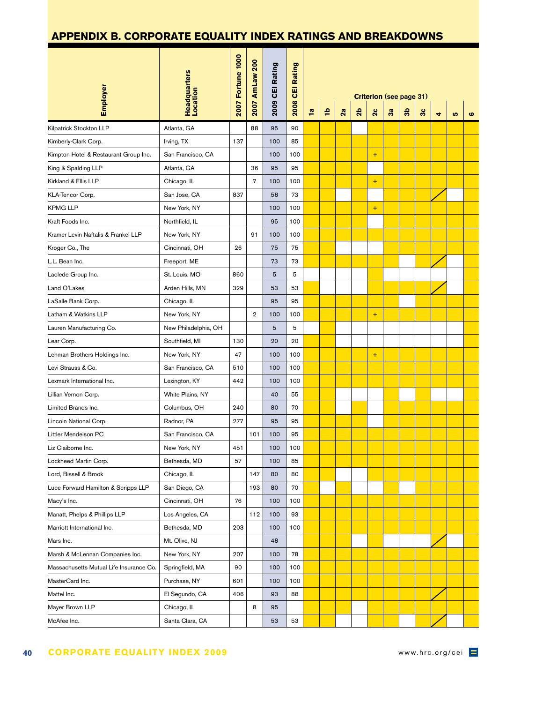|                                         | <b>Headquarters</b><br>Location | 2007 Fortune 1000 | 2007 AmLaw 200 | 2009 CEI Rating | <b>CEI Rating</b> |               |               |    |    |           |    |                                                  |    |   |           |
|-----------------------------------------|---------------------------------|-------------------|----------------|-----------------|-------------------|---------------|---------------|----|----|-----------|----|--------------------------------------------------|----|---|-----------|
| Employer                                |                                 |                   |                |                 | 2008              | $\frac{1}{2}$ | $\frac{a}{r}$ | 2a | 2b | 2c        | 3a | <b>Criterion (see page 31)</b><br>3 <sub>0</sub> | 3c |   |           |
| Kilpatrick Stockton LLP                 | Atlanta, GA                     |                   | 88             | 95              | 90                |               |               |    |    |           |    |                                                  |    | 4 | <b>LO</b> |
| Kimberly-Clark Corp.                    | Irving, TX                      | 137               |                | 100             | 85                |               |               |    |    |           |    |                                                  |    |   |           |
| Kimpton Hotel & Restaurant Group Inc.   | San Francisco, CA               |                   |                | 100             | 100               |               |               |    |    | $\ddot{}$ |    |                                                  |    |   |           |
| King & Spalding LLP                     | Atlanta, GA                     |                   | 36             | 95              | 95                |               |               |    |    |           |    |                                                  |    |   |           |
| Kirkland & Ellis LLP                    | Chicago, IL                     |                   | $\overline{7}$ | 100             | 100               |               |               |    |    | $\ddot{}$ |    |                                                  |    |   |           |
| KLA-Tencor Corp.                        | San Jose, CA                    | 837               |                | 58              | 73                |               |               |    |    |           |    |                                                  |    |   |           |
| <b>KPMG LLP</b>                         | New York, NY                    |                   |                | 100             | 100               |               |               |    |    | $\ddot{}$ |    |                                                  |    |   |           |
| Kraft Foods Inc.                        | Northfield, IL                  |                   |                | 95              | 100               |               |               |    |    |           |    |                                                  |    |   |           |
| Kramer Levin Naftalis & Frankel LLP     | New York, NY                    |                   | 91             | 100             | 100               |               |               |    |    |           |    |                                                  |    |   |           |
| Kroger Co., The                         | Cincinnati, OH                  | 26                |                | 75              | 75                |               |               |    |    |           |    |                                                  |    |   |           |
| L.L. Bean Inc.                          | Freeport, ME                    |                   |                | 73              | 73                |               |               |    |    |           |    |                                                  |    |   |           |
| Laclede Group Inc.                      | St. Louis, MO                   | 860               |                | $5\phantom{.0}$ | 5                 |               |               |    |    |           |    |                                                  |    |   |           |
| Land O'Lakes                            | Arden Hills, MN                 | 329               |                | 53              | 53                |               |               |    |    |           |    |                                                  |    |   |           |
| LaSalle Bank Corp.                      | Chicago, IL                     |                   |                | 95              | 95                |               |               |    |    |           |    |                                                  |    |   |           |
| Latham & Watkins LLP                    | New York, NY                    |                   | $\overline{2}$ | 100             | 100               |               |               |    |    | $\ddot{}$ |    |                                                  |    |   |           |
| Lauren Manufacturing Co.                | New Philadelphia, OH            |                   |                | $5\phantom{.0}$ | 5                 |               |               |    |    |           |    |                                                  |    |   |           |
| Lear Corp.                              | Southfield, MI                  | 130               |                | 20              | 20                |               |               |    |    |           |    |                                                  |    |   |           |
| Lehman Brothers Holdings Inc.           | New York, NY                    | 47                |                | 100             | 100               |               |               |    |    | $+$       |    |                                                  |    |   |           |
| Levi Strauss & Co.                      | San Francisco, CA               | 510               |                | 100             | 100               |               |               |    |    |           |    |                                                  |    |   |           |
| Lexmark International Inc.              | Lexington, KY                   | 442               |                | 100             | 100               |               |               |    |    |           |    |                                                  |    |   |           |
| Lillian Vernon Corp.                    | White Plains, NY                |                   |                | 40              | 55                |               |               |    |    |           |    |                                                  |    |   |           |
| Limited Brands Inc.                     | Columbus, OH                    | 240               |                | 80              | 70                |               |               |    |    |           |    |                                                  |    |   |           |
| Lincoln National Corp.                  | Radnor, PA                      | 277               |                | 95              | 95                |               |               |    |    |           |    |                                                  |    |   |           |
| Littler Mendelson PC                    | San Francisco, CA               |                   | 101            | 100             | 95                |               |               |    |    |           |    |                                                  |    |   |           |
| Liz Claiborne Inc.                      | New York, NY                    | 451               |                | 100             | 100               |               |               |    |    |           |    |                                                  |    |   |           |
| Lockheed Martin Corp.                   | Bethesda, MD                    | 57                |                | 100             | 85                |               |               |    |    |           |    |                                                  |    |   |           |
| Lord, Bissell & Brook                   | Chicago, IL                     |                   | 147            | 80              | 80                |               |               |    |    |           |    |                                                  |    |   |           |
| Luce Forward Hamilton & Scripps LLP     | San Diego, CA                   |                   | 193            | 80              | 70                |               |               |    |    |           |    |                                                  |    |   |           |
| Macy's Inc.                             | Cincinnati, OH                  | 76                |                | 100             | 100               |               |               |    |    |           |    |                                                  |    |   |           |
| Manatt, Phelps & Phillips LLP           | Los Angeles, CA                 |                   | 112            | 100             | 93                |               |               |    |    |           |    |                                                  |    |   |           |
| Marriott International Inc.             | Bethesda, MD                    | 203               |                | 100             | 100               |               |               |    |    |           |    |                                                  |    |   |           |
| Mars Inc.                               | Mt. Olive, NJ                   |                   |                | 48              |                   |               |               |    |    |           |    |                                                  |    |   |           |
| Marsh & McLennan Companies Inc.         | New York, NY                    | 207               |                | 100             | 78                |               |               |    |    |           |    |                                                  |    |   |           |
| Massachusetts Mutual Life Insurance Co. | Springfield, MA                 | 90                |                | 100             | 100               |               |               |    |    |           |    |                                                  |    |   |           |
| MasterCard Inc.                         | Purchase, NY                    | 601               |                | 100             | 100               |               |               |    |    |           |    |                                                  |    |   |           |
| Mattel Inc.                             | El Segundo, CA                  | 406               |                | 93              | 88                |               |               |    |    |           |    |                                                  |    |   |           |
| Mayer Brown LLP                         | Chicago, IL                     |                   | 8              | 95              |                   |               |               |    |    |           |    |                                                  |    |   |           |
| McAfee Inc.                             | Santa Clara, CA                 |                   |                | 53              | 53                |               |               |    |    |           |    |                                                  |    |   |           |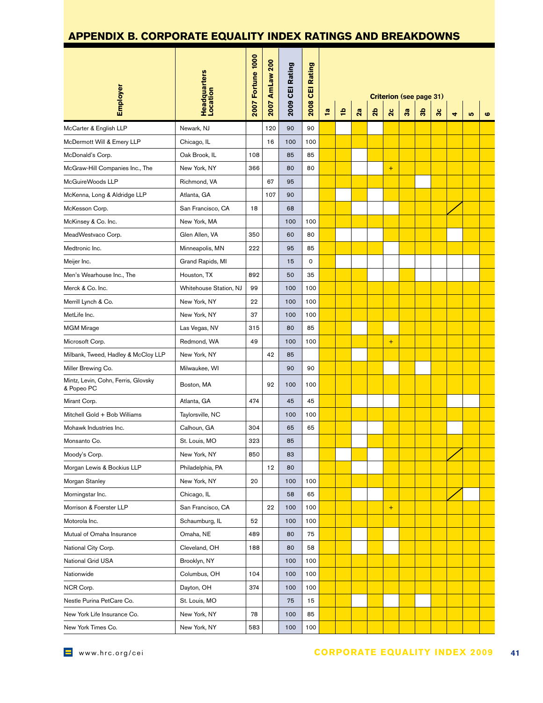|                                                   | Headquarters<br>Location | 2007 Fortune 1000 | 2007 AmLaw 200 | 2009 CEI Rating | <b>Rating</b><br>ē |                         |               |    |    |           | Criterion (see page 31) |                |    |                      |           |   |
|---------------------------------------------------|--------------------------|-------------------|----------------|-----------------|--------------------|-------------------------|---------------|----|----|-----------|-------------------------|----------------|----|----------------------|-----------|---|
| Employer                                          |                          |                   |                |                 | 2008               | $\overline{\mathbf{a}}$ | $\frac{a}{r}$ | 2a | 2b | 2c        | 3a                      | 3 <sub>0</sub> | 3c | $\blacktriangleleft$ | <b>LO</b> | ဖ |
| McCarter & English LLP                            | Newark, NJ               |                   | 120            | 90              | 90                 |                         |               |    |    |           |                         |                |    |                      |           |   |
| McDermott Will & Emery LLP                        | Chicago, IL              |                   | 16             | 100             | 100                |                         |               |    |    |           |                         |                |    |                      |           |   |
| McDonald's Corp.                                  | Oak Brook, IL            | 108               |                | 85              | 85                 |                         |               |    |    |           |                         |                |    |                      |           |   |
| McGraw-Hill Companies Inc., The                   | New York, NY             | 366               |                | 80              | 80                 |                         |               |    |    | $\ddot{}$ |                         |                |    |                      |           |   |
| McGuireWoods LLP                                  | Richmond, VA             |                   | 67             | 95              |                    |                         |               |    |    |           |                         |                |    |                      |           |   |
| McKenna, Long & Aldridge LLP                      | Atlanta, GA              |                   | 107            | 90              |                    |                         |               |    |    |           |                         |                |    |                      |           |   |
| McKesson Corp.                                    | San Francisco, CA        | 18                |                | 68              |                    |                         |               |    |    |           |                         |                |    |                      |           |   |
| McKinsey & Co. Inc.                               | New York, MA             |                   |                | 100             | 100                |                         |               |    |    |           |                         |                |    |                      |           |   |
| MeadWestvaco Corp.                                | Glen Allen, VA           | 350               |                | 60              | 80                 |                         |               |    |    |           |                         |                |    |                      |           |   |
| Medtronic Inc.                                    | Minneapolis, MN          | 222               |                | 95              | 85                 |                         |               |    |    |           |                         |                |    |                      |           |   |
| Meijer Inc.                                       | Grand Rapids, MI         |                   |                | 15              | $\mathbf 0$        |                         |               |    |    |           |                         |                |    |                      |           |   |
| Men's Wearhouse Inc., The                         | Houston, TX              | 892               |                | 50              | 35                 |                         |               |    |    |           |                         |                |    |                      |           |   |
| Merck & Co. Inc.                                  | Whitehouse Station, NJ   | 99                |                | 100             | 100                |                         |               |    |    |           |                         |                |    |                      |           |   |
| Merrill Lynch & Co.                               | New York, NY             | 22                |                | 100             | 100                |                         |               |    |    |           |                         |                |    |                      |           |   |
| MetLife Inc.                                      | New York, NY             | 37                |                | 100             | 100                |                         |               |    |    |           |                         |                |    |                      |           |   |
| <b>MGM Mirage</b>                                 | Las Vegas, NV            | 315               |                | 80              | 85                 |                         |               |    |    |           |                         |                |    |                      |           |   |
| Microsoft Corp.                                   | Redmond, WA              | 49                |                | 100             | 100                |                         |               |    |    | $\ddot{}$ |                         |                |    |                      |           |   |
| Milbank, Tweed, Hadley & McCloy LLP               | New York, NY             |                   | 42             | 85              |                    |                         |               |    |    |           |                         |                |    |                      |           |   |
| Miller Brewing Co.                                | Milwaukee, WI            |                   |                | 90              | 90                 |                         |               |    |    |           |                         |                |    |                      |           |   |
| Mintz, Levin, Cohn, Ferris, Glovsky<br>& Popeo PC | Boston, MA               |                   | 92             | 100             | 100                |                         |               |    |    |           |                         |                |    |                      |           |   |
| Mirant Corp.                                      | Atlanta, GA              | 474               |                | 45              | 45                 |                         |               |    |    |           |                         |                |    |                      |           |   |
| Mitchell Gold + Bob Williams                      | Taylorsville, NC         |                   |                | 100             | 100                |                         |               |    |    |           |                         |                |    |                      |           |   |
| Mohawk Industries Inc.                            | Calhoun, GA              | 304               |                | 65              | 65                 |                         |               |    |    |           |                         |                |    |                      |           |   |
| Monsanto Co.                                      | St. Louis, MO            | 323               |                | 85              |                    |                         |               |    |    |           |                         |                |    |                      |           |   |
| Moody's Corp.                                     | New York, NY             | 850               |                | 83              |                    |                         |               |    |    |           |                         |                |    |                      |           |   |
| Morgan Lewis & Bockius LLP                        | Philadelphia, PA         |                   | 12             | 80              |                    |                         |               |    |    |           |                         |                |    |                      |           |   |
| Morgan Stanley                                    | New York, NY             | 20                |                | 100             | 100                |                         |               |    |    |           |                         |                |    |                      |           |   |
| Morningstar Inc.                                  | Chicago, IL              |                   |                | 58              | 65                 |                         |               |    |    |           |                         |                |    |                      |           |   |
| Morrison & Foerster LLP                           | San Francisco, CA        |                   | 22             | 100             | 100                |                         |               |    |    | $+$       |                         |                |    |                      |           |   |
| Motorola Inc.                                     | Schaumburg, IL           | 52                |                | 100             | 100                |                         |               |    |    |           |                         |                |    |                      |           |   |
| Mutual of Omaha Insurance                         | Omaha, NE                | 489               |                | 80              | 75                 |                         |               |    |    |           |                         |                |    |                      |           |   |
| National City Corp.                               | Cleveland, OH            | 188               |                | 80              | 58                 |                         |               |    |    |           |                         |                |    |                      |           |   |
| National Grid USA                                 | Brooklyn, NY             |                   |                | 100             | 100                |                         |               |    |    |           |                         |                |    |                      |           |   |
| Nationwide                                        | Columbus, OH             | 104               |                | 100             | 100                |                         |               |    |    |           |                         |                |    |                      |           |   |
| NCR Corp.                                         | Dayton, OH               | 374               |                | 100             | 100                |                         |               |    |    |           |                         |                |    |                      |           |   |
| Nestle Purina PetCare Co.                         | St. Louis, MO            |                   |                | 75              | 15                 |                         |               |    |    |           |                         |                |    |                      |           |   |
| New York Life Insurance Co.                       | New York, NY             | 78                |                | 100             | 85                 |                         |               |    |    |           |                         |                |    |                      |           |   |
| New York Times Co.                                | New York, NY             | 583               |                | 100             | 100                |                         |               |    |    |           |                         |                |    |                      |           |   |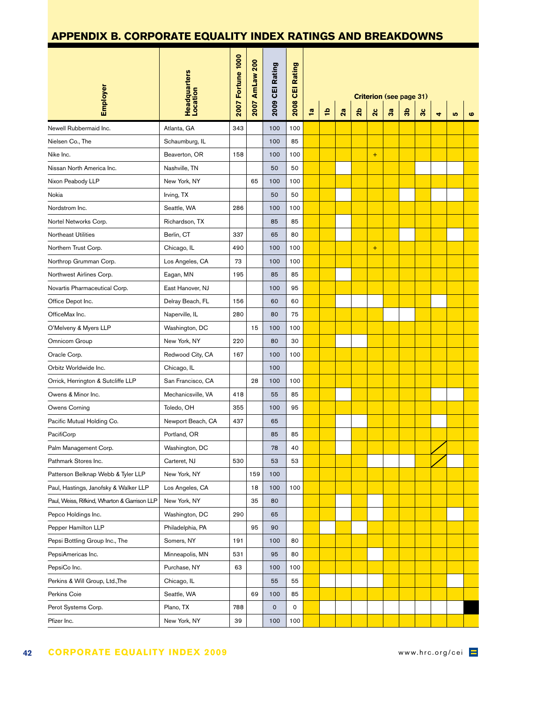|                                              | Headquarters<br>Location | 2007 Fortune 1000 | 2007 AmLaw 200 | 2009 CEI Rating | <b>CEI Rating</b> |               |   |    |    |           |    |                                |    |   |           |
|----------------------------------------------|--------------------------|-------------------|----------------|-----------------|-------------------|---------------|---|----|----|-----------|----|--------------------------------|----|---|-----------|
| Employer                                     |                          |                   |                |                 | 2008              |               |   |    |    |           |    | <b>Criterion (see page 31)</b> |    |   |           |
|                                              |                          |                   |                |                 |                   | $\frac{1}{2}$ | 윽 | 2a | 2b | 2c        | 3a | 3 <sub>0</sub>                 | ္တ | 4 | <b>LO</b> |
| Newell Rubbermaid Inc.                       | Atlanta, GA              | 343               |                | 100             | 100               |               |   |    |    |           |    |                                |    |   |           |
| Nielsen Co., The                             | Schaumburg, IL           |                   |                | 100             | 85                |               |   |    |    |           |    |                                |    |   |           |
| Nike Inc.                                    | Beaverton, OR            | 158               |                | 100             | 100               |               |   |    |    | $\ddot{}$ |    |                                |    |   |           |
| Nissan North America Inc.                    | Nashville, TN            |                   |                | 50              | 50                |               |   |    |    |           |    |                                |    |   |           |
| Nixon Peabody LLP                            | New York, NY             |                   | 65             | 100             | 100               |               |   |    |    |           |    |                                |    |   |           |
| Nokia                                        | Irving, TX               |                   |                | 50              | 50                |               |   |    |    |           |    |                                |    |   |           |
| Nordstrom Inc.                               | Seattle, WA              | 286               |                | 100             | 100               |               |   |    |    |           |    |                                |    |   |           |
| Nortel Networks Corp.                        | Richardson, TX           |                   |                | 85              | 85                |               |   |    |    |           |    |                                |    |   |           |
| <b>Northeast Utilities</b>                   | Berlin, CT               | 337               |                | 65              | 80                |               |   |    |    |           |    |                                |    |   |           |
| Northern Trust Corp.                         | Chicago, IL              | 490               |                | 100             | 100               |               |   |    |    | $+$       |    |                                |    |   |           |
| Northrop Grumman Corp.                       | Los Angeles, CA          | 73                |                | 100             | 100               |               |   |    |    |           |    |                                |    |   |           |
| Northwest Airlines Corp.                     | Eagan, MN                | 195               |                | 85              | 85                |               |   |    |    |           |    |                                |    |   |           |
| Novartis Pharmaceutical Corp.                | East Hanover, NJ         |                   |                | 100             | 95                |               |   |    |    |           |    |                                |    |   |           |
| Office Depot Inc.                            | Delray Beach, FL         | 156               |                | 60              | 60                |               |   |    |    |           |    |                                |    |   |           |
| OfficeMax Inc.                               | Naperville, IL           | 280               |                | 80              | 75                |               |   |    |    |           |    |                                |    |   |           |
| O'Melveny & Myers LLP                        | Washington, DC           |                   | 15             | 100             | 100               |               |   |    |    |           |    |                                |    |   |           |
| Omnicom Group                                | New York, NY             | 220               |                | 80              | 30                |               |   |    |    |           |    |                                |    |   |           |
| Oracle Corp.                                 | Redwood City, CA         | 167               |                | 100             | 100               |               |   |    |    |           |    |                                |    |   |           |
| Orbitz Worldwide Inc.                        | Chicago, IL              |                   |                | 100             |                   |               |   |    |    |           |    |                                |    |   |           |
| Orrick, Herrington & Sutcliffe LLP           | San Francisco, CA        |                   | 28             | 100             | 100               |               |   |    |    |           |    |                                |    |   |           |
| Owens & Minor Inc.                           | Mechanicsville, VA       | 418               |                | 55              | 85                |               |   |    |    |           |    |                                |    |   |           |
| Owens Corning                                | Toledo, OH               | 355               |                | 100             | 95                |               |   |    |    |           |    |                                |    |   |           |
| Pacific Mutual Holding Co.                   | Newport Beach, CA        | 437               |                | 65              |                   |               |   |    |    |           |    |                                |    |   |           |
| PacifiCorp                                   | Portland, OR             |                   |                | 85              | 85                |               |   |    |    |           |    |                                |    |   |           |
| Palm Management Corp.                        | Washington, DC           |                   |                | 78              | 40                |               |   |    |    |           |    |                                |    |   |           |
| Pathmark Stores Inc.                         | Carteret, NJ             | 530               |                | 53              | 53                |               |   |    |    |           |    |                                |    |   |           |
| Patterson Belknap Webb & Tyler LLP           | New York, NY             |                   | 159            | 100             |                   |               |   |    |    |           |    |                                |    |   |           |
| Paul, Hastings, Janofsky & Walker LLP        | Los Angeles, CA          |                   | 18             | 100             | 100               |               |   |    |    |           |    |                                |    |   |           |
| Paul, Weiss, Rifkind, Wharton & Garrison LLP | New York, NY             |                   | 35             | 80              |                   |               |   |    |    |           |    |                                |    |   |           |
| Pepco Holdings Inc.                          | Washington, DC           | 290               |                | 65              |                   |               |   |    |    |           |    |                                |    |   |           |
| Pepper Hamilton LLP                          | Philadelphia, PA         |                   | 95             | 90              |                   |               |   |    |    |           |    |                                |    |   |           |
| Pepsi Bottling Group Inc., The               | Somers, NY               | 191               |                | 100             | 80                |               |   |    |    |           |    |                                |    |   |           |
| PepsiAmericas Inc.                           | Minneapolis, MN          | 531               |                | 95              | 80                |               |   |    |    |           |    |                                |    |   |           |
| PepsiCo Inc.                                 | Purchase, NY             | 63                |                | 100             | 100               |               |   |    |    |           |    |                                |    |   |           |
| Perkins & Will Group, Ltd., The              | Chicago, IL              |                   |                | 55              | 55                |               |   |    |    |           |    |                                |    |   |           |
| Perkins Coie                                 | Seattle, WA              |                   | 69             | 100             | 85                |               |   |    |    |           |    |                                |    |   |           |
| Perot Systems Corp.                          | Plano, TX                | 788               |                | $\mathsf O$     | 0                 |               |   |    |    |           |    |                                |    |   |           |
| Pfizer Inc.                                  | New York, NY             | 39                |                | 100             | 100               |               |   |    |    |           |    |                                |    |   |           |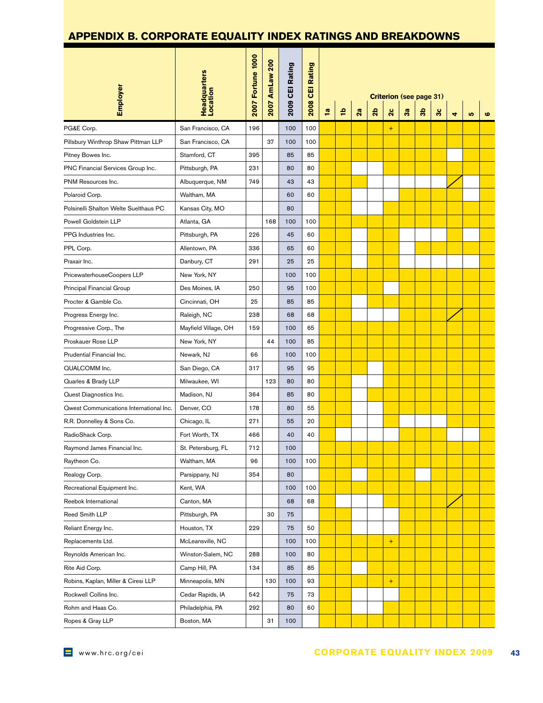|                                                | Headquarters<br>Location | 2007 Fortune 1000 | 2007 AmLaw 200 | <b>CEI Rating</b> | <b>Rating</b><br>ē |                         |               |    |    |                  |    | Criterion (see page 31) |    |   |           |           |
|------------------------------------------------|--------------------------|-------------------|----------------|-------------------|--------------------|-------------------------|---------------|----|----|------------------|----|-------------------------|----|---|-----------|-----------|
| Employer                                       |                          |                   |                | 2009              | 2008               | $\overline{\mathbf{a}}$ | $\frac{a}{r}$ | 2a | 2b | 2c               | 3a | 3 <sub>0</sub>          | 3c | 4 | <b>LO</b> | $\bullet$ |
| PG&E Corp.                                     | San Francisco, CA        | 196               |                | 100               | 100                |                         |               |    |    | $\ddot{}$        |    |                         |    |   |           |           |
| Pillsbury Winthrop Shaw Pittman LLP            | San Francisco, CA        |                   | 37             | 100               | 100                |                         |               |    |    |                  |    |                         |    |   |           |           |
| Pitney Bowes Inc.                              | Stamford, CT             | 395               |                | 85                | 85                 |                         |               |    |    |                  |    |                         |    |   |           |           |
| PNC Financial Services Group Inc.              | Pittsburgh, PA           | 231               |                | 80                | 80                 |                         |               |    |    |                  |    |                         |    |   |           |           |
| PNM Resources Inc.                             | Albuquerque, NM          | 749               |                | 43                | 43                 |                         |               |    |    |                  |    |                         |    |   |           |           |
| Polaroid Corp.                                 | Waltham, MA              |                   |                | 60                | 60                 |                         |               |    |    |                  |    |                         |    |   |           |           |
| Polsinelli Shalton Welte Suelthaus PC          | Kansas City, MO          |                   |                | 80                |                    |                         |               |    |    |                  |    |                         |    |   |           |           |
| Powell Goldstein LLP                           | Atlanta, GA              |                   | 168            | 100               | 100                |                         |               |    |    |                  |    |                         |    |   |           |           |
| PPG Industries Inc.                            | Pittsburgh, PA           | 226               |                | 45                | 60                 |                         |               |    |    |                  |    |                         |    |   |           |           |
| PPL Corp.                                      | Allentown, PA            | 336               |                | 65                | 60                 |                         |               |    |    |                  |    |                         |    |   |           |           |
| Praxair Inc.                                   | Danbury, CT              | 291               |                | 25                | 25                 |                         |               |    |    |                  |    |                         |    |   |           |           |
| PricewaterhouseCoopers LLP                     | New York, NY             |                   |                | 100               | 100                |                         |               |    |    |                  |    |                         |    |   |           |           |
| Principal Financial Group                      | Des Moines, IA           | 250               |                | 95                | 100                |                         |               |    |    |                  |    |                         |    |   |           |           |
| Procter & Gamble Co.                           | Cincinnati, OH           | 25                |                | 85                | 85                 |                         |               |    |    |                  |    |                         |    |   |           |           |
| Progress Energy Inc.                           | Raleigh, NC              | 238               |                | 68                | 68                 |                         |               |    |    |                  |    |                         |    |   |           |           |
| Progressive Corp., The                         | Mayfield Village, OH     | 159               |                | 100               | 65                 |                         |               |    |    |                  |    |                         |    |   |           |           |
| Proskauer Rose LLP                             | New York, NY             |                   | 44             | 100               | 85                 |                         |               |    |    |                  |    |                         |    |   |           |           |
| Prudential Financial Inc.                      | Newark, NJ               | 66                |                | 100               | 100                |                         |               |    |    |                  |    |                         |    |   |           |           |
| QUALCOMM Inc.                                  | San Diego, CA            | 317               |                | 95                | 95                 |                         |               |    |    |                  |    |                         |    |   |           |           |
| Quarles & Brady LLP                            | Milwaukee, WI            |                   | 123            | 80                | 80                 |                         |               |    |    |                  |    |                         |    |   |           |           |
| Quest Diagnostics Inc.                         | Madison, NJ              | 364               |                | 85                | 80                 |                         |               |    |    |                  |    |                         |    |   |           |           |
| <b>Qwest Communications International Inc.</b> | Denver, CO               | 178               |                | 80                | 55                 |                         |               |    |    |                  |    |                         |    |   |           |           |
| R.R. Donnelley & Sons Co.                      | Chicago, IL              | 271               |                | 55                | 20                 |                         |               |    |    |                  |    |                         |    |   |           |           |
| RadioShack Corp.                               | Fort Worth, TX           | 466               |                | 40                | 40                 |                         |               |    |    |                  |    |                         |    |   |           |           |
| Raymond James Financial Inc.                   | St. Petersburg, FL       | 712               |                | 100               |                    |                         |               |    |    |                  |    |                         |    |   |           |           |
| Raytheon Co.                                   | Waltham, MA              | 96                |                | 100               | 100                |                         |               |    |    |                  |    |                         |    |   |           |           |
| Realogy Corp.                                  | Parsippany, NJ           | 354               |                | 80                |                    |                         |               |    |    |                  |    |                         |    |   |           |           |
| Recreational Equipment Inc.                    | Kent, WA                 |                   |                | 100               | 100                |                         |               |    |    |                  |    |                         |    |   |           |           |
| Reebok International                           | Canton, MA               |                   |                | 68                | 68                 |                         |               |    |    |                  |    |                         |    |   |           |           |
| Reed Smith LLP                                 | Pittsburgh, PA           |                   | 30             | 75                |                    |                         |               |    |    |                  |    |                         |    |   |           |           |
| Reliant Energy Inc.                            | Houston, TX              | 229               |                | 75                | 50                 |                         |               |    |    |                  |    |                         |    |   |           |           |
| Replacements Ltd.                              | McLeansville, NC         |                   |                | 100               | 100                |                         |               |    |    | $\ddot{}$        |    |                         |    |   |           |           |
| Reynolds American Inc.                         | Winston-Salem, NC        | 288               |                | 100               | 80                 |                         |               |    |    |                  |    |                         |    |   |           |           |
| Rite Aid Corp.                                 | Camp Hill, PA            | 134               |                | 85                | 85                 |                         |               |    |    |                  |    |                         |    |   |           |           |
| Robins, Kaplan, Miller & Ciresi LLP            | Minneapolis, MN          |                   | 130            | 100               | 93                 |                         |               |    |    | $\boldsymbol{+}$ |    |                         |    |   |           |           |
| Rockwell Collins Inc.                          | Cedar Rapids, IA         | 542               |                | 75                | 73                 |                         |               |    |    |                  |    |                         |    |   |           |           |
| Rohm and Haas Co.                              | Philadelphia, PA         | 292               |                | 80                | 60                 |                         |               |    |    |                  |    |                         |    |   |           |           |
| Ropes & Gray LLP                               | Boston, MA               |                   | 31             | 100               |                    |                         |               |    |    |                  |    |                         |    |   |           |           |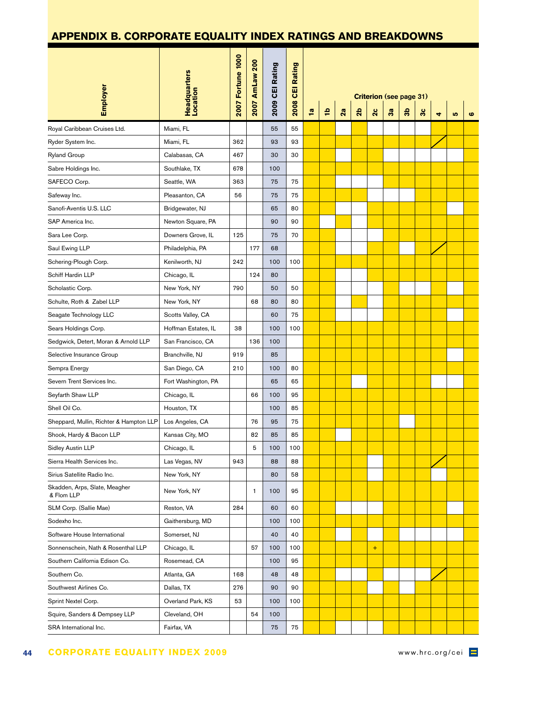|                                             | <b>Headquarters</b><br>Location | 2007 Fortune 1000 | 2007 AmLaw 200 | 2009 CEI Rating | <b>CEI Rating</b> |                |               |    |    |     |    |                                         |    |   |           |
|---------------------------------------------|---------------------------------|-------------------|----------------|-----------------|-------------------|----------------|---------------|----|----|-----|----|-----------------------------------------|----|---|-----------|
| Employer                                    |                                 |                   |                |                 | 2008              | $\overline{a}$ | $\frac{a}{r}$ | 2a | 2b | 2c  | 3a | Criterion (see page 31)<br>$35^{\circ}$ | 3c | 4 | <b>LO</b> |
| Royal Caribbean Cruises Ltd.                | Miami, FL                       |                   |                | 55              | 55                |                |               |    |    |     |    |                                         |    |   |           |
| Ryder System Inc.                           | Miami, FL                       | 362               |                | 93              | 93                |                |               |    |    |     |    |                                         |    |   |           |
| <b>Ryland Group</b>                         | Calabasas, CA                   | 467               |                | 30              | 30                |                |               |    |    |     |    |                                         |    |   |           |
| Sabre Holdings Inc.                         | Southlake, TX                   | 678               |                | 100             |                   |                |               |    |    |     |    |                                         |    |   |           |
| SAFECO Corp.                                | Seattle, WA                     | 363               |                | 75              | 75                |                |               |    |    |     |    |                                         |    |   |           |
| Safeway Inc.                                | Pleasanton, CA                  | 56                |                | 75              | 75                |                |               |    |    |     |    |                                         |    |   |           |
| Sanofi-Aventis U.S. LLC                     | Bridgewater, NJ                 |                   |                | 65              | 80                |                |               |    |    |     |    |                                         |    |   |           |
| SAP America Inc.                            | Newton Square, PA               |                   |                | 90              | 90                |                |               |    |    |     |    |                                         |    |   |           |
| Sara Lee Corp.                              | Downers Grove, IL               | 125               |                | 75              | 70                |                |               |    |    |     |    |                                         |    |   |           |
| Saul Ewing LLP                              | Philadelphia, PA                |                   | 177            | 68              |                   |                |               |    |    |     |    |                                         |    |   |           |
| Schering-Plough Corp.                       | Kenilworth, NJ                  | 242               |                | 100             | 100               |                |               |    |    |     |    |                                         |    |   |           |
| Schiff Hardin LLP                           | Chicago, IL                     |                   | 124            | 80              |                   |                |               |    |    |     |    |                                         |    |   |           |
| Scholastic Corp.                            | New York, NY                    | 790               |                | 50              | 50                |                |               |    |    |     |    |                                         |    |   |           |
| Schulte, Roth & Zabel LLP                   | New York, NY                    |                   | 68             | 80              | 80                |                |               |    |    |     |    |                                         |    |   |           |
| Seagate Technology LLC                      | Scotts Valley, CA               |                   |                | 60              | 75                |                |               |    |    |     |    |                                         |    |   |           |
| Sears Holdings Corp.                        | Hoffman Estates, IL             | 38                |                | 100             | 100               |                |               |    |    |     |    |                                         |    |   |           |
| Sedgwick, Detert, Moran & Arnold LLP        | San Francisco, CA               |                   | 136            | 100             |                   |                |               |    |    |     |    |                                         |    |   |           |
| Selective Insurance Group                   | Branchville, NJ                 | 919               |                | 85              |                   |                |               |    |    |     |    |                                         |    |   |           |
| Sempra Energy                               | San Diego, CA                   | 210               |                | 100             | 80                |                |               |    |    |     |    |                                         |    |   |           |
| Severn Trent Services Inc.                  | Fort Washington, PA             |                   |                | 65              | 65                |                |               |    |    |     |    |                                         |    |   |           |
| Seyfarth Shaw LLP                           | Chicago, IL                     |                   | 66             | 100             | 95                |                |               |    |    |     |    |                                         |    |   |           |
| Shell Oil Co.                               | Houston, TX                     |                   |                | 100             | 85                |                |               |    |    |     |    |                                         |    |   |           |
| Sheppard, Mullin, Richter & Hampton LLP     | Los Angeles, CA                 |                   | 76             | 95              | 75                |                |               |    |    |     |    |                                         |    |   |           |
| Shook, Hardy & Bacon LLP                    | Kansas City, MO                 |                   | 82             | 85              | 85                |                |               |    |    |     |    |                                         |    |   |           |
| Sidley Austin LLP                           | Chicago, IL                     |                   | 5              | 100             | 100               |                |               |    |    |     |    |                                         |    |   |           |
| Sierra Health Services Inc.                 | Las Vegas, NV                   | 943               |                | 88              | 88                |                |               |    |    |     |    |                                         |    |   |           |
| Sirius Satellite Radio Inc.                 | New York, NY                    |                   |                | 80              | 58                |                |               |    |    |     |    |                                         |    |   |           |
| Skadden, Arps, Slate, Meagher<br>& Flom LLP | New York, NY                    |                   | $\mathbf{1}$   | 100             | 95                |                |               |    |    |     |    |                                         |    |   |           |
| SLM Corp. (Sallie Mae)                      | Reston, VA                      | 284               |                | 60              | 60                |                |               |    |    |     |    |                                         |    |   |           |
| Sodexho Inc.                                | Gaithersburg, MD                |                   |                | 100             | 100               |                |               |    |    |     |    |                                         |    |   |           |
| Software House International                | Somerset, NJ                    |                   |                | 40              | 40                |                |               |    |    |     |    |                                         |    |   |           |
| Sonnenschein, Nath & Rosenthal LLP          | Chicago, IL                     |                   | 57             | 100             | 100               |                |               |    |    | $+$ |    |                                         |    |   |           |
| Southern California Edison Co.              | Rosemead, CA                    |                   |                | 100             | 95                |                |               |    |    |     |    |                                         |    |   |           |
| Southern Co.                                | Atlanta, GA                     | 168               |                | 48              | 48                |                |               |    |    |     |    |                                         |    |   |           |
| Southwest Airlines Co.                      | Dallas, TX                      | 276               |                | 90              | 90                |                |               |    |    |     |    |                                         |    |   |           |
| Sprint Nextel Corp.                         | Overland Park, KS               | 53                |                | 100             | 100               |                |               |    |    |     |    |                                         |    |   |           |
| Squire, Sanders & Dempsey LLP               | Cleveland, OH                   |                   | 54             | 100             |                   |                |               |    |    |     |    |                                         |    |   |           |
| SRA International Inc.                      | Fairfax, VA                     |                   |                | 75              | 75                |                |               |    |    |     |    |                                         |    |   |           |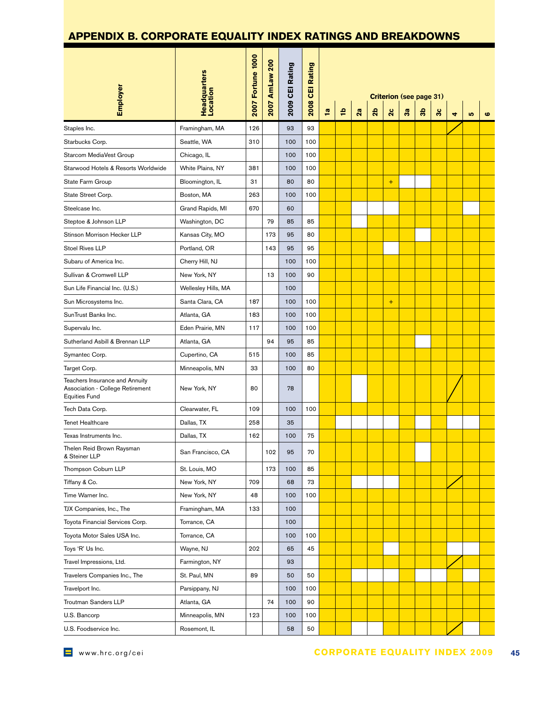|                                                                                            | Headquarters        | <b>2007 Fortune 1000</b> | 2007 AmLaw 200 | <b>CEI Rating</b> | <b>CEI Rating</b> |              |               |    |    |           | Criterion (see page 31) |                |    |                      |           |           |
|--------------------------------------------------------------------------------------------|---------------------|--------------------------|----------------|-------------------|-------------------|--------------|---------------|----|----|-----------|-------------------------|----------------|----|----------------------|-----------|-----------|
| Employer                                                                                   | Location            |                          |                | 2009              | 2008              | $\mathbf{a}$ | $\frac{a}{r}$ | 2a | 2b | 2c        | 3a                      | 3 <sub>0</sub> | 3c | $\blacktriangleleft$ | <b>LO</b> | $\bullet$ |
| Staples Inc.                                                                               | Framingham, MA      | 126                      |                | 93                | 93                |              |               |    |    |           |                         |                |    |                      |           |           |
| Starbucks Corp.                                                                            | Seattle, WA         | 310                      |                | 100               | 100               |              |               |    |    |           |                         |                |    |                      |           |           |
| Starcom MediaVest Group                                                                    | Chicago, IL         |                          |                | 100               | 100               |              |               |    |    |           |                         |                |    |                      |           |           |
| Starwood Hotels & Resorts Worldwide                                                        | White Plains, NY    | 381                      |                | 100               | 100               |              |               |    |    |           |                         |                |    |                      |           |           |
| State Farm Group                                                                           | Bloomington, IL     | 31                       |                | 80                | 80                |              |               |    |    | $\ddot{}$ |                         |                |    |                      |           |           |
| State Street Corp.                                                                         | Boston, MA          | 263                      |                | 100               | 100               |              |               |    |    |           |                         |                |    |                      |           |           |
| Steelcase Inc.                                                                             | Grand Rapids, MI    | 670                      |                | 60                |                   |              |               |    |    |           |                         |                |    |                      |           |           |
| Steptoe & Johnson LLP                                                                      | Washington, DC      |                          | 79             | 85                | 85                |              |               |    |    |           |                         |                |    |                      |           |           |
| Stinson Morrison Hecker LLP                                                                | Kansas City, MO     |                          | 173            | 95                | 80                |              |               |    |    |           |                         |                |    |                      |           |           |
| <b>Stoel Rives LLP</b>                                                                     | Portland, OR        |                          | 143            | 95                | 95                |              |               |    |    |           |                         |                |    |                      |           |           |
| Subaru of America Inc.                                                                     | Cherry Hill, NJ     |                          |                | 100               | 100               |              |               |    |    |           |                         |                |    |                      |           |           |
| Sullivan & Cromwell LLP                                                                    | New York, NY        |                          | 13             | 100               | 90                |              |               |    |    |           |                         |                |    |                      |           |           |
| Sun Life Financial Inc. (U.S.)                                                             | Wellesley Hills, MA |                          |                | 100               |                   |              |               |    |    |           |                         |                |    |                      |           |           |
| Sun Microsystems Inc.                                                                      | Santa Clara, CA     | 187                      |                | 100               | 100               |              |               |    |    | $\ddot{}$ |                         |                |    |                      |           |           |
| SunTrust Banks Inc.                                                                        | Atlanta, GA         | 183                      |                | 100               | 100               |              |               |    |    |           |                         |                |    |                      |           |           |
| Supervalu Inc.                                                                             | Eden Prairie, MN    | 117                      |                | 100               | 100               |              |               |    |    |           |                         |                |    |                      |           |           |
| Sutherland Asbill & Brennan LLP                                                            | Atlanta, GA         |                          | 94             | 95                | 85                |              |               |    |    |           |                         |                |    |                      |           |           |
| Symantec Corp.                                                                             | Cupertino, CA       | 515                      |                | 100               | 85                |              |               |    |    |           |                         |                |    |                      |           |           |
| Target Corp.                                                                               | Minneapolis, MN     | 33                       |                | 100               | 80                |              |               |    |    |           |                         |                |    |                      |           |           |
| Teachers Insurance and Annuity<br>Association - College Retirement<br><b>Equities Fund</b> | New York, NY        | 80                       |                | 78                |                   |              |               |    |    |           |                         |                |    |                      |           |           |
| Tech Data Corp.                                                                            | Clearwater, FL      | 109                      |                | 100               | 100               |              |               |    |    |           |                         |                |    |                      |           |           |
| <b>Tenet Healthcare</b>                                                                    | Dallas, TX          | 258                      |                | 35                |                   |              |               |    |    |           |                         |                |    |                      |           |           |
| Texas Instruments Inc.                                                                     | Dallas, TX          | 162                      |                | 100               | 75                |              |               |    |    |           |                         |                |    |                      |           |           |
| Thelen Reid Brown Raysman<br>& Steiner LLP                                                 | San Francisco, CA   |                          | 102            | 95                | 70                |              |               |    |    |           |                         |                |    |                      |           |           |
| Thompson Coburn LLP                                                                        | St. Louis, MO       |                          | 173            | 100               | 85                |              |               |    |    |           |                         |                |    |                      |           |           |
| Tiffany & Co.                                                                              | New York, NY        | 709                      |                | 68                | 73                |              |               |    |    |           |                         |                |    |                      |           |           |
| Time Warner Inc.                                                                           | New York, NY        | 48                       |                | 100               | 100               |              |               |    |    |           |                         |                |    |                      |           |           |
| TJX Companies, Inc., The                                                                   | Framingham, MA      | 133                      |                | 100               |                   |              |               |    |    |           |                         |                |    |                      |           |           |
| Toyota Financial Services Corp.                                                            | Torrance, CA        |                          |                | 100               |                   |              |               |    |    |           |                         |                |    |                      |           |           |
| Toyota Motor Sales USA Inc.                                                                | Torrance, CA        |                          |                | 100               | 100               |              |               |    |    |           |                         |                |    |                      |           |           |
| Toys 'R' Us Inc.                                                                           | Wayne, NJ           | 202                      |                | 65                | 45                |              |               |    |    |           |                         |                |    |                      |           |           |
| Travel Impressions, Ltd.                                                                   | Farmington, NY      |                          |                | 93                |                   |              |               |    |    |           |                         |                |    |                      |           |           |
| Travelers Companies Inc., The                                                              | St. Paul, MN        | 89                       |                | 50                | 50                |              |               |    |    |           |                         |                |    |                      |           |           |
| Travelport Inc.                                                                            | Parsippany, NJ      |                          |                | 100               | 100               |              |               |    |    |           |                         |                |    |                      |           |           |
| Troutman Sanders LLP                                                                       | Atlanta, GA         |                          | 74             | 100               | 90                |              |               |    |    |           |                         |                |    |                      |           |           |
| U.S. Bancorp                                                                               | Minneapolis, MN     | 123                      |                | 100               | 100               |              |               |    |    |           |                         |                |    |                      |           |           |
| U.S. Foodservice Inc.                                                                      | Rosemont, IL        |                          |                | 58                | 50                |              |               |    |    |           |                         |                |    |                      |           |           |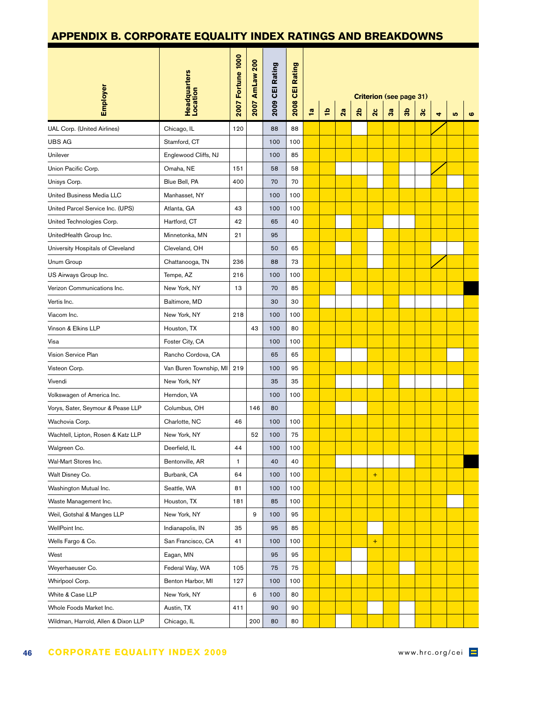|                                     | Headquarters<br>Location | Fortune 1000 | 2007 AmLaw 200 | CEI Rating | <b>CEI Rating</b> |                |               |    |    |           |    |                                                  |    |   |     |
|-------------------------------------|--------------------------|--------------|----------------|------------|-------------------|----------------|---------------|----|----|-----------|----|--------------------------------------------------|----|---|-----|
| Employer                            |                          | 2007         |                | 2009       | 2008              | $\overline{a}$ | $\frac{a}{r}$ | 2a | 2b | 2c        | 3a | <b>Criterion (see page 31)</b><br>3 <sub>0</sub> | 3c | 4 | IQ. |
| <b>UAL Corp.</b> (United Airlines)  | Chicago, IL              | 120          |                | 88         | 88                |                |               |    |    |           |    |                                                  |    |   |     |
| <b>UBS AG</b>                       | Stamford, CT             |              |                | 100        | 100               |                |               |    |    |           |    |                                                  |    |   |     |
| Unilever                            | Englewood Cliffs, NJ     |              |                | 100        | 85                |                |               |    |    |           |    |                                                  |    |   |     |
| Union Pacific Corp.                 | Omaha, NE                | 151          |                | 58         | 58                |                |               |    |    |           |    |                                                  |    |   |     |
| Unisys Corp.                        | Blue Bell, PA            | 400          |                | 70         | 70                |                |               |    |    |           |    |                                                  |    |   |     |
| United Business Media LLC           | Manhasset, NY            |              |                | 100        | 100               |                |               |    |    |           |    |                                                  |    |   |     |
| United Parcel Service Inc. (UPS)    | Atlanta, GA              | 43           |                | 100        | 100               |                |               |    |    |           |    |                                                  |    |   |     |
| United Technologies Corp.           | Hartford, CT             | 42           |                | 65         | 40                |                |               |    |    |           |    |                                                  |    |   |     |
| UnitedHealth Group Inc.             | Minnetonka, MN           | 21           |                | 95         |                   |                |               |    |    |           |    |                                                  |    |   |     |
| University Hospitals of Cleveland   | Cleveland, OH            |              |                | 50         | 65                |                |               |    |    |           |    |                                                  |    |   |     |
| Unum Group                          | Chattanooga, TN          | 236          |                | 88         | 73                |                |               |    |    |           |    |                                                  |    |   |     |
| US Airways Group Inc.               | Tempe, AZ                | 216          |                | 100        | 100               |                |               |    |    |           |    |                                                  |    |   |     |
| Verizon Communications Inc.         | New York, NY             | 13           |                | 70         | 85                |                |               |    |    |           |    |                                                  |    |   |     |
| Vertis Inc.                         | Baltimore, MD            |              |                | 30         | 30                |                |               |    |    |           |    |                                                  |    |   |     |
| Viacom Inc.                         | New York, NY             | 218          |                | 100        | 100               |                |               |    |    |           |    |                                                  |    |   |     |
| Vinson & Elkins LLP                 | Houston, TX              |              | 43             | 100        | 80                |                |               |    |    |           |    |                                                  |    |   |     |
| Visa                                | Foster City, CA          |              |                | 100        | 100               |                |               |    |    |           |    |                                                  |    |   |     |
| Vision Service Plan                 | Rancho Cordova, CA       |              |                | 65         | 65                |                |               |    |    |           |    |                                                  |    |   |     |
| Visteon Corp.                       | Van Buren Township, MI   | 219          |                | 100        | 95                |                |               |    |    |           |    |                                                  |    |   |     |
| Vivendi                             | New York, NY             |              |                | 35         | 35                |                |               |    |    |           |    |                                                  |    |   |     |
| Volkswagen of America Inc.          | Herndon, VA              |              |                | 100        | 100               |                |               |    |    |           |    |                                                  |    |   |     |
| Vorys, Sater, Seymour & Pease LLP   | Columbus, OH             |              | 146            | 80         |                   |                |               |    |    |           |    |                                                  |    |   |     |
| Wachovia Corp.                      | Charlotte, NC            | 46           |                | 100        | 100               |                |               |    |    |           |    |                                                  |    |   |     |
| Wachtell, Lipton, Rosen & Katz LLP  | New York, NY             |              | 52             | 100        | 75                |                |               |    |    |           |    |                                                  |    |   |     |
| Walgreen Co.                        | Deerfield, IL            | 44           |                | 100        | 100               |                |               |    |    |           |    |                                                  |    |   |     |
| Wal-Mart Stores Inc.                | Bentonville, AR          | $\mathbf{1}$ |                | 40         | 40                |                |               |    |    |           |    |                                                  |    |   |     |
| Walt Disney Co.                     | Burbank, CA              | 64           |                | 100        | 100               |                |               |    |    | $\ddot{}$ |    |                                                  |    |   |     |
| Washington Mutual Inc.              | Seattle, WA              | 81           |                | 100        | 100               |                |               |    |    |           |    |                                                  |    |   |     |
| Waste Management Inc.               | Houston, TX              | 181          |                | 85         | 100               |                |               |    |    |           |    |                                                  |    |   |     |
| Weil, Gotshal & Manges LLP          | New York, NY             |              | 9              | 100        | 95                |                |               |    |    |           |    |                                                  |    |   |     |
| WellPoint Inc.                      | Indianapolis, IN         | 35           |                | 95         | 85                |                |               |    |    |           |    |                                                  |    |   |     |
| Wells Fargo & Co.                   | San Francisco, CA        | 41           |                | 100        | 100               |                |               |    |    | $+$       |    |                                                  |    |   |     |
| West                                | Eagan, MN                |              |                | 95         | 95                |                |               |    |    |           |    |                                                  |    |   |     |
| Weyerhaeuser Co.                    | Federal Way, WA          | 105          |                | 75         | 75                |                |               |    |    |           |    |                                                  |    |   |     |
| Whirlpool Corp.                     | Benton Harbor, MI        | 127          |                | 100        | 100               |                |               |    |    |           |    |                                                  |    |   |     |
| White & Case LLP                    | New York, NY             |              | 6              | 100        | 80                |                |               |    |    |           |    |                                                  |    |   |     |
| Whole Foods Market Inc.             | Austin, TX               | 411          |                | 90         | 90                |                |               |    |    |           |    |                                                  |    |   |     |
| Wildman, Harrold, Allen & Dixon LLP | Chicago, IL              |              | 200            | 80         | 80                |                |               |    |    |           |    |                                                  |    |   |     |

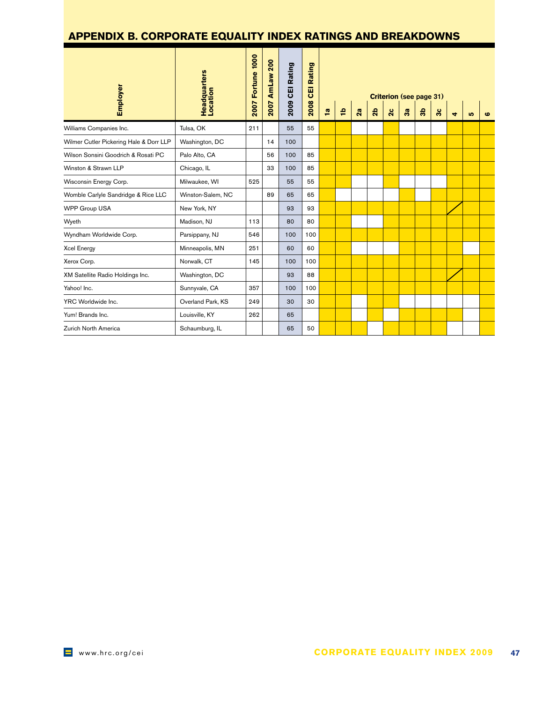| Employer                                | <b>Headquarters</b><br>Location | <b>2007 Fortune 1000</b> | 2007 AmLaw 200 | 2009 CEI Rating | <b>CEI Rating</b> |              |                         |    |    | <b>Criterion (see page 31)</b> |    |                |    |                      |                                      |                       |
|-----------------------------------------|---------------------------------|--------------------------|----------------|-----------------|-------------------|--------------|-------------------------|----|----|--------------------------------|----|----------------|----|----------------------|--------------------------------------|-----------------------|
|                                         |                                 |                          |                |                 | 2008              | $\mathbf{a}$ | $\mathbf{a}_\mathbf{r}$ | 2a | 2b | 2c                             | 3a | $\mathfrak{a}$ | 3c | $\blacktriangleleft$ | IO.                                  | $\boldsymbol{\omega}$ |
| Williams Companies Inc.                 | Tulsa, OK                       | 211                      |                | 55              | 55                |              |                         |    |    |                                |    |                |    |                      |                                      |                       |
| Wilmer Cutler Pickering Hale & Dorr LLP | Washington, DC                  |                          | 14             | 100             |                   |              |                         |    |    |                                |    |                |    |                      |                                      |                       |
| Wilson Sonsini Goodrich & Rosati PC     | Palo Alto, CA                   |                          | 56             | 100             | 85                |              |                         |    |    |                                |    |                |    |                      |                                      |                       |
| Winston & Strawn LLP                    | Chicago, IL                     |                          | 33             | 100             | 85                |              |                         |    |    |                                |    |                |    |                      |                                      |                       |
| Wisconsin Energy Corp.                  | Milwaukee, WI                   | 525                      |                | 55              | 55                |              |                         |    |    |                                |    |                |    |                      |                                      |                       |
| Womble Carlyle Sandridge & Rice LLC     | Winston-Salem, NC               |                          | 89             | 65              | 65                |              |                         |    |    |                                |    |                |    |                      |                                      |                       |
| WPP Group USA                           | New York, NY                    |                          |                | 93              | 93                |              |                         |    |    |                                |    |                |    |                      |                                      |                       |
| Wyeth                                   | Madison, NJ                     | 113                      |                | 80              | 80                |              |                         |    |    |                                |    |                |    |                      |                                      |                       |
| Wyndham Worldwide Corp.                 | Parsippany, NJ                  | 546                      |                | 100             | 100               |              |                         |    |    |                                |    |                |    |                      |                                      |                       |
| Xcel Energy                             | Minneapolis, MN                 | 251                      |                | 60              | 60                |              |                         |    |    |                                |    |                |    |                      |                                      |                       |
| Xerox Corp.                             | Norwalk, CT                     | 145                      |                | 100             | 100               |              |                         |    |    |                                |    |                |    |                      |                                      |                       |
| XM Satellite Radio Holdings Inc.        | Washington, DC                  |                          |                | 93              | 88                |              |                         |    |    |                                |    |                |    |                      |                                      |                       |
| Yahoo! Inc.                             | Sunnyvale, CA                   | 357                      |                | 100             | 100               |              |                         |    |    |                                |    |                |    |                      |                                      |                       |
| YRC Worldwide Inc.                      | Overland Park, KS               | 249                      |                | 30              | 30                |              |                         |    |    |                                |    |                |    |                      |                                      |                       |
| Yum! Brands Inc.                        | Louisville, KY                  | 262                      |                | 65              |                   |              |                         |    |    |                                |    |                |    |                      |                                      |                       |
| Zurich North America                    | Schaumburg, IL                  |                          |                | 65              | 50                |              |                         |    |    |                                |    |                |    |                      |                                      |                       |
|                                         |                                 |                          |                |                 |                   |              |                         |    |    |                                |    |                |    |                      |                                      |                       |
|                                         |                                 |                          |                |                 |                   |              |                         |    |    |                                |    |                |    |                      |                                      |                       |
| $\equiv$ www.hrc.org/cei                |                                 |                          |                |                 |                   |              |                         |    |    |                                |    |                |    |                      | <b>CORPORATE EQUALITY INDEX 2009</b> |                       |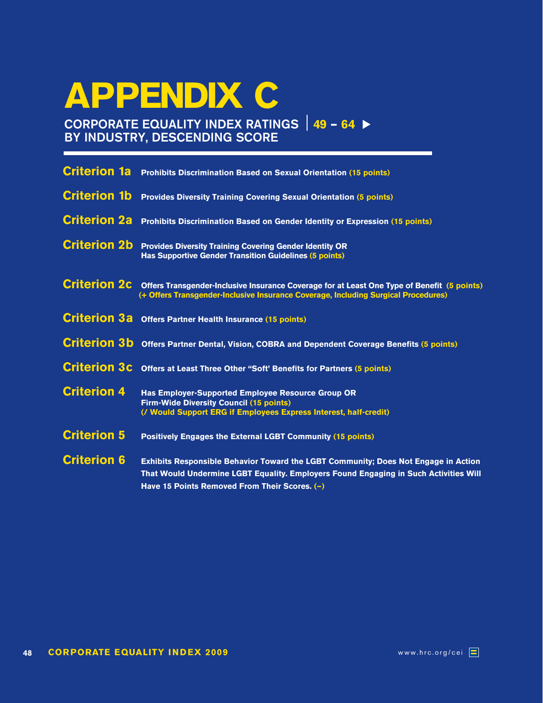# **Appendix C**

Corporate Equality Index Ratings **49 – 64** BY INDUSTRY, DESCENDING SC  $\blacktriangleright$ 

|                     | <b>Criterion 1a</b> Prohibits Discrimination Based on Sexual Orientation (15 points)                                                                                                                                        |
|---------------------|-----------------------------------------------------------------------------------------------------------------------------------------------------------------------------------------------------------------------------|
| <b>Criterion 1b</b> | <b>Provides Diversity Training Covering Sexual Orientation (5 points)</b>                                                                                                                                                   |
|                     | <b>Criterion 2a</b> Prohibits Discrimination Based on Gender Identity or Expression (15 points)                                                                                                                             |
|                     | <b>Criterion 2b</b> Provides Diversity Training Covering Gender Identity OR<br>Has Supportive Gender Transition Guidelines (5 points)                                                                                       |
|                     | Criterion 2c Offers Transgender-Inclusive Insurance Coverage for at Least One Type of Benefit (5 points)<br>(+ Offers Transgender-Inclusive Insurance Coverage, Including Surgical Procedures)                              |
|                     | Criterion 3a Offers Partner Health Insurance (15 points)                                                                                                                                                                    |
|                     | Criterion 3b Offers Partner Dental, Vision, COBRA and Dependent Coverage Benefits (5 points)                                                                                                                                |
|                     | Criterion 3c Offers at Least Three Other "Soft' Benefits for Partners (5 points)                                                                                                                                            |
| <b>Criterion 4</b>  | Has Employer-Supported Employee Resource Group OR<br><b>Firm-Wide Diversity Council (15 points)</b><br>(/ Would Support ERG if Employees Express Interest, half-credit)                                                     |
| <b>Criterion 5</b>  | Positively Engages the External LGBT Community (15 points)                                                                                                                                                                  |
| <b>Criterion 6</b>  | Exhibits Responsible Behavior Toward the LGBT Community; Does Not Engage in Action<br>That Would Undermine LGBT Equality. Employers Found Engaging in Such Activities Will<br>Have 15 Points Removed From Their Scores. (-) |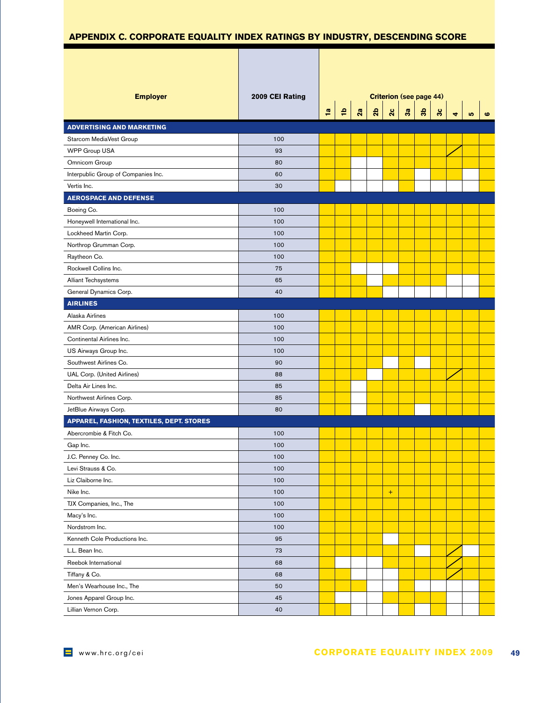| <b>Employer</b>                                             | 2009 CEI Rating |              |               |    |    |       |    | <b>Criterion (see page 44)</b> |    |   |           |   |
|-------------------------------------------------------------|-----------------|--------------|---------------|----|----|-------|----|--------------------------------|----|---|-----------|---|
|                                                             |                 | $\mathbf{a}$ | $\frac{a}{r}$ | 2a | 2b | 2c    | 3a | $35\,$                         | 3c | 4 | <b>LO</b> | ဖ |
| <b>ADVERTISING AND MARKETING</b><br>Starcom MediaVest Group | 100             |              |               |    |    |       |    |                                |    |   |           |   |
| <b>WPP Group USA</b>                                        | 93              |              |               |    |    |       |    |                                |    |   |           |   |
| Omnicom Group                                               | 80              |              |               |    |    |       |    |                                |    |   |           |   |
| Interpublic Group of Companies Inc.                         | 60              |              |               |    |    |       |    |                                |    |   |           |   |
| Vertis Inc.                                                 | 30              |              |               |    |    |       |    |                                |    |   |           |   |
| <b>AEROSPACE AND DEFENSE</b>                                |                 |              |               |    |    |       |    |                                |    |   |           |   |
| Boeing Co.                                                  | 100             |              |               |    |    |       |    |                                |    |   |           |   |
| Honeywell International Inc.                                | 100             |              |               |    |    |       |    |                                |    |   |           |   |
| Lockheed Martin Corp.                                       | 100             |              |               |    |    |       |    |                                |    |   |           |   |
| Northrop Grumman Corp.                                      | 100             |              |               |    |    |       |    |                                |    |   |           |   |
| Raytheon Co.                                                | 100             |              |               |    |    |       |    |                                |    |   |           |   |
| Rockwell Collins Inc.                                       | 75              |              |               |    |    |       |    |                                |    |   |           |   |
| Alliant Techsystems                                         | 65              |              |               |    |    |       |    |                                |    |   |           |   |
| General Dynamics Corp.                                      | 40              |              |               |    |    |       |    |                                |    |   |           |   |
| <b>AIRLINES</b>                                             |                 |              |               |    |    |       |    |                                |    |   |           |   |
| Alaska Airlines                                             | 100             |              |               |    |    |       |    |                                |    |   |           |   |
| AMR Corp. (American Airlines)                               | 100             |              |               |    |    |       |    |                                |    |   |           |   |
| Continental Airlines Inc.                                   | 100             |              |               |    |    |       |    |                                |    |   |           |   |
| US Airways Group Inc.                                       | 100             |              |               |    |    |       |    |                                |    |   |           |   |
| Southwest Airlines Co.                                      | 90              |              |               |    |    |       |    |                                |    |   |           |   |
| UAL Corp. (United Airlines)                                 | 88              |              |               |    |    |       |    |                                |    |   |           |   |
| Delta Air Lines Inc.                                        | 85              |              |               |    |    |       |    |                                |    |   |           |   |
| Northwest Airlines Corp.                                    | 85              |              |               |    |    |       |    |                                |    |   |           |   |
| JetBlue Airways Corp.                                       | 80              |              |               |    |    |       |    |                                |    |   |           |   |
| APPAREL, FASHION, TEXTILES, DEPT. STORES                    |                 |              |               |    |    |       |    |                                |    |   |           |   |
| Abercrombie & Fitch Co.                                     | 100             |              |               |    |    |       |    |                                |    |   |           |   |
| Gap Inc.                                                    | 100             |              |               |    |    |       |    |                                |    |   |           |   |
| J.C. Penney Co. Inc.                                        | 100             |              |               |    |    |       |    |                                |    |   |           |   |
| Levi Strauss & Co.                                          | 100             |              |               |    |    |       |    |                                |    |   |           |   |
| Liz Claiborne Inc.                                          | 100             |              |               |    |    |       |    |                                |    |   |           |   |
| Nike Inc.                                                   | 100             |              |               |    |    | $\pm$ |    |                                |    |   |           |   |
| TJX Companies, Inc., The                                    | 100             |              |               |    |    |       |    |                                |    |   |           |   |
| Macy's Inc.                                                 | 100             |              |               |    |    |       |    |                                |    |   |           |   |
| Nordstrom Inc.                                              | 100             |              |               |    |    |       |    |                                |    |   |           |   |
| Kenneth Cole Productions Inc.                               | 95              |              |               |    |    |       |    |                                |    |   |           |   |
| L.L. Bean Inc.                                              | 73              |              |               |    |    |       |    |                                |    |   |           |   |
| Reebok International                                        | 68              |              |               |    |    |       |    |                                |    |   |           |   |
| Tiffany & Co.                                               | 68              |              |               |    |    |       |    |                                |    |   |           |   |
| Men's Wearhouse Inc., The                                   | 50              |              |               |    |    |       |    |                                |    |   |           |   |
| Jones Apparel Group Inc.                                    | 45              |              |               |    |    |       |    |                                |    |   |           |   |
| Lillian Vernon Corp.                                        | 40              |              |               |    |    |       |    |                                |    |   |           |   |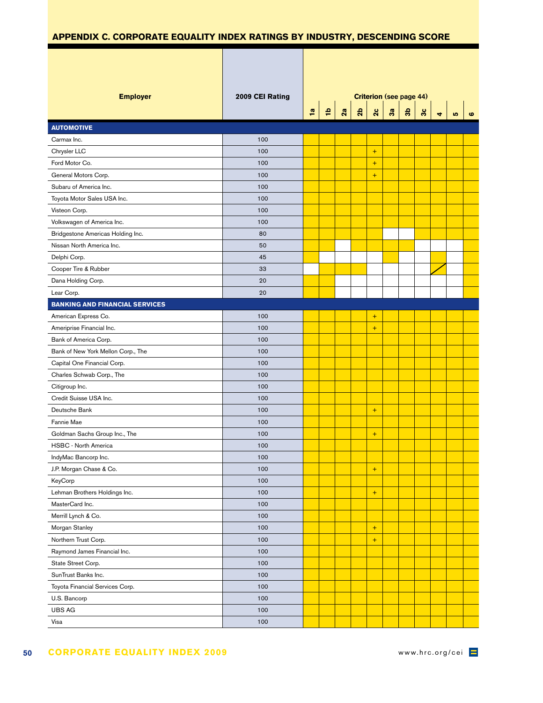| <b>Employer</b>                       | 2009 CEI Rating |              |              |    |    |       | <b>Criterion (see page 44)</b> |               |    |   |           |  |
|---------------------------------------|-----------------|--------------|--------------|----|----|-------|--------------------------------|---------------|----|---|-----------|--|
|                                       |                 | $\mathbf{a}$ | $\mathbf{a}$ | 2a | 2b | 2c    | 3a                             | $3\mathsf{b}$ | 3c | ÷ | <b>LO</b> |  |
| <b>AUTOMOTIVE</b>                     |                 |              |              |    |    |       |                                |               |    |   |           |  |
| Carmax Inc.                           | 100             |              |              |    |    |       |                                |               |    |   |           |  |
| Chrysler LLC                          | 100             |              |              |    |    | $+$   |                                |               |    |   |           |  |
| Ford Motor Co.                        | 100             |              |              |    |    | $+$   |                                |               |    |   |           |  |
| General Motors Corp.                  | 100             |              |              |    |    | $+$   |                                |               |    |   |           |  |
| Subaru of America Inc.                | 100             |              |              |    |    |       |                                |               |    |   |           |  |
| Toyota Motor Sales USA Inc.           | 100             |              |              |    |    |       |                                |               |    |   |           |  |
| Visteon Corp.                         | 100             |              |              |    |    |       |                                |               |    |   |           |  |
| Volkswagen of America Inc.            | 100             |              |              |    |    |       |                                |               |    |   |           |  |
| Bridgestone Americas Holding Inc.     | 80              |              |              |    |    |       |                                |               |    |   |           |  |
| Nissan North America Inc.             | 50              |              |              |    |    |       |                                |               |    |   |           |  |
| Delphi Corp.                          | 45              |              |              |    |    |       |                                |               |    |   |           |  |
| Cooper Tire & Rubber                  | 33              |              |              |    |    |       |                                |               |    |   |           |  |
| Dana Holding Corp.                    | 20              |              |              |    |    |       |                                |               |    |   |           |  |
| Lear Corp.                            | 20              |              |              |    |    |       |                                |               |    |   |           |  |
| <b>BANKING AND FINANCIAL SERVICES</b> |                 |              |              |    |    |       |                                |               |    |   |           |  |
| American Express Co.                  | 100             |              |              |    |    | $\pm$ |                                |               |    |   |           |  |
| Ameriprise Financial Inc.             | 100             |              |              |    |    | $+$   |                                |               |    |   |           |  |
| Bank of America Corp.                 | 100             |              |              |    |    |       |                                |               |    |   |           |  |
| Bank of New York Mellon Corp., The    | 100             |              |              |    |    |       |                                |               |    |   |           |  |
| Capital One Financial Corp.           | 100             |              |              |    |    |       |                                |               |    |   |           |  |
| Charles Schwab Corp., The             | 100             |              |              |    |    |       |                                |               |    |   |           |  |
| Citigroup Inc.                        | 100             |              |              |    |    |       |                                |               |    |   |           |  |
| Credit Suisse USA Inc.                | 100             |              |              |    |    |       |                                |               |    |   |           |  |
| Deutsche Bank                         | 100             |              |              |    |    | $+$   |                                |               |    |   |           |  |
| Fannie Mae                            | 100             |              |              |    |    |       |                                |               |    |   |           |  |
| Goldman Sachs Group Inc., The         | 100             |              |              |    |    | $\pm$ |                                |               |    |   |           |  |
| HSBC - North America                  | 100             |              |              |    |    |       |                                |               |    |   |           |  |
| IndyMac Bancorp Inc.                  | 100             |              |              |    |    |       |                                |               |    |   |           |  |
| J.P. Morgan Chase & Co.               | 100             |              |              |    |    | $+$   |                                |               |    |   |           |  |
| KeyCorp                               | 100             |              |              |    |    |       |                                |               |    |   |           |  |
| Lehman Brothers Holdings Inc.         | 100             |              |              |    |    | $\pm$ |                                |               |    |   |           |  |
| MasterCard Inc.                       | 100             |              |              |    |    |       |                                |               |    |   |           |  |
| Merrill Lynch & Co.                   | 100             |              |              |    |    |       |                                |               |    |   |           |  |
| Morgan Stanley                        | 100             |              |              |    |    | $+$   |                                |               |    |   |           |  |
| Northern Trust Corp.                  | 100             |              |              |    |    | $+$   |                                |               |    |   |           |  |
| Raymond James Financial Inc.          | 100             |              |              |    |    |       |                                |               |    |   |           |  |
| State Street Corp.                    | 100             |              |              |    |    |       |                                |               |    |   |           |  |
| SunTrust Banks Inc.                   | 100             |              |              |    |    |       |                                |               |    |   |           |  |
| Toyota Financial Services Corp.       | 100             |              |              |    |    |       |                                |               |    |   |           |  |
| U.S. Bancorp                          | 100             |              |              |    |    |       |                                |               |    |   |           |  |
| <b>UBS AG</b>                         | 100             |              |              |    |    |       |                                |               |    |   |           |  |
| Visa                                  | 100             |              |              |    |    |       |                                |               |    |   |           |  |

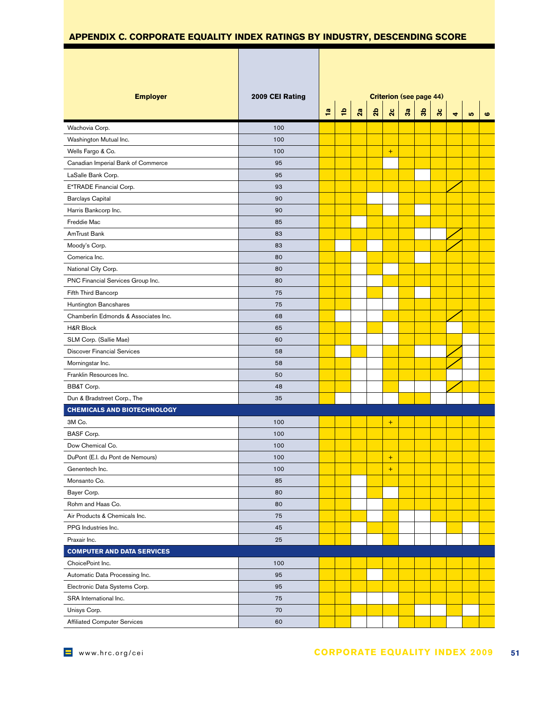| <b>Employer</b>                      | 2009 CEI Rating |              |              |    |    |           |    | <b>Criterion (see page 44)</b> |    |   |           |    |
|--------------------------------------|-----------------|--------------|--------------|----|----|-----------|----|--------------------------------|----|---|-----------|----|
|                                      |                 | $\mathbf{a}$ | $\mathbf{a}$ | 2a | 2b | 2c        | 3a | 3 <sub>0</sub>                 | 3c | 4 | <b>LO</b> | co |
| Wachovia Corp.                       | 100             |              |              |    |    |           |    |                                |    |   |           |    |
| Washington Mutual Inc.               | 100             |              |              |    |    |           |    |                                |    |   |           |    |
| Wells Fargo & Co.                    | 100             |              |              |    |    | $\pm$     |    |                                |    |   |           |    |
| Canadian Imperial Bank of Commerce   | 95              |              |              |    |    |           |    |                                |    |   |           |    |
| LaSalle Bank Corp.                   | 95              |              |              |    |    |           |    |                                |    |   |           |    |
| E*TRADE Financial Corp.              | 93              |              |              |    |    |           |    |                                |    |   |           |    |
| <b>Barclays Capital</b>              | 90              |              |              |    |    |           |    |                                |    |   |           |    |
| Harris Bankcorp Inc.                 | 90              |              |              |    |    |           |    |                                |    |   |           |    |
| Freddie Mac                          | 85              |              |              |    |    |           |    |                                |    |   |           |    |
| AmTrust Bank                         | 83              |              |              |    |    |           |    |                                |    |   |           |    |
| Moody's Corp.                        | 83              |              |              |    |    |           |    |                                |    |   |           |    |
| Comerica Inc.                        | 80              |              |              |    |    |           |    |                                |    |   |           |    |
| National City Corp.                  | 80              |              |              |    |    |           |    |                                |    |   |           |    |
| PNC Financial Services Group Inc.    | 80              |              |              |    |    |           |    |                                |    |   |           |    |
| Fifth Third Bancorp                  | 75              |              |              |    |    |           |    |                                |    |   |           |    |
| Huntington Bancshares                | 75              |              |              |    |    |           |    |                                |    |   |           |    |
| Chamberlin Edmonds & Associates Inc. | 68              |              |              |    |    |           |    |                                |    |   |           |    |
| H&R Block                            | 65              |              |              |    |    |           |    |                                |    |   |           |    |
| SLM Corp. (Sallie Mae)               | 60              |              |              |    |    |           |    |                                |    |   |           |    |
| <b>Discover Financial Services</b>   | 58              |              |              |    |    |           |    |                                |    |   |           |    |
| Morningstar Inc.                     | 58              |              |              |    |    |           |    |                                |    |   |           |    |
| Franklin Resources Inc.              | 50              |              |              |    |    |           |    |                                |    |   |           |    |
| BB&T Corp.                           | 48              |              |              |    |    |           |    |                                |    |   |           |    |
| Dun & Bradstreet Corp., The          | 35              |              |              |    |    |           |    |                                |    |   |           |    |
| <b>CHEMICALS AND BIOTECHNOLOGY</b>   |                 |              |              |    |    |           |    |                                |    |   |           |    |
| 3M Co.                               | 100             |              |              |    |    | $+$       |    |                                |    |   |           |    |
| <b>BASF Corp.</b>                    | 100             |              |              |    |    |           |    |                                |    |   |           |    |
| Dow Chemical Co.                     | 100             |              |              |    |    |           |    |                                |    |   |           |    |
| DuPont (E.I. du Pont de Nemours)     | 100             |              |              |    |    | $\ddot{}$ |    |                                |    |   |           |    |
| Genentech Inc.                       | 100             |              |              |    |    | $\pm$     |    |                                |    |   |           |    |
| Monsanto Co.                         | 85              |              |              |    |    |           |    |                                |    |   |           |    |
| Bayer Corp.                          | 80              |              |              |    |    |           |    |                                |    |   |           |    |
| Rohm and Haas Co.                    | 80              |              |              |    |    |           |    |                                |    |   |           |    |
| Air Products & Chemicals Inc.        | 75              |              |              |    |    |           |    |                                |    |   |           |    |
| PPG Industries Inc.                  | 45              |              |              |    |    |           |    |                                |    |   |           |    |
| Praxair Inc.                         | 25              |              |              |    |    |           |    |                                |    |   |           |    |
| <b>COMPUTER AND DATA SERVICES</b>    |                 |              |              |    |    |           |    |                                |    |   |           |    |
| ChoicePoint Inc.                     | 100             |              |              |    |    |           |    |                                |    |   |           |    |
| Automatic Data Processing Inc.       | 95              |              |              |    |    |           |    |                                |    |   |           |    |
| Electronic Data Systems Corp.        | 95              |              |              |    |    |           |    |                                |    |   |           |    |
| SRA International Inc.               | 75              |              |              |    |    |           |    |                                |    |   |           |    |
| Unisys Corp.                         | 70              |              |              |    |    |           |    |                                |    |   |           |    |
| <b>Affiliated Computer Services</b>  | 60              |              |              |    |    |           |    |                                |    |   |           |    |
|                                      |                 |              |              |    |    |           |    |                                |    |   |           |    |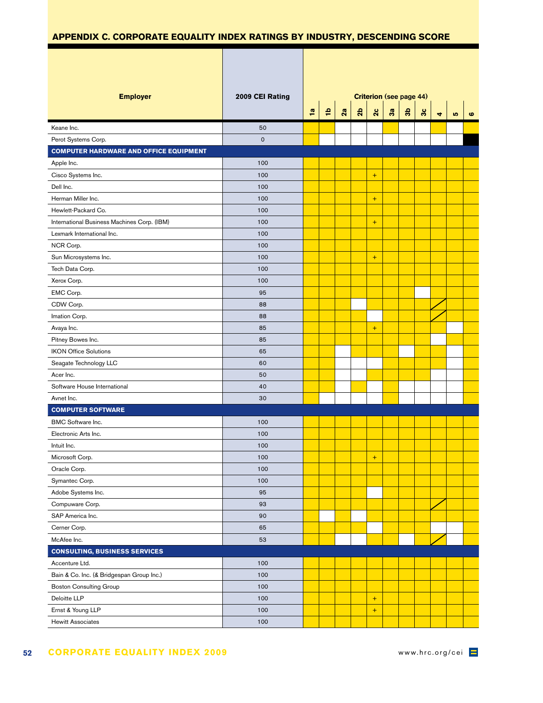| <b>Employer</b>                               | 2009 CEI Rating |              |              |    |    | <b>Criterion (see page 44)</b> |    |        |     |   |           |  |
|-----------------------------------------------|-----------------|--------------|--------------|----|----|--------------------------------|----|--------|-----|---|-----------|--|
|                                               |                 | $\mathbf{a}$ | $\mathbf{a}$ | 2a | 2b | 2c                             | 3a | $35\,$ | ္တိ | ÷ | <b>LO</b> |  |
| Keane Inc.                                    | 50              |              |              |    |    |                                |    |        |     |   |           |  |
| Perot Systems Corp.                           | $\mathsf O$     |              |              |    |    |                                |    |        |     |   |           |  |
| <b>COMPUTER HARDWARE AND OFFICE EQUIPMENT</b> |                 |              |              |    |    |                                |    |        |     |   |           |  |
| Apple Inc.                                    | 100             |              |              |    |    |                                |    |        |     |   |           |  |
| Cisco Systems Inc.                            | 100             |              |              |    |    | $+$                            |    |        |     |   |           |  |
| Dell Inc.                                     | 100             |              |              |    |    |                                |    |        |     |   |           |  |
| Herman Miller Inc.                            | 100             |              |              |    |    | $\pm$                          |    |        |     |   |           |  |
| Hewlett-Packard Co.                           | 100             |              |              |    |    |                                |    |        |     |   |           |  |
| International Business Machines Corp. (IBM)   | 100             |              |              |    |    | $\ddot{}$                      |    |        |     |   |           |  |
| Lexmark International Inc.                    | 100             |              |              |    |    |                                |    |        |     |   |           |  |
| NCR Corp.                                     | 100             |              |              |    |    |                                |    |        |     |   |           |  |
| Sun Microsystems Inc.                         | 100             |              |              |    |    | $+$                            |    |        |     |   |           |  |
| Tech Data Corp.                               | 100             |              |              |    |    |                                |    |        |     |   |           |  |
| Xerox Corp.                                   | 100             |              |              |    |    |                                |    |        |     |   |           |  |
| EMC Corp.                                     | 95              |              |              |    |    |                                |    |        |     |   |           |  |
| CDW Corp.                                     | 88              |              |              |    |    |                                |    |        |     |   |           |  |
| Imation Corp.                                 | 88              |              |              |    |    |                                |    |        |     |   |           |  |
| Avaya Inc.                                    | 85              |              |              |    |    | $\ddot{}$                      |    |        |     |   |           |  |
| Pitney Bowes Inc.                             | 85              |              |              |    |    |                                |    |        |     |   |           |  |
| <b>IKON Office Solutions</b>                  | 65              |              |              |    |    |                                |    |        |     |   |           |  |
| Seagate Technology LLC                        | 60              |              |              |    |    |                                |    |        |     |   |           |  |
| Acer Inc.                                     | 50              |              |              |    |    |                                |    |        |     |   |           |  |
| Software House International                  | 40              |              |              |    |    |                                |    |        |     |   |           |  |
| Avnet Inc.                                    | 30              |              |              |    |    |                                |    |        |     |   |           |  |
| <b>COMPUTER SOFTWARE</b>                      |                 |              |              |    |    |                                |    |        |     |   |           |  |
| <b>BMC Software Inc.</b>                      | 100             |              |              |    |    |                                |    |        |     |   |           |  |
| Electronic Arts Inc.                          | 100             |              |              |    |    |                                |    |        |     |   |           |  |
| Intuit Inc.                                   | 100             |              |              |    |    |                                |    |        |     |   |           |  |
| Microsoft Corp.                               | 100             |              |              |    |    | $\ddot{}$                      |    |        |     |   |           |  |
| Oracle Corp.                                  | 100             |              |              |    |    |                                |    |        |     |   |           |  |
| Symantec Corp.                                | 100             |              |              |    |    |                                |    |        |     |   |           |  |
| Adobe Systems Inc.                            | 95              |              |              |    |    |                                |    |        |     |   |           |  |
| Compuware Corp.                               | 93              |              |              |    |    |                                |    |        |     |   |           |  |
| SAP America Inc.                              | 90              |              |              |    |    |                                |    |        |     |   |           |  |
| Cerner Corp.                                  | 65              |              |              |    |    |                                |    |        |     |   |           |  |
| McAfee Inc.                                   | 53              |              |              |    |    |                                |    |        |     |   |           |  |
| <b>CONSULTING, BUSINESS SERVICES</b>          |                 |              |              |    |    |                                |    |        |     |   |           |  |
| Accenture Ltd.                                | 100             |              |              |    |    |                                |    |        |     |   |           |  |
| Bain & Co. Inc. (& Bridgespan Group Inc.)     | 100             |              |              |    |    |                                |    |        |     |   |           |  |
| <b>Boston Consulting Group</b>                | 100             |              |              |    |    |                                |    |        |     |   |           |  |
| Deloitte LLP                                  | 100             |              |              |    |    | $\ddot{}$                      |    |        |     |   |           |  |
| Ernst & Young LLP                             | 100             |              |              |    |    | $\pm$                          |    |        |     |   |           |  |
| <b>Hewitt Associates</b>                      | 100             |              |              |    |    |                                |    |        |     |   |           |  |
|                                               |                 |              |              |    |    |                                |    |        |     |   |           |  |

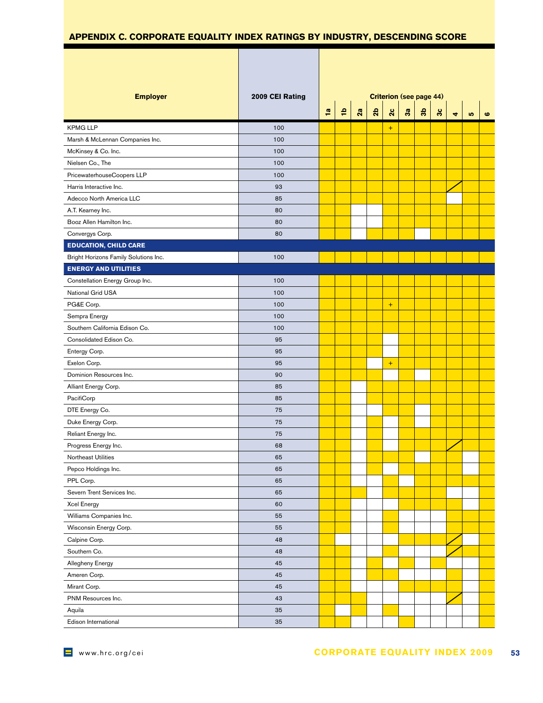| <b>Employer</b>                       | 2009 CEI Rating |              |              |    |    |     | <b>Criterion (see page 44)</b> |                |    |   |           |    |
|---------------------------------------|-----------------|--------------|--------------|----|----|-----|--------------------------------|----------------|----|---|-----------|----|
|                                       |                 | $\mathbf{a}$ | $\mathbf{a}$ | 2a | 2b | 2c  | 3a                             | 3 <sub>0</sub> | 3c | 4 | <b>LO</b> | co |
| <b>KPMG LLP</b>                       | 100             |              |              |    |    | $+$ |                                |                |    |   |           |    |
| Marsh & McLennan Companies Inc.       | 100             |              |              |    |    |     |                                |                |    |   |           |    |
| McKinsey & Co. Inc.                   | 100             |              |              |    |    |     |                                |                |    |   |           |    |
| Nielsen Co., The                      | 100             |              |              |    |    |     |                                |                |    |   |           |    |
| PricewaterhouseCoopers LLP            | 100             |              |              |    |    |     |                                |                |    |   |           |    |
| Harris Interactive Inc.               | 93              |              |              |    |    |     |                                |                |    |   |           |    |
| Adecco North America LLC              | 85              |              |              |    |    |     |                                |                |    |   |           |    |
| A.T. Kearney Inc.                     | 80              |              |              |    |    |     |                                |                |    |   |           |    |
| Booz Allen Hamilton Inc.              | 80              |              |              |    |    |     |                                |                |    |   |           |    |
| Convergys Corp.                       | 80              |              |              |    |    |     |                                |                |    |   |           |    |
| <b>EDUCATION, CHILD CARE</b>          |                 |              |              |    |    |     |                                |                |    |   |           |    |
| Bright Horizons Family Solutions Inc. | 100             |              |              |    |    |     |                                |                |    |   |           |    |
| <b>ENERGY AND UTILITIES</b>           |                 |              |              |    |    |     |                                |                |    |   |           |    |
| Constellation Energy Group Inc.       | 100             |              |              |    |    |     |                                |                |    |   |           |    |
| National Grid USA                     | 100             |              |              |    |    |     |                                |                |    |   |           |    |
| PG&E Corp.                            | 100             |              |              |    |    | $+$ |                                |                |    |   |           |    |
| Sempra Energy                         | 100             |              |              |    |    |     |                                |                |    |   |           |    |
| Southern California Edison Co.        | 100             |              |              |    |    |     |                                |                |    |   |           |    |
| Consolidated Edison Co.               | 95              |              |              |    |    |     |                                |                |    |   |           |    |
| Entergy Corp.                         | 95              |              |              |    |    |     |                                |                |    |   |           |    |
| Exelon Corp.                          | 95              |              |              |    |    | $+$ |                                |                |    |   |           |    |
| Dominion Resources Inc.               | 90              |              |              |    |    |     |                                |                |    |   |           |    |
| Alliant Energy Corp.                  | 85              |              |              |    |    |     |                                |                |    |   |           |    |
| PacifiCorp                            | 85              |              |              |    |    |     |                                |                |    |   |           |    |
| DTE Energy Co.                        | 75              |              |              |    |    |     |                                |                |    |   |           |    |
| Duke Energy Corp.                     | 75              |              |              |    |    |     |                                |                |    |   |           |    |
| Reliant Energy Inc.                   | 75              |              |              |    |    |     |                                |                |    |   |           |    |
| Progress Energy Inc.                  | 68              |              |              |    |    |     |                                |                |    |   |           |    |
| Northeast Utilities                   | 65              |              |              |    |    |     |                                |                |    |   |           |    |
| Pepco Holdings Inc.                   | 65              |              |              |    |    |     |                                |                |    |   |           |    |
| PPL Corp.                             | 65              |              |              |    |    |     |                                |                |    |   |           |    |
| Severn Trent Services Inc.            | 65              |              |              |    |    |     |                                |                |    |   |           |    |
| <b>Xcel Energy</b>                    | 60              |              |              |    |    |     |                                |                |    |   |           |    |
| Williams Companies Inc.               | 55              |              |              |    |    |     |                                |                |    |   |           |    |
| Wisconsin Energy Corp.                | 55              |              |              |    |    |     |                                |                |    |   |           |    |
| Calpine Corp.                         | 48              |              |              |    |    |     |                                |                |    |   |           |    |
| Southern Co.                          | 48              |              |              |    |    |     |                                |                |    |   |           |    |
| Allegheny Energy                      | 45              |              |              |    |    |     |                                |                |    |   |           |    |
| Ameren Corp.                          | 45              |              |              |    |    |     |                                |                |    |   |           |    |
| Mirant Corp.                          | 45              |              |              |    |    |     |                                |                |    |   |           |    |
| PNM Resources Inc.                    | 43              |              |              |    |    |     |                                |                |    |   |           |    |
| Aquila                                | 35              |              |              |    |    |     |                                |                |    |   |           |    |
| Edison International                  | 35              |              |              |    |    |     |                                |                |    |   |           |    |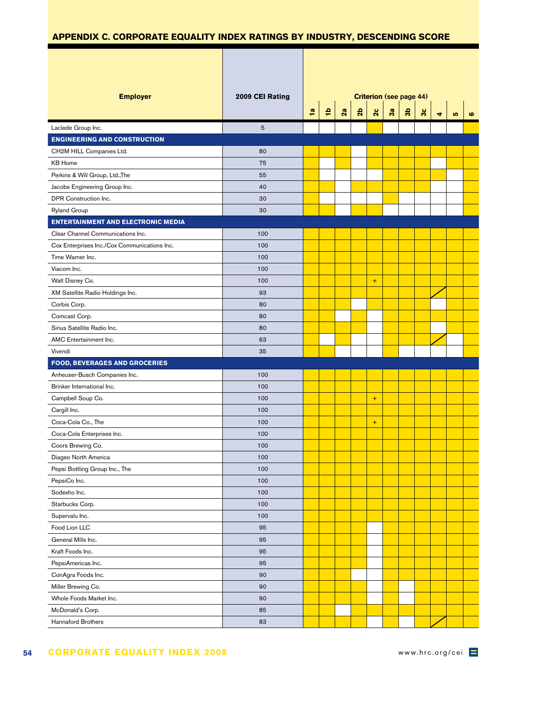| <b>Employer</b>                              | 2009 CEI Rating |              |              |    |    | <b>Criterion (see page 44)</b> |    |              |    |   |           |    |
|----------------------------------------------|-----------------|--------------|--------------|----|----|--------------------------------|----|--------------|----|---|-----------|----|
|                                              |                 | $\mathbf{r}$ | $\mathbf{a}$ | 2a | 2b | 2c                             | 3a | $35^{\circ}$ | 3c |   |           |    |
| Laclede Group Inc.                           | $5\phantom{.0}$ |              |              |    |    |                                |    |              |    | 4 | <b>IO</b> | co |
| <b>ENGINEERING AND CONSTRUCTION</b>          |                 |              |              |    |    |                                |    |              |    |   |           |    |
| CH2M HILL Companies Ltd.                     | 80              |              |              |    |    |                                |    |              |    |   |           |    |
| <b>KB Home</b>                               | 75              |              |              |    |    |                                |    |              |    |   |           |    |
| Perkins & Will Group, Ltd., The              | 55              |              |              |    |    |                                |    |              |    |   |           |    |
| Jacobs Engineering Group Inc.                | 40              |              |              |    |    |                                |    |              |    |   |           |    |
| DPR Construction Inc.                        | 30              |              |              |    |    |                                |    |              |    |   |           |    |
| <b>Ryland Group</b>                          | 30              |              |              |    |    |                                |    |              |    |   |           |    |
| <b>ENTERTAINMENT AND ELECTRONIC MEDIA</b>    |                 |              |              |    |    |                                |    |              |    |   |           |    |
| Clear Channel Communications Inc.            | 100             |              |              |    |    |                                |    |              |    |   |           |    |
| Cox Enterprises Inc./Cox Communications Inc. | 100             |              |              |    |    |                                |    |              |    |   |           |    |
| Time Warner Inc.                             | 100             |              |              |    |    |                                |    |              |    |   |           |    |
| Viacom Inc.                                  | 100             |              |              |    |    |                                |    |              |    |   |           |    |
| Walt Disney Co.                              | 100             |              |              |    |    | $\ddot{}$                      |    |              |    |   |           |    |
| XM Satellite Radio Holdings Inc.             | 93              |              |              |    |    |                                |    |              |    |   |           |    |
| Corbis Corp.                                 | 80              |              |              |    |    |                                |    |              |    |   |           |    |
| Comcast Corp.                                | 80              |              |              |    |    |                                |    |              |    |   |           |    |
| Sirius Satellite Radio Inc.                  | 80              |              |              |    |    |                                |    |              |    |   |           |    |
| AMC Entertainment Inc.                       | 63              |              |              |    |    |                                |    |              |    |   |           |    |
| Vivendi                                      | 35              |              |              |    |    |                                |    |              |    |   |           |    |
| <b>FOOD, BEVERAGES AND GROCERIES</b>         |                 |              |              |    |    |                                |    |              |    |   |           |    |
| Anheuser-Busch Companies Inc.                | 100             |              |              |    |    |                                |    |              |    |   |           |    |
| Brinker International Inc.                   | 100             |              |              |    |    |                                |    |              |    |   |           |    |
| Campbell Soup Co.                            | 100             |              |              |    |    | $\color{red}{+}$               |    |              |    |   |           |    |
| Cargill Inc.                                 | 100             |              |              |    |    |                                |    |              |    |   |           |    |
| Coca-Cola Co., The                           | 100             |              |              |    |    | $\ddot{}$                      |    |              |    |   |           |    |
| Coca-Cola Enterprises Inc.                   | 100             |              |              |    |    |                                |    |              |    |   |           |    |
| Coors Brewing Co.                            | 100             |              |              |    |    |                                |    |              |    |   |           |    |
| Diageo North America                         | 100             |              |              |    |    |                                |    |              |    |   |           |    |
| Pepsi Bottling Group Inc., The               | 100             |              |              |    |    |                                |    |              |    |   |           |    |
| PepsiCo Inc.                                 | 100             |              |              |    |    |                                |    |              |    |   |           |    |
| Sodexho Inc.                                 | 100             |              |              |    |    |                                |    |              |    |   |           |    |
| Starbucks Corp.                              | 100             |              |              |    |    |                                |    |              |    |   |           |    |
| Supervalu Inc.                               | 100             |              |              |    |    |                                |    |              |    |   |           |    |
| Food Lion LLC                                | 95              |              |              |    |    |                                |    |              |    |   |           |    |
| General Mills Inc.                           | 95              |              |              |    |    |                                |    |              |    |   |           |    |
| Kraft Foods Inc.                             | 95              |              |              |    |    |                                |    |              |    |   |           |    |
| PepsiAmericas Inc.                           | 95              |              |              |    |    |                                |    |              |    |   |           |    |
| ConAgra Foods Inc.                           | 90              |              |              |    |    |                                |    |              |    |   |           |    |
| Miller Brewing Co.                           | 90              |              |              |    |    |                                |    |              |    |   |           |    |
| Whole Foods Market Inc.                      | 90              |              |              |    |    |                                |    |              |    |   |           |    |
| McDonald's Corp.                             | 85              |              |              |    |    |                                |    |              |    |   |           |    |
| <b>Hannaford Brothers</b>                    | 83              |              |              |    |    |                                |    |              |    |   |           |    |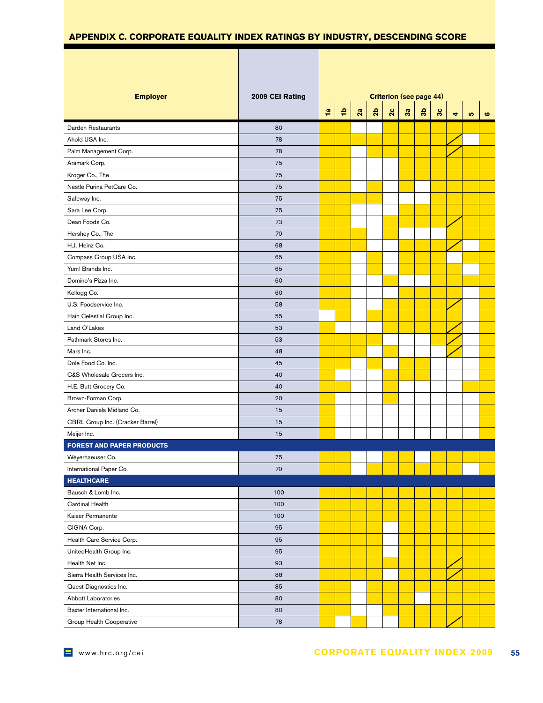| <b>Employer</b>                  | 2009 CEI Rating |              |               |    |    |    |    | <b>Criterion (see page 44)</b> |    |   |           |   |
|----------------------------------|-----------------|--------------|---------------|----|----|----|----|--------------------------------|----|---|-----------|---|
|                                  |                 | $\mathbf{a}$ | $\frac{a}{r}$ | 2a | 2b | 2c | 3a | 3 <sub>b</sub>                 | 3c | 4 | <b>LO</b> | ဖ |
| Darden Restaurants               | 80              |              |               |    |    |    |    |                                |    |   |           |   |
| Ahold USA Inc.                   | 78              |              |               |    |    |    |    |                                |    |   |           |   |
| Palm Management Corp.            | 78              |              |               |    |    |    |    |                                |    |   |           |   |
| Aramark Corp.                    | 75              |              |               |    |    |    |    |                                |    |   |           |   |
| Kroger Co., The                  | 75              |              |               |    |    |    |    |                                |    |   |           |   |
| Nestle Purina PetCare Co.        | 75              |              |               |    |    |    |    |                                |    |   |           |   |
| Safeway Inc.                     | 75              |              |               |    |    |    |    |                                |    |   |           |   |
| Sara Lee Corp.                   | 75              |              |               |    |    |    |    |                                |    |   |           |   |
| Dean Foods Co.                   | 73              |              |               |    |    |    |    |                                |    |   |           |   |
| Hershey Co., The                 | 70              |              |               |    |    |    |    |                                |    |   |           |   |
| H.J. Heinz Co.                   | 68              |              |               |    |    |    |    |                                |    |   |           |   |
| Compass Group USA Inc.           | 65              |              |               |    |    |    |    |                                |    |   |           |   |
| Yum! Brands Inc.                 | 65              |              |               |    |    |    |    |                                |    |   |           |   |
| Domino's Pizza Inc.              | 60              |              |               |    |    |    |    |                                |    |   |           |   |
| Kellogg Co.                      | 60              |              |               |    |    |    |    |                                |    |   |           |   |
| U.S. Foodservice Inc.            | 58              |              |               |    |    |    |    |                                |    |   |           |   |
| Hain Celestial Group Inc.        | 55              |              |               |    |    |    |    |                                |    |   |           |   |
| Land O'Lakes                     | 53              |              |               |    |    |    |    |                                |    |   |           |   |
| Pathmark Stores Inc.             | 53              |              |               |    |    |    |    |                                |    |   |           |   |
| Mars Inc.                        | 48              |              |               |    |    |    |    |                                |    |   |           |   |
| Dole Food Co. Inc.               | 45              |              |               |    |    |    |    |                                |    |   |           |   |
| C&S Wholesale Grocers Inc.       | 40              |              |               |    |    |    |    |                                |    |   |           |   |
| H.E. Butt Grocery Co.            | 40              |              |               |    |    |    |    |                                |    |   |           |   |
| Brown-Forman Corp.               | 20              |              |               |    |    |    |    |                                |    |   |           |   |
| Archer Daniels Midland Co.       | 15              |              |               |    |    |    |    |                                |    |   |           |   |
| CBRL Group Inc. (Cracker Barrel) | 15              |              |               |    |    |    |    |                                |    |   |           |   |
| Meijer Inc.                      | 15              |              |               |    |    |    |    |                                |    |   |           |   |
| <b>FOREST AND PAPER PRODUCTS</b> |                 |              |               |    |    |    |    |                                |    |   |           |   |
| Weyerhaeuser Co.                 | 75              |              |               |    |    |    |    |                                |    |   |           |   |
| International Paper Co.          | 70              |              |               |    |    |    |    |                                |    |   |           |   |
| <b>HEALTHCARE</b>                |                 |              |               |    |    |    |    |                                |    |   |           |   |
| Bausch & Lomb Inc.               | 100             |              |               |    |    |    |    |                                |    |   |           |   |
| Cardinal Health                  | 100             |              |               |    |    |    |    |                                |    |   |           |   |
| Kaiser Permanente                | 100             |              |               |    |    |    |    |                                |    |   |           |   |
| CIGNA Corp.                      | 95              |              |               |    |    |    |    |                                |    |   |           |   |
| Health Care Service Corp.        | 95              |              |               |    |    |    |    |                                |    |   |           |   |
| UnitedHealth Group Inc.          | 95              |              |               |    |    |    |    |                                |    |   |           |   |
| Health Net Inc.                  | 93              |              |               |    |    |    |    |                                |    |   |           |   |
| Sierra Health Services Inc.      | 88              |              |               |    |    |    |    |                                |    |   |           |   |
| Quest Diagnostics Inc.           | 85              |              |               |    |    |    |    |                                |    |   |           |   |
| Abbott Laboratories              | 80              |              |               |    |    |    |    |                                |    |   |           |   |
| Baxter International Inc.        | 80              |              |               |    |    |    |    |                                |    |   |           |   |
| Group Health Cooperative         | 78              |              |               |    |    |    |    |                                |    |   |           |   |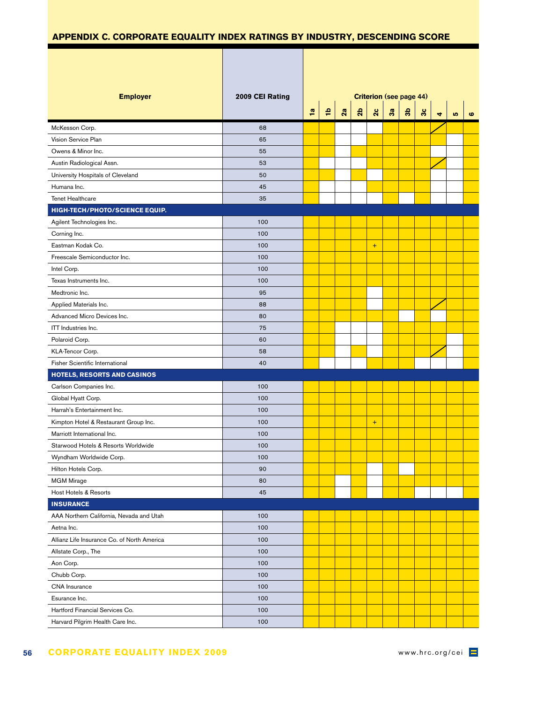| <b>Employer</b>                             | 2009 CEI Rating |                |               |    |    |           |    | <b>Criterion (see page 44)</b> |    |   |           |  |
|---------------------------------------------|-----------------|----------------|---------------|----|----|-----------|----|--------------------------------|----|---|-----------|--|
|                                             |                 | $\overline{a}$ | $\frac{a}{r}$ | 2a | 2b | 2c        | 3a | 3 <sup>o</sup>                 | 3c | 4 | <b>LO</b> |  |
| McKesson Corp.                              | 68              |                |               |    |    |           |    |                                |    |   |           |  |
| Vision Service Plan                         | 65              |                |               |    |    |           |    |                                |    |   |           |  |
| Owens & Minor Inc.                          | 55              |                |               |    |    |           |    |                                |    |   |           |  |
| Austin Radiological Assn.                   | 53              |                |               |    |    |           |    |                                |    |   |           |  |
| University Hospitals of Cleveland           | 50              |                |               |    |    |           |    |                                |    |   |           |  |
| Humana Inc.                                 | 45              |                |               |    |    |           |    |                                |    |   |           |  |
| Tenet Healthcare                            | 35              |                |               |    |    |           |    |                                |    |   |           |  |
| HIGH-TECH/PHOTO/SCIENCE EQUIP.              |                 |                |               |    |    |           |    |                                |    |   |           |  |
| Agilent Technologies Inc.                   | 100             |                |               |    |    |           |    |                                |    |   |           |  |
| Corning Inc.                                | 100             |                |               |    |    |           |    |                                |    |   |           |  |
| Eastman Kodak Co.                           | 100             |                |               |    |    | $\ddot{}$ |    |                                |    |   |           |  |
| Freescale Semiconductor Inc.                | 100             |                |               |    |    |           |    |                                |    |   |           |  |
| Intel Corp.                                 | 100             |                |               |    |    |           |    |                                |    |   |           |  |
| Texas Instruments Inc.                      | 100             |                |               |    |    |           |    |                                |    |   |           |  |
| Medtronic Inc.                              | 95              |                |               |    |    |           |    |                                |    |   |           |  |
| Applied Materials Inc.                      | 88              |                |               |    |    |           |    |                                |    |   |           |  |
| Advanced Micro Devices Inc.                 | 80              |                |               |    |    |           |    |                                |    |   |           |  |
| ITT Industries Inc.                         | 75              |                |               |    |    |           |    |                                |    |   |           |  |
| Polaroid Corp.                              | 60              |                |               |    |    |           |    |                                |    |   |           |  |
| KLA-Tencor Corp.                            | 58              |                |               |    |    |           |    |                                |    |   |           |  |
| Fisher Scientific International             | 40              |                |               |    |    |           |    |                                |    |   |           |  |
| <b>HOTELS, RESORTS AND CASINOS</b>          |                 |                |               |    |    |           |    |                                |    |   |           |  |
| Carlson Companies Inc.                      | 100             |                |               |    |    |           |    |                                |    |   |           |  |
| Global Hyatt Corp.                          | 100             |                |               |    |    |           |    |                                |    |   |           |  |
| Harrah's Entertainment Inc.                 | 100             |                |               |    |    |           |    |                                |    |   |           |  |
| Kimpton Hotel & Restaurant Group Inc.       | 100             |                |               |    |    | $\pm$     |    |                                |    |   |           |  |
| Marriott International Inc.                 | 100             |                |               |    |    |           |    |                                |    |   |           |  |
| Starwood Hotels & Resorts Worldwide         | 100             |                |               |    |    |           |    |                                |    |   |           |  |
| Wyndham Worldwide Corp.                     | 100             |                |               |    |    |           |    |                                |    |   |           |  |
| Hilton Hotels Corp.                         | 90              |                |               |    |    |           |    |                                |    |   |           |  |
| <b>MGM Mirage</b>                           | 80              |                |               |    |    |           |    |                                |    |   |           |  |
| Host Hotels & Resorts                       | 45              |                |               |    |    |           |    |                                |    |   |           |  |
| <b>INSURANCE</b>                            |                 |                |               |    |    |           |    |                                |    |   |           |  |
| AAA Northern California, Nevada and Utah    | 100             |                |               |    |    |           |    |                                |    |   |           |  |
| Aetna Inc.                                  | 100             |                |               |    |    |           |    |                                |    |   |           |  |
| Allianz Life Insurance Co. of North America | 100             |                |               |    |    |           |    |                                |    |   |           |  |
| Allstate Corp., The                         | 100             |                |               |    |    |           |    |                                |    |   |           |  |
| Aon Corp.                                   | 100             |                |               |    |    |           |    |                                |    |   |           |  |
| Chubb Corp.                                 | 100             |                |               |    |    |           |    |                                |    |   |           |  |
| <b>CNA</b> Insurance                        | 100             |                |               |    |    |           |    |                                |    |   |           |  |
| Esurance Inc.                               | 100             |                |               |    |    |           |    |                                |    |   |           |  |
| Hartford Financial Services Co.             | 100             |                |               |    |    |           |    |                                |    |   |           |  |
| Harvard Pilgrim Health Care Inc.            | 100             |                |               |    |    |           |    |                                |    |   |           |  |

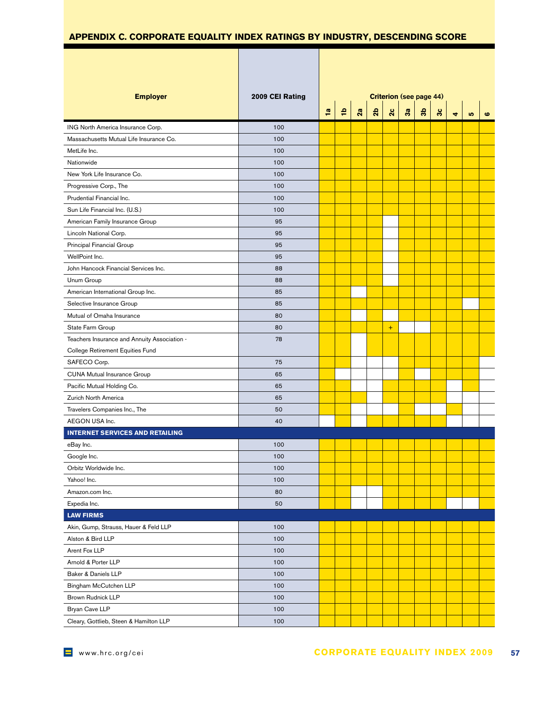| <b>Employer</b>                              | 2009 CEI Rating |              |               |    |    |       |    | <b>Criterion (see page 44)</b> |    |                      |           |   |
|----------------------------------------------|-----------------|--------------|---------------|----|----|-------|----|--------------------------------|----|----------------------|-----------|---|
|                                              |                 | $\mathbf{a}$ | $\frac{a}{r}$ | 2a | 2b | 2c    | 3a | 3 <sub>b</sub>                 | 3c | $\blacktriangleleft$ | <b>LO</b> | ဖ |
| ING North America Insurance Corp.            | 100             |              |               |    |    |       |    |                                |    |                      |           |   |
| Massachusetts Mutual Life Insurance Co.      | 100             |              |               |    |    |       |    |                                |    |                      |           |   |
| MetLife Inc.                                 | 100             |              |               |    |    |       |    |                                |    |                      |           |   |
| Nationwide                                   | 100             |              |               |    |    |       |    |                                |    |                      |           |   |
| New York Life Insurance Co.                  | 100             |              |               |    |    |       |    |                                |    |                      |           |   |
| Progressive Corp., The                       | 100             |              |               |    |    |       |    |                                |    |                      |           |   |
| Prudential Financial Inc.                    | 100             |              |               |    |    |       |    |                                |    |                      |           |   |
| Sun Life Financial Inc. (U.S.)               | 100             |              |               |    |    |       |    |                                |    |                      |           |   |
| American Family Insurance Group              | 95              |              |               |    |    |       |    |                                |    |                      |           |   |
| Lincoln National Corp.                       | 95              |              |               |    |    |       |    |                                |    |                      |           |   |
| Principal Financial Group                    | 95              |              |               |    |    |       |    |                                |    |                      |           |   |
| WellPoint Inc.                               | 95              |              |               |    |    |       |    |                                |    |                      |           |   |
| John Hancock Financial Services Inc.         | 88              |              |               |    |    |       |    |                                |    |                      |           |   |
| Unum Group                                   | 88              |              |               |    |    |       |    |                                |    |                      |           |   |
| American International Group Inc.            | 85              |              |               |    |    |       |    |                                |    |                      |           |   |
| Selective Insurance Group                    | 85              |              |               |    |    |       |    |                                |    |                      |           |   |
| Mutual of Omaha Insurance                    | 80              |              |               |    |    |       |    |                                |    |                      |           |   |
| State Farm Group                             | 80              |              |               |    |    | $\pm$ |    |                                |    |                      |           |   |
| Teachers Insurance and Annuity Association - | 78              |              |               |    |    |       |    |                                |    |                      |           |   |
| College Retirement Equities Fund             |                 |              |               |    |    |       |    |                                |    |                      |           |   |
| SAFECO Corp.                                 | 75              |              |               |    |    |       |    |                                |    |                      |           |   |
| <b>CUNA Mutual Insurance Group</b>           | 65              |              |               |    |    |       |    |                                |    |                      |           |   |
| Pacific Mutual Holding Co.                   | 65              |              |               |    |    |       |    |                                |    |                      |           |   |
| Zurich North America                         | 65              |              |               |    |    |       |    |                                |    |                      |           |   |
| Travelers Companies Inc., The                | 50              |              |               |    |    |       |    |                                |    |                      |           |   |
| AEGON USA Inc.                               | 40              |              |               |    |    |       |    |                                |    |                      |           |   |
| <b>INTERNET SERVICES AND RETAILING</b>       |                 |              |               |    |    |       |    |                                |    |                      |           |   |
| eBay Inc.                                    | 100             |              |               |    |    |       |    |                                |    |                      |           |   |
| Google Inc.                                  | 100             |              |               |    |    |       |    |                                |    |                      |           |   |
| Orbitz Worldwide Inc.                        | 100             |              |               |    |    |       |    |                                |    |                      |           |   |
| Yahoo! Inc.                                  | 100             |              |               |    |    |       |    |                                |    |                      |           |   |
| Amazon.com Inc.                              | 80              |              |               |    |    |       |    |                                |    |                      |           |   |
| Expedia Inc.                                 | 50              |              |               |    |    |       |    |                                |    |                      |           |   |
| <b>LAW FIRMS</b>                             |                 |              |               |    |    |       |    |                                |    |                      |           |   |
| Akin, Gump, Strauss, Hauer & Feld LLP        | 100             |              |               |    |    |       |    |                                |    |                      |           |   |
| Alston & Bird LLP                            | 100             |              |               |    |    |       |    |                                |    |                      |           |   |
| Arent Fox LLP                                | 100             |              |               |    |    |       |    |                                |    |                      |           |   |
| Arnold & Porter LLP                          | 100             |              |               |    |    |       |    |                                |    |                      |           |   |
| Baker & Daniels LLP                          | 100             |              |               |    |    |       |    |                                |    |                      |           |   |
| Bingham McCutchen LLP                        | 100             |              |               |    |    |       |    |                                |    |                      |           |   |
| Brown Rudnick LLP                            | 100             |              |               |    |    |       |    |                                |    |                      |           |   |
| <b>Bryan Cave LLP</b>                        | 100             |              |               |    |    |       |    |                                |    |                      |           |   |
| Cleary, Gottlieb, Steen & Hamilton LLP       | 100             |              |               |    |    |       |    |                                |    |                      |           |   |
|                                              |                 |              |               |    |    |       |    |                                |    |                      |           |   |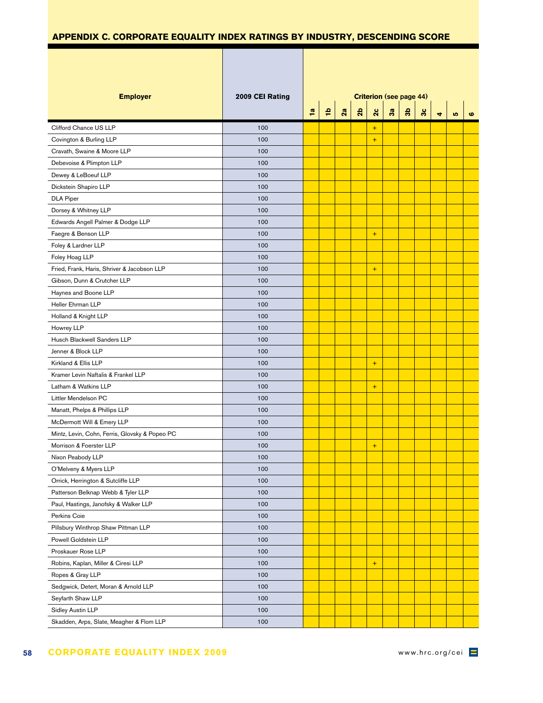| <b>Employer</b>                                | 2009 CEI Rating |              |               |    |    |           |    | Criterion (see page 44) |    |   |           |   |
|------------------------------------------------|-----------------|--------------|---------------|----|----|-----------|----|-------------------------|----|---|-----------|---|
|                                                |                 | $\mathbf{a}$ | $\frac{a}{r}$ | 2a | 2b | 2c        | 3a | 3b                      | 3c | 4 | <b>In</b> | ဖ |
| Clifford Chance US LLP                         | 100             |              |               |    |    | $\pm$     |    |                         |    |   |           |   |
| Covington & Burling LLP                        | 100             |              |               |    |    | $+$       |    |                         |    |   |           |   |
| Cravath, Swaine & Moore LLP                    | 100             |              |               |    |    |           |    |                         |    |   |           |   |
| Debevoise & Plimpton LLP                       | 100             |              |               |    |    |           |    |                         |    |   |           |   |
| Dewey & LeBoeuf LLP                            | 100             |              |               |    |    |           |    |                         |    |   |           |   |
| Dickstein Shapiro LLP                          | 100             |              |               |    |    |           |    |                         |    |   |           |   |
| <b>DLA Piper</b>                               | 100             |              |               |    |    |           |    |                         |    |   |           |   |
| Dorsey & Whitney LLP                           | 100             |              |               |    |    |           |    |                         |    |   |           |   |
| Edwards Angell Palmer & Dodge LLP              | 100             |              |               |    |    |           |    |                         |    |   |           |   |
| Faegre & Benson LLP                            | 100             |              |               |    |    | $\ddot{}$ |    |                         |    |   |           |   |
| Foley & Lardner LLP                            | 100             |              |               |    |    |           |    |                         |    |   |           |   |
| Foley Hoag LLP                                 | 100             |              |               |    |    |           |    |                         |    |   |           |   |
| Fried, Frank, Haris, Shriver & Jacobson LLP    | 100             |              |               |    |    | $\ddot{}$ |    |                         |    |   |           |   |
| Gibson, Dunn & Crutcher LLP                    | 100             |              |               |    |    |           |    |                         |    |   |           |   |
| Haynes and Boone LLP                           | 100             |              |               |    |    |           |    |                         |    |   |           |   |
| Heller Ehrman LLP                              | 100             |              |               |    |    |           |    |                         |    |   |           |   |
| Holland & Knight LLP                           | 100             |              |               |    |    |           |    |                         |    |   |           |   |
| Howrey LLP                                     | 100             |              |               |    |    |           |    |                         |    |   |           |   |
| Husch Blackwell Sanders LLP                    | 100             |              |               |    |    |           |    |                         |    |   |           |   |
| Jenner & Block LLP                             | 100             |              |               |    |    |           |    |                         |    |   |           |   |
| Kirkland & Ellis LLP                           | 100             |              |               |    |    | $\ddot{}$ |    |                         |    |   |           |   |
| Kramer Levin Naftalis & Frankel LLP            | 100             |              |               |    |    |           |    |                         |    |   |           |   |
| Latham & Watkins LLP                           | 100             |              |               |    |    | $\ddot{}$ |    |                         |    |   |           |   |
| Littler Mendelson PC                           | 100             |              |               |    |    |           |    |                         |    |   |           |   |
| Manatt, Phelps & Phillips LLP                  | 100             |              |               |    |    |           |    |                         |    |   |           |   |
| McDermott Will & Emery LLP                     | 100             |              |               |    |    |           |    |                         |    |   |           |   |
| Mintz, Levin, Cohn, Ferris, Glovsky & Popeo PC | 100             |              |               |    |    |           |    |                         |    |   |           |   |
| Morrison & Foerster LLP                        | 100             |              |               |    |    | $\pm$     |    |                         |    |   |           |   |
| Nixon Peabody LLP                              | 100             |              |               |    |    |           |    |                         |    |   |           |   |
| O'Melveny & Myers LLP                          | 100             |              |               |    |    |           |    |                         |    |   |           |   |
| Orrick, Herrington & Sutcliffe LLP             | 100             |              |               |    |    |           |    |                         |    |   |           |   |
| Patterson Belknap Webb & Tyler LLP             | 100             |              |               |    |    |           |    |                         |    |   |           |   |
| Paul, Hastings, Janofsky & Walker LLP          | 100             |              |               |    |    |           |    |                         |    |   |           |   |
| Perkins Coie                                   | 100             |              |               |    |    |           |    |                         |    |   |           |   |
| Pillsbury Winthrop Shaw Pittman LLP            | 100             |              |               |    |    |           |    |                         |    |   |           |   |
| Powell Goldstein LLP                           | 100             |              |               |    |    |           |    |                         |    |   |           |   |
| Proskauer Rose LLP                             | 100             |              |               |    |    |           |    |                         |    |   |           |   |
| Robins, Kaplan, Miller & Ciresi LLP            | 100             |              |               |    |    | $+$       |    |                         |    |   |           |   |
| Ropes & Gray LLP                               | 100             |              |               |    |    |           |    |                         |    |   |           |   |
| Sedgwick, Detert, Moran & Arnold LLP           | 100             |              |               |    |    |           |    |                         |    |   |           |   |
| Seyfarth Shaw LLP                              | 100             |              |               |    |    |           |    |                         |    |   |           |   |
| Sidley Austin LLP                              | 100             |              |               |    |    |           |    |                         |    |   |           |   |
| Skadden, Arps, Slate, Meagher & Flom LLP       | 100             |              |               |    |    |           |    |                         |    |   |           |   |

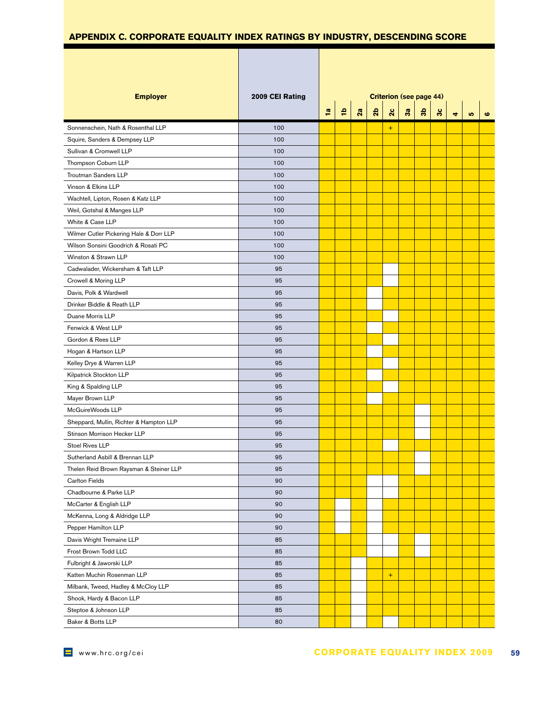| <b>Employer</b>                         | 2009 CEI Rating |               |              |    |    |     |    | <b>Criterion (see page 44)</b> |    |   |           |    |
|-----------------------------------------|-----------------|---------------|--------------|----|----|-----|----|--------------------------------|----|---|-----------|----|
|                                         |                 | $\frac{a}{b}$ | $\mathbf{a}$ | 2a | 2b | 2c  | 3a | $35\,$                         | 3c | 4 | <b>LO</b> | cΘ |
| Sonnenschein, Nath & Rosenthal LLP      | 100             |               |              |    |    | $+$ |    |                                |    |   |           |    |
| Squire, Sanders & Dempsey LLP           | 100             |               |              |    |    |     |    |                                |    |   |           |    |
| Sullivan & Cromwell LLP                 | 100             |               |              |    |    |     |    |                                |    |   |           |    |
| Thompson Coburn LLP                     | 100             |               |              |    |    |     |    |                                |    |   |           |    |
| <b>Troutman Sanders LLP</b>             | 100             |               |              |    |    |     |    |                                |    |   |           |    |
| Vinson & Elkins LLP                     | 100             |               |              |    |    |     |    |                                |    |   |           |    |
| Wachtell, Lipton, Rosen & Katz LLP      | 100             |               |              |    |    |     |    |                                |    |   |           |    |
| Weil, Gotshal & Manges LLP              | 100             |               |              |    |    |     |    |                                |    |   |           |    |
| White & Case LLP                        | 100             |               |              |    |    |     |    |                                |    |   |           |    |
| Wilmer Cutler Pickering Hale & Dorr LLP | 100             |               |              |    |    |     |    |                                |    |   |           |    |
| Wilson Sonsini Goodrich & Rosati PC     | 100             |               |              |    |    |     |    |                                |    |   |           |    |
| Winston & Strawn LLP                    | 100             |               |              |    |    |     |    |                                |    |   |           |    |
| Cadwalader, Wickersham & Taft LLP       | 95              |               |              |    |    |     |    |                                |    |   |           |    |
| Crowell & Moring LLP                    | 95              |               |              |    |    |     |    |                                |    |   |           |    |
| Davis, Polk & Wardwell                  | 95              |               |              |    |    |     |    |                                |    |   |           |    |
| Drinker Biddle & Reath LLP              | 95              |               |              |    |    |     |    |                                |    |   |           |    |
| Duane Morris LLP                        | 95              |               |              |    |    |     |    |                                |    |   |           |    |
| Fenwick & West LLP                      | 95              |               |              |    |    |     |    |                                |    |   |           |    |
| Gordon & Rees LLP                       | 95              |               |              |    |    |     |    |                                |    |   |           |    |
| Hogan & Hartson LLP                     | 95              |               |              |    |    |     |    |                                |    |   |           |    |
| Kelley Drye & Warren LLP                | 95              |               |              |    |    |     |    |                                |    |   |           |    |
| Kilpatrick Stockton LLP                 | 95              |               |              |    |    |     |    |                                |    |   |           |    |
| King & Spalding LLP                     | 95              |               |              |    |    |     |    |                                |    |   |           |    |
| Mayer Brown LLP                         | 95              |               |              |    |    |     |    |                                |    |   |           |    |
| McGuireWoods LLP                        | 95              |               |              |    |    |     |    |                                |    |   |           |    |
| Sheppard, Mullin, Richter & Hampton LLP | 95              |               |              |    |    |     |    |                                |    |   |           |    |
| Stinson Morrison Hecker LLP             | 95              |               |              |    |    |     |    |                                |    |   |           |    |
| <b>Stoel Rives LLP</b>                  | 95              |               |              |    |    |     |    |                                |    |   |           |    |
| Sutherland Asbill & Brennan LLP         | 95              |               |              |    |    |     |    |                                |    |   |           |    |
| Thelen Reid Brown Raysman & Steiner LLP | 95              |               |              |    |    |     |    |                                |    |   |           |    |
| <b>Carlton Fields</b>                   | 90              |               |              |    |    |     |    |                                |    |   |           |    |
| Chadbourne & Parke LLP                  | 90              |               |              |    |    |     |    |                                |    |   |           |    |
| McCarter & English LLP                  | 90              |               |              |    |    |     |    |                                |    |   |           |    |
| McKenna, Long & Aldridge LLP            | 90              |               |              |    |    |     |    |                                |    |   |           |    |
| Pepper Hamilton LLP                     | 90              |               |              |    |    |     |    |                                |    |   |           |    |
| Davis Wright Tremaine LLP               | 85              |               |              |    |    |     |    |                                |    |   |           |    |
| Frost Brown Todd LLC                    | 85              |               |              |    |    |     |    |                                |    |   |           |    |
| Fulbright & Jaworski LLP                | 85              |               |              |    |    |     |    |                                |    |   |           |    |
| Katten Muchin Rosenman LLP              | 85              |               |              |    |    | $+$ |    |                                |    |   |           |    |
| Milbank, Tweed, Hadley & McCloy LLP     | 85              |               |              |    |    |     |    |                                |    |   |           |    |
| Shook, Hardy & Bacon LLP                | 85              |               |              |    |    |     |    |                                |    |   |           |    |
| Steptoe & Johnson LLP                   | 85              |               |              |    |    |     |    |                                |    |   |           |    |
| Baker & Botts LLP                       | 80              |               |              |    |    |     |    |                                |    |   |           |    |
|                                         |                 |               |              |    |    |     |    |                                |    |   |           |    |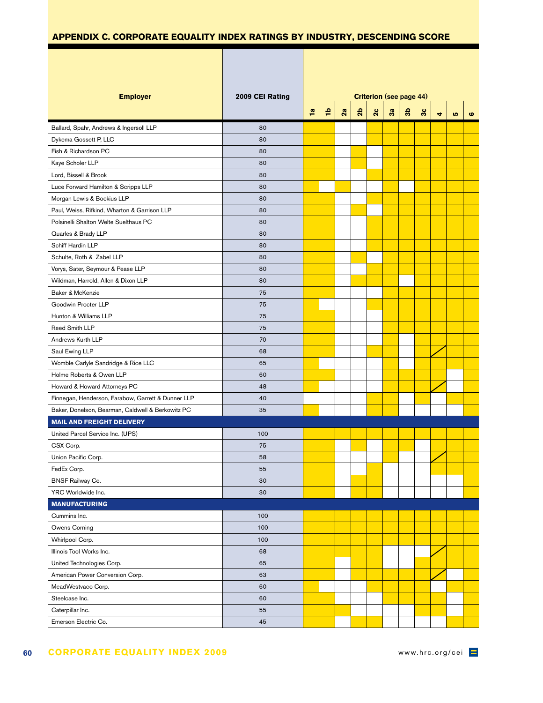| <b>Employer</b>                                    | 2009 CEI Rating |                |              |    |    |    | <b>Criterion (see page 44)</b> |                |    |   |    |  |
|----------------------------------------------------|-----------------|----------------|--------------|----|----|----|--------------------------------|----------------|----|---|----|--|
|                                                    |                 | $\overline{a}$ | $\mathbf{a}$ | 2a | 2b | 2c | 3a                             | 3 <sup>o</sup> | 3c |   |    |  |
| Ballard, Spahr, Andrews & Ingersoll LLP            | 80              |                |              |    |    |    |                                |                |    | 4 | 10 |  |
| Dykema Gossett P, LLC                              | 80              |                |              |    |    |    |                                |                |    |   |    |  |
| Fish & Richardson PC                               | 80              |                |              |    |    |    |                                |                |    |   |    |  |
| Kaye Scholer LLP                                   | 80              |                |              |    |    |    |                                |                |    |   |    |  |
| Lord, Bissell & Brook                              | 80              |                |              |    |    |    |                                |                |    |   |    |  |
| Luce Forward Hamilton & Scripps LLP                | 80              |                |              |    |    |    |                                |                |    |   |    |  |
| Morgan Lewis & Bockius LLP                         | 80              |                |              |    |    |    |                                |                |    |   |    |  |
| Paul, Weiss, Rifkind, Wharton & Garrison LLP       | 80              |                |              |    |    |    |                                |                |    |   |    |  |
| Polsinelli Shalton Welte Suelthaus PC              | 80              |                |              |    |    |    |                                |                |    |   |    |  |
| Quarles & Brady LLP                                | 80              |                |              |    |    |    |                                |                |    |   |    |  |
| Schiff Hardin LLP                                  | 80              |                |              |    |    |    |                                |                |    |   |    |  |
| Schulte, Roth & Zabel LLP                          | 80              |                |              |    |    |    |                                |                |    |   |    |  |
| Vorys, Sater, Seymour & Pease LLP                  | 80              |                |              |    |    |    |                                |                |    |   |    |  |
| Wildman, Harrold, Allen & Dixon LLP                | 80              |                |              |    |    |    |                                |                |    |   |    |  |
| Baker & McKenzie                                   | 75              |                |              |    |    |    |                                |                |    |   |    |  |
| Goodwin Procter LLP                                | 75              |                |              |    |    |    |                                |                |    |   |    |  |
| Hunton & Williams LLP                              | 75              |                |              |    |    |    |                                |                |    |   |    |  |
| Reed Smith LLP                                     | 75              |                |              |    |    |    |                                |                |    |   |    |  |
| Andrews Kurth LLP                                  | 70              |                |              |    |    |    |                                |                |    |   |    |  |
| Saul Ewing LLP                                     | 68              |                |              |    |    |    |                                |                |    |   |    |  |
| Womble Carlyle Sandridge & Rice LLC                | 65              |                |              |    |    |    |                                |                |    |   |    |  |
| Holme Roberts & Owen LLP                           | 60              |                |              |    |    |    |                                |                |    |   |    |  |
| Howard & Howard Attorneys PC                       | 48              |                |              |    |    |    |                                |                |    |   |    |  |
| Finnegan, Henderson, Farabow, Garrett & Dunner LLP | 40              |                |              |    |    |    |                                |                |    |   |    |  |
| Baker, Donelson, Bearman, Caldwell & Berkowitz PC  | 35              |                |              |    |    |    |                                |                |    |   |    |  |
| <b>MAIL AND FREIGHT DELIVERY</b>                   |                 |                |              |    |    |    |                                |                |    |   |    |  |
| United Parcel Service Inc. (UPS)                   | 100             |                |              |    |    |    |                                |                |    |   |    |  |
| CSX Corp.                                          | 75              |                |              |    |    |    |                                |                |    |   |    |  |
| Union Pacific Corp.                                | 58              |                |              |    |    |    |                                |                |    |   |    |  |
| FedEx Corp.                                        | 55              |                |              |    |    |    |                                |                |    |   |    |  |
| <b>BNSF Railway Co.</b>                            | 30              |                |              |    |    |    |                                |                |    |   |    |  |
| YRC Worldwide Inc.                                 | 30              |                |              |    |    |    |                                |                |    |   |    |  |
| <b>MANUFACTURING</b>                               |                 |                |              |    |    |    |                                |                |    |   |    |  |
| Cummins Inc.                                       | 100             |                |              |    |    |    |                                |                |    |   |    |  |
| Owens Corning                                      | 100             |                |              |    |    |    |                                |                |    |   |    |  |
| Whirlpool Corp.                                    | 100             |                |              |    |    |    |                                |                |    |   |    |  |
| Illinois Tool Works Inc.                           | 68              |                |              |    |    |    |                                |                |    |   |    |  |
| United Technologies Corp.                          | 65              |                |              |    |    |    |                                |                |    |   |    |  |
| American Power Conversion Corp.                    | 63              |                |              |    |    |    |                                |                |    |   |    |  |
| MeadWestvaco Corp.                                 | 60              |                |              |    |    |    |                                |                |    |   |    |  |
| Steelcase Inc.                                     | 60              |                |              |    |    |    |                                |                |    |   |    |  |
| Caterpillar Inc.                                   | 55              |                |              |    |    |    |                                |                |    |   |    |  |
| Emerson Electric Co.                               | 45              |                |              |    |    |    |                                |                |    |   |    |  |

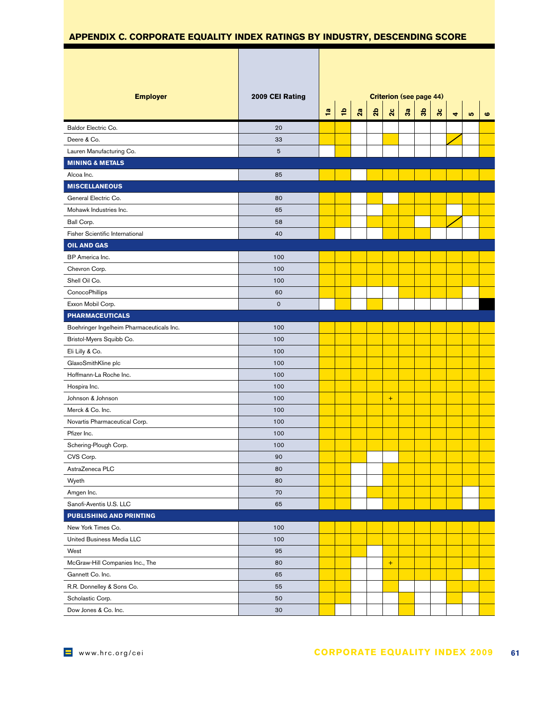| $\frac{a}{r}$<br>2b<br>3 <sub>b</sub><br>$\mathbf{a}$<br>2c<br>3a<br>3c<br>2a<br>$\blacktriangleleft$<br><b>LO</b><br>$\bullet$<br>Baldor Electric Co.<br>20<br>Deere & Co.<br>33<br>Lauren Manufacturing Co.<br>5<br><b>MINING &amp; METALS</b><br>85<br>Alcoa Inc.<br><b>MISCELLANEOUS</b><br>General Electric Co.<br>80<br>Mohawk Industries Inc.<br>65<br>58<br>Ball Corp.<br>Fisher Scientific International<br>40<br><b>OIL AND GAS</b><br>BP America Inc.<br>100<br>Chevron Corp.<br>100<br>Shell Oil Co.<br>100<br>ConocoPhillips<br>60<br>Exxon Mobil Corp.<br>$\mathbf 0$<br><b>PHARMACEUTICALS</b><br>100<br>Boehringer Ingelheim Pharmaceuticals Inc.<br>Bristol-Myers Squibb Co.<br>100<br>Eli Lilly & Co.<br>100<br>100<br>GlaxoSmithKline plc<br>Hoffmann-La Roche Inc.<br>100<br>100<br>Hospira Inc.<br>Johnson & Johnson<br>100<br>$\pm$<br>Merck & Co. Inc.<br>100<br>Novartis Pharmaceutical Corp.<br>100<br>Pfizer Inc.<br>100<br>Schering-Plough Corp.<br>100<br>CVS Corp.<br>90<br>AstraZeneca PLC<br>80<br>Wyeth<br>80<br>Amgen Inc.<br>70<br>Sanofi-Aventis U.S. LLC<br>65<br><b>PUBLISHING AND PRINTING</b><br>New York Times Co.<br>100<br>United Business Media LLC<br>100<br>West<br>95<br>McGraw-Hill Companies Inc., The<br>80<br>$\pm$<br>Gannett Co. Inc.<br>65<br>R.R. Donnelley & Sons Co.<br>55<br>Scholastic Corp.<br>50 | <b>Employer</b>      | 2009 CEI Rating |  |  |  | <b>Criterion (see page 44)</b> |  |  |
|--------------------------------------------------------------------------------------------------------------------------------------------------------------------------------------------------------------------------------------------------------------------------------------------------------------------------------------------------------------------------------------------------------------------------------------------------------------------------------------------------------------------------------------------------------------------------------------------------------------------------------------------------------------------------------------------------------------------------------------------------------------------------------------------------------------------------------------------------------------------------------------------------------------------------------------------------------------------------------------------------------------------------------------------------------------------------------------------------------------------------------------------------------------------------------------------------------------------------------------------------------------------------------------------------------------------------------------------------------------|----------------------|-----------------|--|--|--|--------------------------------|--|--|
|                                                                                                                                                                                                                                                                                                                                                                                                                                                                                                                                                                                                                                                                                                                                                                                                                                                                                                                                                                                                                                                                                                                                                                                                                                                                                                                                                              |                      |                 |  |  |  |                                |  |  |
|                                                                                                                                                                                                                                                                                                                                                                                                                                                                                                                                                                                                                                                                                                                                                                                                                                                                                                                                                                                                                                                                                                                                                                                                                                                                                                                                                              |                      |                 |  |  |  |                                |  |  |
|                                                                                                                                                                                                                                                                                                                                                                                                                                                                                                                                                                                                                                                                                                                                                                                                                                                                                                                                                                                                                                                                                                                                                                                                                                                                                                                                                              |                      |                 |  |  |  |                                |  |  |
|                                                                                                                                                                                                                                                                                                                                                                                                                                                                                                                                                                                                                                                                                                                                                                                                                                                                                                                                                                                                                                                                                                                                                                                                                                                                                                                                                              |                      |                 |  |  |  |                                |  |  |
|                                                                                                                                                                                                                                                                                                                                                                                                                                                                                                                                                                                                                                                                                                                                                                                                                                                                                                                                                                                                                                                                                                                                                                                                                                                                                                                                                              |                      |                 |  |  |  |                                |  |  |
|                                                                                                                                                                                                                                                                                                                                                                                                                                                                                                                                                                                                                                                                                                                                                                                                                                                                                                                                                                                                                                                                                                                                                                                                                                                                                                                                                              |                      |                 |  |  |  |                                |  |  |
|                                                                                                                                                                                                                                                                                                                                                                                                                                                                                                                                                                                                                                                                                                                                                                                                                                                                                                                                                                                                                                                                                                                                                                                                                                                                                                                                                              |                      |                 |  |  |  |                                |  |  |
|                                                                                                                                                                                                                                                                                                                                                                                                                                                                                                                                                                                                                                                                                                                                                                                                                                                                                                                                                                                                                                                                                                                                                                                                                                                                                                                                                              |                      |                 |  |  |  |                                |  |  |
|                                                                                                                                                                                                                                                                                                                                                                                                                                                                                                                                                                                                                                                                                                                                                                                                                                                                                                                                                                                                                                                                                                                                                                                                                                                                                                                                                              |                      |                 |  |  |  |                                |  |  |
|                                                                                                                                                                                                                                                                                                                                                                                                                                                                                                                                                                                                                                                                                                                                                                                                                                                                                                                                                                                                                                                                                                                                                                                                                                                                                                                                                              |                      |                 |  |  |  |                                |  |  |
|                                                                                                                                                                                                                                                                                                                                                                                                                                                                                                                                                                                                                                                                                                                                                                                                                                                                                                                                                                                                                                                                                                                                                                                                                                                                                                                                                              |                      |                 |  |  |  |                                |  |  |
|                                                                                                                                                                                                                                                                                                                                                                                                                                                                                                                                                                                                                                                                                                                                                                                                                                                                                                                                                                                                                                                                                                                                                                                                                                                                                                                                                              |                      |                 |  |  |  |                                |  |  |
|                                                                                                                                                                                                                                                                                                                                                                                                                                                                                                                                                                                                                                                                                                                                                                                                                                                                                                                                                                                                                                                                                                                                                                                                                                                                                                                                                              |                      |                 |  |  |  |                                |  |  |
|                                                                                                                                                                                                                                                                                                                                                                                                                                                                                                                                                                                                                                                                                                                                                                                                                                                                                                                                                                                                                                                                                                                                                                                                                                                                                                                                                              |                      |                 |  |  |  |                                |  |  |
|                                                                                                                                                                                                                                                                                                                                                                                                                                                                                                                                                                                                                                                                                                                                                                                                                                                                                                                                                                                                                                                                                                                                                                                                                                                                                                                                                              |                      |                 |  |  |  |                                |  |  |
|                                                                                                                                                                                                                                                                                                                                                                                                                                                                                                                                                                                                                                                                                                                                                                                                                                                                                                                                                                                                                                                                                                                                                                                                                                                                                                                                                              |                      |                 |  |  |  |                                |  |  |
|                                                                                                                                                                                                                                                                                                                                                                                                                                                                                                                                                                                                                                                                                                                                                                                                                                                                                                                                                                                                                                                                                                                                                                                                                                                                                                                                                              |                      |                 |  |  |  |                                |  |  |
|                                                                                                                                                                                                                                                                                                                                                                                                                                                                                                                                                                                                                                                                                                                                                                                                                                                                                                                                                                                                                                                                                                                                                                                                                                                                                                                                                              |                      |                 |  |  |  |                                |  |  |
|                                                                                                                                                                                                                                                                                                                                                                                                                                                                                                                                                                                                                                                                                                                                                                                                                                                                                                                                                                                                                                                                                                                                                                                                                                                                                                                                                              |                      |                 |  |  |  |                                |  |  |
|                                                                                                                                                                                                                                                                                                                                                                                                                                                                                                                                                                                                                                                                                                                                                                                                                                                                                                                                                                                                                                                                                                                                                                                                                                                                                                                                                              |                      |                 |  |  |  |                                |  |  |
|                                                                                                                                                                                                                                                                                                                                                                                                                                                                                                                                                                                                                                                                                                                                                                                                                                                                                                                                                                                                                                                                                                                                                                                                                                                                                                                                                              |                      |                 |  |  |  |                                |  |  |
|                                                                                                                                                                                                                                                                                                                                                                                                                                                                                                                                                                                                                                                                                                                                                                                                                                                                                                                                                                                                                                                                                                                                                                                                                                                                                                                                                              |                      |                 |  |  |  |                                |  |  |
|                                                                                                                                                                                                                                                                                                                                                                                                                                                                                                                                                                                                                                                                                                                                                                                                                                                                                                                                                                                                                                                                                                                                                                                                                                                                                                                                                              |                      |                 |  |  |  |                                |  |  |
|                                                                                                                                                                                                                                                                                                                                                                                                                                                                                                                                                                                                                                                                                                                                                                                                                                                                                                                                                                                                                                                                                                                                                                                                                                                                                                                                                              |                      |                 |  |  |  |                                |  |  |
|                                                                                                                                                                                                                                                                                                                                                                                                                                                                                                                                                                                                                                                                                                                                                                                                                                                                                                                                                                                                                                                                                                                                                                                                                                                                                                                                                              |                      |                 |  |  |  |                                |  |  |
|                                                                                                                                                                                                                                                                                                                                                                                                                                                                                                                                                                                                                                                                                                                                                                                                                                                                                                                                                                                                                                                                                                                                                                                                                                                                                                                                                              |                      |                 |  |  |  |                                |  |  |
|                                                                                                                                                                                                                                                                                                                                                                                                                                                                                                                                                                                                                                                                                                                                                                                                                                                                                                                                                                                                                                                                                                                                                                                                                                                                                                                                                              |                      |                 |  |  |  |                                |  |  |
|                                                                                                                                                                                                                                                                                                                                                                                                                                                                                                                                                                                                                                                                                                                                                                                                                                                                                                                                                                                                                                                                                                                                                                                                                                                                                                                                                              |                      |                 |  |  |  |                                |  |  |
|                                                                                                                                                                                                                                                                                                                                                                                                                                                                                                                                                                                                                                                                                                                                                                                                                                                                                                                                                                                                                                                                                                                                                                                                                                                                                                                                                              |                      |                 |  |  |  |                                |  |  |
|                                                                                                                                                                                                                                                                                                                                                                                                                                                                                                                                                                                                                                                                                                                                                                                                                                                                                                                                                                                                                                                                                                                                                                                                                                                                                                                                                              |                      |                 |  |  |  |                                |  |  |
|                                                                                                                                                                                                                                                                                                                                                                                                                                                                                                                                                                                                                                                                                                                                                                                                                                                                                                                                                                                                                                                                                                                                                                                                                                                                                                                                                              |                      |                 |  |  |  |                                |  |  |
|                                                                                                                                                                                                                                                                                                                                                                                                                                                                                                                                                                                                                                                                                                                                                                                                                                                                                                                                                                                                                                                                                                                                                                                                                                                                                                                                                              |                      |                 |  |  |  |                                |  |  |
|                                                                                                                                                                                                                                                                                                                                                                                                                                                                                                                                                                                                                                                                                                                                                                                                                                                                                                                                                                                                                                                                                                                                                                                                                                                                                                                                                              |                      |                 |  |  |  |                                |  |  |
|                                                                                                                                                                                                                                                                                                                                                                                                                                                                                                                                                                                                                                                                                                                                                                                                                                                                                                                                                                                                                                                                                                                                                                                                                                                                                                                                                              |                      |                 |  |  |  |                                |  |  |
|                                                                                                                                                                                                                                                                                                                                                                                                                                                                                                                                                                                                                                                                                                                                                                                                                                                                                                                                                                                                                                                                                                                                                                                                                                                                                                                                                              |                      |                 |  |  |  |                                |  |  |
|                                                                                                                                                                                                                                                                                                                                                                                                                                                                                                                                                                                                                                                                                                                                                                                                                                                                                                                                                                                                                                                                                                                                                                                                                                                                                                                                                              |                      |                 |  |  |  |                                |  |  |
|                                                                                                                                                                                                                                                                                                                                                                                                                                                                                                                                                                                                                                                                                                                                                                                                                                                                                                                                                                                                                                                                                                                                                                                                                                                                                                                                                              |                      |                 |  |  |  |                                |  |  |
|                                                                                                                                                                                                                                                                                                                                                                                                                                                                                                                                                                                                                                                                                                                                                                                                                                                                                                                                                                                                                                                                                                                                                                                                                                                                                                                                                              |                      |                 |  |  |  |                                |  |  |
|                                                                                                                                                                                                                                                                                                                                                                                                                                                                                                                                                                                                                                                                                                                                                                                                                                                                                                                                                                                                                                                                                                                                                                                                                                                                                                                                                              |                      |                 |  |  |  |                                |  |  |
|                                                                                                                                                                                                                                                                                                                                                                                                                                                                                                                                                                                                                                                                                                                                                                                                                                                                                                                                                                                                                                                                                                                                                                                                                                                                                                                                                              |                      |                 |  |  |  |                                |  |  |
|                                                                                                                                                                                                                                                                                                                                                                                                                                                                                                                                                                                                                                                                                                                                                                                                                                                                                                                                                                                                                                                                                                                                                                                                                                                                                                                                                              |                      |                 |  |  |  |                                |  |  |
|                                                                                                                                                                                                                                                                                                                                                                                                                                                                                                                                                                                                                                                                                                                                                                                                                                                                                                                                                                                                                                                                                                                                                                                                                                                                                                                                                              |                      |                 |  |  |  |                                |  |  |
|                                                                                                                                                                                                                                                                                                                                                                                                                                                                                                                                                                                                                                                                                                                                                                                                                                                                                                                                                                                                                                                                                                                                                                                                                                                                                                                                                              | Dow Jones & Co. Inc. | 30              |  |  |  |                                |  |  |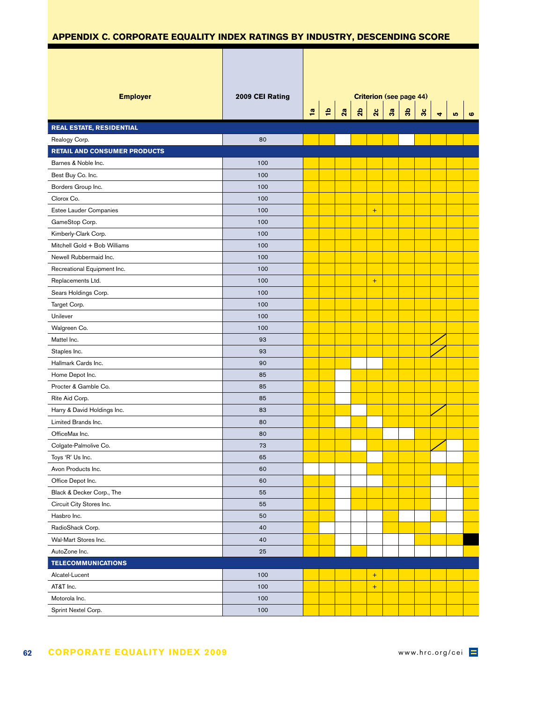|                                     | 2009 CEI Rating |              |               |    |    |           |    | <b>Criterion (see page 44)</b> |    |   |           |              |
|-------------------------------------|-----------------|--------------|---------------|----|----|-----------|----|--------------------------------|----|---|-----------|--------------|
| <b>Employer</b>                     |                 | $\mathbf{a}$ | $\frac{a}{r}$ | 2a | 2b | 2c        | 3a | 3 <sub>0</sub>                 | 3c | 4 | <b>LO</b> | $\mathbf{c}$ |
| <b>REAL ESTATE, RESIDENTIAL</b>     |                 |              |               |    |    |           |    |                                |    |   |           |              |
| Realogy Corp.                       | 80              |              |               |    |    |           |    |                                |    |   |           |              |
| <b>RETAIL AND CONSUMER PRODUCTS</b> |                 |              |               |    |    |           |    |                                |    |   |           |              |
| Barnes & Noble Inc.                 | 100             |              |               |    |    |           |    |                                |    |   |           |              |
| Best Buy Co. Inc.                   | 100             |              |               |    |    |           |    |                                |    |   |           |              |
| Borders Group Inc.                  | 100             |              |               |    |    |           |    |                                |    |   |           |              |
| Clorox Co.                          | 100             |              |               |    |    |           |    |                                |    |   |           |              |
| Estee Lauder Companies              | 100             |              |               |    |    | $+$       |    |                                |    |   |           |              |
| GameStop Corp.                      | 100             |              |               |    |    |           |    |                                |    |   |           |              |
| Kimberly-Clark Corp.                | 100             |              |               |    |    |           |    |                                |    |   |           |              |
| Mitchell Gold + Bob Williams        | 100             |              |               |    |    |           |    |                                |    |   |           |              |
| Newell Rubbermaid Inc.              | 100             |              |               |    |    |           |    |                                |    |   |           |              |
| Recreational Equipment Inc.         | 100             |              |               |    |    |           |    |                                |    |   |           |              |
| Replacements Ltd.                   | 100             |              |               |    |    | $+$       |    |                                |    |   |           |              |
| Sears Holdings Corp.                | 100             |              |               |    |    |           |    |                                |    |   |           |              |
| Target Corp.                        | 100             |              |               |    |    |           |    |                                |    |   |           |              |
| Unilever                            | 100             |              |               |    |    |           |    |                                |    |   |           |              |
| Walgreen Co.                        | 100             |              |               |    |    |           |    |                                |    |   |           |              |
| Mattel Inc.                         | 93              |              |               |    |    |           |    |                                |    |   |           |              |
| Staples Inc.                        | 93              |              |               |    |    |           |    |                                |    |   |           |              |
| Hallmark Cards Inc.                 | 90              |              |               |    |    |           |    |                                |    |   |           |              |
| Home Depot Inc.                     | 85              |              |               |    |    |           |    |                                |    |   |           |              |
| Procter & Gamble Co.                | 85              |              |               |    |    |           |    |                                |    |   |           |              |
| Rite Aid Corp.                      | 85              |              |               |    |    |           |    |                                |    |   |           |              |
| Harry & David Holdings Inc.         | 83              |              |               |    |    |           |    |                                |    |   |           |              |
| Limited Brands Inc.                 | 80              |              |               |    |    |           |    |                                |    |   |           |              |
| OfficeMax Inc.                      | 80              |              |               |    |    |           |    |                                |    |   |           |              |
| Colgate-Palmolive Co.               | 73              |              |               |    |    |           |    |                                |    |   |           |              |
| Toys 'R' Us Inc.                    | 65              |              |               |    |    |           |    |                                |    |   |           |              |
| Avon Products Inc.                  | 60              |              |               |    |    |           |    |                                |    |   |           |              |
| Office Depot Inc.                   | 60              |              |               |    |    |           |    |                                |    |   |           |              |
| Black & Decker Corp., The           | 55              |              |               |    |    |           |    |                                |    |   |           |              |
| Circuit City Stores Inc.            | 55              |              |               |    |    |           |    |                                |    |   |           |              |
| Hasbro Inc.                         | 50              |              |               |    |    |           |    |                                |    |   |           |              |
| RadioShack Corp.                    | 40              |              |               |    |    |           |    |                                |    |   |           |              |
| Wal-Mart Stores Inc.                | 40              |              |               |    |    |           |    |                                |    |   |           |              |
| AutoZone Inc.                       | 25              |              |               |    |    |           |    |                                |    |   |           |              |
| <b>TELECOMMUNICATIONS</b>           |                 |              |               |    |    |           |    |                                |    |   |           |              |
| Alcatel-Lucent                      | 100             |              |               |    |    | $\ddot{}$ |    |                                |    |   |           |              |
| AT&T Inc.                           | 100             |              |               |    |    | $+$       |    |                                |    |   |           |              |
| Motorola Inc.                       | 100             |              |               |    |    |           |    |                                |    |   |           |              |
| Sprint Nextel Corp.                 | 100             |              |               |    |    |           |    |                                |    |   |           |              |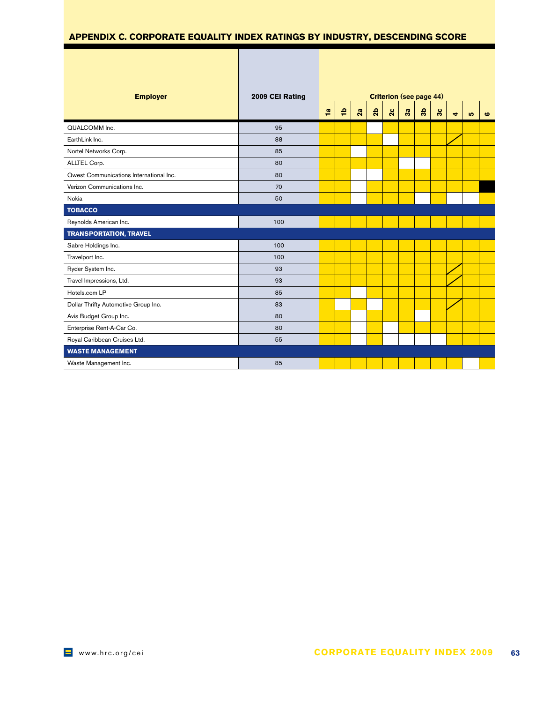| <b>Employer</b>                         | 2009 CEI Rating |              |               |    |    | <b>Criterion (see page 44)</b> |    |                |    |                       |           |           |
|-----------------------------------------|-----------------|--------------|---------------|----|----|--------------------------------|----|----------------|----|-----------------------|-----------|-----------|
|                                         |                 | $\mathbf{a}$ | $\frac{a}{r}$ | 2a | 2b | 2c                             | 3a | 3 <sub>0</sub> | 3c | $\blacktriangleright$ | <b>LO</b> | <b>CO</b> |
| QUALCOMM Inc.                           | 95              |              |               |    |    |                                |    |                |    |                       |           |           |
| EarthLink Inc.                          | 88              |              |               |    |    |                                |    |                |    |                       |           |           |
| Nortel Networks Corp.                   | 85              |              |               |    |    |                                |    |                |    |                       |           |           |
| <b>ALLTEL Corp.</b>                     | 80              |              |               |    |    |                                |    |                |    |                       |           |           |
| Qwest Communications International Inc. | 80              |              |               |    |    |                                |    |                |    |                       |           |           |
| Verizon Communications Inc.             | 70              |              |               |    |    |                                |    |                |    |                       |           |           |
| Nokia                                   | 50              |              |               |    |    |                                |    |                |    |                       |           |           |
| <b>TOBACCO</b>                          |                 |              |               |    |    |                                |    |                |    |                       |           |           |
| Reynolds American Inc.                  | 100             |              |               |    |    |                                |    |                |    |                       |           |           |
| <b>TRANSPORTATION, TRAVEL</b>           |                 |              |               |    |    |                                |    |                |    |                       |           |           |
| Sabre Holdings Inc.                     | 100             |              |               |    |    |                                |    |                |    |                       |           |           |
| Travelport Inc.                         | 100             |              |               |    |    |                                |    |                |    |                       |           |           |
| Ryder System Inc.                       | 93              |              |               |    |    |                                |    |                |    |                       |           |           |
| Travel Impressions, Ltd.                | 93              |              |               |    |    |                                |    |                |    |                       |           |           |
| Hotels.com LP                           | 85              |              |               |    |    |                                |    |                |    |                       |           |           |
| Dollar Thrifty Automotive Group Inc.    | 83              |              |               |    |    |                                |    |                |    |                       |           |           |
| Avis Budget Group Inc.                  | 80              |              |               |    |    |                                |    |                |    |                       |           |           |
| Enterprise Rent-A-Car Co.               | 80              |              |               |    |    |                                |    |                |    |                       |           |           |
| Royal Caribbean Cruises Ltd.            | 55              |              |               |    |    |                                |    |                |    |                       |           |           |
| <b>WASTE MANAGEMENT</b>                 |                 |              |               |    |    |                                |    |                |    |                       |           |           |
| Waste Management Inc.                   | 85              |              |               |    |    |                                |    |                |    |                       |           |           |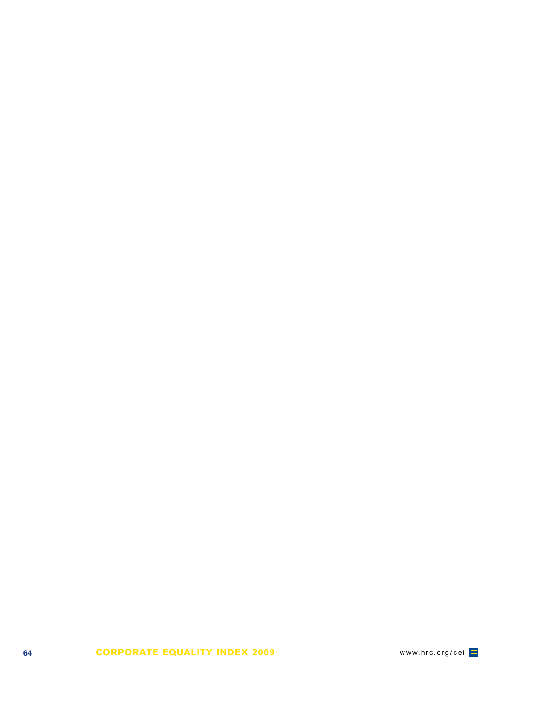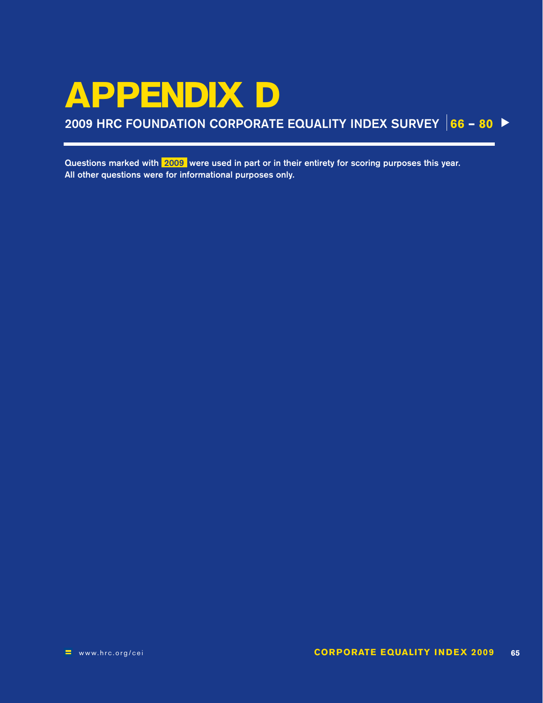# **Employer 2009 CEI Rating Appendix D**

**2009 HRC FOUNDATION CORPORATE EQUALITY INDEX SURVEY │<mark>66 – 80</mark> ▶** 

Questions marked with 2009 were used in part or in their entirety for scoring purposes this year. All other questions were for informational purposes only.

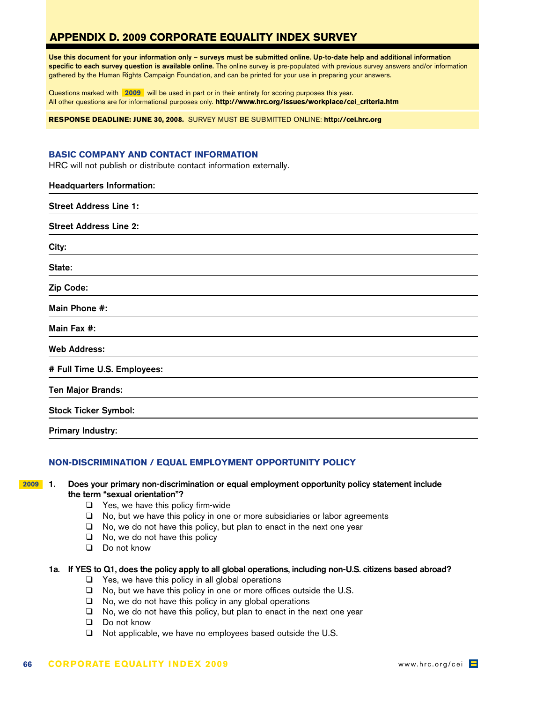# **Appendix D. 2009 Corporate Equality Index survey**

Use this document for your information only – surveys must be submitted online. Up-to-date help and additional information specific to each survey question is available online. The online survey is pre-populated with previous survey answers and/or information gathered by the Human Rights Campaign Foundation, and can be printed for your use in preparing your answers.

Questions marked with **2009** will be used in part or in their entirety for scoring purposes this year. All other questions are for informational purposes only. **http://www.hrc.org/issues/workplace/cei\_criteria.htm**

**RESPONSE DEADLINE: JUNE 30, 2008.** SURVEY MUST BE SUBMITTED ONLINE: **http://cei.hrc.org**

#### **Basic Company and Contact Information**

HRC will not publish or distribute contact information externally.

| <b>Headquarters Information:</b> |
|----------------------------------|
| <b>Street Address Line 1:</b>    |
| <b>Street Address Line 2:</b>    |
| City:                            |
| State:                           |
| Zip Code:                        |
| Main Phone #:                    |
| Main Fax #:                      |
| <b>Web Address:</b>              |
| # Full Time U.S. Employees:      |
| <b>Ten Major Brands:</b>         |
| <b>Stock Ticker Symbol:</b>      |
| <b>Primary Industry:</b>         |

#### **Non-Discrimination / Equal Employment Opportunity Policy**

1. Does your primary non-discrimination or equal employment opportunity policy statement include the term "sexual orientation"? **2009**

- $\Box$  Yes, we have this policy firm-wide
- $\Box$  No, but we have this policy in one or more subsidiaries or labor agreements
- $\Box$  No, we do not have this policy, but plan to enact in the next one year
- $\Box$  No, we do not have this policy
- $\Box$  Do not know

#### 1a. If YES to Q1, does the policy apply to all global operations, including non-U.S. citizens based abroad?

- $\Box$  Yes, we have this policy in all global operations
- $\square$  No, but we have this policy in one or more offices outside the U.S.
- $\Box$  No, we do not have this policy in any global operations
- $\Box$  No, we do not have this policy, but plan to enact in the next one year
- $\Box$  Do not know
- $\Box$  Not applicable, we have no employees based outside the U.S.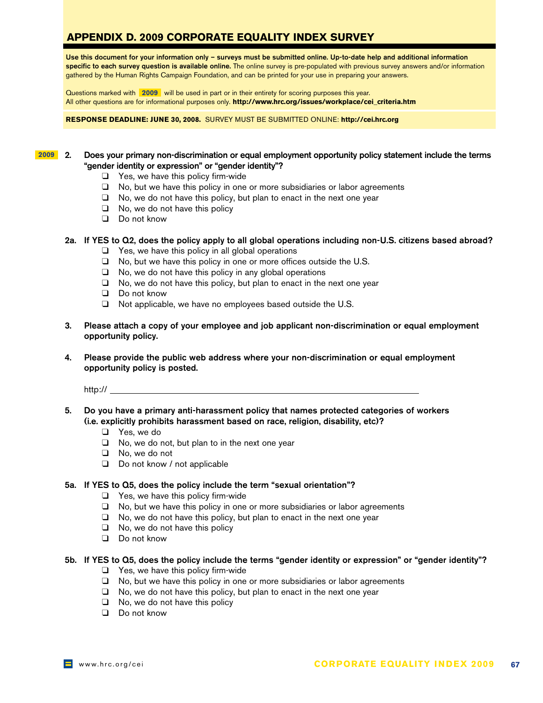# **Appendix D. 2009 Corporate Equality Index survey**

Use this document for your information only – surveys must be submitted online. Up-to-date help and additional information specific to each survey question is available online. The online survey is pre-populated with previous survey answers and/or information gathered by the Human Rights Campaign Foundation, and can be printed for your use in preparing your answers.

Questions marked with **2009** will be used in part or in their entirety for scoring purposes this year. All other questions are for informational purposes only. **http://www.hrc.org/issues/workplace/cei\_criteria.htm**

**RESPONSE DEADLINE: JUNE 30, 2008.** SURVEY MUST BE SUBMITTED ONLINE: **http://cei.hrc.org**

#### 2. Does your primary non-discrimination or equal employment opportunity policy statement include the terms "gender identity or expression" or "gender identity"? **2009**

- $\Box$  Yes, we have this policy firm-wide
- $\Box$  No, but we have this policy in one or more subsidiaries or labor agreements
- $\Box$  No, we do not have this policy, but plan to enact in the next one year
- $\Box$  No, we do not have this policy
- Do not know

#### 2a. If YES to Q2, does the policy apply to all global operations including non-U.S. citizens based abroad?

- $\Box$  Yes, we have this policy in all global operations
- $\square$  No, but we have this policy in one or more offices outside the U.S.
- $\Box$  No, we do not have this policy in any global operations
- $\Box$  No, we do not have this policy, but plan to enact in the next one year
- Do not know
- $\Box$  Not applicable, we have no employees based outside the U.S.
- 3. Please attach a copy of your employee and job applicant non-discrimination or equal employment opportunity policy.
- 4. Please provide the public web address where your non-discrimination or equal employment opportunity policy is posted.

http:// $\sqrt{2}$ 

- 5. Do you have a primary anti-harassment policy that names protected categories of workers (i.e. explicitly prohibits harassment based on race, religion, disability, etc)?
	- **Q** Yes, we do
	- $\Box$  No, we do not, but plan to in the next one year
	- $\Box$  No, we do not
	- $\Box$  Do not know / not applicable
- 5a. If YES to Q5, does the policy include the term "sexual orientation"?
	- $\Box$  Yes, we have this policy firm-wide
	- $\Box$  No, but we have this policy in one or more subsidiaries or labor agreements
	- $\Box$  No, we do not have this policy, but plan to enact in the next one year
	- $\Box$  No, we do not have this policy
	- $\Box$  Do not know

#### 5b. If YES to Q5, does the policy include the terms "gender identity or expression" or "gender identity"?

- $\Box$  Yes, we have this policy firm-wide
- $\Box$  No, but we have this policy in one or more subsidiaries or labor agreements
- $\Box$  No, we do not have this policy, but plan to enact in the next one year
- $\Box$  No, we do not have this policy
- **Q** Do not know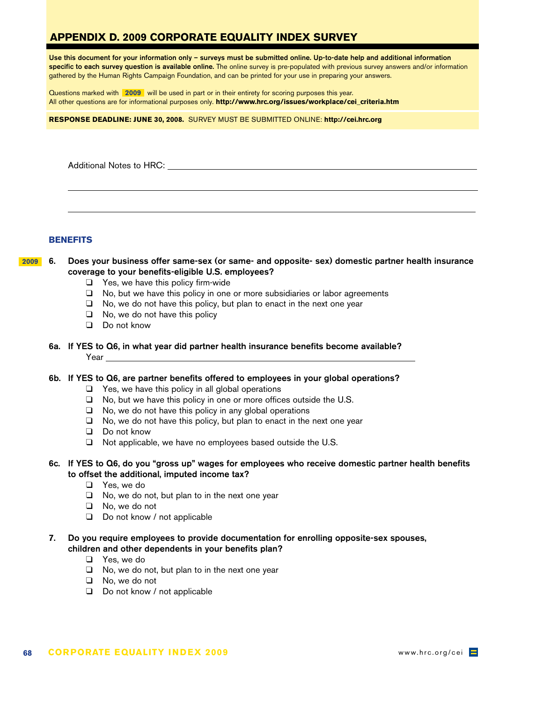# **Appendix D. 2009 Corporate Equality Index survey**

Use this document for your information only – surveys must be submitted online. Up-to-date help and additional information specific to each survey question is available online. The online survey is pre-populated with previous survey answers and/or information gathered by the Human Rights Campaign Foundation, and can be printed for your use in preparing your answers.

Questions marked with **2009** will be used in part or in their entirety for scoring purposes this year. All other questions are for informational purposes only. **http://www.hrc.org/issues/workplace/cei\_criteria.htm**

**RESPONSE DEADLINE: JUNE 30, 2008.** SURVEY MUST BE SUBMITTED ONLINE: **http://cei.hrc.org**

Additional Notes to HRC: Analysis of the Contract of the Contract of the Contract of the Contract of the Contract of the Contract of the Contract of the Contract of the Contract of the Contract of the Contract of the Contr

#### **benefits**

 $\overline{a}$ 

 $\overline{a}$ 

6. Does your business offer same-sex (or same- and opposite- sex) domestic partner health insurance coverage to your benefits-eligible U.S. employees? **2009**

- $\Box$  Yes, we have this policy firm-wide
- $\Box$  No, but we have this policy in one or more subsidiaries or labor agreements
- $\Box$  No, we do not have this policy, but plan to enact in the next one year
- $\Box$  No, we do not have this policy
- $\Box$  Do not know
- 6a. If YES to Q6, in what year did partner health insurance benefits become available? Year \_\_

6b. If YES to Q6, are partner benefits offered to employees in your global operations?

- $\Box$  Yes, we have this policy in all global operations
- $\square$  No, but we have this policy in one or more offices outside the U.S.
- $\Box$  No, we do not have this policy in any global operations
- $\Box$  No, we do not have this policy, but plan to enact in the next one year
- $\Box$  Do not know
- $\Box$  Not applicable, we have no employees based outside the U.S.

#### 6c. If YES to Q6, do you "gross up" wages for employees who receive domestic partner health benefits to offset the additional, imputed income tax?

- $\Box$  Yes, we do
- $\Box$  No, we do not, but plan to in the next one year
- $\Box$  No, we do not
- $\Box$  Do not know / not applicable

#### 7. Do you require employees to provide documentation for enrolling opposite-sex spouses, children and other dependents in your benefits plan?

- $\Box$  Yes, we do
- $\Box$  No, we do not, but plan to in the next one year
- $\Box$  No, we do not
- $\Box$  Do not know / not applicable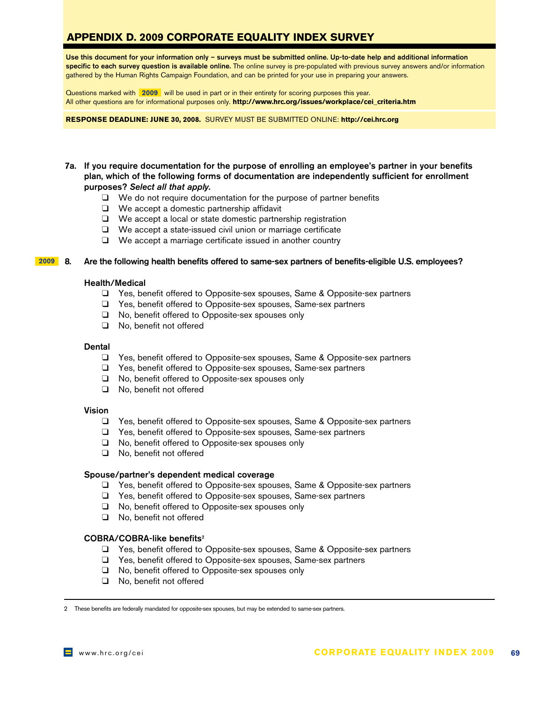Use this document for your information only – surveys must be submitted online. Up-to-date help and additional information specific to each survey question is available online. The online survey is pre-populated with previous survey answers and/or information gathered by the Human Rights Campaign Foundation, and can be printed for your use in preparing your answers.

Questions marked with **2009** will be used in part or in their entirety for scoring purposes this year. All other questions are for informational purposes only. **http://www.hrc.org/issues/workplace/cei\_criteria.htm**

**RESPONSE DEADLINE: JUNE 30, 2008.** SURVEY MUST BE SUBMITTED ONLINE: **http://cei.hrc.org**

- 7a. If you require documentation for the purpose of enrolling an employee's partner in your benefits plan, which of the following forms of documentation are independently sufficient for enrollment purposes? *Select all that apply.*
	- $\Box$  We do not require documentation for the purpose of partner benefits
	- $\Box$  We accept a domestic partnership affidavit
	- $\Box$  We accept a local or state domestic partnership registration
	- $\Box$  We accept a state-issued civil union or marriage certificate
	- $\Box$  We accept a marriage certificate issued in another country

#### 8. Are the following health benefits offered to same-sex partners of benefits-eligible U.S. employees? **2009**

#### Health/Medical

- **Q** Yes, benefit offered to Opposite-sex spouses, Same & Opposite-sex partners
- q Yes, benefit offered to Opposite-sex spouses, Same-sex partners
- □ No, benefit offered to Opposite-sex spouses only
- □ No, benefit not offered

#### **Dental**

- $\Box$  Yes, benefit offered to Opposite-sex spouses, Same & Opposite-sex partners
- □ Yes, benefit offered to Opposite-sex spouses, Same-sex partners
- □ No, benefit offered to Opposite-sex spouses only
- □ No, benefit not offered

#### Vision

- $\Box$  Yes, benefit offered to Opposite-sex spouses, Same & Opposite-sex partners
- $\Box$  Yes, benefit offered to Opposite-sex spouses, Same-sex partners
- $\Box$  No, benefit offered to Opposite-sex spouses only
- □ No, benefit not offered

#### Spouse/partner's dependent medical coverage

- □ Yes, benefit offered to Opposite-sex spouses, Same & Opposite-sex partners
- q Yes, benefit offered to Opposite-sex spouses, Same-sex partners
- □ No, benefit offered to Opposite-sex spouses only
- $\Box$  No, benefit not offered

## COBRA/COBRA-like benefits<sup>2</sup>

- □ Yes, benefit offered to Opposite-sex spouses, Same & Opposite-sex partners
- □ Yes, benefit offered to Opposite-sex spouses, Same-sex partners
- □ No, benefit offered to Opposite-sex spouses only
- **Q** No, benefit not offered

2 These benefits are federally mandated for opposite-sex spouses, but may be extended to same-sex partners.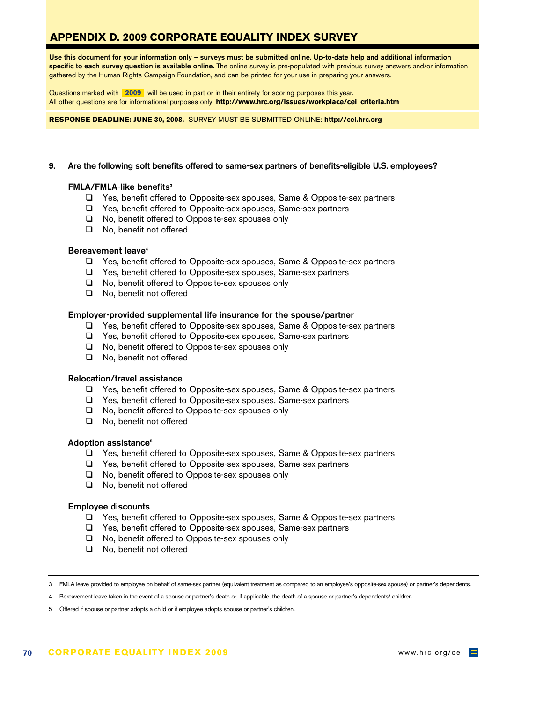Use this document for your information only – surveys must be submitted online. Up-to-date help and additional information specific to each survey question is available online. The online survey is pre-populated with previous survey answers and/or information gathered by the Human Rights Campaign Foundation, and can be printed for your use in preparing your answers.

Questions marked with **2009** will be used in part or in their entirety for scoring purposes this year. All other questions are for informational purposes only. **http://www.hrc.org/issues/workplace/cei\_criteria.htm**

**RESPONSE DEADLINE: JUNE 30, 2008.** SURVEY MUST BE SUBMITTED ONLINE: **http://cei.hrc.org**

#### 9. Are the following soft benefits offered to same-sex partners of benefits-eligible U.S. employees?

#### FMLA/FMLA-like benefits<sup>3</sup>

- □ Yes, benefit offered to Opposite-sex spouses, Same & Opposite-sex partners
- □ Yes, benefit offered to Opposite-sex spouses, Same-sex partners
- □ No, benefit offered to Opposite-sex spouses only
- **Q** No, benefit not offered

#### Bereavement leave<sup>4</sup>

- $\Box$  Yes, benefit offered to Opposite-sex spouses, Same & Opposite-sex partners
- q Yes, benefit offered to Opposite-sex spouses, Same-sex partners
- $\Box$  No, benefit offered to Opposite-sex spouses only
- $\Box$  No, benefit not offered

#### Employer-provided supplemental life insurance for the spouse/partner

- $\Box$  Yes, benefit offered to Opposite-sex spouses, Same & Opposite-sex partners
- □ Yes, benefit offered to Opposite-sex spouses, Same-sex partners
- □ No, benefit offered to Opposite-sex spouses only
- $\Box$  No, benefit not offered

#### Relocation/travel assistance

- □ Yes, benefit offered to Opposite-sex spouses, Same & Opposite-sex partners
- $\Box$  Yes, benefit offered to Opposite-sex spouses, Same-sex partners
- $\Box$  No, benefit offered to Opposite-sex spouses only
- $\Box$  No, benefit not offered

#### Adoption assistance<sup>5</sup>

- □ Yes, benefit offered to Opposite-sex spouses, Same & Opposite-sex partners
- q Yes, benefit offered to Opposite-sex spouses, Same-sex partners
- $\Box$  No, benefit offered to Opposite-sex spouses only
- $\Box$  No, benefit not offered

#### Employee discounts

- $\Box$  Yes, benefit offered to Opposite-sex spouses, Same & Opposite-sex partners
- **Q** Yes, benefit offered to Opposite-sex spouses, Same-sex partners
- $\Box$  No, benefit offered to Opposite-sex spouses only
- **Q** No, benefit not offered

- 4 Bereavement leave taken in the event of a spouse or partner's death or, if applicable, the death of a spouse or partner's dependents/ children.
- 5 Offered if spouse or partner adopts a child or if employee adopts spouse or partner's children.

<sup>3</sup> FMLA leave provided to employee on behalf of same-sex partner (equivalent treatment as compared to an employee's opposite-sex spouse) or partner's dependents.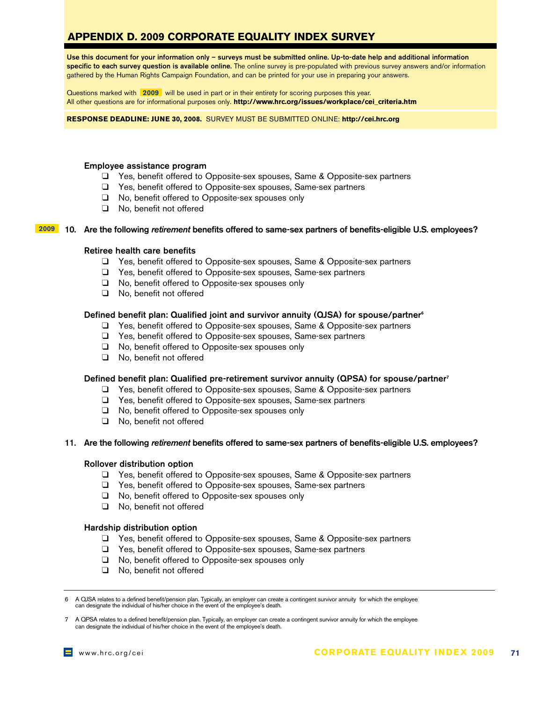Use this document for your information only – surveys must be submitted online. Up-to-date help and additional information specific to each survey question is available online. The online survey is pre-populated with previous survey answers and/or information gathered by the Human Rights Campaign Foundation, and can be printed for your use in preparing your answers.

Questions marked with **2009** will be used in part or in their entirety for scoring purposes this year. All other questions are for informational purposes only. **http://www.hrc.org/issues/workplace/cei\_criteria.htm**

**RESPONSE DEADLINE: JUNE 30, 2008.** SURVEY MUST BE SUBMITTED ONLINE: **http://cei.hrc.org**

#### Employee assistance program

- **Q** Yes, benefit offered to Opposite-sex spouses, Same & Opposite-sex partners
- q Yes, benefit offered to Opposite-sex spouses, Same-sex partners
- □ No, benefit offered to Opposite-sex spouses only
- $\Box$  No, benefit not offered

#### 10. Are the following *retirement* benefits offered to same-sex partners of benefits-eligible U.S. employees? **2009**

#### Retiree health care benefits

- **Q** Yes, benefit offered to Opposite-sex spouses, Same & Opposite-sex partners
- q Yes, benefit offered to Opposite-sex spouses, Same-sex partners
- $\Box$  No, benefit offered to Opposite-sex spouses only
- $\Box$  No, benefit not offered

#### Defined benefit plan: Qualified joint and survivor annuity (QJSA) for spouse/partner<sup>6</sup>

- **Q** Yes, benefit offered to Opposite-sex spouses, Same & Opposite-sex partners
- q Yes, benefit offered to Opposite-sex spouses, Same-sex partners
- $\Box$  No, benefit offered to Opposite-sex spouses only
- $\Box$  No, benefit not offered

#### Defined benefit plan: Qualified pre-retirement survivor annuity (QPSA) for spouse/partner<sup>7</sup>

- □ Yes, benefit offered to Opposite-sex spouses, Same & Opposite-sex partners
- **Q** Yes, benefit offered to Opposite-sex spouses, Same-sex partners
- $\Box$  No, benefit offered to Opposite-sex spouses only
- $\Box$  No, benefit not offered

#### 11. Are the following *retirement* benefits offered to same-sex partners of benefits-eligible U.S. employees?

#### Rollover distribution option

- $\Box$  Yes, benefit offered to Opposite-sex spouses, Same & Opposite-sex partners
- □ Yes, benefit offered to Opposite-sex spouses, Same-sex partners
- □ No, benefit offered to Opposite-sex spouses only
- $\Box$  No, benefit not offered

#### Hardship distribution option

- $\Box$  Yes, benefit offered to Opposite-sex spouses, Same & Opposite-sex partners
- q Yes, benefit offered to Opposite-sex spouses, Same-sex partners
- $\Box$  No, benefit offered to Opposite-sex spouses only
- □ No, benefit not offered

<sup>6</sup> A QJSA relates to a defined benefit/pension plan. Typically, an employer can create a contingent survivor annuity for which the employee can designate the individual of his/her choice in the event of the employee's death.

<sup>7</sup> A QPSA relates to a defined benefit/pension plan. Typically, an employer can create a contingent survivor annuity for which the employee can designate the individual of his/her choice in the event of the employee's death.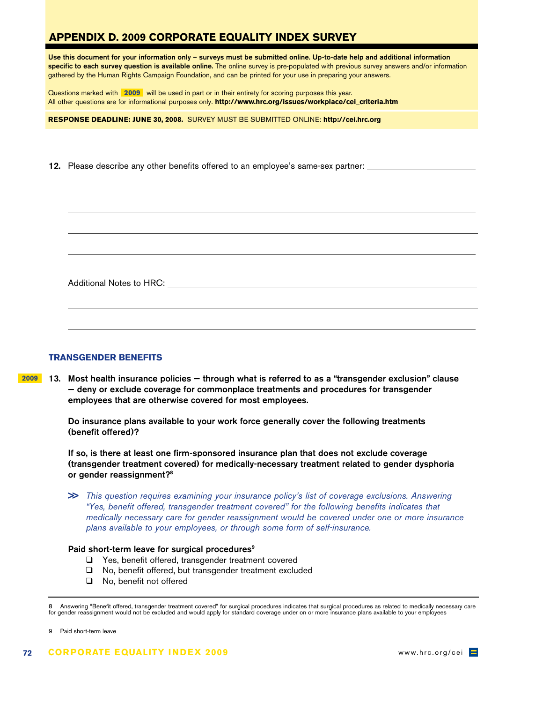Use this document for your information only – surveys must be submitted online. Up-to-date help and additional information specific to each survey question is available online. The online survey is pre-populated with previous survey answers and/or information gathered by the Human Rights Campaign Foundation, and can be printed for your use in preparing your answers.

Questions marked with **2009** will be used in part or in their entirety for scoring purposes this year. All other questions are for informational purposes only. **http://www.hrc.org/issues/workplace/cei\_criteria.htm**

**RESPONSE DEADLINE: JUNE 30, 2008.** SURVEY MUST BE SUBMITTED ONLINE: **http://cei.hrc.org**

12. Please describe any other benefits offered to an employee's same-sex partner:

Additional Notes to HRC: Andrew Management of Additional Notes to HRC:

 $\overline{a}$ 

 $\overline{a}$ 

 $\overline{a}$ 

 $\overline{a}$ 

 $\overline{a}$ 

#### **Transgender Benefits**

13. Most health insurance policies — through what is referred to as a "transgender exclusion" clause — deny or exclude coverage for commonplace treatments and procedures for transgender employees that are otherwise covered for most employees. **2009**

> Do insurance plans available to your work force generally cover the following treatments (benefit offered)?

If so, is there at least one firm-sponsored insurance plan that does not exclude coverage (transgender treatment covered) for medically-necessary treatment related to gender dysphoria or gender reassignment?<sup>8</sup>

**>>** *This question requires examining your insurance policy's list of coverage exclusions. Answering "Yes, benefit offered, transgender treatment covered" for the following benefits indicates that medically necessary care for gender reassignment would be covered under one or more insurance plans available to your employees, or through some form of self-insurance.*

#### Paid short-term leave for surgical procedures<sup>9</sup>

- $\Box$  Yes, benefit offered, transgender treatment covered
- □ No, benefit offered, but transgender treatment excluded
- $\Box$  No, benefit not offered

9 Paid short-term leave

<sup>8</sup> Answering "Benefit offered, transgender treatment covered" for surgical procedures indicates that surgical procedures as related to medically necessary care<br>for gender reassignment would not be excluded and would apply f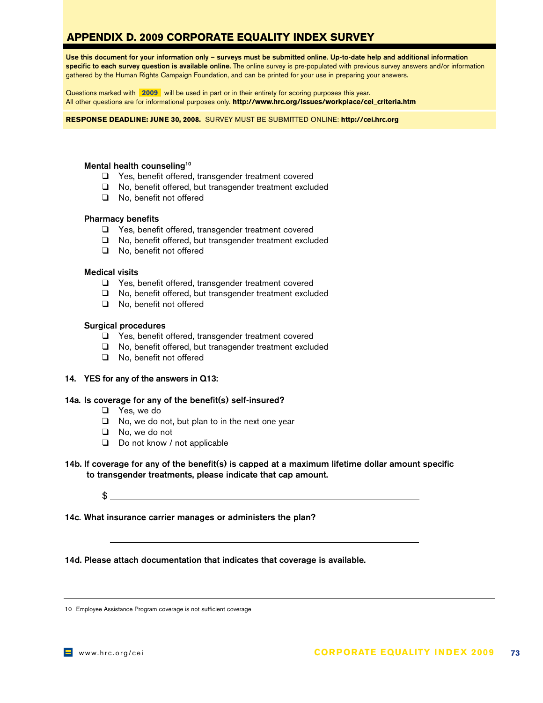Use this document for your information only – surveys must be submitted online. Up-to-date help and additional information specific to each survey question is available online. The online survey is pre-populated with previous survey answers and/or information gathered by the Human Rights Campaign Foundation, and can be printed for your use in preparing your answers.

Questions marked with **2009** will be used in part or in their entirety for scoring purposes this year. All other questions are for informational purposes only. **http://www.hrc.org/issues/workplace/cei\_criteria.htm**

**RESPONSE DEADLINE: JUNE 30, 2008.** SURVEY MUST BE SUBMITTED ONLINE: **http://cei.hrc.org**

#### Mental health counseling<sup>10</sup>

- $\Box$  Yes, benefit offered, transgender treatment covered
- □ No, benefit offered, but transgender treatment excluded
- $\Box$  No, benefit not offered

#### Pharmacy benefits

- **Q** Yes, benefit offered, transgender treatment covered
- $\Box$  No, benefit offered, but transgender treatment excluded
- □ No, benefit not offered

#### Medical visits

- $\Box$  Yes, benefit offered, transgender treatment covered
- $\Box$  No, benefit offered, but transgender treatment excluded
- $\Box$  No, benefit not offered

#### Surgical procedures

- $\Box$  Yes, benefit offered, transgender treatment covered
- □ No, benefit offered, but transgender treatment excluded
- □ No, benefit not offered

#### 14. YES for any of the answers in Q13:

#### 14a. Is coverage for any of the benefit(s) self-insured?

- $\Box$  Yes, we do
- $\Box$  No, we do not, but plan to in the next one year
- $\Box$  No, we do not
- $\Box$  Do not know / not applicable
- 14b. If coverage for any of the benefit(s) is capped at a maximum lifetime dollar amount specific to transgender treatments, please indicate that cap amount.

 $\sim$ 

14c. What insurance carrier manages or administers the plan?

14d. Please attach documentation that indicates that coverage is available.

10 Employee Assistance Program coverage is not sufficient coverage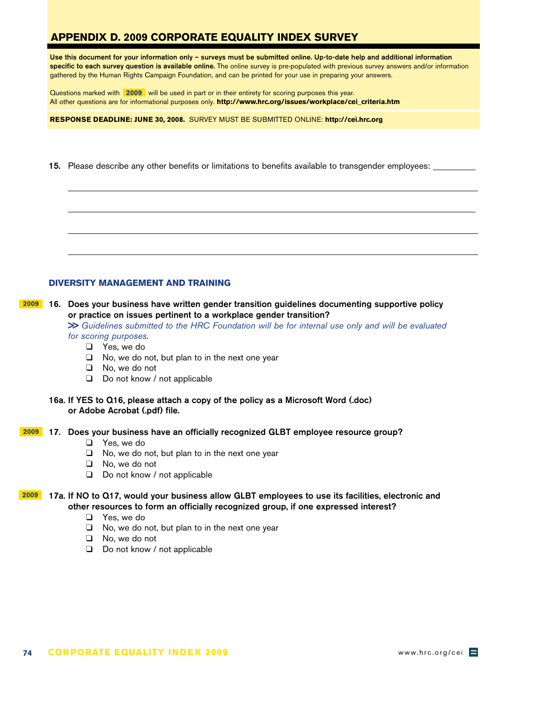Use this document for your information only – surveys must be submitted online. Up-to-date help and additional information specific to each survey question is available online. The online survey is pre-populated with previous survey answers and/or information gathered by the Human Rights Campaign Foundation, and can be printed for your use in preparing your answers.

Questions marked with **2009** will be used in part or in their entirety for scoring purposes this year. All other questions are for informational purposes only. **http://www.hrc.org/issues/workplace/cei\_criteria.htm**

**RESPONSE DEADLINE: JUNE 30, 2008.** SURVEY MUST BE SUBMITTED ONLINE: **http://cei.hrc.org**

**15.** Please describe any other benefits or limitations to benefits available to transgender employees:

## **Diversity Management and Training**

16. Does your business have written gender transition guidelines documenting supportive policy or practice on issues pertinent to a workplace gender transition? **2009**

> **>>** *Guidelines submitted to the HRC Foundation will be for internal use only and will be evaluated for scoring purposes.*

**Q** Yes, we do

 $\overline{a}$ 

 $\overline{a}$ 

 $\overline{a}$ 

- $\Box$  No, we do not, but plan to in the next one year
- $\Box$  No, we do not
- $\Box$  Do not know / not applicable

16a. If YES to Q16, please attach a copy of the policy as a Microsoft Word (.doc) or Adobe Acrobat (.pdf) file.

#### 17. Does your business have an officially recognized GLBT employee resource group? **2009**

- $\Box$  Yes, we do
- $\Box$  No, we do not, but plan to in the next one year
- $\Box$  No, we do not
- $\Box$  Do not know / not applicable

17a. If NO to Q17, would your business allow GLBT employees to use its facilities, electronic and other resources to form an officially recognized group, if one expressed interest? **2009**

- $\Box$  Yes, we do
- $\Box$  No, we do not, but plan to in the next one year
- $\Box$  No, we do not
- $\Box$  Do not know / not applicable

 $\overline{a}$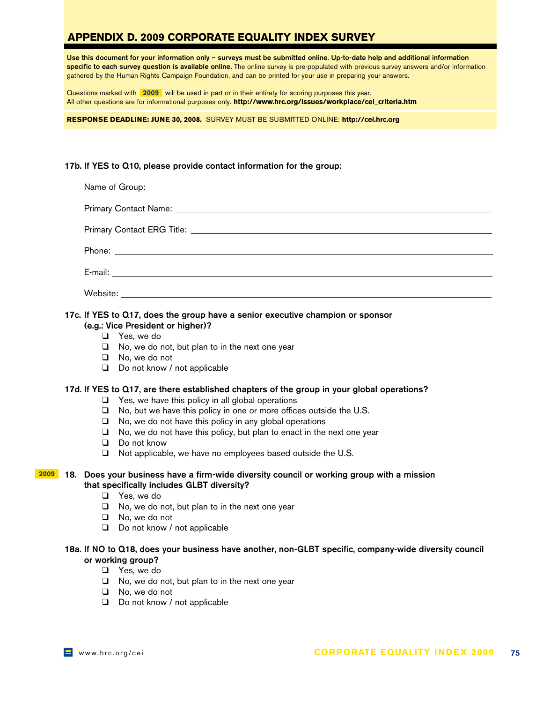Use this document for your information only – surveys must be submitted online. Up-to-date help and additional information specific to each survey question is available online. The online survey is pre-populated with previous survey answers and/or information gathered by the Human Rights Campaign Foundation, and can be printed for your use in preparing your answers.

Questions marked with **2009** will be used in part or in their entirety for scoring purposes this year. All other questions are for informational purposes only. **http://www.hrc.org/issues/workplace/cei\_criteria.htm**

**RESPONSE DEADLINE: JUNE 30, 2008.** SURVEY MUST BE SUBMITTED ONLINE: **http://cei.hrc.org**

#### 17b. If YES to Q10, please provide contact information for the group:

| Phone: Note: 2008 and 2008 and 2008 and 2008 and 2008 and 2008 and 2008 and 2008 and 2008 and 2008 and 2008 and 2008 and 2008 and 2008 and 2008 and 2008 and 2008 and 2008 and 2008 and 2008 and 2008 and 2008 and 2008 and 20 |
|--------------------------------------------------------------------------------------------------------------------------------------------------------------------------------------------------------------------------------|
|                                                                                                                                                                                                                                |
|                                                                                                                                                                                                                                |

#### 17c. If YES to Q17, does the group have a senior executive champion or sponsor (e.g.: Vice President or higher)?

- **Q** Yes, we do
- $\Box$  No, we do not, but plan to in the next one year
- $\Box$  No, we do not
- $\Box$  Do not know / not applicable

#### 17d. If YES to Q17, are there established chapters of the group in your global operations?

- $\Box$  Yes, we have this policy in all global operations
- $\Box$  No, but we have this policy in one or more offices outside the U.S.
- $\Box$  No, we do not have this policy in any global operations
- $\Box$  No, we do not have this policy, but plan to enact in the next one year
- $\Box$  Do not know
- $\Box$  Not applicable, we have no employees based outside the U.S.

#### 18. Does your business have a firm-wide diversity council or working group with a mission **2009** that specifically includes GLBT diversity?

- **Q** Yes, we do
- $\Box$  No, we do not, but plan to in the next one year
- $\Box$  No, we do not
- $\Box$  Do not know / not applicable

#### 18a. If NO to Q18, does your business have another, non-GLBT specific, company-wide diversity council or working group?

- **q** Yes, we do
- $\Box$  No, we do not, but plan to in the next one year
- $\Box$  No, we do not
- $\Box$  Do not know / not applicable

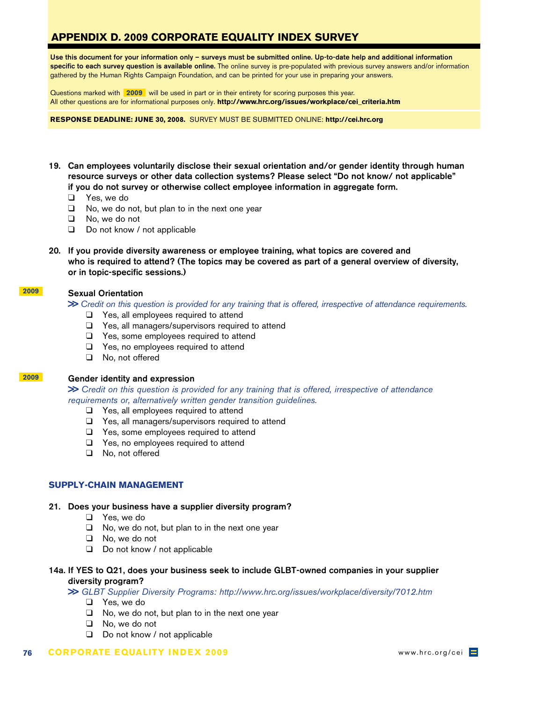Use this document for your information only – surveys must be submitted online. Up-to-date help and additional information specific to each survey question is available online. The online survey is pre-populated with previous survey answers and/or information gathered by the Human Rights Campaign Foundation, and can be printed for your use in preparing your answers.

Questions marked with **2009** will be used in part or in their entirety for scoring purposes this year. All other questions are for informational purposes only. **http://www.hrc.org/issues/workplace/cei\_criteria.htm**

**RESPONSE DEADLINE: JUNE 30, 2008.** SURVEY MUST BE SUBMITTED ONLINE: **http://cei.hrc.org**

- 19. Can employees voluntarily disclose their sexual orientation and/or gender identity through human resource surveys or other data collection systems? Please select "Do not know/ not applicable" if you do not survey or otherwise collect employee information in aggregate form.
	- $\Box$  Yes, we do
	- $\Box$  No, we do not, but plan to in the next one year
	- $\Box$  No, we do not
	- $\Box$  Do not know / not applicable
- 20. If you provide diversity awareness or employee training, what topics are covered and who is required to attend? (The topics may be covered as part of a general overview of diversity, or in topic-specific sessions.)

#### Sexual Orientation **2009**

**>>** *Credit on this question is provided for any training that is offered, irrespective of attendance requirements.*

- $\Box$  Yes, all employees required to attend
- $\Box$  Yes, all managers/supervisors required to attend
- **Q** Yes, some employees required to attend
- $\Box$  Yes, no employees required to attend
- $\Box$  No, not offered

#### Gender identity and expression **2009**

*>> Credit on this question is provided for any training that is offered, irrespective of attendance requirements or, alternatively written gender transition guidelines.*

- $\Box$  Yes, all employees required to attend
- $\Box$  Yes, all managers/supervisors required to attend
- $\Box$  Yes, some employees required to attend
- $\Box$  Yes, no employees required to attend
- **Q** No, not offered

#### **Supply-Chain Management**

#### 21. Does your business have a supplier diversity program?

- $\Box$  Yes, we do
- $\Box$  No, we do not, but plan to in the next one year
- $\Box$  No, we do not
- $\Box$  Do not know / not applicable

#### 14a. If YES to Q21, does your business seek to include GLBT-owned companies in your supplier diversity program?

*>> GLBT Supplier Diversity Programs: http://www.hrc.org/issues/workplace/diversity/7012.htm*

- $\Box$  Yes, we do
- $\Box$  No, we do not, but plan to in the next one year
- $\Box$  No, we do not
- $\Box$  Do not know / not applicable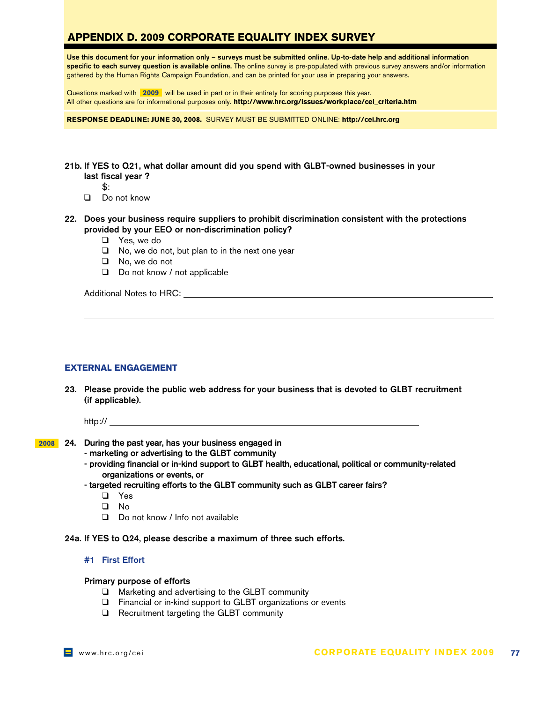Use this document for your information only – surveys must be submitted online. Up-to-date help and additional information specific to each survey question is available online. The online survey is pre-populated with previous survey answers and/or information gathered by the Human Rights Campaign Foundation, and can be printed for your use in preparing your answers.

Questions marked with **2009** will be used in part or in their entirety for scoring purposes this year. All other questions are for informational purposes only. **http://www.hrc.org/issues/workplace/cei\_criteria.htm**

**RESPONSE DEADLINE: JUNE 30, 2008.** SURVEY MUST BE SUBMITTED ONLINE: **http://cei.hrc.org**

### 21b. If YES to Q21, what dollar amount did you spend with GLBT-owned businesses in your last fiscal year ?

- \$:
- $\Box$  Do not know
- 22. Does your business require suppliers to prohibit discrimination consistent with the protections provided by your EEO or non-discrimination policy?
	- $\Box$  Yes, we do
	- $\Box$  No, we do not, but plan to in the next one year
	- $\Box$  No, we do not
	- $\Box$  Do not know / not applicable

Additional Notes to HRC: <u>contract the contract of the contract of the contract of the contract of the contract of the contract of the contract of the contract of the contract of the contract of the contract of the contrac</u>

#### **External Engagement**

23. Please provide the public web address for your business that is devoted to GLBT recruitment (if applicable).

http://

 $\overline{a}$ 

 $\overline{a}$ 

- 2008 24. During the past year, has your business engaged in
	- marketing or advertising to the GLBT community
		- providing financial or in-kind support to GLBT health, educational, political or community-related organizations or events, or
		- targeted recruiting efforts to the GLBT community such as GLBT career fairs?
			- q Yes
			- $\Box$  No
			- $\Box$  Do not know / Info not available
	- 24a. If YES to Q24, please describe a maximum of three such efforts.

#### #1 First Effort

#### Primary purpose of efforts

- $\Box$  Marketing and advertising to the GLBT community
- $\Box$  Financial or in-kind support to GLBT organizations or events
- $\Box$  Recruitment targeting the GLBT community

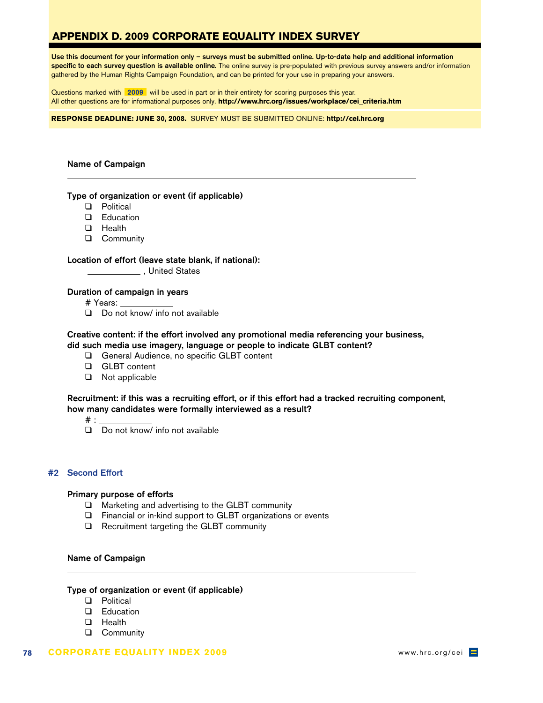Use this document for your information only – surveys must be submitted online. Up-to-date help and additional information specific to each survey question is available online. The online survey is pre-populated with previous survey answers and/or information gathered by the Human Rights Campaign Foundation, and can be printed for your use in preparing your answers.

Questions marked with **2009** will be used in part or in their entirety for scoring purposes this year. All other questions are for informational purposes only. **http://www.hrc.org/issues/workplace/cei\_criteria.htm**

**RESPONSE DEADLINE: JUNE 30, 2008.** SURVEY MUST BE SUBMITTED ONLINE: **http://cei.hrc.org**

#### Name of Campaign

 $\overline{a}$ 

#### Type of organization or event (if applicable)

- **Q** Political
- **Q** Education
- D Health
- **Q** Community

#### Location of effort (leave state blank, if national):

, United States

#### Duration of campaign in years

- # Years:
- $\Box$  Do not know/ info not available

#### Creative content: if the effort involved any promotional media referencing your business, did such media use imagery, language or people to indicate GLBT content?

- **Q** General Audience, no specific GLBT content
- **Q** GLBT content
- $\Box$  Not applicable

Recruitment: if this was a recruiting effort, or if this effort had a tracked recruiting component, how many candidates were formally interviewed as a result?

- $#$  :
- $\Box$  Do not know/ info not available

#### #2 Second Effort

 $\overline{a}$ 

#### Primary purpose of efforts

- $\Box$  Marketing and advertising to the GLBT community
- $\Box$  Financial or in-kind support to GLBT organizations or events
- $\Box$  Recruitment targeting the GLBT community

#### Name of Campaign

#### Type of organization or event (if applicable)

- **Q** Political
- **Q** Education
- D Health
- **Q** Community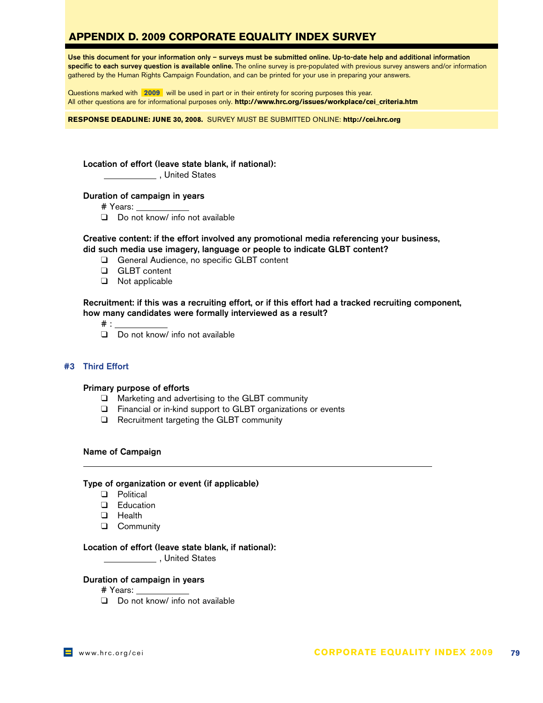Use this document for your information only – surveys must be submitted online. Up-to-date help and additional information specific to each survey question is available online. The online survey is pre-populated with previous survey answers and/or information gathered by the Human Rights Campaign Foundation, and can be printed for your use in preparing your answers.

Questions marked with **2009** will be used in part or in their entirety for scoring purposes this year. All other questions are for informational purposes only. **http://www.hrc.org/issues/workplace/cei\_criteria.htm**

**RESPONSE DEADLINE: JUNE 30, 2008.** SURVEY MUST BE SUBMITTED ONLINE: **http://cei.hrc.org**

#### Location of effort (leave state blank, if national):

**LETTER**, United States

#### Duration of campaign in years

- # Years:
- $\Box$  Do not know/ info not available

#### Creative content: if the effort involved any promotional media referencing your business, did such media use imagery, language or people to indicate GLBT content?

- **Q** General Audience, no specific GLBT content
- q GLBT content
- $\Box$  Not applicable

#### Recruitment: if this was a recruiting effort, or if this effort had a tracked recruiting component, how many candidates were formally interviewed as a result?

 $#$  :

 $\Box$  Do not know/ info not available

### #3 Third Effort

 $\overline{a}$ 

#### Primary purpose of efforts

- $\Box$  Marketing and advertising to the GLBT community
- $\square$  Financial or in-kind support to GLBT organizations or events
- $\Box$  Recruitment targeting the GLBT community

#### Name of Campaign

#### Type of organization or event (if applicable)

- **Q** Political
- **Q** Education
- **Q** Health
- **Q** Community

#### Location of effort (leave state blank, if national):

**Market**, United States

#### Duration of campaign in years

# Years:

 $\Box$  Do not know/ info not available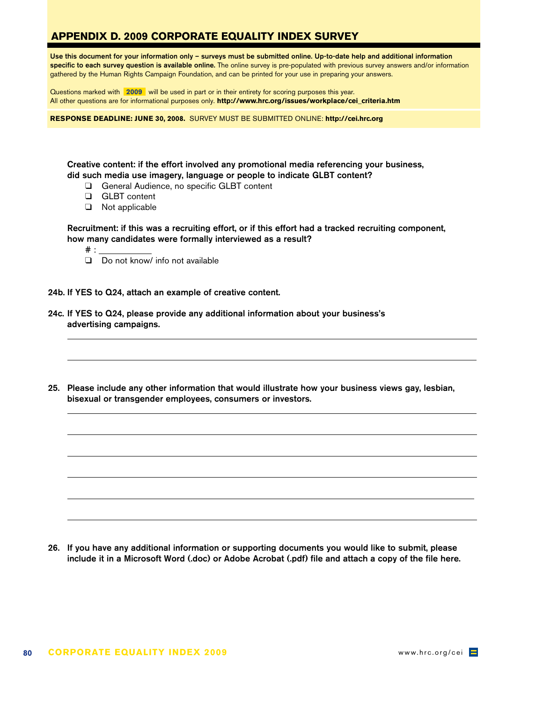Use this document for your information only – surveys must be submitted online. Up-to-date help and additional information specific to each survey question is available online. The online survey is pre-populated with previous survey answers and/or information gathered by the Human Rights Campaign Foundation, and can be printed for your use in preparing your answers.

Questions marked with **2009** will be used in part or in their entirety for scoring purposes this year. All other questions are for informational purposes only. **http://www.hrc.org/issues/workplace/cei\_criteria.htm**

**RESPONSE DEADLINE: JUNE 30, 2008.** SURVEY MUST BE SUBMITTED ONLINE: **http://cei.hrc.org**

Creative content: if the effort involved any promotional media referencing your business, did such media use imagery, language or people to indicate GLBT content?

- General Audience, no specific GLBT content
- q GLBT content
- $\Box$  Not applicable

 $\overline{a}$ 

 $\overline{a}$ 

Recruitment: if this was a recruiting effort, or if this effort had a tracked recruiting component, how many candidates were formally interviewed as a result?

- $\#$  :  $\_$  $\Box$  Do not know/ info not available
- 24b. If YES to Q24, attach an example of creative content.
- 24c. If YES to Q24, please provide any additional information about your business's advertising campaigns.
- 25. Please include any other information that would illustrate how your business views gay, lesbian, bisexual or transgender employees, consumers or investors.

26. If you have any additional information or supporting documents you would like to submit, please include it in a Microsoft Word (.doc) or Adobe Acrobat (.pdf) file and attach a copy of the file here.

 $\overline{a}$ 

 $\overline{a}$ 

 $\overline{a}$ 

 $\overline{a}$ 

 $\overline{a}$ 

 $\overline{a}$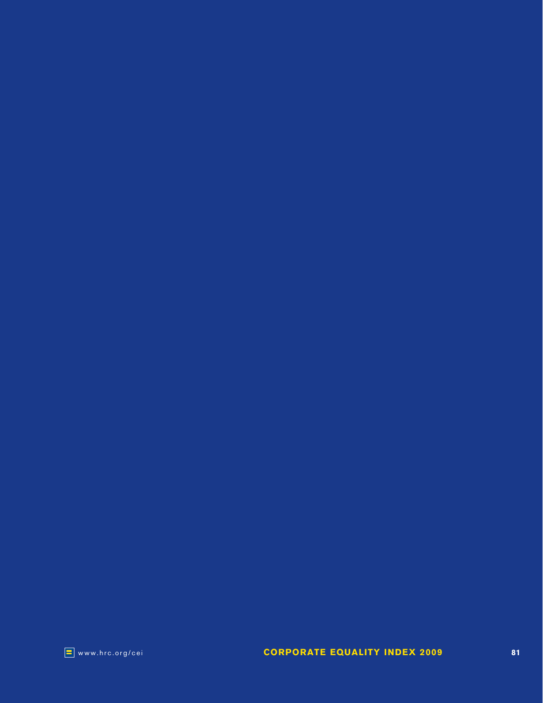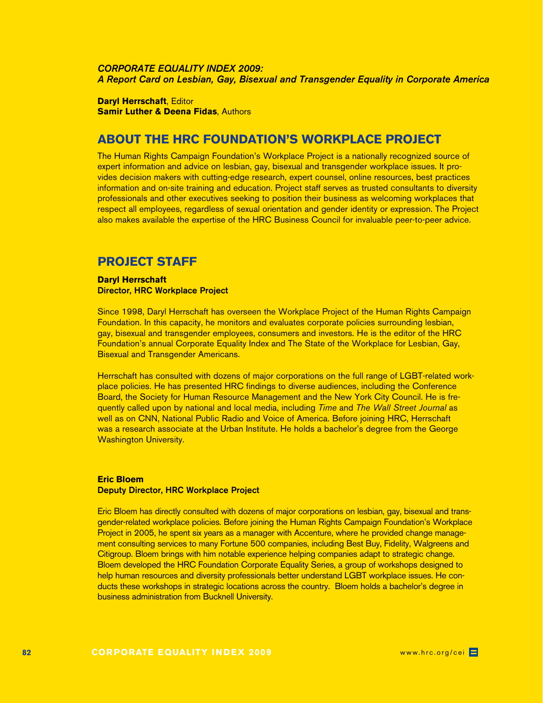### *CORPORATE EQUALITY INDEX 2009: A Report Card on Lesbian, Gay, Bisexual and Transgender Equality in Corporate America*

**Daryl Herrschaft**, Editor **Samir Luther & Deena Fidas, Authors** 

## **About the HRC foundation's Workplace Project**

The Human Rights Campaign Foundation's Workplace Project is a nationally recognized source of expert information and advice on lesbian, gay, bisexual and transgender workplace issues. It provides decision makers with cutting-edge research, expert counsel, online resources, best practices information and on-site training and education. Project staff serves as trusted consultants to diversity professionals and other executives seeking to position their business as welcoming workplaces that respect all employees, regardless of sexual orientation and gender identity or expression. The Project also makes available the expertise of the HRC Business Council for invaluable peer-to-peer advice.

# **project staff**

#### **Daryl Herrschaft** Director, HRC Workplace Project

Since 1998, Daryl Herrschaft has overseen the Workplace Project of the Human Rights Campaign Foundation. In this capacity, he monitors and evaluates corporate policies surrounding lesbian, gay, bisexual and transgender employees, consumers and investors. He is the editor of the HRC Foundation's annual Corporate Equality Index and The State of the Workplace for Lesbian, Gay, Bisexual and Transgender Americans.

Herrschaft has consulted with dozens of major corporations on the full range of LGBT-related workplace policies. He has presented HRC findings to diverse audiences, including the Conference Board, the Society for Human Resource Management and the New York City Council. He is frequently called upon by national and local media, including *Time* and *The Wall Street Journal* as well as on CNN, National Public Radio and Voice of America. Before joining HRC, Herrschaft was a research associate at the Urban Institute. He holds a bachelor's degree from the George Washington University.

#### **Eric Bloem** Deputy Director, HRC Workplace Project

Eric Bloem has directly consulted with dozens of major corporations on lesbian, gay, bisexual and transgender-related workplace policies. Before joining the Human Rights Campaign Foundation's Workplace Project in 2005, he spent six years as a manager with Accenture, where he provided change management consulting services to many Fortune 500 companies, including Best Buy, Fidelity, Walgreens and Citigroup. Bloem brings with him notable experience helping companies adapt to strategic change. Bloem developed the HRC Foundation Corporate Equality Series, a group of workshops designed to help human resources and diversity professionals better understand LGBT workplace issues. He conducts these workshops in strategic locations across the country. Bloem holds a bachelor's degree in business administration from Bucknell University.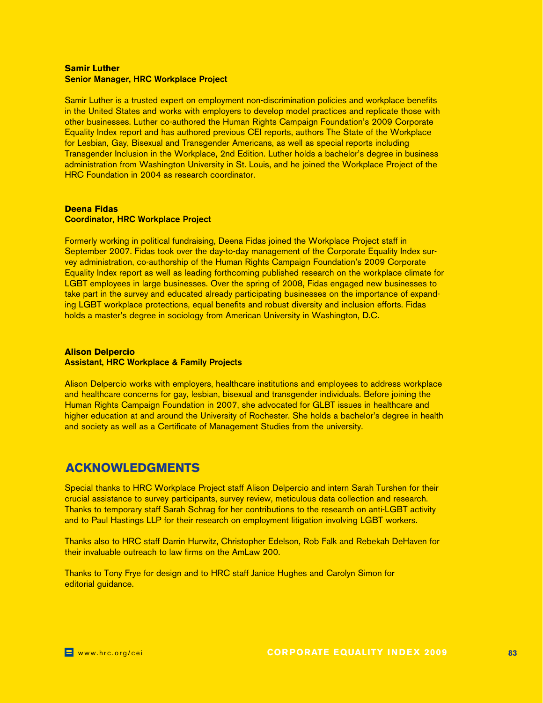#### **Samir Luther** Senior Manager, HRC Workplace Project

Samir Luther is a trusted expert on employment non-discrimination policies and workplace benefits in the United States and works with employers to develop model practices and replicate those with other businesses. Luther co-authored the Human Rights Campaign Foundation's 2009 Corporate Equality Index report and has authored previous CEI reports, authors The State of the Workplace for Lesbian, Gay, Bisexual and Transgender Americans, as well as special reports including Transgender Inclusion in the Workplace, 2nd Edition. Luther holds a bachelor's degree in business administration from Washington University in St. Louis, and he joined the Workplace Project of the HRC Foundation in 2004 as research coordinator.

#### **Deena Fidas** Coordinator, HRC Workplace Project

Formerly working in political fundraising, Deena Fidas joined the Workplace Project staff in September 2007. Fidas took over the day-to-day management of the Corporate Equality Index survey administration, co-authorship of the Human Rights Campaign Foundation's 2009 Corporate Equality Index report as well as leading forthcoming published research on the workplace climate for LGBT employees in large businesses. Over the spring of 2008, Fidas engaged new businesses to take part in the survey and educated already participating businesses on the importance of expanding LGBT workplace protections, equal benefits and robust diversity and inclusion efforts. Fidas holds a master's degree in sociology from American University in Washington, D.C.

#### **Alison Delpercio** Assistant, HRC Workplace & Family Projects

Alison Delpercio works with employers, healthcare institutions and employees to address workplace and healthcare concerns for gay, lesbian, bisexual and transgender individuals. Before joining the Human Rights Campaign Foundation in 2007, she advocated for GLBT issues in healthcare and higher education at and around the University of Rochester. She holds a bachelor's degree in health and society as well as a Certificate of Management Studies from the university.

# **Acknowledgments**

Special thanks to HRC Workplace Project staff Alison Delpercio and intern Sarah Turshen for their crucial assistance to survey participants, survey review, meticulous data collection and research. Thanks to temporary staff Sarah Schrag for her contributions to the research on anti-LGBT activity and to Paul Hastings LLP for their research on employment litigation involving LGBT workers.

Thanks also to HRC staff Darrin Hurwitz, Christopher Edelson, Rob Falk and Rebekah DeHaven for their invaluable outreach to law firms on the AmLaw 200.

Thanks to Tony Frye for design and to HRC staff Janice Hughes and Carolyn Simon for editorial guidance.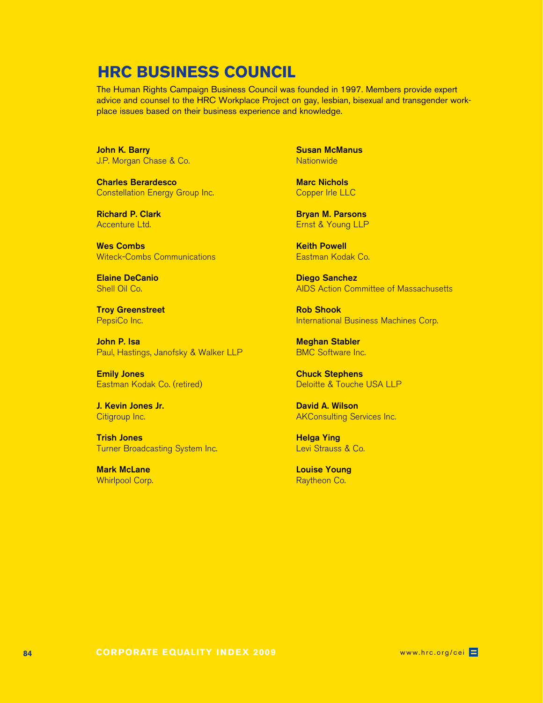# **HRC business council**

The Human Rights Campaign Business Council was founded in 1997. Members provide expert advice and counsel to the HRC Workplace Project on gay, lesbian, bisexual and transgender workplace issues based on their business experience and knowledge.

John K. Barry J.P. Morgan Chase & Co.

Charles Berardesco Constellation Energy Group Inc.

Richard P. Clark Accenture Ltd.

Wes Combs Witeck-Combs Communications

Elaine DeCanio Shell Oil Co.

Troy Greenstreet PepsiCo Inc.

John P. Isa Paul, Hastings, Janofsky & Walker LLP

Emily Jones Eastman Kodak Co. (retired)

J. Kevin Jones Jr. Citigroup Inc.

Trish Jones Turner Broadcasting System Inc.

**Mark McLane** Whirlpool Corp. Susan McManus **Nationwide** 

Marc Nichols Copper Irle LLC

Bryan M. Parsons Ernst & Young LLP

Keith Powell Eastman Kodak Co.

Diego Sanchez AIDS Action Committee of Massachusetts

Rob Shook International Business Machines Corp.

Meghan Stabler BMC Software Inc.

Chuck Stephens Deloitte & Touche USA LLP

David A. Wilson AKConsulting Services Inc.

Helga Ying Levi Strauss & Co.

Louise Young Raytheon Co.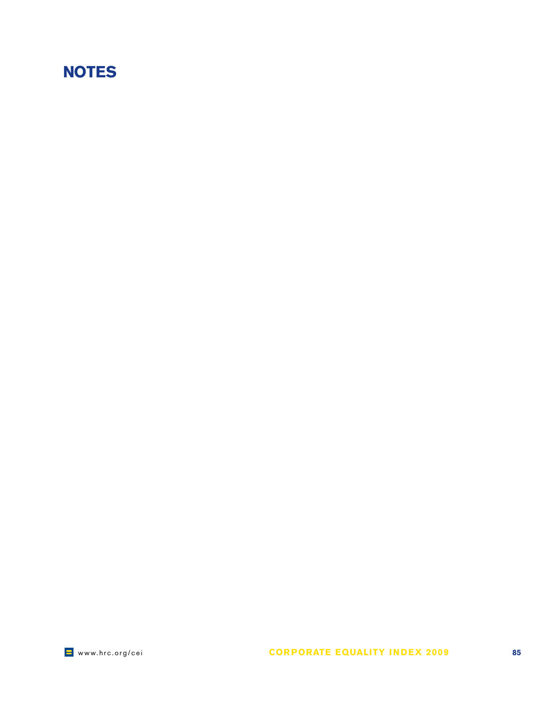# **notes**

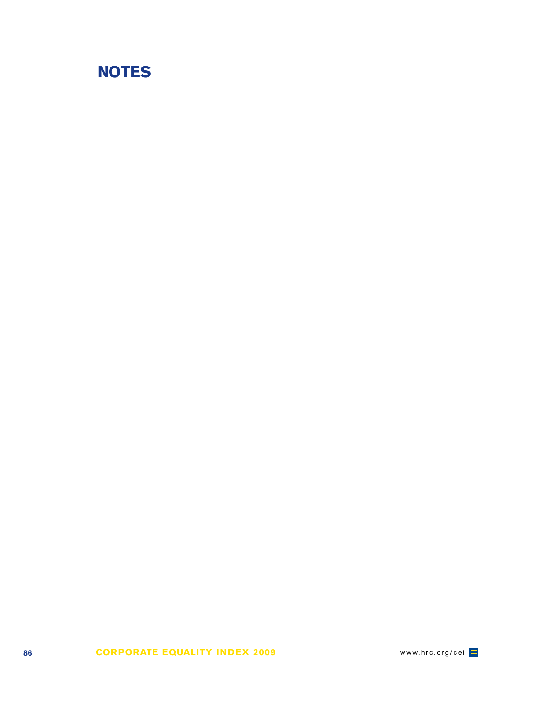# **NOTES**